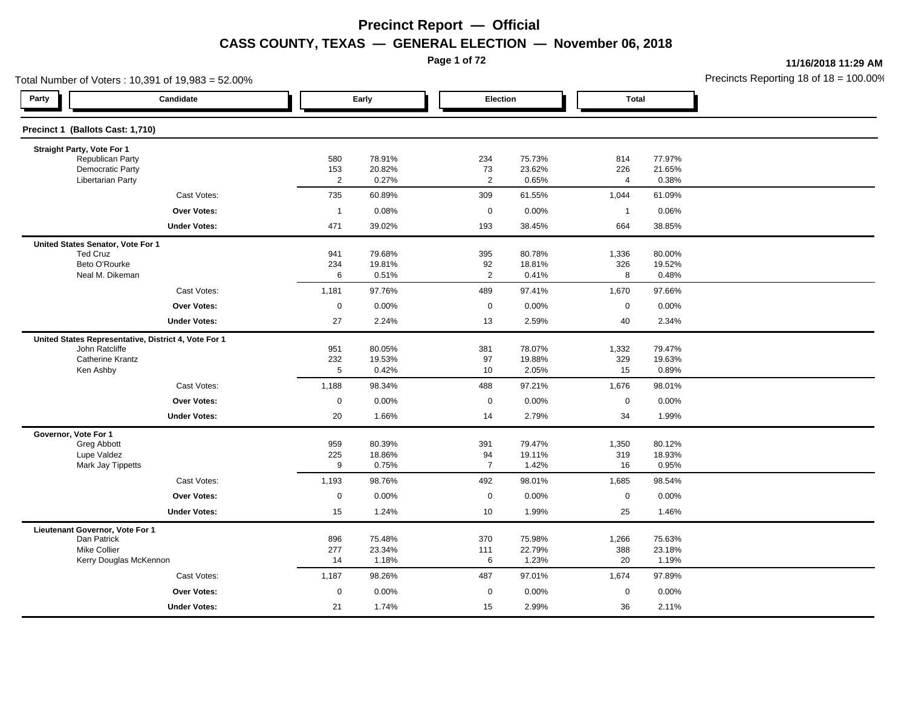**Page 1 of 72**

**11/16/2018 11:29 AM**

| Total Number of Voters: 10,391 of 19,983 = 52.00%    |                |                  |                      |                  |                |                  | Precincts Reporting 18 of 18 = 100.00 |
|------------------------------------------------------|----------------|------------------|----------------------|------------------|----------------|------------------|---------------------------------------|
| Party<br>Candidate                                   |                | Early            | Election             |                  | <b>Total</b>   |                  |                                       |
| Precinct 1 (Ballots Cast: 1,710)                     |                |                  |                      |                  |                |                  |                                       |
| Straight Party, Vote For 1                           |                |                  |                      |                  |                |                  |                                       |
| Republican Party<br><b>Democratic Party</b>          | 580<br>153     | 78.91%<br>20.82% | 234<br>73            | 75.73%<br>23.62% | 814<br>226     | 77.97%<br>21.65% |                                       |
| <b>Libertarian Party</b>                             | $\overline{2}$ | 0.27%            | $\overline{2}$       | 0.65%            | $\overline{4}$ | 0.38%            |                                       |
| Cast Votes:                                          | 735            | 60.89%           | 309                  | 61.55%           | 1,044          | 61.09%           |                                       |
| <b>Over Votes:</b>                                   | $\overline{1}$ | 0.08%            | $\mathbf 0$          | 0.00%            | $\overline{1}$ | 0.06%            |                                       |
| <b>Under Votes:</b>                                  | 471            | 39.02%           | 193                  | 38.45%           | 664            | 38.85%           |                                       |
| United States Senator, Vote For 1                    |                |                  |                      |                  |                |                  |                                       |
| <b>Ted Cruz</b>                                      | 941            | 79.68%           | 395                  | 80.78%           | 1,336          | 80.00%           |                                       |
| Beto O'Rourke<br>Neal M. Dikeman                     | 234<br>6       | 19.81%<br>0.51%  | 92<br>$\overline{2}$ | 18.81%<br>0.41%  | 326<br>8       | 19.52%<br>0.48%  |                                       |
| Cast Votes:                                          | 1,181          | 97.76%           | 489                  | 97.41%           | 1,670          | 97.66%           |                                       |
| <b>Over Votes:</b>                                   | $\mathbf 0$    | 0.00%            | $\mathbf 0$          | 0.00%            | $\mathbf 0$    | 0.00%            |                                       |
| <b>Under Votes:</b>                                  | 27             | 2.24%            | 13                   | 2.59%            | 40             | 2.34%            |                                       |
| United States Representative, District 4, Vote For 1 |                |                  |                      |                  |                |                  |                                       |
| John Ratcliffe                                       | 951            | 80.05%           | 381                  | 78.07%           | 1,332          | 79.47%           |                                       |
| <b>Catherine Krantz</b><br>Ken Ashby                 | 232<br>5       | 19.53%<br>0.42%  | 97<br>10             | 19.88%<br>2.05%  | 329<br>15      | 19.63%<br>0.89%  |                                       |
| Cast Votes:                                          | 1,188          | 98.34%           | 488                  | 97.21%           | 1,676          | 98.01%           |                                       |
| <b>Over Votes:</b>                                   | $\mathbf 0$    | 0.00%            | $\mathbf 0$          | 0.00%            | $\mathbf 0$    | 0.00%            |                                       |
| <b>Under Votes:</b>                                  | 20             | 1.66%            | 14                   | 2.79%            | 34             | 1.99%            |                                       |
| Governor, Vote For 1                                 |                |                  |                      |                  |                |                  |                                       |
| Greg Abbott                                          | 959            | 80.39%           | 391                  | 79.47%           | 1,350          | 80.12%           |                                       |
| Lupe Valdez                                          | 225            | 18.86%           | 94                   | 19.11%           | 319            | 18.93%           |                                       |
| Mark Jay Tippetts                                    | 9              | 0.75%            | $\overline{7}$       | 1.42%            | 16             | 0.95%            |                                       |
| Cast Votes:                                          | 1,193          | 98.76%           | 492                  | 98.01%           | 1,685          | 98.54%           |                                       |
| <b>Over Votes:</b>                                   | 0              | 0.00%            | $\mathbf 0$          | 0.00%            | $\mathbf 0$    | 0.00%            |                                       |
| <b>Under Votes:</b>                                  | 15             | 1.24%            | 10                   | 1.99%            | 25             | 1.46%            |                                       |
| Lieutenant Governor, Vote For 1                      |                |                  |                      |                  |                |                  |                                       |
| Dan Patrick<br><b>Mike Collier</b>                   | 896<br>277     | 75.48%<br>23.34% | 370<br>111           | 75.98%<br>22.79% | 1,266<br>388   | 75.63%<br>23.18% |                                       |
| Kerry Douglas McKennon                               | 14             | 1.18%            | 6                    | 1.23%            | 20             | 1.19%            |                                       |
| Cast Votes:                                          | 1,187          | 98.26%           | 487                  | 97.01%           | 1,674          | 97.89%           |                                       |
| Over Votes:                                          | $\mathbf 0$    | 0.00%            | $\mathbf 0$          | 0.00%            | $\mathbf 0$    | 0.00%            |                                       |
| <b>Under Votes:</b>                                  | 21             | 1.74%            | 15                   | 2.99%            | 36             | 2.11%            |                                       |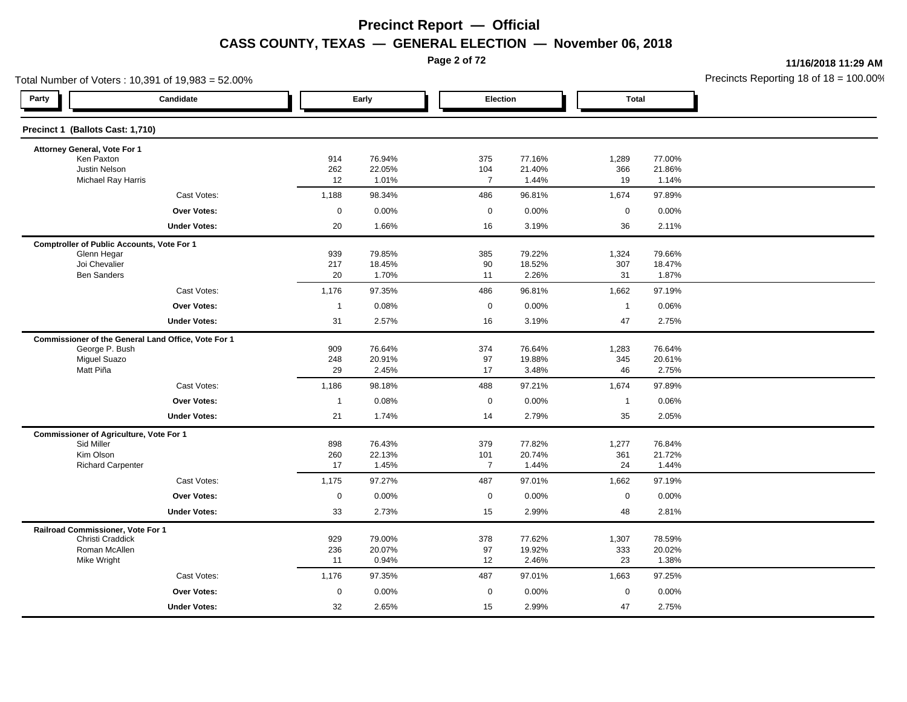**Page 2 of 72**

**11/16/2018 11:29 AM**

| Total Number of Voters: 10,391 of 19,983 = 52.00% |                                                     |                |                  |                       |                  |                |                  | Precincts Reporting 18 of 18 = 100.00 |
|---------------------------------------------------|-----------------------------------------------------|----------------|------------------|-----------------------|------------------|----------------|------------------|---------------------------------------|
| Party                                             | Candidate                                           |                | Early            |                       | Election         | <b>Total</b>   |                  |                                       |
| Precinct 1 (Ballots Cast: 1,710)                  |                                                     |                |                  |                       |                  |                |                  |                                       |
| Attorney General, Vote For 1                      |                                                     |                |                  |                       |                  |                |                  |                                       |
| Ken Paxton<br>Justin Nelson                       |                                                     | 914<br>262     | 76.94%<br>22.05% | 375                   | 77.16%<br>21.40% | 1,289<br>366   | 77.00%           |                                       |
| Michael Ray Harris                                |                                                     | 12             | 1.01%            | 104<br>$\overline{7}$ | 1.44%            | 19             | 21.86%<br>1.14%  |                                       |
|                                                   | Cast Votes:                                         | 1,188          | 98.34%           | 486                   | 96.81%           | 1,674          | 97.89%           |                                       |
|                                                   | <b>Over Votes:</b>                                  | $\mathbf 0$    | 0.00%            | 0                     | 0.00%            | $\mathbf 0$    | 0.00%            |                                       |
|                                                   | <b>Under Votes:</b>                                 | 20             | 1.66%            | 16                    | 3.19%            | 36             | 2.11%            |                                       |
| <b>Comptroller of Public Accounts, Vote For 1</b> |                                                     |                |                  |                       |                  |                |                  |                                       |
| Glenn Hegar                                       |                                                     | 939            | 79.85%           | 385                   | 79.22%           | 1,324          | 79.66%           |                                       |
| Joi Chevalier<br><b>Ben Sanders</b>               |                                                     | 217<br>20      | 18.45%<br>1.70%  | 90<br>11              | 18.52%<br>2.26%  | 307<br>31      | 18.47%<br>1.87%  |                                       |
|                                                   | Cast Votes:                                         | 1,176          | 97.35%           | 486                   | 96.81%           | 1,662          | 97.19%           |                                       |
|                                                   | <b>Over Votes:</b>                                  | $\overline{1}$ | 0.08%            | $\mathbf 0$           | 0.00%            | $\overline{1}$ | 0.06%            |                                       |
|                                                   | <b>Under Votes:</b>                                 | 31             | 2.57%            | 16                    | 3.19%            | 47             | 2.75%            |                                       |
|                                                   | Commissioner of the General Land Office, Vote For 1 |                |                  |                       |                  |                |                  |                                       |
| George P. Bush                                    |                                                     | 909            | 76.64%           | 374                   | 76.64%           | 1,283          | 76.64%           |                                       |
| <b>Miguel Suazo</b>                               |                                                     | 248            | 20.91%           | 97                    | 19.88%           | 345            | 20.61%           |                                       |
| Matt Piña                                         |                                                     | 29             | 2.45%            | 17                    | 3.48%            | 46             | 2.75%            |                                       |
|                                                   | Cast Votes:                                         | 1,186          | 98.18%           | 488                   | 97.21%           | 1,674          | 97.89%           |                                       |
|                                                   | Over Votes:                                         | $\overline{1}$ | 0.08%            | 0                     | 0.00%            | $\overline{1}$ | 0.06%            |                                       |
|                                                   | <b>Under Votes:</b>                                 | 21             | 1.74%            | 14                    | 2.79%            | 35             | 2.05%            |                                       |
| <b>Commissioner of Agriculture, Vote For 1</b>    |                                                     |                |                  |                       |                  |                |                  |                                       |
| Sid Miller<br>Kim Olson                           |                                                     | 898<br>260     | 76.43%<br>22.13% | 379<br>101            | 77.82%<br>20.74% | 1,277<br>361   | 76.84%<br>21.72% |                                       |
| <b>Richard Carpenter</b>                          |                                                     | 17             | 1.45%            | $\overline{7}$        | 1.44%            | 24             | 1.44%            |                                       |
|                                                   | Cast Votes:                                         | 1,175          | 97.27%           | 487                   | 97.01%           | 1,662          | 97.19%           |                                       |
|                                                   | <b>Over Votes:</b>                                  | $\mathbf 0$    | 0.00%            | 0                     | 0.00%            | $\mathbf 0$    | 0.00%            |                                       |
|                                                   | <b>Under Votes:</b>                                 | 33             | 2.73%            | 15                    | 2.99%            | 48             | 2.81%            |                                       |
| Railroad Commissioner, Vote For 1                 |                                                     |                |                  |                       |                  |                |                  |                                       |
| Christi Craddick                                  |                                                     | 929            | 79.00%           | 378                   | 77.62%           | 1,307          | 78.59%           |                                       |
| Roman McAllen<br>Mike Wright                      |                                                     | 236<br>11      | 20.07%<br>0.94%  | 97<br>12              | 19.92%<br>2.46%  | 333<br>23      | 20.02%<br>1.38%  |                                       |
|                                                   | Cast Votes:                                         | 1,176          | 97.35%           | 487                   | 97.01%           | 1,663          | 97.25%           |                                       |
|                                                   | <b>Over Votes:</b>                                  | $\mathbf 0$    | 0.00%            | $\mathbf 0$           | 0.00%            | $\mathbf 0$    | 0.00%            |                                       |
|                                                   | <b>Under Votes:</b>                                 | 32             | 2.65%            | 15                    | 2.99%            | 47             | 2.75%            |                                       |
|                                                   |                                                     |                |                  |                       |                  |                |                  |                                       |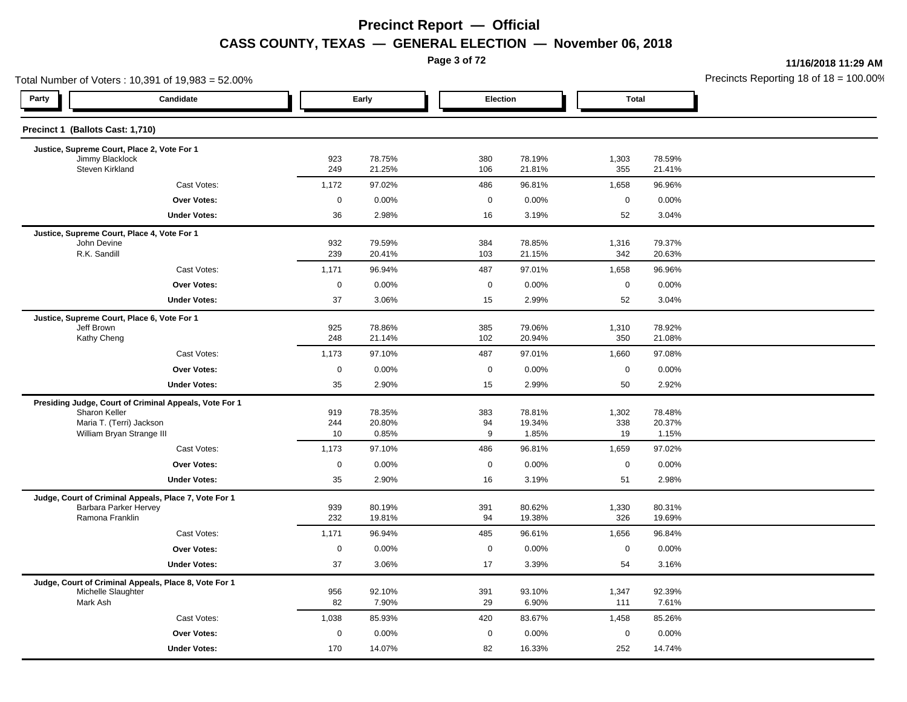**Page 3 of 72**

**11/16/2018 11:29 AM**

| Total Number of Voters: 10,391 of 19,983 = 52.00%                           |             |                  |             |                  |              |                  | Precincts Reporting 18 of 18 = 100.00 |
|-----------------------------------------------------------------------------|-------------|------------------|-------------|------------------|--------------|------------------|---------------------------------------|
| Party<br>Candidate                                                          |             | Early            | Election    |                  | <b>Total</b> |                  |                                       |
| Precinct 1 (Ballots Cast: 1,710)                                            |             |                  |             |                  |              |                  |                                       |
| Justice, Supreme Court, Place 2, Vote For 1                                 |             |                  |             |                  |              |                  |                                       |
| Jimmy Blacklock<br>Steven Kirkland                                          | 923<br>249  | 78.75%<br>21.25% | 380<br>106  | 78.19%<br>21.81% | 1,303<br>355 | 78.59%<br>21.41% |                                       |
| Cast Votes:                                                                 | 1,172       | 97.02%           | 486         | 96.81%           | 1,658        | 96.96%           |                                       |
| Over Votes:                                                                 | $\mathbf 0$ | 0.00%            | $\mathbf 0$ | 0.00%            | $\mathbf 0$  | 0.00%            |                                       |
| <b>Under Votes:</b>                                                         | 36          | 2.98%            | 16          | 3.19%            | 52           | 3.04%            |                                       |
| Justice, Supreme Court, Place 4, Vote For 1                                 |             |                  |             |                  |              |                  |                                       |
| John Devine<br>R.K. Sandill                                                 | 932<br>239  | 79.59%<br>20.41% | 384<br>103  | 78.85%<br>21.15% | 1,316<br>342 | 79.37%<br>20.63% |                                       |
| Cast Votes:                                                                 | 1,171       | 96.94%           | 487         | 97.01%           | 1,658        | 96.96%           |                                       |
| <b>Over Votes:</b>                                                          | $\mathbf 0$ | 0.00%            | $\mathbf 0$ | 0.00%            | $\mathbf 0$  | 0.00%            |                                       |
| <b>Under Votes:</b>                                                         | 37          | 3.06%            | 15          | 2.99%            | 52           | 3.04%            |                                       |
| Justice, Supreme Court, Place 6, Vote For 1                                 |             |                  |             |                  |              |                  |                                       |
| Jeff Brown                                                                  | 925         | 78.86%           | 385         | 79.06%           | 1,310        | 78.92%           |                                       |
| Kathy Cheng                                                                 | 248         | 21.14%           | 102         | 20.94%           | 350          | 21.08%           |                                       |
| Cast Votes:                                                                 | 1,173       | 97.10%           | 487         | 97.01%           | 1,660        | 97.08%           |                                       |
| <b>Over Votes:</b>                                                          | $\mathbf 0$ | 0.00%            | 0           | 0.00%            | $\mathbf 0$  | 0.00%            |                                       |
| <b>Under Votes:</b>                                                         | 35          | 2.90%            | 15          | 2.99%            | 50           | 2.92%            |                                       |
| Presiding Judge, Court of Criminal Appeals, Vote For 1                      |             |                  |             |                  |              |                  |                                       |
| Sharon Keller<br>Maria T. (Terri) Jackson                                   | 919<br>244  | 78.35%<br>20.80% | 383<br>94   | 78.81%<br>19.34% | 1,302<br>338 | 78.48%<br>20.37% |                                       |
| William Bryan Strange III                                                   | 10          | 0.85%            | 9           | 1.85%            | 19           | 1.15%            |                                       |
| Cast Votes:                                                                 | 1,173       | 97.10%           | 486         | 96.81%           | 1,659        | 97.02%           |                                       |
| <b>Over Votes:</b>                                                          | $\mathbf 0$ | 0.00%            | $\mathbf 0$ | 0.00%            | $\mathbf 0$  | 0.00%            |                                       |
| <b>Under Votes:</b>                                                         | 35          | 2.90%            | 16          | 3.19%            | 51           | 2.98%            |                                       |
| Judge, Court of Criminal Appeals, Place 7, Vote For 1                       |             |                  |             |                  |              |                  |                                       |
| Barbara Parker Hervey<br>Ramona Franklin                                    | 939<br>232  | 80.19%<br>19.81% | 391<br>94   | 80.62%<br>19.38% | 1,330<br>326 | 80.31%<br>19.69% |                                       |
| Cast Votes:                                                                 | 1,171       | 96.94%           | 485         | 96.61%           | 1,656        | 96.84%           |                                       |
| Over Votes:                                                                 | $\mathbf 0$ | 0.00%            | $\mathbf 0$ | 0.00%            | $\mathbf 0$  | 0.00%            |                                       |
|                                                                             | 37          | 3.06%            | 17          | 3.39%            | 54           | 3.16%            |                                       |
| <b>Under Votes:</b>                                                         |             |                  |             |                  |              |                  |                                       |
| Judge, Court of Criminal Appeals, Place 8, Vote For 1<br>Michelle Slaughter | 956         | 92.10%           | 391         | 93.10%           | 1,347        | 92.39%           |                                       |
| Mark Ash                                                                    | 82          | 7.90%            | 29          | 6.90%            | 111          | 7.61%            |                                       |
| Cast Votes:                                                                 | 1,038       | 85.93%           | 420         | 83.67%           | 1,458        | 85.26%           |                                       |
| <b>Over Votes:</b>                                                          | $\mathbf 0$ | 0.00%            | $\mathbf 0$ | 0.00%            | $\mathbf 0$  | 0.00%            |                                       |
| <b>Under Votes:</b>                                                         | 170         | 14.07%           | 82          | 16.33%           | 252          | 14.74%           |                                       |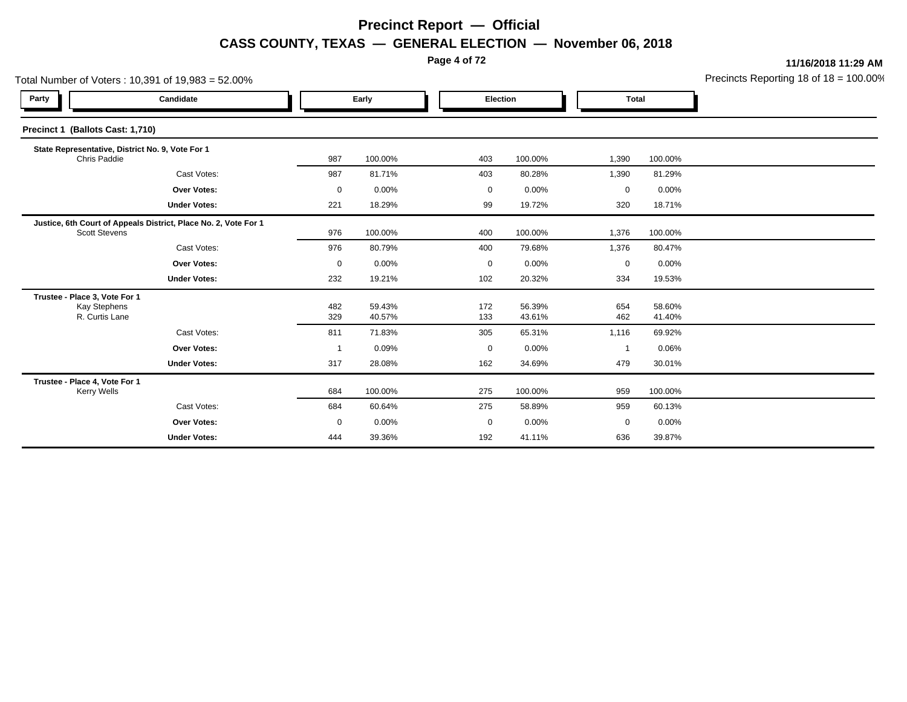**Page 4 of 72**

**11/16/2018 11:29 AM**

|                                                                        | Total Number of Voters: 10,391 of 19,983 = 52.00%               |             |                  |  |            |                  |                |                  | Precincts Reporting 18 of 18 = 100.00 |
|------------------------------------------------------------------------|-----------------------------------------------------------------|-------------|------------------|--|------------|------------------|----------------|------------------|---------------------------------------|
| Party                                                                  | Candidate                                                       |             | Early            |  |            | Election         | <b>Total</b>   |                  |                                       |
| Precinct 1 (Ballots Cast: 1,710)                                       |                                                                 |             |                  |  |            |                  |                |                  |                                       |
| Chris Paddie                                                           | State Representative, District No. 9, Vote For 1                | 987         | 100.00%          |  | 403        | 100.00%          | 1,390          | 100.00%          |                                       |
|                                                                        | Cast Votes:                                                     | 987         | 81.71%           |  | 403        | 80.28%           | 1,390          | 81.29%           |                                       |
|                                                                        | <b>Over Votes:</b>                                              | 0           | 0.00%            |  | 0          | 0.00%            | 0              | 0.00%            |                                       |
|                                                                        | <b>Under Votes:</b>                                             | 221         | 18.29%           |  | 99         | 19.72%           | 320            | 18.71%           |                                       |
| <b>Scott Stevens</b>                                                   | Justice, 6th Court of Appeals District, Place No. 2, Vote For 1 | 976         | 100.00%          |  | 400        | 100.00%          | 1,376          | 100.00%          |                                       |
|                                                                        | Cast Votes:                                                     | 976         | 80.79%           |  | 400        | 79.68%           | 1,376          | 80.47%           |                                       |
|                                                                        | <b>Over Votes:</b>                                              | $\mathbf 0$ | 0.00%            |  | 0          | 0.00%            | $\mathbf 0$    | $0.00\%$         |                                       |
|                                                                        | <b>Under Votes:</b>                                             | 232         | 19.21%           |  | 102        | 20.32%           | 334            | 19.53%           |                                       |
| Trustee - Place 3, Vote For 1<br><b>Kay Stephens</b><br>R. Curtis Lane |                                                                 | 482<br>329  | 59.43%<br>40.57% |  | 172<br>133 | 56.39%<br>43.61% | 654<br>462     | 58.60%<br>41.40% |                                       |
|                                                                        | Cast Votes:                                                     | 811         | 71.83%           |  | 305        | 65.31%           | 1,116          | 69.92%           |                                       |
|                                                                        | Over Votes:                                                     |             | 0.09%            |  | 0          | 0.00%            | $\overline{1}$ | 0.06%            |                                       |
|                                                                        | <b>Under Votes:</b>                                             | 317         | 28.08%           |  | 162        | 34.69%           | 479            | 30.01%           |                                       |
| Trustee - Place 4, Vote For 1<br><b>Kerry Wells</b>                    |                                                                 | 684         | 100.00%          |  | 275        | 100.00%          | 959            | 100.00%          |                                       |
|                                                                        | Cast Votes:                                                     | 684         | 60.64%           |  | 275        | 58.89%           | 959            | 60.13%           |                                       |
|                                                                        | <b>Over Votes:</b>                                              | $\mathbf 0$ | 0.00%            |  | 0          | 0.00%            | $\mathbf 0$    | 0.00%            |                                       |
|                                                                        | <b>Under Votes:</b>                                             | 444         | 39.36%           |  | 192        | 41.11%           | 636            | 39.87%           |                                       |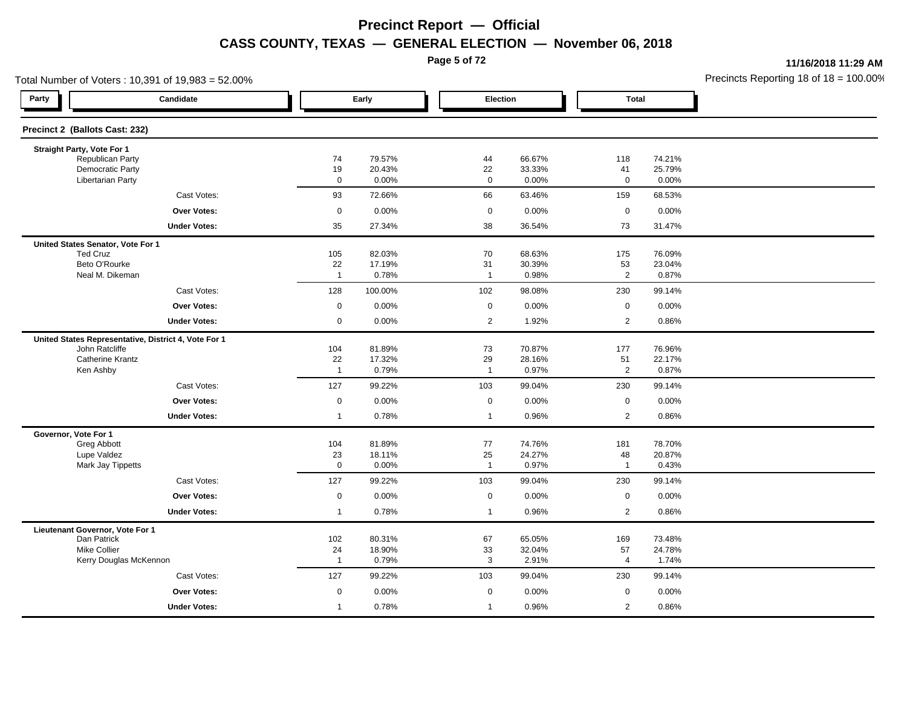**Page 5 of 72**

**11/16/2018 11:29 AM**

| Total Number of Voters: 10,391 of 19,983 = 52.00%    |                      |                  |                      |                  |                      |                  | Precincts Reporting 18 of $18 = 100.00$ |
|------------------------------------------------------|----------------------|------------------|----------------------|------------------|----------------------|------------------|-----------------------------------------|
| Party<br>Candidate                                   |                      | Early            |                      | Election         | <b>Total</b>         |                  |                                         |
| Precinct 2 (Ballots Cast: 232)                       |                      |                  |                      |                  |                      |                  |                                         |
| Straight Party, Vote For 1                           |                      |                  |                      |                  |                      |                  |                                         |
| Republican Party<br>Democratic Party                 | 74<br>19             | 79.57%<br>20.43% | 44<br>22             | 66.67%<br>33.33% | 118<br>41            | 74.21%<br>25.79% |                                         |
| <b>Libertarian Party</b>                             | $\mathbf 0$          | 0.00%            | $\mathbf 0$          | 0.00%            | $\mathbf 0$          | 0.00%            |                                         |
| Cast Votes:                                          | 93                   | 72.66%           | 66                   | 63.46%           | 159                  | 68.53%           |                                         |
| <b>Over Votes:</b>                                   | $\mathbf 0$          | 0.00%            | $\mathbf 0$          | 0.00%            | $\mathbf 0$          | 0.00%            |                                         |
| <b>Under Votes:</b>                                  | 35                   | 27.34%           | 38                   | 36.54%           | 73                   | 31.47%           |                                         |
| United States Senator, Vote For 1                    |                      |                  |                      |                  |                      |                  |                                         |
| <b>Ted Cruz</b>                                      | 105                  | 82.03%           | 70                   | 68.63%           | 175                  | 76.09%           |                                         |
| Beto O'Rourke<br>Neal M. Dikeman                     | 22<br>$\overline{1}$ | 17.19%<br>0.78%  | 31<br>$\overline{1}$ | 30.39%<br>0.98%  | 53<br>$\overline{2}$ | 23.04%<br>0.87%  |                                         |
| Cast Votes:                                          | 128                  | 100.00%          | 102                  | 98.08%           | 230                  | 99.14%           |                                         |
| <b>Over Votes:</b>                                   | $\mathbf 0$          | 0.00%            | $\mathbf 0$          | 0.00%            | $\mathsf 0$          | 0.00%            |                                         |
| <b>Under Votes:</b>                                  | $\mathbf 0$          | 0.00%            | $\overline{2}$       | 1.92%            | $\overline{2}$       | 0.86%            |                                         |
| United States Representative, District 4, Vote For 1 |                      |                  |                      |                  |                      |                  |                                         |
| John Ratcliffe                                       | 104                  | 81.89%           | 73                   | 70.87%           | 177                  | 76.96%           |                                         |
| <b>Catherine Krantz</b>                              | 22                   | 17.32%           | 29                   | 28.16%           | 51                   | 22.17%           |                                         |
| Ken Ashby                                            | $\overline{1}$       | 0.79%            | $\overline{1}$       | 0.97%            | $\sqrt{2}$           | 0.87%            |                                         |
| Cast Votes:                                          | 127                  | 99.22%           | 103                  | 99.04%           | 230                  | 99.14%           |                                         |
| <b>Over Votes:</b>                                   | $\mathsf{O}\xspace$  | 0.00%            | $\mathsf 0$          | 0.00%            | $\mathsf 0$          | 0.00%            |                                         |
| <b>Under Votes:</b>                                  | $\overline{1}$       | 0.78%            | $\overline{1}$       | 0.96%            | 2                    | 0.86%            |                                         |
| Governor, Vote For 1                                 |                      |                  |                      |                  |                      |                  |                                         |
| Greg Abbott<br>Lupe Valdez                           | 104<br>23            | 81.89%<br>18.11% | 77<br>25             | 74.76%<br>24.27% | 181<br>48            | 78.70%<br>20.87% |                                         |
| Mark Jay Tippetts                                    | $\mathsf 0$          | 0.00%            | $\overline{1}$       | 0.97%            | $\mathbf{1}$         | 0.43%            |                                         |
| Cast Votes:                                          | 127                  | 99.22%           | 103                  | 99.04%           | 230                  | 99.14%           |                                         |
| <b>Over Votes:</b>                                   | $\mathsf 0$          | 0.00%            | $\mathbf 0$          | 0.00%            | $\mathsf 0$          | 0.00%            |                                         |
| <b>Under Votes:</b>                                  | $\overline{1}$       | 0.78%            | $\overline{1}$       | 0.96%            | $\overline{2}$       | 0.86%            |                                         |
| Lieutenant Governor, Vote For 1                      |                      |                  |                      |                  |                      |                  |                                         |
| Dan Patrick<br><b>Mike Collier</b>                   | 102                  | 80.31%           | 67                   | 65.05%           | 169                  | 73.48%           |                                         |
| Kerry Douglas McKennon                               | 24<br>$\overline{1}$ | 18.90%<br>0.79%  | 33<br>3              | 32.04%<br>2.91%  | 57<br>$\overline{4}$ | 24.78%<br>1.74%  |                                         |
| Cast Votes:                                          | 127                  | 99.22%           | 103                  | 99.04%           | 230                  | 99.14%           |                                         |
| <b>Over Votes:</b>                                   | $\mathbf 0$          | 0.00%            | $\mathbf 0$          | 0.00%            | $\mathbf 0$          | 0.00%            |                                         |
|                                                      |                      |                  |                      |                  |                      |                  |                                         |
| <b>Under Votes:</b>                                  | $\overline{1}$       | 0.78%            | $\overline{1}$       | 0.96%            | 2                    | 0.86%            |                                         |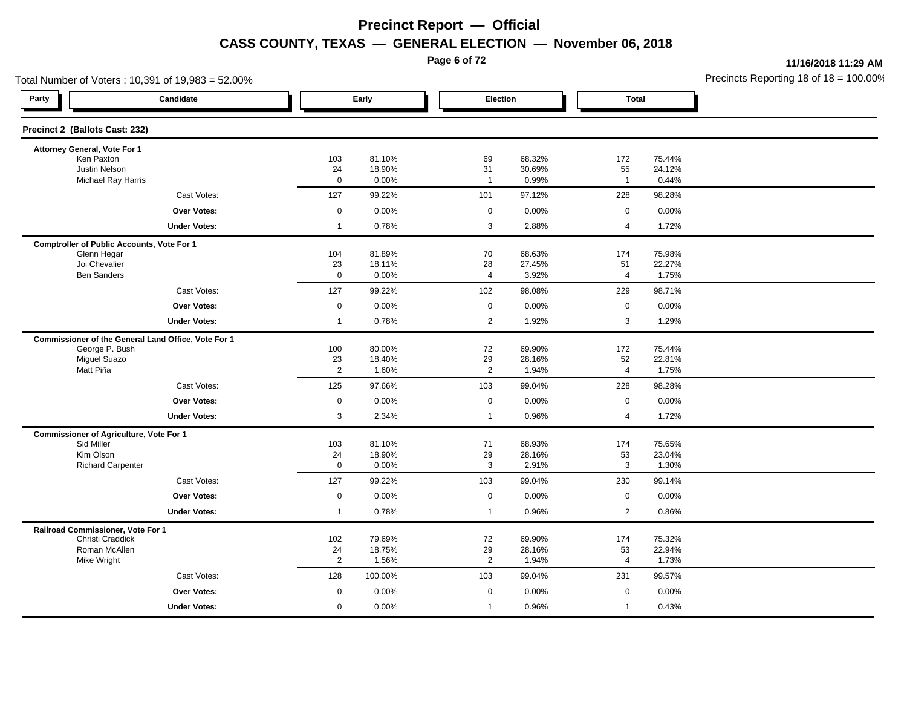**Page 6 of 72**

**11/16/2018 11:29 AM**

| Total Number of Voters: 10,391 of 19,983 = 52.00%   |                     |                  |                      |                  |                |                  | Precincts Reporting 18 of $18 = 100.00$ |
|-----------------------------------------------------|---------------------|------------------|----------------------|------------------|----------------|------------------|-----------------------------------------|
| Party<br>Candidate                                  |                     | Early            | Election             |                  | <b>Total</b>   |                  |                                         |
| Precinct 2 (Ballots Cast: 232)                      |                     |                  |                      |                  |                |                  |                                         |
| Attorney General, Vote For 1                        |                     |                  |                      |                  |                |                  |                                         |
| Ken Paxton<br>Justin Nelson                         | 103<br>24           | 81.10%<br>18.90% | 69<br>31             | 68.32%<br>30.69% | 172<br>55      | 75.44%<br>24.12% |                                         |
| <b>Michael Ray Harris</b>                           | $\mathbf 0$         | 0.00%            | $\overline{1}$       | 0.99%            | $\mathbf{1}$   | 0.44%            |                                         |
| Cast Votes:                                         | 127                 | 99.22%           | 101                  | 97.12%           | 228            | 98.28%           |                                         |
| <b>Over Votes:</b>                                  | $\mathsf 0$         | 0.00%            | $\mathbf 0$          | 0.00%            | $\mathbf 0$    | 0.00%            |                                         |
| <b>Under Votes:</b>                                 | $\overline{1}$      | 0.78%            | 3                    | 2.88%            | $\overline{4}$ | 1.72%            |                                         |
| <b>Comptroller of Public Accounts, Vote For 1</b>   |                     |                  |                      |                  |                |                  |                                         |
| Glenn Hegar                                         | 104                 | 81.89%           | 70                   | 68.63%           | 174            | 75.98%           |                                         |
| Joi Chevalier<br><b>Ben Sanders</b>                 | 23<br>$\mathsf 0$   | 18.11%<br>0.00%  | 28<br>$\overline{4}$ | 27.45%<br>3.92%  | 51<br>4        | 22.27%<br>1.75%  |                                         |
|                                                     |                     |                  |                      |                  |                |                  |                                         |
| Cast Votes:                                         | 127                 | 99.22%           | 102                  | 98.08%           | 229            | 98.71%           |                                         |
| <b>Over Votes:</b>                                  | $\mathsf 0$         | 0.00%            | $\mathbf 0$          | 0.00%            | $\mathbf 0$    | 0.00%            |                                         |
| <b>Under Votes:</b>                                 | $\overline{1}$      | 0.78%            | $\overline{2}$       | 1.92%            | 3              | 1.29%            |                                         |
| Commissioner of the General Land Office, Vote For 1 |                     |                  |                      |                  |                |                  |                                         |
| George P. Bush<br><b>Miguel Suazo</b>               | 100<br>23           | 80.00%<br>18.40% | 72<br>29             | 69.90%<br>28.16% | 172<br>52      | 75.44%<br>22.81% |                                         |
| Matt Piña                                           | $\overline{2}$      | 1.60%            | $\overline{2}$       | 1.94%            | $\overline{4}$ | 1.75%            |                                         |
| Cast Votes:                                         | 125                 | 97.66%           | 103                  | 99.04%           | 228            | 98.28%           |                                         |
| <b>Over Votes:</b>                                  | $\mathsf{O}\xspace$ | 0.00%            | $\mathbf 0$          | 0.00%            | $\mathsf 0$    | 0.00%            |                                         |
| <b>Under Votes:</b>                                 | $\mathbf{3}$        | 2.34%            | $\mathbf{1}$         | 0.96%            | 4              | 1.72%            |                                         |
| <b>Commissioner of Agriculture, Vote For 1</b>      |                     |                  |                      |                  |                |                  |                                         |
| Sid Miller                                          | 103                 | 81.10%           | 71                   | 68.93%           | 174            | 75.65%           |                                         |
| Kim Olson                                           | 24<br>$\mathsf 0$   | 18.90%           | 29<br>$\mathbf{3}$   | 28.16%           | 53<br>3        | 23.04%           |                                         |
| <b>Richard Carpenter</b>                            |                     | 0.00%            |                      | 2.91%            |                | 1.30%            |                                         |
| Cast Votes:                                         | 127                 | 99.22%           | 103                  | 99.04%           | 230            | 99.14%           |                                         |
| <b>Over Votes:</b>                                  | $\mathsf 0$         | 0.00%            | $\mathbf 0$          | 0.00%            | $\mathbf 0$    | 0.00%            |                                         |
| <b>Under Votes:</b>                                 | $\overline{1}$      | 0.78%            | $\overline{1}$       | 0.96%            | $\overline{2}$ | 0.86%            |                                         |
| Railroad Commissioner, Vote For 1                   |                     |                  |                      |                  |                |                  |                                         |
| Christi Craddick<br>Roman McAllen                   | 102<br>24           | 79.69%<br>18.75% | 72<br>29             | 69.90%<br>28.16% | 174<br>53      | 75.32%<br>22.94% |                                         |
| Mike Wright                                         | $\overline{2}$      | 1.56%            | $\overline{2}$       | 1.94%            | $\overline{4}$ | 1.73%            |                                         |
| Cast Votes:                                         | 128                 | 100.00%          | 103                  | 99.04%           | 231            | 99.57%           |                                         |
| <b>Over Votes:</b>                                  | $\mathbf 0$         | 0.00%            | $\mathbf 0$          | 0.00%            | $\mathbf 0$    | 0.00%            |                                         |
| <b>Under Votes:</b>                                 | $\mathbf 0$         | 0.00%            | $\overline{1}$       | 0.96%            | $\mathbf{1}$   | 0.43%            |                                         |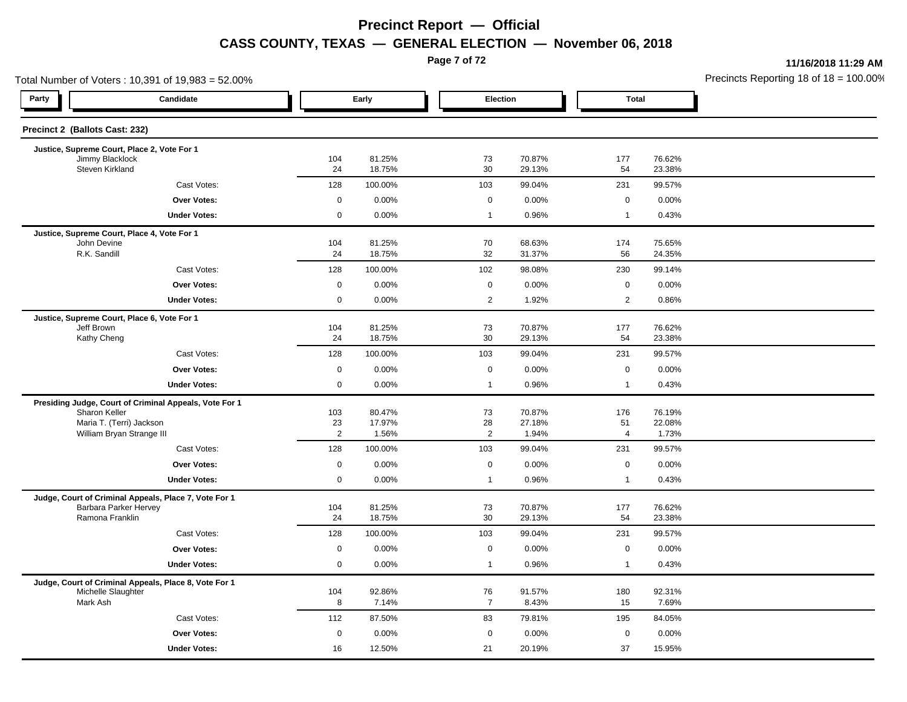**Page 7 of 72**

**11/16/2018 11:29 AM**

|                                                                             | Total Number of Voters: 10,391 of 19,983 = 52.00% |                  |                                     |                  | Precincts Reporting 18 of 18 = 100.00 |                  |  |
|-----------------------------------------------------------------------------|---------------------------------------------------|------------------|-------------------------------------|------------------|---------------------------------------|------------------|--|
| Party<br>Candidate                                                          |                                                   | Early            |                                     | Election         | <b>Total</b>                          |                  |  |
| Precinct 2 (Ballots Cast: 232)                                              |                                                   |                  |                                     |                  |                                       |                  |  |
| Justice, Supreme Court, Place 2, Vote For 1                                 |                                                   |                  |                                     |                  |                                       |                  |  |
| Jimmy Blacklock<br>Steven Kirkland                                          | 104<br>24                                         | 81.25%<br>18.75% | 73<br>30                            | 70.87%<br>29.13% | 177<br>54                             | 76.62%<br>23.38% |  |
| Cast Votes:                                                                 | 128                                               | 100.00%          | 103                                 | 99.04%           | 231                                   | 99.57%           |  |
| Over Votes:                                                                 | $\mathbf 0$                                       | 0.00%            | $\mathbf 0$                         | 0.00%            | $\mathbf 0$                           | 0.00%            |  |
| <b>Under Votes:</b>                                                         | $\mathsf{O}$                                      | 0.00%            | $\mathbf{1}$                        | 0.96%            | $\overline{1}$                        | 0.43%            |  |
| Justice, Supreme Court, Place 4, Vote For 1                                 |                                                   |                  |                                     |                  |                                       |                  |  |
| John Devine<br>R.K. Sandill                                                 | 104<br>24                                         | 81.25%<br>18.75% | 70<br>32                            | 68.63%<br>31.37% | 174<br>56                             | 75.65%<br>24.35% |  |
| Cast Votes:                                                                 | 128                                               | 100.00%          | 102                                 | 98.08%           | 230                                   | 99.14%           |  |
| <b>Over Votes:</b>                                                          | $\mathbf 0$                                       | 0.00%            | $\mathbf 0$                         | 0.00%            | $\mathbf 0$                           | 0.00%            |  |
| <b>Under Votes:</b>                                                         | 0                                                 | 0.00%            | $\overline{2}$                      | 1.92%            | $\overline{2}$                        | 0.86%            |  |
| Justice, Supreme Court, Place 6, Vote For 1                                 |                                                   |                  |                                     |                  |                                       |                  |  |
| Jeff Brown                                                                  | 104                                               | 81.25%           | 73                                  | 70.87%           | 177                                   | 76.62%           |  |
| Kathy Cheng                                                                 | 24                                                | 18.75%           | 30                                  | 29.13%           | 54                                    | 23.38%           |  |
| Cast Votes:                                                                 | 128                                               | 100.00%          | 103                                 | 99.04%           | 231                                   | 99.57%           |  |
| <b>Over Votes:</b>                                                          | $\mathbf 0$                                       | 0.00%            | $\mathbf 0$                         | 0.00%            | $\mathbf 0$                           | 0.00%            |  |
| <b>Under Votes:</b>                                                         | 0                                                 | 0.00%            | $\mathbf{1}$                        | 0.96%            | $\overline{1}$                        | 0.43%            |  |
| Presiding Judge, Court of Criminal Appeals, Vote For 1                      |                                                   |                  |                                     |                  |                                       |                  |  |
| Sharon Keller<br>Maria T. (Terri) Jackson                                   | 103<br>23                                         | 80.47%<br>17.97% | 73<br>28                            | 70.87%<br>27.18% | 176<br>51                             | 76.19%<br>22.08% |  |
| William Bryan Strange III                                                   | $\overline{2}$                                    | 1.56%            | $\overline{2}$                      | 1.94%            | $\overline{4}$                        | 1.73%            |  |
| Cast Votes:                                                                 | 128                                               | 100.00%          | 103                                 | 99.04%           | 231                                   | 99.57%           |  |
| Over Votes:                                                                 | $\mathsf{O}$                                      | 0.00%            | $\mathbf 0$                         | 0.00%            | $\mathbf 0$                           | 0.00%            |  |
| <b>Under Votes:</b>                                                         | 0                                                 | 0.00%            | $\mathbf{1}$                        | 0.96%            | $\overline{1}$                        | 0.43%            |  |
| Judge, Court of Criminal Appeals, Place 7, Vote For 1                       |                                                   |                  |                                     |                  |                                       |                  |  |
| Barbara Parker Hervey<br>Ramona Franklin                                    | 104<br>24                                         | 81.25%<br>18.75% | 73<br>30                            | 70.87%<br>29.13% | 177                                   | 76.62%           |  |
|                                                                             |                                                   |                  |                                     |                  | 54                                    | 23.38%           |  |
| Cast Votes:                                                                 | 128                                               | 100.00%          | 103                                 | 99.04%           | 231                                   | 99.57%           |  |
| <b>Over Votes:</b>                                                          | $\mathsf{O}\xspace$<br>$\mathbf 0$                | 0.00%<br>0.00%   | $\mathsf{O}\xspace$<br>$\mathbf{1}$ | 0.00%<br>0.96%   | $\mathsf 0$<br>$\overline{1}$         | 0.00%            |  |
| <b>Under Votes:</b>                                                         |                                                   |                  |                                     |                  |                                       | 0.43%            |  |
| Judge, Court of Criminal Appeals, Place 8, Vote For 1<br>Michelle Slaughter | 104                                               | 92.86%           | 76                                  | 91.57%           | 180                                   | 92.31%           |  |
| Mark Ash                                                                    | 8                                                 | 7.14%            | $\overline{7}$                      | 8.43%            | 15                                    | 7.69%            |  |
| Cast Votes:                                                                 | 112                                               | 87.50%           | 83                                  | 79.81%           | 195                                   | 84.05%           |  |
| Over Votes:                                                                 | $\mathbf 0$                                       | 0.00%            | $\mathbf 0$                         | 0.00%            | $\mathbf 0$                           | 0.00%            |  |
| <b>Under Votes:</b>                                                         | 16                                                | 12.50%           | 21                                  | 20.19%           | 37                                    | 15.95%           |  |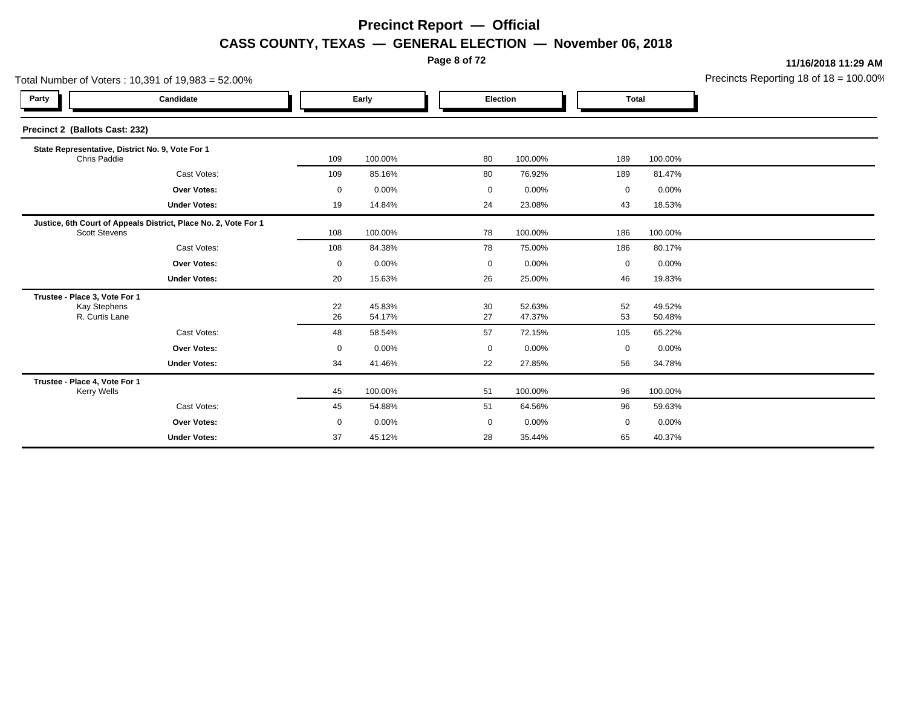**Page 8 of 72**

**11/16/2018 11:29 AM**

|                                                                        | Total Number of Voters: 10,391 of 19,983 = 52.00%               |             |                  |             |                  |              |                  | Precincts Reporting 18 of 18 = 100.00 |
|------------------------------------------------------------------------|-----------------------------------------------------------------|-------------|------------------|-------------|------------------|--------------|------------------|---------------------------------------|
| Party                                                                  | Candidate                                                       |             | Early            | Election    |                  | <b>Total</b> |                  |                                       |
| Precinct 2 (Ballots Cast: 232)                                         |                                                                 |             |                  |             |                  |              |                  |                                       |
| Chris Paddie                                                           | State Representative, District No. 9, Vote For 1                | 109         | 100.00%          | 80          | 100.00%          | 189          | 100.00%          |                                       |
|                                                                        | Cast Votes:                                                     | 109         | 85.16%           | 80          | 76.92%           | 189          | 81.47%           |                                       |
|                                                                        | Over Votes:                                                     | 0           | 0.00%            | 0           | 0.00%            | 0            | 0.00%            |                                       |
|                                                                        | <b>Under Votes:</b>                                             | 19          | 14.84%           | 24          | 23.08%           | 43           | 18.53%           |                                       |
| <b>Scott Stevens</b>                                                   | Justice, 6th Court of Appeals District, Place No. 2, Vote For 1 | 108         | 100.00%          | 78          | 100.00%          | 186          | 100.00%          |                                       |
|                                                                        | Cast Votes:                                                     | 108         | 84.38%           | 78          | 75.00%           | 186          | 80.17%           |                                       |
|                                                                        | <b>Over Votes:</b>                                              | $\mathbf 0$ | 0.00%            | $\mathbf 0$ | 0.00%            | 0            | 0.00%            |                                       |
|                                                                        | <b>Under Votes:</b>                                             | 20          | 15.63%           | 26          | 25.00%           | 46           | 19.83%           |                                       |
| Trustee - Place 3, Vote For 1<br><b>Kay Stephens</b><br>R. Curtis Lane |                                                                 | 22<br>26    | 45.83%<br>54.17% | 30<br>27    | 52.63%<br>47.37% | 52<br>53     | 49.52%<br>50.48% |                                       |
|                                                                        | Cast Votes:                                                     | 48          | 58.54%           | 57          | 72.15%           | 105          | 65.22%           |                                       |
|                                                                        | Over Votes:                                                     | 0           | 0.00%            | 0           | 0.00%            | 0            | 0.00%            |                                       |
|                                                                        | <b>Under Votes:</b>                                             | 34          | 41.46%           | 22          | 27.85%           | 56           | 34.78%           |                                       |
| Trustee - Place 4, Vote For 1<br><b>Kerry Wells</b>                    |                                                                 | 45          | 100.00%          | 51          | 100.00%          | 96           | 100.00%          |                                       |
|                                                                        | Cast Votes:                                                     | 45          | 54.88%           | 51          | 64.56%           | 96           | 59.63%           |                                       |
|                                                                        | <b>Over Votes:</b>                                              | $\mathbf 0$ | 0.00%            | 0           | $0.00\%$         | 0            | $0.00\%$         |                                       |
|                                                                        | <b>Under Votes:</b>                                             | 37          | 45.12%           | 28          | 35.44%           | 65           | 40.37%           |                                       |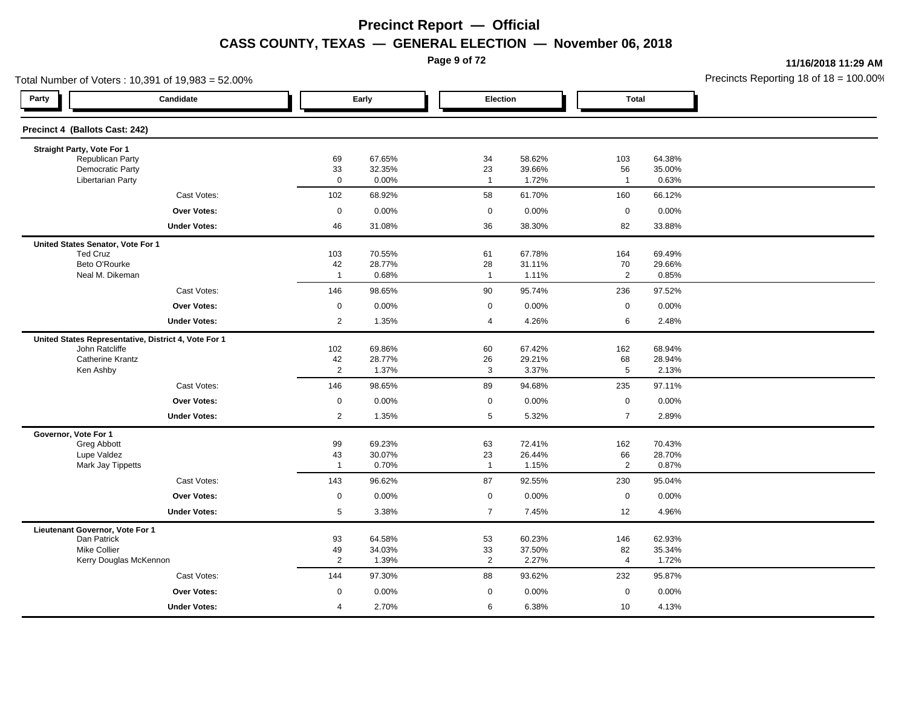**Page 9 of 72**

**11/16/2018 11:29 AM**

| Total Number of Voters: 10,391 of 19,983 = 52.00%    |                      |                  |                      |                  |                      |                  | Precincts Reporting 18 of $18 = 100.00$ |
|------------------------------------------------------|----------------------|------------------|----------------------|------------------|----------------------|------------------|-----------------------------------------|
| Party<br>Candidate                                   |                      | Early            |                      | Election         | <b>Total</b>         |                  |                                         |
| Precinct 4 (Ballots Cast: 242)                       |                      |                  |                      |                  |                      |                  |                                         |
| Straight Party, Vote For 1                           |                      |                  |                      |                  |                      |                  |                                         |
| Republican Party<br>Democratic Party                 | 69<br>33             | 67.65%<br>32.35% | 34<br>23             | 58.62%<br>39.66% | 103<br>56            | 64.38%<br>35.00% |                                         |
| <b>Libertarian Party</b>                             | $\mathbf 0$          | 0.00%            | $\overline{1}$       | 1.72%            | $\mathbf{1}$         | 0.63%            |                                         |
| Cast Votes:                                          | 102                  | 68.92%           | 58                   | 61.70%           | 160                  | 66.12%           |                                         |
| <b>Over Votes:</b>                                   | $\mathsf 0$          | 0.00%            | $\mathbf 0$          | 0.00%            | $\mathbf 0$          | 0.00%            |                                         |
| <b>Under Votes:</b>                                  | 46                   | 31.08%           | 36                   | 38.30%           | 82                   | 33.88%           |                                         |
| United States Senator, Vote For 1                    |                      |                  |                      |                  |                      |                  |                                         |
| <b>Ted Cruz</b>                                      | 103                  | 70.55%           | 61                   | 67.78%           | 164                  | 69.49%           |                                         |
| Beto O'Rourke                                        | 42                   | 28.77%<br>0.68%  | 28                   | 31.11%           | 70<br>$\overline{2}$ | 29.66%           |                                         |
| Neal M. Dikeman                                      | $\overline{1}$       |                  | $\overline{1}$       | 1.11%            |                      | 0.85%            |                                         |
| Cast Votes:                                          | 146                  | 98.65%           | 90                   | 95.74%           | 236                  | 97.52%           |                                         |
| <b>Over Votes:</b>                                   | $\mathbf 0$          | 0.00%            | $\mathbf 0$          | 0.00%            | $\mathsf 0$          | 0.00%            |                                         |
| <b>Under Votes:</b>                                  | $\overline{2}$       | 1.35%            | $\overline{4}$       | 4.26%            | 6                    | 2.48%            |                                         |
| United States Representative, District 4, Vote For 1 |                      |                  |                      |                  |                      |                  |                                         |
| John Ratcliffe                                       | 102                  | 69.86%           | 60                   | 67.42%           | 162                  | 68.94%           |                                         |
| <b>Catherine Krantz</b><br>Ken Ashby                 | 42<br>$\overline{2}$ | 28.77%<br>1.37%  | 26<br>3              | 29.21%<br>3.37%  | 68<br>$\,$ 5 $\,$    | 28.94%<br>2.13%  |                                         |
| Cast Votes:                                          | 146                  | 98.65%           | 89                   | 94.68%           | 235                  | 97.11%           |                                         |
| <b>Over Votes:</b>                                   | $\mathsf{O}\xspace$  | 0.00%            | $\mathsf 0$          | 0.00%            | $\mathsf 0$          | 0.00%            |                                         |
| <b>Under Votes:</b>                                  | 2                    | 1.35%            | 5                    | 5.32%            | $\overline{7}$       | 2.89%            |                                         |
| Governor, Vote For 1                                 |                      |                  |                      |                  |                      |                  |                                         |
| Greg Abbott                                          | 99                   | 69.23%           | 63                   | 72.41%           | 162                  | 70.43%           |                                         |
| Lupe Valdez                                          | 43                   | 30.07%           | 23                   | 26.44%           | 66                   | 28.70%           |                                         |
| Mark Jay Tippetts                                    | $\overline{1}$       | 0.70%            | $\overline{1}$       | 1.15%            | $\overline{2}$       | 0.87%            |                                         |
| Cast Votes:                                          | 143                  | 96.62%           | 87                   | 92.55%           | 230                  | 95.04%           |                                         |
| <b>Over Votes:</b>                                   | $\mathsf 0$          | 0.00%            | $\mathbf 0$          | 0.00%            | $\mathsf 0$          | 0.00%            |                                         |
| <b>Under Votes:</b>                                  | $5\phantom{.0}$      | 3.38%            | $\overline{7}$       | 7.45%            | 12                   | 4.96%            |                                         |
| Lieutenant Governor, Vote For 1                      |                      |                  |                      |                  |                      |                  |                                         |
| Dan Patrick                                          | 93                   | 64.58%           | 53                   | 60.23%           | 146                  | 62.93%           |                                         |
| <b>Mike Collier</b><br>Kerry Douglas McKennon        | 49<br>$\overline{2}$ | 34.03%<br>1.39%  | 33<br>$\overline{2}$ | 37.50%<br>2.27%  | 82<br>$\overline{4}$ | 35.34%<br>1.72%  |                                         |
| Cast Votes:                                          | 144                  | 97.30%           | 88                   | 93.62%           | 232                  | 95.87%           |                                         |
| <b>Over Votes:</b>                                   | $\mathbf 0$          | 0.00%            | $\mathbf 0$          | 0.00%            | $\mathbf 0$          | 0.00%            |                                         |
|                                                      |                      |                  |                      |                  |                      |                  |                                         |
| <b>Under Votes:</b>                                  | $\overline{4}$       | 2.70%            | 6                    | 6.38%            | 10                   | 4.13%            |                                         |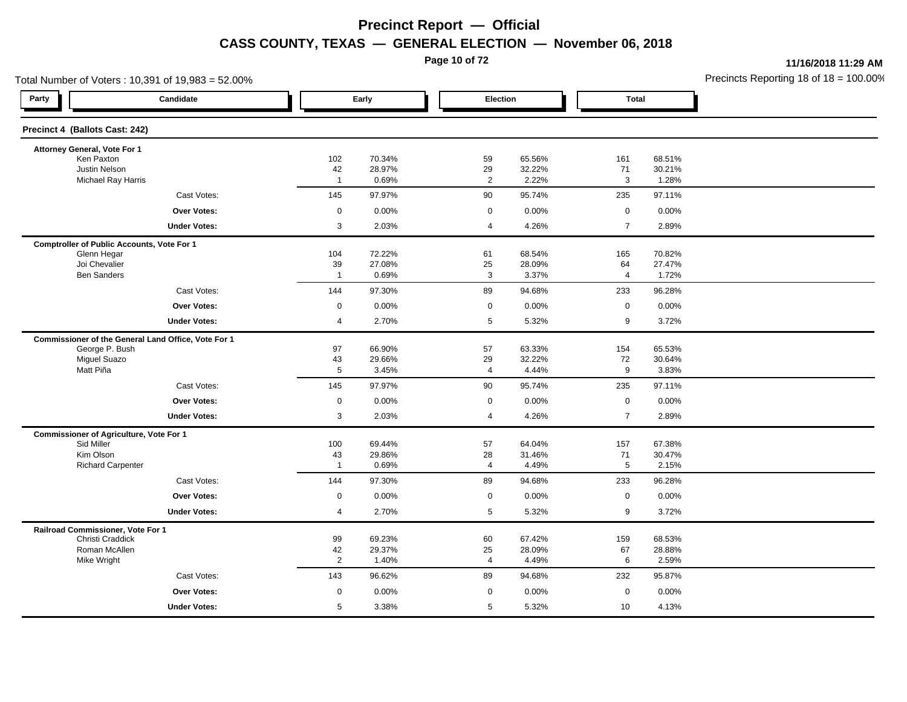**Page 10 of 72**

**11/16/2018 11:29 AM**

|                                                | Total Number of Voters: 10,391 of 19,983 = 52.00%   |                      |                  |                        |                  |                      |                  | Precincts Reporting 18 of $18 = 100.00$ |
|------------------------------------------------|-----------------------------------------------------|----------------------|------------------|------------------------|------------------|----------------------|------------------|-----------------------------------------|
| Party                                          | Candidate                                           |                      | Early            | Election               |                  | <b>Total</b>         |                  |                                         |
| Precinct 4 (Ballots Cast: 242)                 |                                                     |                      |                  |                        |                  |                      |                  |                                         |
| Attorney General, Vote For 1                   |                                                     |                      |                  |                        |                  |                      |                  |                                         |
| Ken Paxton<br>Justin Nelson                    |                                                     | 102                  | 70.34%<br>28.97% | 59                     | 65.56%<br>32.22% | 161<br>71            | 68.51%<br>30.21% |                                         |
| <b>Michael Ray Harris</b>                      |                                                     | 42<br>$\overline{1}$ | 0.69%            | 29<br>$\overline{2}$   | 2.22%            | $\mathsf 3$          | 1.28%            |                                         |
|                                                | Cast Votes:                                         | 145                  | 97.97%           | 90                     | 95.74%           | 235                  | 97.11%           |                                         |
|                                                | <b>Over Votes:</b>                                  | $\mathbf 0$          | 0.00%            | $\mathbf 0$            | 0.00%            | $\mathbf 0$          | 0.00%            |                                         |
|                                                | <b>Under Votes:</b>                                 | 3                    | 2.03%            | 4                      | 4.26%            | $\overline{7}$       | 2.89%            |                                         |
|                                                | <b>Comptroller of Public Accounts, Vote For 1</b>   |                      |                  |                        |                  |                      |                  |                                         |
| Glenn Hegar                                    |                                                     | 104                  | 72.22%           | 61                     | 68.54%           | 165                  | 70.82%           |                                         |
| Joi Chevalier<br><b>Ben Sanders</b>            |                                                     | 39<br>$\overline{1}$ | 27.08%<br>0.69%  | $25\,$<br>$\mathbf{3}$ | 28.09%<br>3.37%  | 64<br>$\overline{4}$ | 27.47%<br>1.72%  |                                         |
|                                                | Cast Votes:                                         | 144                  | 97.30%           | 89                     | 94.68%           | 233                  | 96.28%           |                                         |
|                                                | <b>Over Votes:</b>                                  | $\mathbf 0$          | 0.00%            | $\mathbf 0$            | 0.00%            | $\mathbf 0$          | 0.00%            |                                         |
|                                                | <b>Under Votes:</b>                                 | $\overline{4}$       | 2.70%            | 5                      | 5.32%            | 9                    | 3.72%            |                                         |
|                                                | Commissioner of the General Land Office, Vote For 1 |                      |                  |                        |                  |                      |                  |                                         |
| George P. Bush                                 |                                                     | 97                   | 66.90%           | 57                     | 63.33%           | 154                  | 65.53%           |                                         |
| <b>Miguel Suazo</b>                            |                                                     | 43                   | 29.66%           | 29                     | 32.22%           | 72                   | 30.64%           |                                         |
| Matt Piña                                      |                                                     | $\overline{5}$       | 3.45%            | 4                      | 4.44%            | 9                    | 3.83%            |                                         |
|                                                | Cast Votes:                                         | 145                  | 97.97%           | 90                     | 95.74%           | 235                  | 97.11%           |                                         |
|                                                | <b>Over Votes:</b>                                  | $\mathbf 0$          | 0.00%            | $\mathbf 0$            | 0.00%            | $\mathsf{O}\xspace$  | 0.00%            |                                         |
|                                                | <b>Under Votes:</b>                                 | 3                    | 2.03%            | 4                      | 4.26%            | $\overline{7}$       | 2.89%            |                                         |
| <b>Commissioner of Agriculture, Vote For 1</b> |                                                     |                      |                  |                        |                  |                      |                  |                                         |
| Sid Miller<br>Kim Olson                        |                                                     | 100<br>43            | 69.44%<br>29.86% | 57<br>28               | 64.04%<br>31.46% | 157<br>71            | 67.38%<br>30.47% |                                         |
| <b>Richard Carpenter</b>                       |                                                     | $\mathbf{1}$         | 0.69%            | $\overline{4}$         | 4.49%            | 5                    | 2.15%            |                                         |
|                                                | Cast Votes:                                         | 144                  | 97.30%           | 89                     | 94.68%           | 233                  | 96.28%           |                                         |
|                                                | Over Votes:                                         | $\mathbf 0$          | 0.00%            | $\mathbf 0$            | 0.00%            | $\mathbf 0$          | 0.00%            |                                         |
|                                                | <b>Under Votes:</b>                                 | $\overline{4}$       | 2.70%            | 5                      | 5.32%            | $\boldsymbol{9}$     | 3.72%            |                                         |
| Railroad Commissioner, Vote For 1              |                                                     |                      |                  |                        |                  |                      |                  |                                         |
| Christi Craddick                               |                                                     | 99                   | 69.23%           | 60                     | 67.42%           | 159                  | 68.53%           |                                         |
| Roman McAllen<br>Mike Wright                   |                                                     | 42<br>$\overline{2}$ | 29.37%<br>1.40%  | 25<br>$\overline{4}$   | 28.09%<br>4.49%  | 67<br>6              | 28.88%<br>2.59%  |                                         |
|                                                | Cast Votes:                                         | 143                  | 96.62%           | 89                     | 94.68%           | 232                  | 95.87%           |                                         |
|                                                | Over Votes:                                         | $\mathbf 0$          | 0.00%            | 0                      | 0.00%            | $\mathbf 0$          | 0.00%            |                                         |
|                                                | <b>Under Votes:</b>                                 | 5                    | 3.38%            | 5                      | 5.32%            | 10                   | 4.13%            |                                         |
|                                                |                                                     |                      |                  |                        |                  |                      |                  |                                         |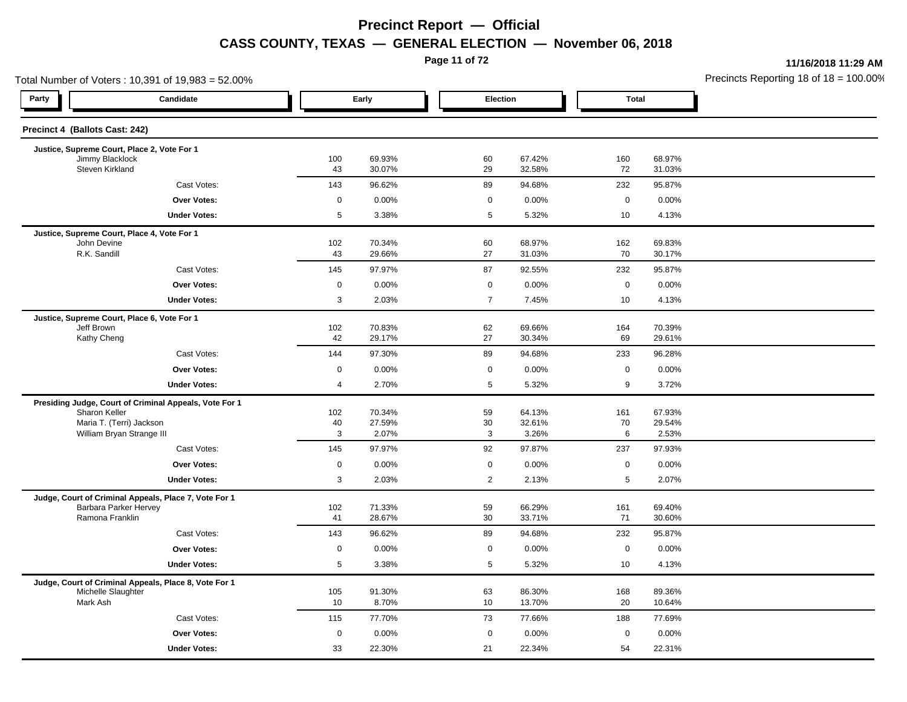**Page 11 of 72**

**11/16/2018 11:29 AM**

|                                    | Total Number of Voters: 10,391 of 19,983 = 52.00%      |             |                  |                |                  |              |                  | Precincts Reporting 18 of 18 = 100.00 |
|------------------------------------|--------------------------------------------------------|-------------|------------------|----------------|------------------|--------------|------------------|---------------------------------------|
| Party                              | Candidate                                              |             | Early            | Election       |                  | <b>Total</b> |                  |                                       |
| Precinct 4 (Ballots Cast: 242)     |                                                        |             |                  |                |                  |              |                  |                                       |
|                                    | Justice, Supreme Court, Place 2, Vote For 1            |             |                  |                |                  |              |                  |                                       |
| Jimmy Blacklock<br>Steven Kirkland |                                                        | 100<br>43   | 69.93%<br>30.07% | 60<br>29       | 67.42%<br>32.58% | 160<br>72    | 68.97%<br>31.03% |                                       |
|                                    | Cast Votes:                                            | 143         | 96.62%           | 89             | 94.68%           | 232          | 95.87%           |                                       |
|                                    | Over Votes:                                            | $\mathbf 0$ | 0.00%            | 0              | 0.00%            | $\mathbf 0$  | 0.00%            |                                       |
|                                    | <b>Under Votes:</b>                                    | 5           | 3.38%            | 5              | 5.32%            | 10           | 4.13%            |                                       |
|                                    | Justice, Supreme Court, Place 4, Vote For 1            |             |                  |                |                  |              |                  |                                       |
| John Devine<br>R.K. Sandill        |                                                        | 102<br>43   | 70.34%<br>29.66% | 60<br>27       | 68.97%<br>31.03% | 162<br>70    | 69.83%<br>30.17% |                                       |
|                                    | Cast Votes:                                            | 145         | 97.97%           | 87             | 92.55%           | 232          | 95.87%           |                                       |
|                                    | Over Votes:                                            | $\mathbf 0$ | 0.00%            | $\mathbf 0$    | 0.00%            | $\mathbf 0$  | 0.00%            |                                       |
|                                    | <b>Under Votes:</b>                                    | 3           | 2.03%            | $\overline{7}$ | 7.45%            | 10           | 4.13%            |                                       |
|                                    | Justice, Supreme Court, Place 6, Vote For 1            |             |                  |                |                  |              |                  |                                       |
| Jeff Brown                         |                                                        | 102         | 70.83%           | 62             | 69.66%           | 164          | 70.39%           |                                       |
| Kathy Cheng                        |                                                        | 42          | 29.17%           | 27             | 30.34%           | 69           | 29.61%           |                                       |
|                                    | Cast Votes:                                            | 144         | 97.30%           | 89             | 94.68%           | 233          | 96.28%           |                                       |
|                                    | <b>Over Votes:</b>                                     | 0           | 0.00%            | $\mathbf 0$    | 0.00%            | $\mathbf 0$  | 0.00%            |                                       |
|                                    | <b>Under Votes:</b>                                    | 4           | 2.70%            | 5              | 5.32%            | 9            | 3.72%            |                                       |
|                                    | Presiding Judge, Court of Criminal Appeals, Vote For 1 |             |                  |                |                  |              |                  |                                       |
| Sharon Keller                      | Maria T. (Terri) Jackson                               | 102<br>40   | 70.34%<br>27.59% | 59<br>30       | 64.13%<br>32.61% | 161<br>70    | 67.93%<br>29.54% |                                       |
|                                    | William Bryan Strange III                              | 3           | 2.07%            | 3              | 3.26%            | 6            | 2.53%            |                                       |
|                                    | Cast Votes:                                            | 145         | 97.97%           | 92             | 97.87%           | 237          | 97.93%           |                                       |
|                                    | Over Votes:                                            | $\mathbf 0$ | 0.00%            | $\mathbf 0$    | 0.00%            | $\mathbf 0$  | 0.00%            |                                       |
|                                    | <b>Under Votes:</b>                                    | 3           | 2.03%            | $\overline{2}$ | 2.13%            | $\sqrt{5}$   | 2.07%            |                                       |
|                                    | Judge, Court of Criminal Appeals, Place 7, Vote For 1  |             |                  |                |                  |              |                  |                                       |
| Ramona Franklin                    | Barbara Parker Hervey                                  | 102<br>41   | 71.33%<br>28.67% | 59<br>30       | 66.29%<br>33.71% | 161<br>71    | 69.40%<br>30.60% |                                       |
|                                    |                                                        | 143         |                  | 89             | 94.68%           | 232          | 95.87%           |                                       |
|                                    | Cast Votes:                                            |             | 96.62%           |                |                  |              |                  |                                       |
|                                    | Over Votes:                                            | 0           | 0.00%            | $\mathbf 0$    | 0.00%            | $\mathbf 0$  | 0.00%            |                                       |
|                                    | <b>Under Votes:</b>                                    | 5           | 3.38%            | 5              | 5.32%            | 10           | 4.13%            |                                       |
| Michelle Slaughter                 | Judge, Court of Criminal Appeals, Place 8, Vote For 1  | 105         | 91.30%           | 63             | 86.30%           | 168          | 89.36%           |                                       |
| Mark Ash                           |                                                        | 10          | 8.70%            | 10             | 13.70%           | 20           | 10.64%           |                                       |
|                                    | Cast Votes:                                            | 115         | 77.70%           | 73             | 77.66%           | 188          | 77.69%           |                                       |
|                                    | <b>Over Votes:</b>                                     | 0           | 0.00%            | $\mathbf 0$    | 0.00%            | $\mathbf 0$  | 0.00%            |                                       |
|                                    | <b>Under Votes:</b>                                    | 33          | 22.30%           | 21             | 22.34%           | 54           | 22.31%           |                                       |
|                                    |                                                        |             |                  |                |                  |              |                  |                                       |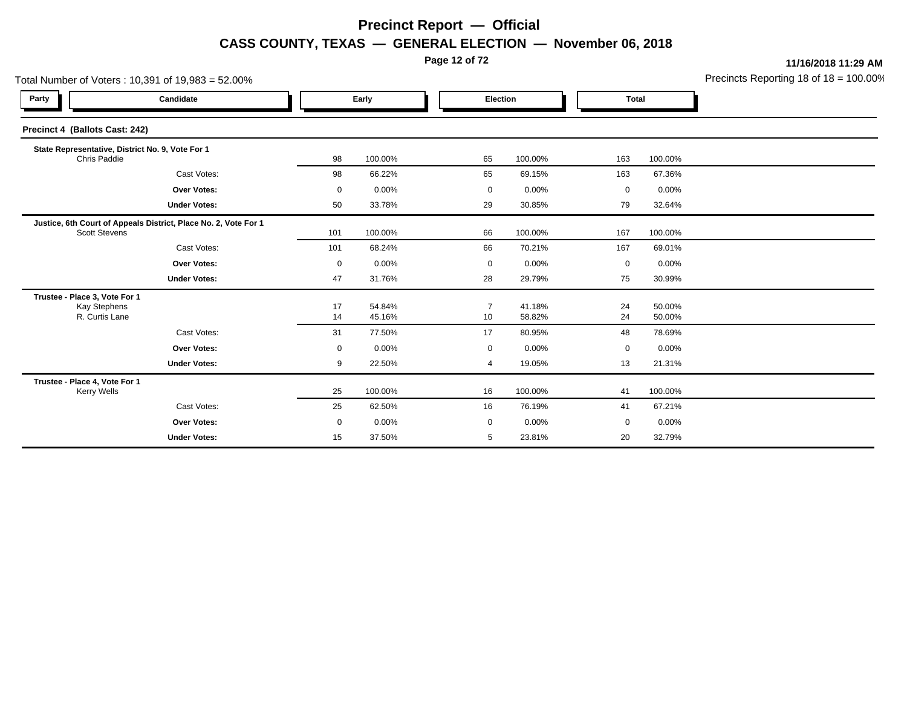**Page 12 of 72**

**11/16/2018 11:29 AM**

| Total Number of Voters: 10,391 of 19,983 = 52.00%                      |                                                                 |             |                  |                      |                  |              | Precincts Reporting 18 of 18 = 100.009 |  |
|------------------------------------------------------------------------|-----------------------------------------------------------------|-------------|------------------|----------------------|------------------|--------------|----------------------------------------|--|
| Party                                                                  | Candidate                                                       | Early       |                  | Election             |                  | <b>Total</b> |                                        |  |
| Precinct 4 (Ballots Cast: 242)                                         |                                                                 |             |                  |                      |                  |              |                                        |  |
| Chris Paddie                                                           | State Representative, District No. 9, Vote For 1                | 98          | 100.00%          | 65                   | 100.00%          | 163          | 100.00%                                |  |
|                                                                        | Cast Votes:                                                     | 98          | 66.22%           | 65                   | 69.15%           | 163          | 67.36%                                 |  |
|                                                                        | <b>Over Votes:</b>                                              | $\mathbf 0$ | 0.00%            | 0                    | 0.00%            | 0            | 0.00%                                  |  |
|                                                                        | <b>Under Votes:</b>                                             | 50          | 33.78%           | 29                   | 30.85%           | 79           | 32.64%                                 |  |
| <b>Scott Stevens</b>                                                   | Justice, 6th Court of Appeals District, Place No. 2, Vote For 1 | 101         | 100.00%          | 66                   | 100.00%          | 167          | 100.00%                                |  |
|                                                                        | Cast Votes:                                                     | 101         | 68.24%           | 66                   | 70.21%           | 167          | 69.01%                                 |  |
|                                                                        | <b>Over Votes:</b>                                              | $\mathbf 0$ | 0.00%            | 0                    | 0.00%            | 0            | 0.00%                                  |  |
|                                                                        | <b>Under Votes:</b>                                             | 47          | 31.76%           | 28                   | 29.79%           | 75           | 30.99%                                 |  |
| Trustee - Place 3, Vote For 1<br><b>Kay Stephens</b><br>R. Curtis Lane |                                                                 | 17<br>14    | 54.84%<br>45.16% | $\overline{7}$<br>10 | 41.18%<br>58.82% | 24<br>24     | 50.00%<br>50.00%                       |  |
|                                                                        | Cast Votes:                                                     | 31          | 77.50%           | 17                   | 80.95%           | 48           | 78.69%                                 |  |
|                                                                        | <b>Over Votes:</b>                                              | $\mathbf 0$ | 0.00%            | $\mathbf 0$          | 0.00%            | 0            | $0.00\%$                               |  |
|                                                                        | <b>Under Votes:</b>                                             | 9           | 22.50%           | 4                    | 19.05%           | 13           | 21.31%                                 |  |
| Trustee - Place 4, Vote For 1<br><b>Kerry Wells</b>                    |                                                                 | 25          | 100.00%          | 16                   | 100.00%          | 41           | 100.00%                                |  |
|                                                                        | Cast Votes:                                                     | 25          | 62.50%           | 16                   | 76.19%           | 41           | 67.21%                                 |  |
|                                                                        | <b>Over Votes:</b>                                              | 0           | 0.00%            | 0                    | 0.00%            | 0            | 0.00%                                  |  |
|                                                                        | <b>Under Votes:</b>                                             | 15          | 37.50%           | 5                    | 23.81%           | 20           | 32.79%                                 |  |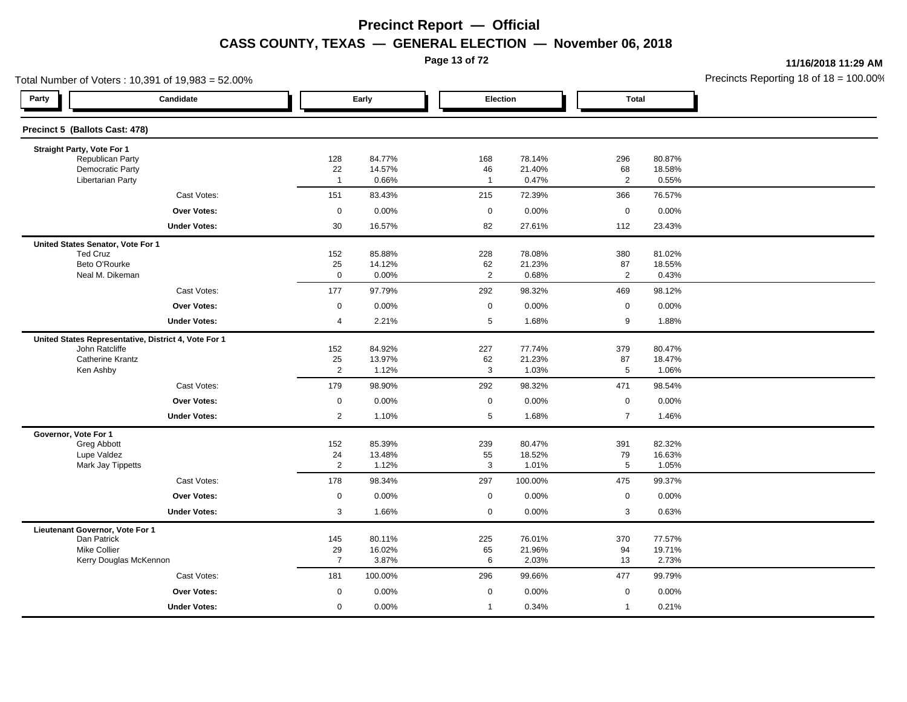**Page 13 of 72**

**11/16/2018 11:29 AM**

| Total Number of Voters: 10,391 of 19,983 = 52.00%                      |                      |                  |                      |                  |                      |                 | Precincts Reporting 18 of $18 = 100.00$ |
|------------------------------------------------------------------------|----------------------|------------------|----------------------|------------------|----------------------|-----------------|-----------------------------------------|
| Party<br>Candidate                                                     |                      | Early            | Election             |                  | <b>Total</b>         |                 |                                         |
| Precinct 5 (Ballots Cast: 478)                                         |                      |                  |                      |                  |                      |                 |                                         |
| Straight Party, Vote For 1                                             |                      |                  |                      |                  |                      |                 |                                         |
| Republican Party<br><b>Democratic Party</b>                            | 128<br>22            | 84.77%<br>14.57% | 168                  | 78.14%<br>21.40% | 296                  | 80.87%          |                                         |
| <b>Libertarian Party</b>                                               | $\overline{1}$       | 0.66%            | 46<br>$\overline{1}$ | 0.47%            | 68<br>$\overline{2}$ | 18.58%<br>0.55% |                                         |
| Cast Votes:                                                            | 151                  | 83.43%           | 215                  | 72.39%           | 366                  | 76.57%          |                                         |
| <b>Over Votes:</b>                                                     | $\mathsf 0$          | 0.00%            | $\mathbf 0$          | 0.00%            | $\mathbf 0$          | 0.00%           |                                         |
| <b>Under Votes:</b>                                                    | 30                   | 16.57%           | 82                   | 27.61%           | 112                  | 23.43%          |                                         |
| United States Senator, Vote For 1                                      |                      |                  |                      |                  |                      |                 |                                         |
| <b>Ted Cruz</b>                                                        | 152                  | 85.88%           | 228                  | 78.08%           | 380                  | 81.02%          |                                         |
| Beto O'Rourke<br>Neal M. Dikeman                                       | 25<br>$\mathsf 0$    | 14.12%<br>0.00%  | 62<br>$\overline{2}$ | 21.23%<br>0.68%  | 87<br>$\overline{2}$ | 18.55%<br>0.43% |                                         |
| Cast Votes:                                                            | 177                  | 97.79%           | 292                  | 98.32%           | 469                  | 98.12%          |                                         |
| <b>Over Votes:</b>                                                     | 0                    | 0.00%            | 0                    | 0.00%            | $\mathsf 0$          | 0.00%           |                                         |
| <b>Under Votes:</b>                                                    | $\overline{4}$       | 2.21%            | 5                    | 1.68%            | 9                    | 1.88%           |                                         |
|                                                                        |                      |                  |                      |                  |                      |                 |                                         |
| United States Representative, District 4, Vote For 1<br>John Ratcliffe | 152                  | 84.92%           | 227                  | 77.74%           | 379                  | 80.47%          |                                         |
| <b>Catherine Krantz</b>                                                | 25                   | 13.97%           | 62                   | 21.23%           | 87                   | 18.47%          |                                         |
| Ken Ashby                                                              | $\overline{2}$       | 1.12%            | $\mathbf{3}$         | 1.03%            | $\overline{5}$       | 1.06%           |                                         |
| Cast Votes:                                                            | 179                  | 98.90%           | 292                  | 98.32%           | 471                  | 98.54%          |                                         |
| Over Votes:                                                            | $\mathbf 0$          | 0.00%            | $\mathsf 0$          | 0.00%            | $\mathsf 0$          | 0.00%           |                                         |
| <b>Under Votes:</b>                                                    | $\overline{2}$       | 1.10%            | 5                    | 1.68%            | $\overline{7}$       | 1.46%           |                                         |
| Governor, Vote For 1                                                   |                      |                  |                      |                  |                      |                 |                                         |
| Greg Abbott                                                            | 152                  | 85.39%           | 239                  | 80.47%           | 391                  | 82.32%          |                                         |
| Lupe Valdez<br>Mark Jay Tippetts                                       | 24<br>$\overline{2}$ | 13.48%<br>1.12%  | 55<br>3              | 18.52%<br>1.01%  | 79<br>$\overline{5}$ | 16.63%<br>1.05% |                                         |
| Cast Votes:                                                            | 178                  | 98.34%           | 297                  | 100.00%          | 475                  | 99.37%          |                                         |
| Over Votes:                                                            | $\mathbf 0$          | 0.00%            | $\mathsf 0$          | 0.00%            | $\mathbf 0$          | 0.00%           |                                         |
| <b>Under Votes:</b>                                                    | 3                    | 1.66%            | $\mathbf 0$          | 0.00%            | 3                    | 0.63%           |                                         |
| Lieutenant Governor, Vote For 1                                        |                      |                  |                      |                  |                      |                 |                                         |
| Dan Patrick                                                            | 145                  | 80.11%           | 225                  | 76.01%           | 370                  | 77.57%          |                                         |
| Mike Collier                                                           | 29                   | 16.02%           | 65                   | 21.96%           | 94                   | 19.71%          |                                         |
| Kerry Douglas McKennon                                                 | $\overline{7}$       | 3.87%            | 6                    | 2.03%            | 13                   | 2.73%           |                                         |
| Cast Votes:                                                            | 181                  | 100.00%          | 296                  | 99.66%           | 477                  | 99.79%          |                                         |
| Over Votes:                                                            | $\mathbf 0$          | 0.00%            | $\mathbf 0$          | 0.00%            | $\mathbf 0$          | 0.00%           |                                         |
| <b>Under Votes:</b>                                                    | $\mathbf 0$          | 0.00%            | $\mathbf{1}$         | 0.34%            | $\mathbf{1}$         | 0.21%           |                                         |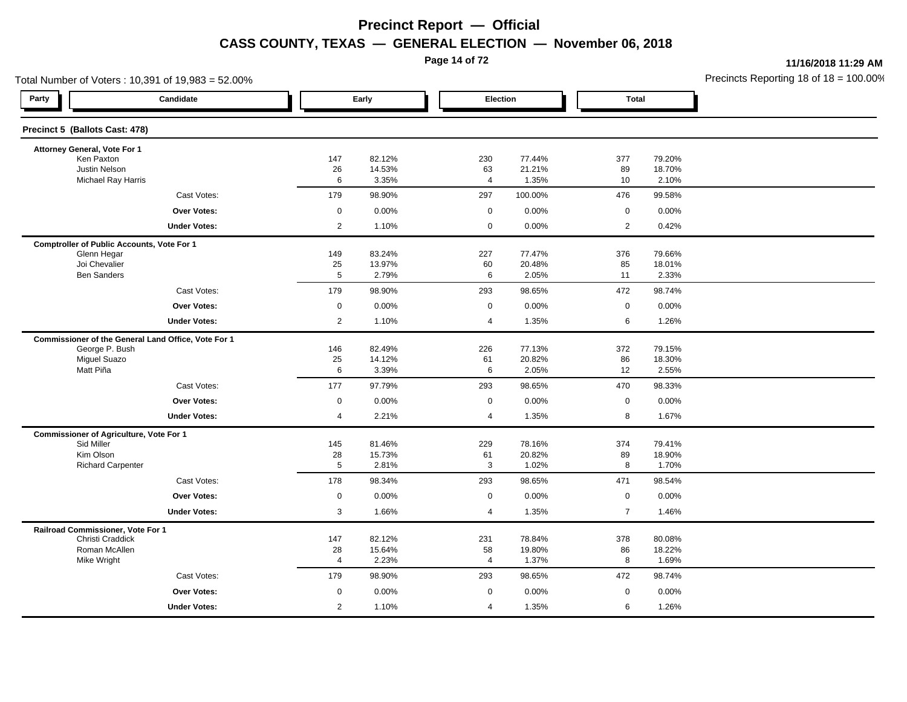**Page 14 of 72**

**11/16/2018 11:29 AM**

| Total Number of Voters: 10,391 of 19,983 = 52.00%   |                      |                  |                     |                  |                     |                  | Precincts Reporting 18 of $18 = 100.00$ |
|-----------------------------------------------------|----------------------|------------------|---------------------|------------------|---------------------|------------------|-----------------------------------------|
| Party<br>Candidate                                  |                      | Early            | Election            |                  | <b>Total</b>        |                  |                                         |
| Precinct 5 (Ballots Cast: 478)                      |                      |                  |                     |                  |                     |                  |                                         |
| Attorney General, Vote For 1                        |                      |                  |                     |                  |                     |                  |                                         |
| Ken Paxton                                          | 147                  | 82.12%           | 230                 | 77.44%           | 377                 | 79.20%           |                                         |
| Justin Nelson<br><b>Michael Ray Harris</b>          | 26<br>6              | 14.53%<br>3.35%  | 63<br>4             | 21.21%<br>1.35%  | 89<br>10            | 18.70%<br>2.10%  |                                         |
| Cast Votes:                                         | 179                  | 98.90%           | 297                 | 100.00%          | 476                 | 99.58%           |                                         |
| Over Votes:                                         | $\mathsf{O}\xspace$  | 0.00%            | $\mathbf 0$         | 0.00%            | $\mathbf 0$         | 0.00%            |                                         |
| <b>Under Votes:</b>                                 | $\overline{2}$       | 1.10%            | $\mathbf 0$         | 0.00%            | $\overline{2}$      | 0.42%            |                                         |
| <b>Comptroller of Public Accounts, Vote For 1</b>   |                      |                  |                     |                  |                     |                  |                                         |
| Glenn Hegar                                         | 149                  | 83.24%           | 227                 | 77.47%           | 376                 | 79.66%           |                                         |
| Joi Chevalier<br><b>Ben Sanders</b>                 | 25<br>$\overline{5}$ | 13.97%<br>2.79%  | 60<br>6             | 20.48%<br>2.05%  | 85<br>11            | 18.01%<br>2.33%  |                                         |
| Cast Votes:                                         | 179                  | 98.90%           | 293                 | 98.65%           | 472                 | 98.74%           |                                         |
| <b>Over Votes:</b>                                  | $\mathsf{O}\xspace$  | 0.00%            | $\mathsf{O}\xspace$ | 0.00%            | $\mathsf{O}\xspace$ | 0.00%            |                                         |
| <b>Under Votes:</b>                                 | $\overline{2}$       | 1.10%            | 4                   | 1.35%            | 6                   | 1.26%            |                                         |
| Commissioner of the General Land Office, Vote For 1 |                      |                  |                     |                  |                     |                  |                                         |
| George P. Bush                                      | 146                  | 82.49%           | 226                 | 77.13%           | 372                 | 79.15%           |                                         |
| <b>Miguel Suazo</b>                                 | 25                   | 14.12%           | 61                  | 20.82%           | 86                  | 18.30%           |                                         |
| Matt Piña                                           | 6                    | 3.39%            | 6                   | 2.05%            | 12                  | 2.55%            |                                         |
| Cast Votes:                                         | 177                  | 97.79%           | 293                 | 98.65%           | 470                 | 98.33%           |                                         |
| Over Votes:                                         | $\mathbf 0$          | 0.00%            | $\mathbf 0$         | 0.00%            | $\mathbf 0$         | 0.00%            |                                         |
| <b>Under Votes:</b>                                 | $\overline{4}$       | 2.21%            | 4                   | 1.35%            | 8                   | 1.67%            |                                         |
| <b>Commissioner of Agriculture, Vote For 1</b>      |                      |                  |                     |                  |                     |                  |                                         |
| Sid Miller<br>Kim Olson                             | 145<br>28            | 81.46%<br>15.73% | 229<br>61           | 78.16%<br>20.82% | 374<br>89           | 79.41%<br>18.90% |                                         |
| <b>Richard Carpenter</b>                            | 5                    | 2.81%            | 3                   | 1.02%            | 8                   | 1.70%            |                                         |
| Cast Votes:                                         | 178                  | 98.34%           | 293                 | 98.65%           | 471                 | 98.54%           |                                         |
| <b>Over Votes:</b>                                  | $\mathsf{O}\xspace$  | 0.00%            | $\mathbf 0$         | 0.00%            | $\mathsf{O}\xspace$ | 0.00%            |                                         |
| <b>Under Votes:</b>                                 | 3                    | 1.66%            | 4                   | 1.35%            | $\overline{7}$      | 1.46%            |                                         |
| Railroad Commissioner, Vote For 1                   |                      |                  |                     |                  |                     |                  |                                         |
| Christi Craddick                                    | 147                  | 82.12%           | 231                 | 78.84%           | 378                 | 80.08%           |                                         |
| Roman McAllen<br>Mike Wright                        | 28<br>$\overline{4}$ | 15.64%<br>2.23%  | 58<br>4             | 19.80%<br>1.37%  | 86<br>8             | 18.22%<br>1.69%  |                                         |
| Cast Votes:                                         | 179                  | 98.90%           | 293                 | 98.65%           | 472                 | 98.74%           |                                         |
| Over Votes:                                         | $\mathbf 0$          | 0.00%            | $\mathbf 0$         | 0.00%            | $\mathbf 0$         | 0.00%            |                                         |
| <b>Under Votes:</b>                                 | $\overline{2}$       | 1.10%            | 4                   | 1.35%            | 6                   | 1.26%            |                                         |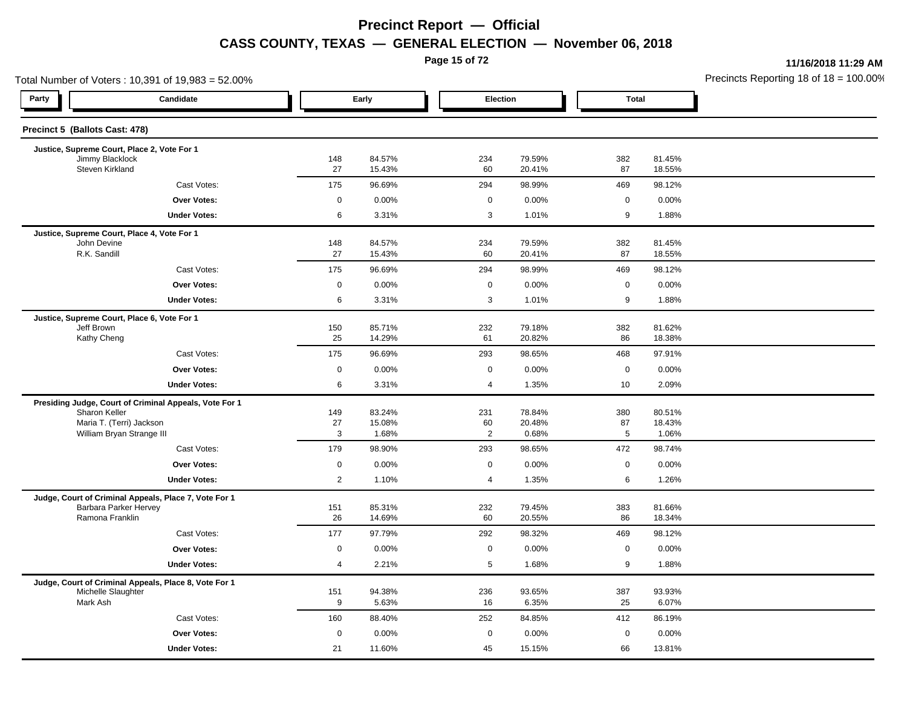**Page 15 of 72**

**11/16/2018 11:29 AM**

|                |                                                                                                                    |                                                                                                                                                                 |                                                                                                                        |                                                                                                                                                                    |                                                                                                                                      | Precincts Reporting 18 of 18 = 100.00                                                                                                                                  |
|----------------|--------------------------------------------------------------------------------------------------------------------|-----------------------------------------------------------------------------------------------------------------------------------------------------------------|------------------------------------------------------------------------------------------------------------------------|--------------------------------------------------------------------------------------------------------------------------------------------------------------------|--------------------------------------------------------------------------------------------------------------------------------------|------------------------------------------------------------------------------------------------------------------------------------------------------------------------|
|                |                                                                                                                    |                                                                                                                                                                 |                                                                                                                        |                                                                                                                                                                    |                                                                                                                                      |                                                                                                                                                                        |
|                |                                                                                                                    |                                                                                                                                                                 |                                                                                                                        |                                                                                                                                                                    |                                                                                                                                      |                                                                                                                                                                        |
|                |                                                                                                                    |                                                                                                                                                                 |                                                                                                                        |                                                                                                                                                                    |                                                                                                                                      |                                                                                                                                                                        |
|                |                                                                                                                    |                                                                                                                                                                 |                                                                                                                        |                                                                                                                                                                    |                                                                                                                                      |                                                                                                                                                                        |
|                |                                                                                                                    |                                                                                                                                                                 |                                                                                                                        |                                                                                                                                                                    |                                                                                                                                      |                                                                                                                                                                        |
|                |                                                                                                                    |                                                                                                                                                                 |                                                                                                                        |                                                                                                                                                                    |                                                                                                                                      |                                                                                                                                                                        |
| 6              | 3.31%                                                                                                              | 3                                                                                                                                                               | 1.01%                                                                                                                  | 9                                                                                                                                                                  | 1.88%                                                                                                                                |                                                                                                                                                                        |
|                |                                                                                                                    |                                                                                                                                                                 |                                                                                                                        |                                                                                                                                                                    |                                                                                                                                      |                                                                                                                                                                        |
| 148            | 84.57%                                                                                                             | 234                                                                                                                                                             | 79.59%                                                                                                                 | 382                                                                                                                                                                | 81.45%                                                                                                                               |                                                                                                                                                                        |
|                | 15.43%                                                                                                             | 60                                                                                                                                                              | 20.41%                                                                                                                 | 87                                                                                                                                                                 | 18.55%                                                                                                                               |                                                                                                                                                                        |
| 175            | 96.69%                                                                                                             | 294                                                                                                                                                             | 98.99%                                                                                                                 | 469                                                                                                                                                                | 98.12%                                                                                                                               |                                                                                                                                                                        |
| $\mathbf 0$    | 0.00%                                                                                                              | $\mathbf 0$                                                                                                                                                     | 0.00%                                                                                                                  | $\mathbf 0$                                                                                                                                                        | 0.00%                                                                                                                                |                                                                                                                                                                        |
| 6              | 3.31%                                                                                                              | 3                                                                                                                                                               | 1.01%                                                                                                                  | 9                                                                                                                                                                  | 1.88%                                                                                                                                |                                                                                                                                                                        |
|                |                                                                                                                    |                                                                                                                                                                 |                                                                                                                        |                                                                                                                                                                    |                                                                                                                                      |                                                                                                                                                                        |
|                |                                                                                                                    |                                                                                                                                                                 |                                                                                                                        |                                                                                                                                                                    |                                                                                                                                      |                                                                                                                                                                        |
|                |                                                                                                                    |                                                                                                                                                                 |                                                                                                                        |                                                                                                                                                                    |                                                                                                                                      |                                                                                                                                                                        |
|                |                                                                                                                    |                                                                                                                                                                 |                                                                                                                        |                                                                                                                                                                    |                                                                                                                                      |                                                                                                                                                                        |
| 6              | 3.31%                                                                                                              | 4                                                                                                                                                               | 1.35%                                                                                                                  | 10                                                                                                                                                                 | 2.09%                                                                                                                                |                                                                                                                                                                        |
|                |                                                                                                                    |                                                                                                                                                                 |                                                                                                                        |                                                                                                                                                                    |                                                                                                                                      |                                                                                                                                                                        |
| 149            | 83.24%                                                                                                             | 231                                                                                                                                                             | 78.84%                                                                                                                 | 380                                                                                                                                                                | 80.51%                                                                                                                               |                                                                                                                                                                        |
| 27             | 15.08%                                                                                                             | 60                                                                                                                                                              | 20.48%                                                                                                                 | 87                                                                                                                                                                 | 18.43%                                                                                                                               |                                                                                                                                                                        |
|                |                                                                                                                    |                                                                                                                                                                 |                                                                                                                        |                                                                                                                                                                    |                                                                                                                                      |                                                                                                                                                                        |
| 179            | 98.90%                                                                                                             | 293                                                                                                                                                             | 98.65%                                                                                                                 | 472                                                                                                                                                                | 98.74%                                                                                                                               |                                                                                                                                                                        |
| $\mathbf 0$    | 0.00%                                                                                                              | $\mathbf 0$                                                                                                                                                     | 0.00%                                                                                                                  | $\mathbf 0$                                                                                                                                                        | 0.00%                                                                                                                                |                                                                                                                                                                        |
| $\overline{2}$ | 1.10%                                                                                                              | $\overline{4}$                                                                                                                                                  | 1.35%                                                                                                                  | 6                                                                                                                                                                  | 1.26%                                                                                                                                |                                                                                                                                                                        |
|                |                                                                                                                    |                                                                                                                                                                 |                                                                                                                        |                                                                                                                                                                    |                                                                                                                                      |                                                                                                                                                                        |
|                |                                                                                                                    |                                                                                                                                                                 |                                                                                                                        |                                                                                                                                                                    |                                                                                                                                      |                                                                                                                                                                        |
|                |                                                                                                                    |                                                                                                                                                                 |                                                                                                                        |                                                                                                                                                                    |                                                                                                                                      |                                                                                                                                                                        |
|                |                                                                                                                    |                                                                                                                                                                 |                                                                                                                        |                                                                                                                                                                    |                                                                                                                                      |                                                                                                                                                                        |
|                |                                                                                                                    |                                                                                                                                                                 |                                                                                                                        |                                                                                                                                                                    |                                                                                                                                      |                                                                                                                                                                        |
|                |                                                                                                                    |                                                                                                                                                                 |                                                                                                                        |                                                                                                                                                                    |                                                                                                                                      |                                                                                                                                                                        |
|                |                                                                                                                    |                                                                                                                                                                 |                                                                                                                        |                                                                                                                                                                    |                                                                                                                                      |                                                                                                                                                                        |
| 9              | 5.63%                                                                                                              | 16                                                                                                                                                              | 6.35%                                                                                                                  | 25                                                                                                                                                                 | 6.07%                                                                                                                                |                                                                                                                                                                        |
| 160            | 88.40%                                                                                                             | 252                                                                                                                                                             | 84.85%                                                                                                                 | 412                                                                                                                                                                | 86.19%                                                                                                                               |                                                                                                                                                                        |
| $\mathbf 0$    |                                                                                                                    | $\mathbf 0$                                                                                                                                                     |                                                                                                                        | $\mathbf 0$                                                                                                                                                        |                                                                                                                                      |                                                                                                                                                                        |
| 21             | 11.60%                                                                                                             | 45                                                                                                                                                              | 15.15%                                                                                                                 | 66                                                                                                                                                                 | 13.81%                                                                                                                               |                                                                                                                                                                        |
|                | 148<br>27<br>175<br>$\mathbf 0$<br>27<br>150<br>25<br>175<br>0<br>3<br>151<br>26<br>177<br>$\mathbf 0$<br>4<br>151 | Early<br>84.57%<br>15.43%<br>96.69%<br>0.00%<br>85.71%<br>14.29%<br>96.69%<br>0.00%<br>1.68%<br>85.31%<br>14.69%<br>97.79%<br>0.00%<br>2.21%<br>94.38%<br>0.00% | 234<br>60<br>294<br>$\mathbf 0$<br>232<br>61<br>293<br>$\mathbf 0$<br>2<br>232<br>60<br>292<br>$\mathbf 0$<br>5<br>236 | Election<br>79.59%<br>20.41%<br>98.99%<br>0.00%<br>79.18%<br>20.82%<br>98.65%<br>0.00%<br>0.68%<br>79.45%<br>20.55%<br>98.32%<br>0.00%<br>1.68%<br>93.65%<br>0.00% | 382<br>87<br>469<br>$\mathbf 0$<br>382<br>86<br>468<br>$\mathbf 0$<br>$5\phantom{.0}$<br>383<br>86<br>469<br>$\mathbf 0$<br>9<br>387 | <b>Total</b><br>81.45%<br>18.55%<br>98.12%<br>0.00%<br>81.62%<br>18.38%<br>97.91%<br>0.00%<br>1.06%<br>81.66%<br>18.34%<br>98.12%<br>0.00%<br>1.88%<br>93.93%<br>0.00% |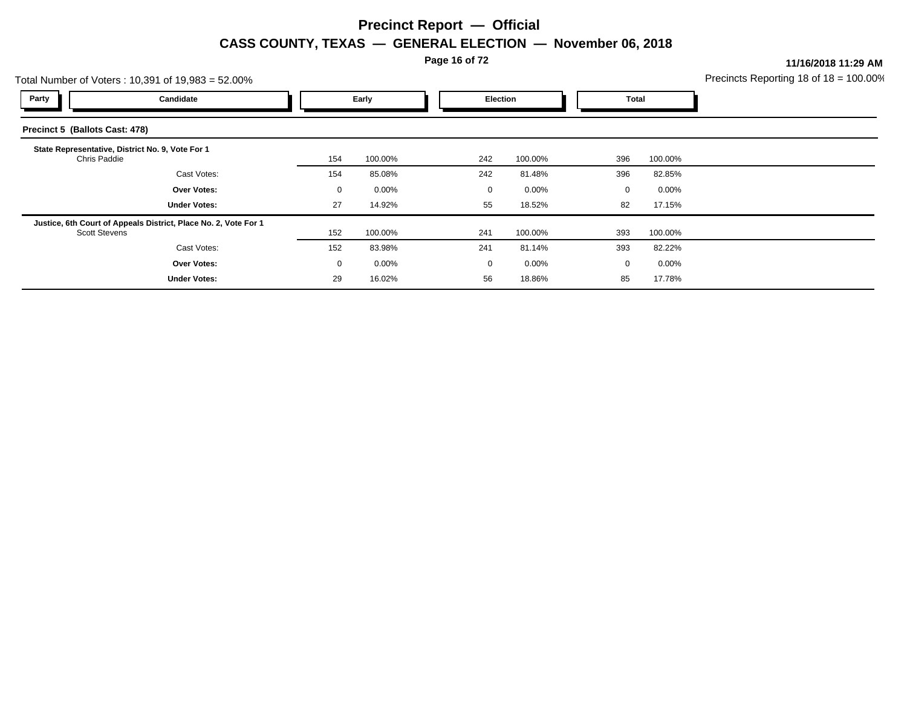**Page 16 of 72**

**11/16/2018 11:29 AM**

| Precincts Reporting 18 of $18 = 100.00\%$ |  |
|-------------------------------------------|--|
|                                           |  |

| Total Number of Voters: 10,391 of 19,983 = 52.00% |                                                                 |     |          |  |             |          |              | Precincts Reporting 18 of $18 = 100.00^{\circ}$ |  |
|---------------------------------------------------|-----------------------------------------------------------------|-----|----------|--|-------------|----------|--------------|-------------------------------------------------|--|
| Party                                             | Candidate                                                       |     | Early    |  | Election    |          | Total        |                                                 |  |
| Precinct 5 (Ballots Cast: 478)                    |                                                                 |     |          |  |             |          |              |                                                 |  |
| Chris Paddie                                      | State Representative, District No. 9, Vote For 1                | 154 | 100.00%  |  | 242         | 100.00%  | 396          | 100.00%                                         |  |
|                                                   | Cast Votes:                                                     | 154 | 85.08%   |  | 242         | 81.48%   | 396          | 82.85%                                          |  |
|                                                   | <b>Over Votes:</b>                                              | 0   | $0.00\%$ |  | 0           | $0.00\%$ | 0            | $0.00\%$                                        |  |
|                                                   | <b>Under Votes:</b>                                             | 27  | 14.92%   |  | 55          | 18.52%   | 82           | 17.15%                                          |  |
| <b>Scott Stevens</b>                              | Justice, 6th Court of Appeals District, Place No. 2, Vote For 1 | 152 | 100.00%  |  | 241         | 100.00%  | 393          | 100.00%                                         |  |
|                                                   | Cast Votes:                                                     | 152 | 83.98%   |  | 241         | 81.14%   | 393          | 82.22%                                          |  |
|                                                   | <b>Over Votes:</b>                                              | 0   | $0.00\%$ |  | $\mathbf 0$ | $0.00\%$ | $\mathbf{0}$ | $0.00\%$                                        |  |
|                                                   | <b>Under Votes:</b>                                             | 29  | 16.02%   |  | 56          | 18.86%   | 85           | 17.78%                                          |  |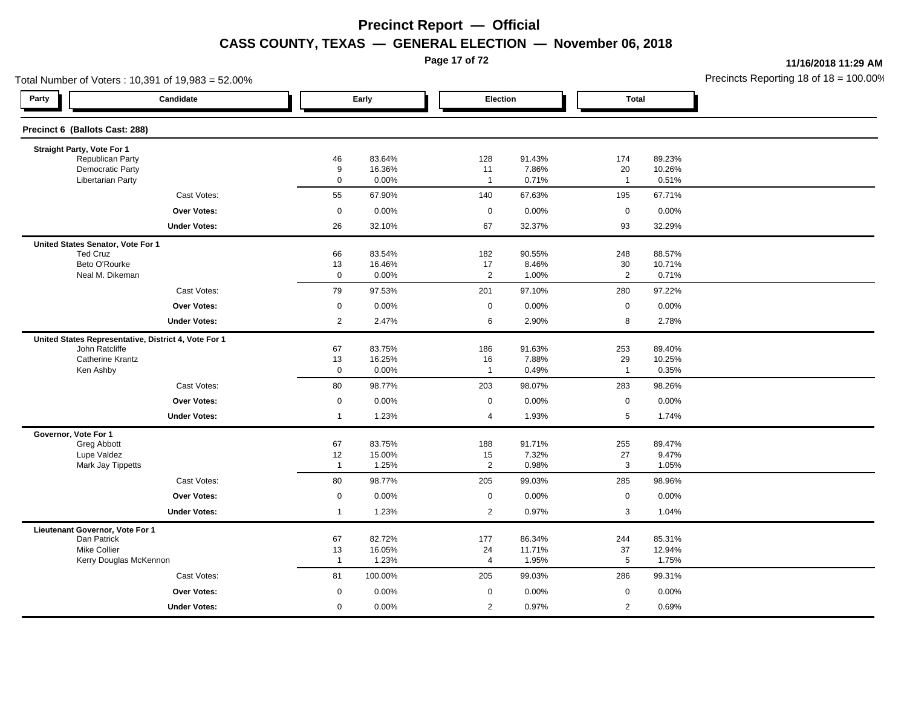**Page 17 of 72**

**11/16/2018 11:29 AM**

|                |                                                                                                                                                                                           |                                                                                                                                                                                    |                                                                                                                                                                                                |                                                                                                                                                                                   |                                                                                                                                                                    | Precincts Reporting 18 of $18 = 100.00$                                                                                                                                                           |
|----------------|-------------------------------------------------------------------------------------------------------------------------------------------------------------------------------------------|------------------------------------------------------------------------------------------------------------------------------------------------------------------------------------|------------------------------------------------------------------------------------------------------------------------------------------------------------------------------------------------|-----------------------------------------------------------------------------------------------------------------------------------------------------------------------------------|--------------------------------------------------------------------------------------------------------------------------------------------------------------------|---------------------------------------------------------------------------------------------------------------------------------------------------------------------------------------------------|
|                |                                                                                                                                                                                           |                                                                                                                                                                                    |                                                                                                                                                                                                |                                                                                                                                                                                   |                                                                                                                                                                    |                                                                                                                                                                                                   |
|                |                                                                                                                                                                                           |                                                                                                                                                                                    |                                                                                                                                                                                                |                                                                                                                                                                                   |                                                                                                                                                                    |                                                                                                                                                                                                   |
|                |                                                                                                                                                                                           |                                                                                                                                                                                    |                                                                                                                                                                                                |                                                                                                                                                                                   |                                                                                                                                                                    |                                                                                                                                                                                                   |
|                |                                                                                                                                                                                           |                                                                                                                                                                                    |                                                                                                                                                                                                |                                                                                                                                                                                   |                                                                                                                                                                    |                                                                                                                                                                                                   |
| $\mathbf 0$    | 0.00%                                                                                                                                                                                     | $\overline{1}$                                                                                                                                                                     | 0.71%                                                                                                                                                                                          | $\mathbf{1}$                                                                                                                                                                      | 0.51%                                                                                                                                                              |                                                                                                                                                                                                   |
| 55             | 67.90%                                                                                                                                                                                    | 140                                                                                                                                                                                | 67.63%                                                                                                                                                                                         | 195                                                                                                                                                                               | 67.71%                                                                                                                                                             |                                                                                                                                                                                                   |
| $\mathbf 0$    | 0.00%                                                                                                                                                                                     | $\mathbf 0$                                                                                                                                                                        | 0.00%                                                                                                                                                                                          | $\mathbf 0$                                                                                                                                                                       | 0.00%                                                                                                                                                              |                                                                                                                                                                                                   |
| 26             | 32.10%                                                                                                                                                                                    | 67                                                                                                                                                                                 | 32.37%                                                                                                                                                                                         | 93                                                                                                                                                                                | 32.29%                                                                                                                                                             |                                                                                                                                                                                                   |
|                |                                                                                                                                                                                           |                                                                                                                                                                                    |                                                                                                                                                                                                |                                                                                                                                                                                   |                                                                                                                                                                    |                                                                                                                                                                                                   |
| 66             | 83.54%                                                                                                                                                                                    | 182                                                                                                                                                                                | 90.55%                                                                                                                                                                                         | 248                                                                                                                                                                               | 88.57%                                                                                                                                                             |                                                                                                                                                                                                   |
|                |                                                                                                                                                                                           |                                                                                                                                                                                    |                                                                                                                                                                                                |                                                                                                                                                                                   |                                                                                                                                                                    |                                                                                                                                                                                                   |
|                |                                                                                                                                                                                           |                                                                                                                                                                                    |                                                                                                                                                                                                |                                                                                                                                                                                   |                                                                                                                                                                    |                                                                                                                                                                                                   |
|                |                                                                                                                                                                                           |                                                                                                                                                                                    |                                                                                                                                                                                                |                                                                                                                                                                                   |                                                                                                                                                                    |                                                                                                                                                                                                   |
|                | 0.00%                                                                                                                                                                                     |                                                                                                                                                                                    | 0.00%                                                                                                                                                                                          |                                                                                                                                                                                   |                                                                                                                                                                    |                                                                                                                                                                                                   |
| $\overline{2}$ | 2.47%                                                                                                                                                                                     | 6                                                                                                                                                                                  | 2.90%                                                                                                                                                                                          | 8                                                                                                                                                                                 | 2.78%                                                                                                                                                              |                                                                                                                                                                                                   |
|                |                                                                                                                                                                                           |                                                                                                                                                                                    |                                                                                                                                                                                                |                                                                                                                                                                                   |                                                                                                                                                                    |                                                                                                                                                                                                   |
|                |                                                                                                                                                                                           |                                                                                                                                                                                    |                                                                                                                                                                                                |                                                                                                                                                                                   |                                                                                                                                                                    |                                                                                                                                                                                                   |
|                |                                                                                                                                                                                           |                                                                                                                                                                                    |                                                                                                                                                                                                |                                                                                                                                                                                   |                                                                                                                                                                    |                                                                                                                                                                                                   |
|                |                                                                                                                                                                                           |                                                                                                                                                                                    |                                                                                                                                                                                                |                                                                                                                                                                                   |                                                                                                                                                                    |                                                                                                                                                                                                   |
|                |                                                                                                                                                                                           |                                                                                                                                                                                    |                                                                                                                                                                                                |                                                                                                                                                                                   |                                                                                                                                                                    |                                                                                                                                                                                                   |
| $\overline{1}$ | 1.23%                                                                                                                                                                                     | $\overline{4}$                                                                                                                                                                     | 1.93%                                                                                                                                                                                          | 5                                                                                                                                                                                 | 1.74%                                                                                                                                                              |                                                                                                                                                                                                   |
|                |                                                                                                                                                                                           |                                                                                                                                                                                    |                                                                                                                                                                                                |                                                                                                                                                                                   |                                                                                                                                                                    |                                                                                                                                                                                                   |
| 67             | 83.75%                                                                                                                                                                                    | 188                                                                                                                                                                                | 91.71%                                                                                                                                                                                         | 255                                                                                                                                                                               | 89.47%                                                                                                                                                             |                                                                                                                                                                                                   |
|                |                                                                                                                                                                                           |                                                                                                                                                                                    |                                                                                                                                                                                                |                                                                                                                                                                                   |                                                                                                                                                                    |                                                                                                                                                                                                   |
|                |                                                                                                                                                                                           |                                                                                                                                                                                    |                                                                                                                                                                                                |                                                                                                                                                                                   |                                                                                                                                                                    |                                                                                                                                                                                                   |
|                |                                                                                                                                                                                           |                                                                                                                                                                                    |                                                                                                                                                                                                |                                                                                                                                                                                   |                                                                                                                                                                    |                                                                                                                                                                                                   |
|                |                                                                                                                                                                                           |                                                                                                                                                                                    |                                                                                                                                                                                                |                                                                                                                                                                                   |                                                                                                                                                                    |                                                                                                                                                                                                   |
|                |                                                                                                                                                                                           |                                                                                                                                                                                    |                                                                                                                                                                                                |                                                                                                                                                                                   |                                                                                                                                                                    |                                                                                                                                                                                                   |
|                |                                                                                                                                                                                           |                                                                                                                                                                                    |                                                                                                                                                                                                |                                                                                                                                                                                   |                                                                                                                                                                    |                                                                                                                                                                                                   |
|                |                                                                                                                                                                                           |                                                                                                                                                                                    |                                                                                                                                                                                                |                                                                                                                                                                                   |                                                                                                                                                                    |                                                                                                                                                                                                   |
| $\overline{1}$ | 1.23%                                                                                                                                                                                     | 4                                                                                                                                                                                  | 1.95%                                                                                                                                                                                          | 5                                                                                                                                                                                 | 1.75%                                                                                                                                                              |                                                                                                                                                                                                   |
| 81             | 100.00%                                                                                                                                                                                   | 205                                                                                                                                                                                | 99.03%                                                                                                                                                                                         | 286                                                                                                                                                                               | 99.31%                                                                                                                                                             |                                                                                                                                                                                                   |
| $\mathbf 0$    | 0.00%                                                                                                                                                                                     | $\mathbf 0$                                                                                                                                                                        | 0.00%                                                                                                                                                                                          | $\mathbf 0$                                                                                                                                                                       | 0.00%                                                                                                                                                              |                                                                                                                                                                                                   |
|                |                                                                                                                                                                                           |                                                                                                                                                                                    |                                                                                                                                                                                                |                                                                                                                                                                                   |                                                                                                                                                                    |                                                                                                                                                                                                   |
|                | 46<br>9<br>13<br>$\mathbf 0$<br>79<br>$\mathbf 0$<br>67<br>13<br>$\mathbf 0$<br>80<br>$\mathbf 0$<br>12<br>$\overline{1}$<br>80<br>$\mathbf 0$<br>$\mathbf{1}$<br>67<br>13<br>$\mathbf 0$ | Early<br>83.64%<br>16.36%<br>16.46%<br>0.00%<br>97.53%<br>83.75%<br>16.25%<br>0.00%<br>98.77%<br>0.00%<br>15.00%<br>1.25%<br>98.77%<br>0.00%<br>1.23%<br>82.72%<br>16.05%<br>0.00% | 128<br>11<br>17<br>2<br>201<br>$\mathsf 0$<br>186<br>16<br>$\overline{1}$<br>203<br>$\mathbf 0$<br>15<br>$\overline{2}$<br>205<br>$\mathbf 0$<br>$\overline{2}$<br>177<br>24<br>$\overline{2}$ | Election<br>91.43%<br>7.86%<br>8.46%<br>1.00%<br>97.10%<br>91.63%<br>7.88%<br>0.49%<br>98.07%<br>0.00%<br>7.32%<br>0.98%<br>99.03%<br>0.00%<br>0.97%<br>86.34%<br>11.71%<br>0.97% | 174<br>20<br>30<br>$\overline{2}$<br>280<br>$\mathsf 0$<br>253<br>29<br>$\mathbf{1}$<br>283<br>$\mathbf 0$<br>27<br>3<br>285<br>$\mathbf 0$<br>3<br>244<br>37<br>2 | <b>Total</b><br>89.23%<br>10.26%<br>10.71%<br>0.71%<br>97.22%<br>0.00%<br>89.40%<br>10.25%<br>0.35%<br>98.26%<br>0.00%<br>9.47%<br>1.05%<br>98.96%<br>0.00%<br>1.04%<br>85.31%<br>12.94%<br>0.69% |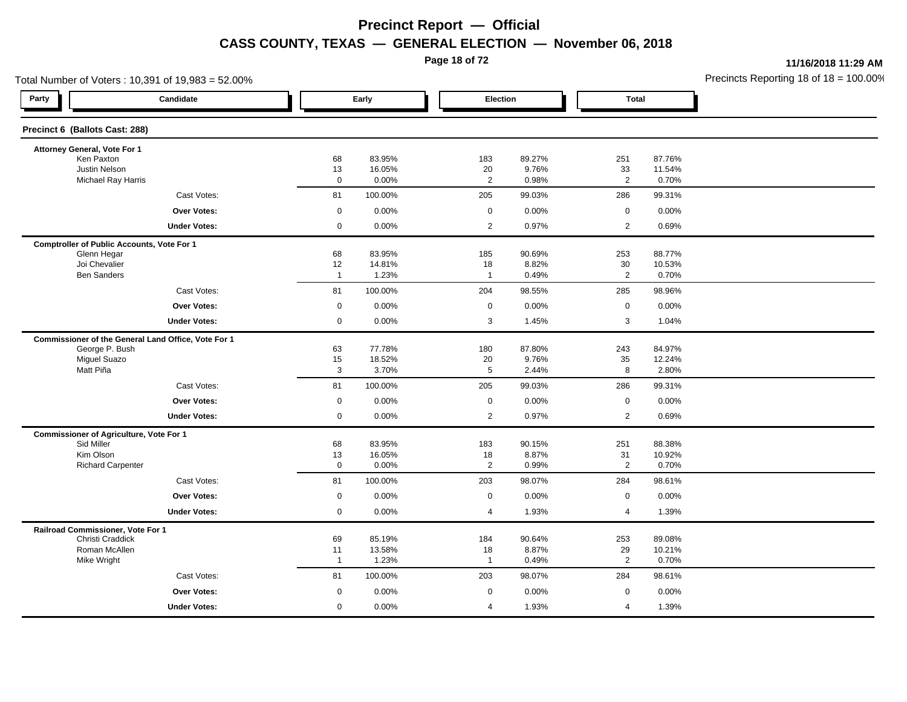**Page 18 of 72**

**11/16/2018 11:29 AM**

| Total Number of Voters: 10,391 of 19,983 = 52.00%            |                    |                  |                          |                 |                      |                  | Precincts Reporting 18 of $18 = 100.00$ |
|--------------------------------------------------------------|--------------------|------------------|--------------------------|-----------------|----------------------|------------------|-----------------------------------------|
| Party<br>Candidate                                           |                    | Early            | Election                 |                 | <b>Total</b>         |                  |                                         |
| Precinct 6 (Ballots Cast: 288)                               |                    |                  |                          |                 |                      |                  |                                         |
| Attorney General, Vote For 1                                 |                    |                  |                          |                 |                      |                  |                                         |
| Ken Paxton<br>Justin Nelson                                  | 68                 | 83.95%<br>16.05% | 183                      | 89.27%<br>9.76% | 251                  | 87.76%           |                                         |
| <b>Michael Ray Harris</b>                                    | 13<br>$\mathbf 0$  | 0.00%            | $20\,$<br>$\overline{2}$ | 0.98%           | 33<br>$\overline{2}$ | 11.54%<br>0.70%  |                                         |
| Cast Votes:                                                  | 81                 | 100.00%          | 205                      | 99.03%          | 286                  | 99.31%           |                                         |
| Over Votes:                                                  | $\mathbf 0$        | 0.00%            | $\mathbf 0$              | 0.00%           | $\mathbf 0$          | 0.00%            |                                         |
| <b>Under Votes:</b>                                          | $\mathbf 0$        | 0.00%            | $\overline{2}$           | 0.97%           | $\overline{2}$       | 0.69%            |                                         |
| <b>Comptroller of Public Accounts, Vote For 1</b>            |                    |                  |                          |                 |                      |                  |                                         |
| Glenn Hegar                                                  | 68                 | 83.95%           | 185                      | 90.69%          | 253                  | 88.77%           |                                         |
| Joi Chevalier<br><b>Ben Sanders</b>                          | 12<br>$\mathbf{1}$ | 14.81%<br>1.23%  | 18<br>$\overline{1}$     | 8.82%<br>0.49%  | 30<br>$\overline{2}$ | 10.53%<br>0.70%  |                                         |
| Cast Votes:                                                  | 81                 | 100.00%          | 204                      | 98.55%          | 285                  | 98.96%           |                                         |
| <b>Over Votes:</b>                                           | $\mathsf 0$        | 0.00%            | $\mathsf{O}\xspace$      | 0.00%           | $\mathbf 0$          | 0.00%            |                                         |
| <b>Under Votes:</b>                                          | $\mathbf 0$        | 0.00%            | 3                        | 1.45%           | 3                    | 1.04%            |                                         |
| Commissioner of the General Land Office, Vote For 1          |                    |                  |                          |                 |                      |                  |                                         |
| George P. Bush                                               | 63                 | 77.78%           | 180                      | 87.80%          | 243                  | 84.97%           |                                         |
| <b>Miguel Suazo</b>                                          | 15                 | 18.52%           | 20<br>5                  | 9.76%           | 35<br>8              | 12.24%           |                                         |
| Matt Piña                                                    | 3                  | 3.70%            |                          | 2.44%           |                      | 2.80%            |                                         |
| Cast Votes:                                                  | 81                 | 100.00%          | 205                      | 99.03%          | 286                  | 99.31%           |                                         |
| Over Votes:                                                  | $\mathbf 0$        | 0.00%            | $\mathbf 0$              | 0.00%           | $\mathbf 0$          | 0.00%            |                                         |
| <b>Under Votes:</b>                                          | $\mathbf 0$        | 0.00%            | 2                        | 0.97%           | 2                    | 0.69%            |                                         |
| <b>Commissioner of Agriculture, Vote For 1</b><br>Sid Miller | 68                 | 83.95%           | 183                      | 90.15%          | 251                  | 88.38%           |                                         |
| Kim Olson                                                    | 13                 | 16.05%           | 18                       | 8.87%           | 31                   | 10.92%           |                                         |
| <b>Richard Carpenter</b>                                     | $\mathbf 0$        | 0.00%            | $\overline{2}$           | 0.99%           | $\overline{2}$       | 0.70%            |                                         |
| Cast Votes:                                                  | 81                 | 100.00%          | 203                      | 98.07%          | 284                  | 98.61%           |                                         |
| <b>Over Votes:</b>                                           | $\mathsf 0$        | 0.00%            | $\mathsf 0$              | 0.00%           | $\mathbf 0$          | 0.00%            |                                         |
| <b>Under Votes:</b>                                          | $\mathbf 0$        | 0.00%            | 4                        | 1.93%           | $\overline{4}$       | 1.39%            |                                         |
| Railroad Commissioner, Vote For 1                            |                    |                  |                          |                 |                      |                  |                                         |
| Christi Craddick<br>Roman McAllen                            | 69<br>11           | 85.19%<br>13.58% | 184<br>18                | 90.64%<br>8.87% | 253<br>29            | 89.08%<br>10.21% |                                         |
| Mike Wright                                                  | $\overline{1}$     | 1.23%            | $\overline{1}$           | 0.49%           | 2                    | 0.70%            |                                         |
| Cast Votes:                                                  | 81                 | 100.00%          | 203                      | 98.07%          | 284                  | 98.61%           |                                         |
| Over Votes:                                                  | $\mathbf 0$        | 0.00%            | $\mathbf 0$              | 0.00%           | $\mathbf 0$          | 0.00%            |                                         |
| <b>Under Votes:</b>                                          | 0                  | 0.00%            | 4                        | 1.93%           | $\overline{4}$       | 1.39%            |                                         |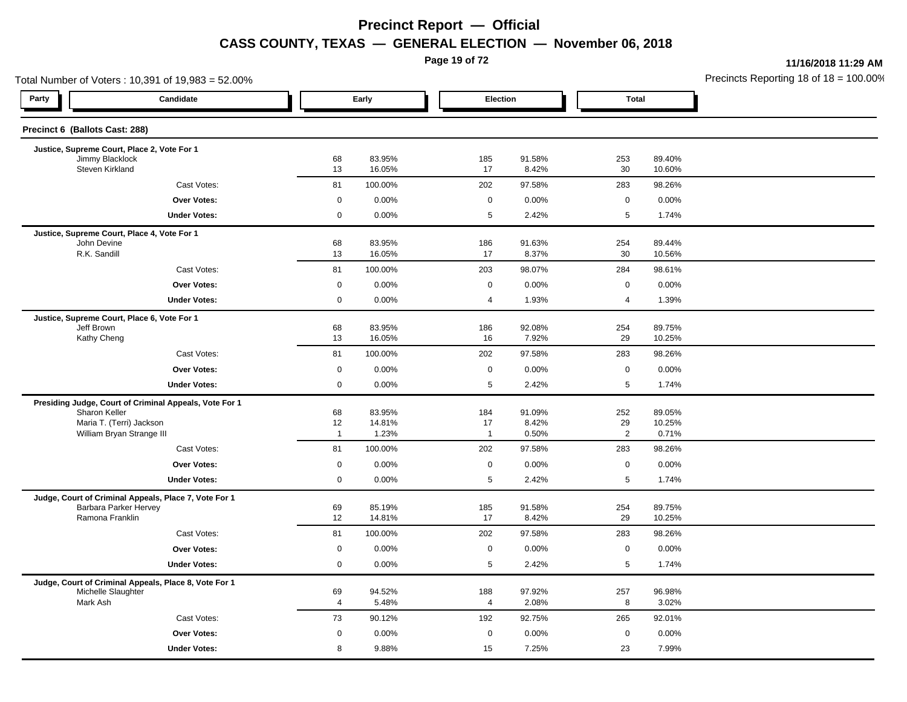**Page 19 of 72**

**11/16/2018 11:29 AM**

|                                                                             | Total Number of Voters: 10,391 of 19,983 = 52.00% |                |                  |                |                 |                     |                  | Precincts Reporting 18 of $18 = 100.00$ |
|-----------------------------------------------------------------------------|---------------------------------------------------|----------------|------------------|----------------|-----------------|---------------------|------------------|-----------------------------------------|
| Party                                                                       | Candidate                                         |                | Early            | Election       |                 | <b>Total</b>        |                  |                                         |
| Precinct 6 (Ballots Cast: 288)                                              |                                                   |                |                  |                |                 |                     |                  |                                         |
| Justice, Supreme Court, Place 2, Vote For 1                                 |                                                   |                |                  |                |                 |                     |                  |                                         |
| Jimmy Blacklock<br>Steven Kirkland                                          |                                                   | 68<br>13       | 83.95%<br>16.05% | 185<br>17      | 91.58%<br>8.42% | 253<br>30           | 89.40%<br>10.60% |                                         |
|                                                                             | Cast Votes:                                       | 81             | 100.00%          | 202            | 97.58%          | 283                 | 98.26%           |                                         |
|                                                                             | <b>Over Votes:</b>                                | $\mathbf 0$    | 0.00%            | $\mathbf 0$    | 0.00%           | $\mathbf 0$         | 0.00%            |                                         |
|                                                                             | <b>Under Votes:</b>                               | $\mathbf 0$    | 0.00%            | 5              | 2.42%           | 5                   | 1.74%            |                                         |
| Justice, Supreme Court, Place 4, Vote For 1                                 |                                                   |                |                  |                |                 |                     |                  |                                         |
| John Devine<br>R.K. Sandill                                                 |                                                   | 68<br>13       | 83.95%<br>16.05% | 186<br>17      | 91.63%<br>8.37% | 254<br>30           | 89.44%<br>10.56% |                                         |
|                                                                             | Cast Votes:                                       | 81             | 100.00%          | 203            | 98.07%          | 284                 | 98.61%           |                                         |
|                                                                             | <b>Over Votes:</b>                                | $\mathsf 0$    | 0.00%            | $\mathbf 0$    | 0.00%           | $\mathsf 0$         | 0.00%            |                                         |
|                                                                             | <b>Under Votes:</b>                               | $\mathbf 0$    | 0.00%            | $\overline{4}$ | 1.93%           | $\overline{4}$      | 1.39%            |                                         |
| Justice, Supreme Court, Place 6, Vote For 1                                 |                                                   |                |                  |                |                 |                     |                  |                                         |
| Jeff Brown                                                                  |                                                   | 68             | 83.95%           | 186            | 92.08%          | 254                 | 89.75%           |                                         |
| Kathy Cheng                                                                 |                                                   | 13             | 16.05%           | 16             | 7.92%           | 29                  | 10.25%           |                                         |
|                                                                             | Cast Votes:                                       | 81             | 100.00%          | 202            | 97.58%          | 283                 | 98.26%           |                                         |
|                                                                             | <b>Over Votes:</b>                                | $\mathbf 0$    | 0.00%            | 0              | 0.00%           | $\mathsf{O}\xspace$ | 0.00%            |                                         |
|                                                                             | <b>Under Votes:</b>                               | $\mathbf 0$    | 0.00%            | 5              | 2.42%           | $\sqrt{5}$          | 1.74%            |                                         |
| Presiding Judge, Court of Criminal Appeals, Vote For 1                      |                                                   |                |                  |                |                 |                     |                  |                                         |
| Sharon Keller<br>Maria T. (Terri) Jackson                                   |                                                   | 68<br>12       | 83.95%<br>14.81% | 184<br>17      | 91.09%<br>8.42% | 252<br>29           | 89.05%<br>10.25% |                                         |
| William Bryan Strange III                                                   |                                                   | $\overline{1}$ | 1.23%            | $\overline{1}$ | 0.50%           | $\overline{2}$      | 0.71%            |                                         |
|                                                                             | Cast Votes:                                       | 81             | 100.00%          | 202            | 97.58%          | 283                 | 98.26%           |                                         |
|                                                                             | <b>Over Votes:</b>                                | $\mathbf 0$    | 0.00%            | $\mathbf 0$    | 0.00%           | $\mathbf 0$         | 0.00%            |                                         |
|                                                                             | <b>Under Votes:</b>                               | $\mathbf 0$    | 0.00%            | 5              | 2.42%           | $\sqrt{5}$          | 1.74%            |                                         |
| Judge, Court of Criminal Appeals, Place 7, Vote For 1                       |                                                   |                |                  |                |                 |                     |                  |                                         |
| Barbara Parker Hervey<br>Ramona Franklin                                    |                                                   | 69<br>12       | 85.19%<br>14.81% | 185<br>17      | 91.58%<br>8.42% | 254<br>29           | 89.75%<br>10.25% |                                         |
|                                                                             |                                                   |                |                  |                |                 |                     |                  |                                         |
|                                                                             | Cast Votes:                                       | 81             | 100.00%          | 202            | 97.58%          | 283                 | 98.26%           |                                         |
|                                                                             | Over Votes:                                       | $\mathbf 0$    | 0.00%            | $\mathbf 0$    | 0.00%           | $\mathbf 0$         | 0.00%            |                                         |
|                                                                             | <b>Under Votes:</b>                               | $\mathbf 0$    | 0.00%            | 5              | 2.42%           | 5                   | 1.74%            |                                         |
| Judge, Court of Criminal Appeals, Place 8, Vote For 1<br>Michelle Slaughter |                                                   | 69             | 94.52%           | 188            | 97.92%          | 257                 | 96.98%           |                                         |
| Mark Ash                                                                    |                                                   | 4              | 5.48%            | 4              | 2.08%           | 8                   | 3.02%            |                                         |
|                                                                             | Cast Votes:                                       | 73             | 90.12%           | 192            | 92.75%          | 265                 | 92.01%           |                                         |
|                                                                             | <b>Over Votes:</b>                                | $\mathbf 0$    | 0.00%            | $\mathbf 0$    | 0.00%           | $\mathbf 0$         | 0.00%            |                                         |
|                                                                             | <b>Under Votes:</b>                               | 8              | 9.88%            | 15             | 7.25%           | 23                  | 7.99%            |                                         |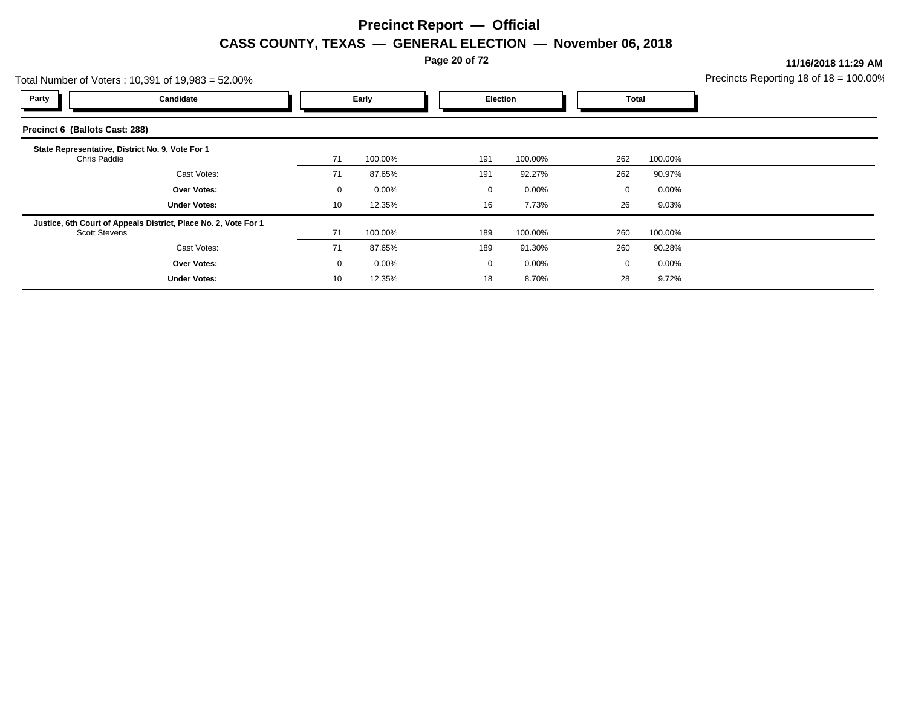**Page 20 of 72**

**11/16/2018 11:29 AM**

| Total Number of Voters: 10,391 of 19,983 = 52.00% |                                                                 |             |          |  |             |         |             |          | Precincts Reporting 18 of $18 = 100.00$ |
|---------------------------------------------------|-----------------------------------------------------------------|-------------|----------|--|-------------|---------|-------------|----------|-----------------------------------------|
| Party                                             | Candidate                                                       |             | Early    |  | Election    |         |             | Total    |                                         |
| Precinct 6 (Ballots Cast: 288)                    |                                                                 |             |          |  |             |         |             |          |                                         |
| Chris Paddie                                      | State Representative, District No. 9, Vote For 1                | 71          | 100.00%  |  | 191         | 100.00% | 262         | 100.00%  |                                         |
|                                                   | Cast Votes:                                                     | 71          | 87.65%   |  | 191         | 92.27%  | 262         | 90.97%   |                                         |
|                                                   | <b>Over Votes:</b>                                              | $\mathbf 0$ | $0.00\%$ |  | 0           | 0.00%   | $\mathbf 0$ | $0.00\%$ |                                         |
|                                                   | <b>Under Votes:</b>                                             | 10          | 12.35%   |  | 16          | 7.73%   | 26          | 9.03%    |                                         |
| <b>Scott Stevens</b>                              | Justice, 6th Court of Appeals District, Place No. 2, Vote For 1 | 71          | 100.00%  |  | 189         | 100.00% | 260         | 100.00%  |                                         |
|                                                   | Cast Votes:                                                     | 71          | 87.65%   |  | 189         | 91.30%  | 260         | 90.28%   |                                         |
|                                                   | <b>Over Votes:</b>                                              | 0           | $0.00\%$ |  | $\mathbf 0$ | 0.00%   | $\mathbf 0$ | 0.00%    |                                         |
|                                                   | <b>Under Votes:</b>                                             | 10          | 12.35%   |  | 18          | 8.70%   | 28          | 9.72%    |                                         |
|                                                   |                                                                 |             |          |  |             |         |             |          |                                         |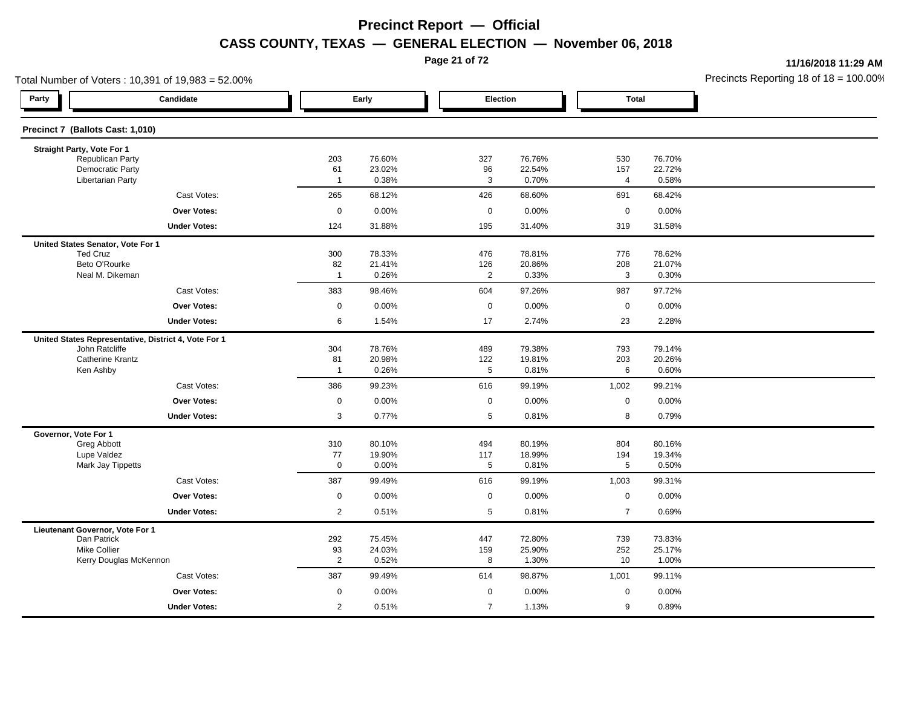**Page 21 of 72**

**11/16/2018 11:29 AM**

| Total Number of Voters: 10,391 of 19,983 = 52.00%    |                      |                  |                        |                  |                |                  | Precincts Reporting 18 of 18 = 100.00 |
|------------------------------------------------------|----------------------|------------------|------------------------|------------------|----------------|------------------|---------------------------------------|
| Party<br>Candidate                                   |                      | Early            | Election               |                  | <b>Total</b>   |                  |                                       |
| Precinct 7 (Ballots Cast: 1,010)                     |                      |                  |                        |                  |                |                  |                                       |
| Straight Party, Vote For 1                           |                      |                  |                        |                  |                |                  |                                       |
| Republican Party<br><b>Democratic Party</b>          | 203<br>61            | 76.60%<br>23.02% | 327<br>96              | 76.76%<br>22.54% | 530<br>157     | 76.70%<br>22.72% |                                       |
| <b>Libertarian Party</b>                             | $\overline{1}$       | 0.38%            | $\mathbf{3}$           | 0.70%            | $\overline{4}$ | 0.58%            |                                       |
| Cast Votes:                                          | 265                  | 68.12%           | 426                    | 68.60%           | 691            | 68.42%           |                                       |
| <b>Over Votes:</b>                                   | $\mathbf 0$          | 0.00%            | $\mathbf 0$            | 0.00%            | $\mathbf 0$    | 0.00%            |                                       |
| <b>Under Votes:</b>                                  | 124                  | 31.88%           | 195                    | 31.40%           | 319            | 31.58%           |                                       |
| United States Senator, Vote For 1                    |                      |                  |                        |                  |                |                  |                                       |
| <b>Ted Cruz</b>                                      | 300                  | 78.33%           | 476                    | 78.81%           | 776            | 78.62%           |                                       |
| Beto O'Rourke<br>Neal M. Dikeman                     | 82<br>$\overline{1}$ | 21.41%<br>0.26%  | 126<br>$\overline{2}$  | 20.86%<br>0.33%  | 208<br>3       | 21.07%<br>0.30%  |                                       |
|                                                      |                      |                  |                        |                  |                |                  |                                       |
| Cast Votes:                                          | 383                  | 98.46%           | 604                    | 97.26%           | 987            | 97.72%           |                                       |
| <b>Over Votes:</b>                                   | 0                    | 0.00%            | 0                      | 0.00%            | $\mathbf 0$    | 0.00%            |                                       |
| <b>Under Votes:</b>                                  | 6                    | 1.54%            | 17                     | 2.74%            | 23             | 2.28%            |                                       |
| United States Representative, District 4, Vote For 1 |                      |                  |                        |                  |                |                  |                                       |
| John Ratcliffe<br><b>Catherine Krantz</b>            | 304<br>81            | 78.76%<br>20.98% | 489                    | 79.38%<br>19.81% | 793<br>203     | 79.14%<br>20.26% |                                       |
| Ken Ashby                                            | $\overline{1}$       | 0.26%            | 122<br>$5\phantom{.0}$ | 0.81%            | 6              | 0.60%            |                                       |
| Cast Votes:                                          | 386                  | 99.23%           | 616                    | 99.19%           | 1,002          | 99.21%           |                                       |
| <b>Over Votes:</b>                                   | $\mathbf 0$          | 0.00%            | $\mathbf 0$            | 0.00%            | $\mathbf 0$    | 0.00%            |                                       |
| <b>Under Votes:</b>                                  | 3                    | 0.77%            | 5                      | 0.81%            | 8              | 0.79%            |                                       |
| Governor, Vote For 1                                 |                      |                  |                        |                  |                |                  |                                       |
| Greg Abbott                                          | 310                  | 80.10%           | 494                    | 80.19%           | 804            | 80.16%           |                                       |
| Lupe Valdez<br>Mark Jay Tippetts                     | 77<br>$\mathbf 0$    | 19.90%<br>0.00%  | 117<br>5               | 18.99%<br>0.81%  | 194<br>5       | 19.34%<br>0.50%  |                                       |
|                                                      |                      |                  |                        |                  |                |                  |                                       |
| Cast Votes:                                          | 387                  | 99.49%           | 616                    | 99.19%           | 1,003          | 99.31%           |                                       |
| <b>Over Votes:</b>                                   | $\pmb{0}$            | 0.00%            | $\mathbf 0$            | 0.00%            | $\mathbf 0$    | 0.00%            |                                       |
| <b>Under Votes:</b>                                  | $\overline{2}$       | 0.51%            | 5                      | 0.81%            | $\overline{7}$ | 0.69%            |                                       |
| Lieutenant Governor, Vote For 1<br>Dan Patrick       | 292                  | 75.45%           | 447                    | 72.80%           | 739            | 73.83%           |                                       |
| <b>Mike Collier</b>                                  | 93                   | 24.03%           | 159                    | 25.90%           | 252            | 25.17%           |                                       |
| Kerry Douglas McKennon                               | $\overline{2}$       | 0.52%            | 8                      | 1.30%            | 10             | 1.00%            |                                       |
| Cast Votes:                                          | 387                  | 99.49%           | 614                    | 98.87%           | 1,001          | 99.11%           |                                       |
| Over Votes:                                          | 0                    | 0.00%            | $\mathbf 0$            | 0.00%            | $\mathbf 0$    | 0.00%            |                                       |
| <b>Under Votes:</b>                                  | $\overline{c}$       | 0.51%            | $\overline{7}$         | 1.13%            | 9              | 0.89%            |                                       |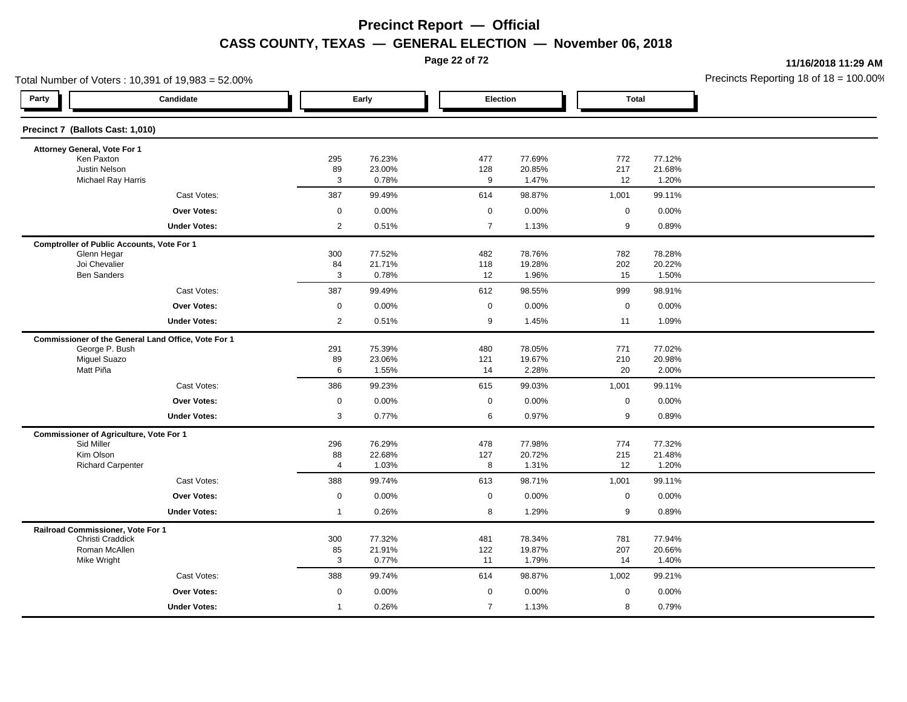**Page 22 of 72**

**11/16/2018 11:29 AM**

| Total Number of Voters: 10,391 of 19,983 = 52.00%   |                |                  |                |                  |                  |                  | Precincts Reporting 18 of $18 = 100.00$ |
|-----------------------------------------------------|----------------|------------------|----------------|------------------|------------------|------------------|-----------------------------------------|
| Party<br>Candidate                                  |                | Early            | Election       |                  | <b>Total</b>     |                  |                                         |
| Precinct 7 (Ballots Cast: 1,010)                    |                |                  |                |                  |                  |                  |                                         |
| Attorney General, Vote For 1                        |                |                  |                |                  |                  |                  |                                         |
| Ken Paxton<br><b>Justin Nelson</b>                  | 295            | 76.23%<br>23.00% | 477            | 77.69%<br>20.85% | 772<br>217       | 77.12%           |                                         |
| <b>Michael Ray Harris</b>                           | 89<br>3        | 0.78%            | 128<br>9       | 1.47%            | 12               | 21.68%<br>1.20%  |                                         |
| Cast Votes:                                         | 387            | 99.49%           | 614            | 98.87%           | 1,001            | 99.11%           |                                         |
| Over Votes:                                         | 0              | 0.00%            | $\mathbf 0$    | 0.00%            | $\mathbf 0$      | 0.00%            |                                         |
| <b>Under Votes:</b>                                 | $\overline{2}$ | 0.51%            | $\overline{7}$ | 1.13%            | $\boldsymbol{9}$ | 0.89%            |                                         |
| <b>Comptroller of Public Accounts, Vote For 1</b>   |                |                  |                |                  |                  |                  |                                         |
| Glenn Hegar                                         | 300            | 77.52%           | 482            | 78.76%           | 782              | 78.28%           |                                         |
| Joi Chevalier<br><b>Ben Sanders</b>                 | 84<br>3        | 21.71%<br>0.78%  | 118<br>12      | 19.28%<br>1.96%  | 202<br>15        | 20.22%<br>1.50%  |                                         |
| Cast Votes:                                         | 387            | 99.49%           | 612            | 98.55%           | 999              | 98.91%           |                                         |
| <b>Over Votes:</b>                                  | $\mathbf 0$    | 0.00%            | 0              | 0.00%            | $\mathbf 0$      | 0.00%            |                                         |
| <b>Under Votes:</b>                                 | $\overline{2}$ | 0.51%            | 9              | 1.45%            | 11               | 1.09%            |                                         |
| Commissioner of the General Land Office, Vote For 1 |                |                  |                |                  |                  |                  |                                         |
| George P. Bush                                      | 291            | 75.39%           | 480            | 78.05%           | 771              | 77.02%           |                                         |
| <b>Miguel Suazo</b>                                 | 89             | 23.06%           | 121            | 19.67%           | 210              | 20.98%           |                                         |
| Matt Piña                                           | 6              | 1.55%            | 14             | 2.28%            | 20               | 2.00%            |                                         |
| Cast Votes:                                         | 386            | 99.23%           | 615            | 99.03%           | 1,001            | 99.11%           |                                         |
| Over Votes:                                         | 0              | 0.00%            | $\mathbf 0$    | 0.00%            | $\mathbf 0$      | 0.00%            |                                         |
| <b>Under Votes:</b>                                 | 3              | 0.77%            | 6              | 0.97%            | 9                | 0.89%            |                                         |
| <b>Commissioner of Agriculture, Vote For 1</b>      |                |                  |                |                  |                  |                  |                                         |
| Sid Miller<br>Kim Olson                             | 296<br>88      | 76.29%<br>22.68% | 478<br>127     | 77.98%<br>20.72% | 774<br>215       | 77.32%<br>21.48% |                                         |
| <b>Richard Carpenter</b>                            | 4              | 1.03%            | 8              | 1.31%            | 12               | 1.20%            |                                         |
| Cast Votes:                                         | 388            | 99.74%           | 613            | 98.71%           | 1,001            | 99.11%           |                                         |
| <b>Over Votes:</b>                                  | $\mathbf 0$    | 0.00%            | $\mathbf 0$    | 0.00%            | $\mathbf 0$      | 0.00%            |                                         |
| <b>Under Votes:</b>                                 | $\overline{1}$ | 0.26%            | 8              | 1.29%            | 9                | 0.89%            |                                         |
| Railroad Commissioner, Vote For 1                   |                |                  |                |                  |                  |                  |                                         |
| Christi Craddick<br>Roman McAllen                   | 300            | 77.32%<br>21.91% | 481<br>122     | 78.34%<br>19.87% | 781<br>207       | 77.94%<br>20.66% |                                         |
| Mike Wright                                         | 85<br>3        | 0.77%            | 11             | 1.79%            | 14               | 1.40%            |                                         |
| Cast Votes:                                         | 388            | 99.74%           | 614            | 98.87%           | 1,002            | 99.21%           |                                         |
| Over Votes:                                         | 0              | 0.00%            | $\mathbf 0$    | 0.00%            | $\mathbf 0$      | 0.00%            |                                         |
| <b>Under Votes:</b>                                 | $\mathbf{1}$   | 0.26%            | $\overline{7}$ | 1.13%            | 8                | 0.79%            |                                         |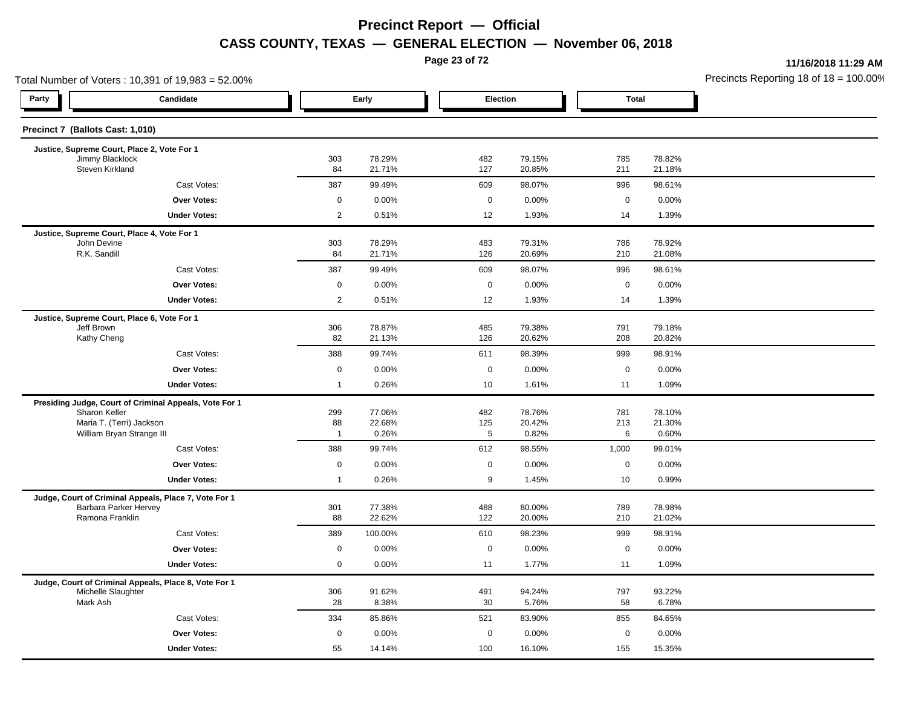**Page 23 of 72**

**11/16/2018 11:29 AM**

|                                    | Total Number of Voters: 10,391 of 19,983 = 52.00%      |                |                  |             |                  |                   | Precincts Reporting 18 of $18 = 100.00$ |  |
|------------------------------------|--------------------------------------------------------|----------------|------------------|-------------|------------------|-------------------|-----------------------------------------|--|
| Party                              | Candidate                                              |                | Early            | Election    |                  | <b>Total</b>      |                                         |  |
| Precinct 7 (Ballots Cast: 1,010)   |                                                        |                |                  |             |                  |                   |                                         |  |
|                                    | Justice, Supreme Court, Place 2, Vote For 1            |                |                  |             |                  |                   |                                         |  |
| Jimmy Blacklock<br>Steven Kirkland |                                                        | 303<br>84      | 78.29%<br>21.71% | 482<br>127  | 79.15%<br>20.85% | 785<br>211        | 78.82%<br>21.18%                        |  |
|                                    | Cast Votes:                                            | 387            | 99.49%           | 609         | 98.07%           | 996               | 98.61%                                  |  |
|                                    | <b>Over Votes:</b>                                     | $\mathbf 0$    | 0.00%            | $\mathbf 0$ | 0.00%            | $\mathbf 0$       | 0.00%                                   |  |
|                                    | <b>Under Votes:</b>                                    | $\overline{2}$ | 0.51%            | 12          | 1.93%            | 14                | 1.39%                                   |  |
|                                    | Justice, Supreme Court, Place 4, Vote For 1            |                |                  |             |                  |                   |                                         |  |
| John Devine<br>R.K. Sandill        |                                                        | 303<br>84      | 78.29%<br>21.71% | 483<br>126  | 79.31%<br>20.69% | 786<br>210        | 78.92%<br>21.08%                        |  |
|                                    | Cast Votes:                                            | 387            | 99.49%           | 609         | 98.07%           | 996               | 98.61%                                  |  |
|                                    | Over Votes:                                            | 0              | 0.00%            | $\mathbf 0$ | 0.00%            | $\mathbf 0$       | 0.00%                                   |  |
|                                    | <b>Under Votes:</b>                                    | $\overline{2}$ | 0.51%            | 12          | 1.93%            | 14                | 1.39%                                   |  |
|                                    | Justice, Supreme Court, Place 6, Vote For 1            |                |                  |             |                  |                   |                                         |  |
| Jeff Brown                         |                                                        | 306            | 78.87%           | 485         | 79.38%           | 791               | 79.18%                                  |  |
| Kathy Cheng                        |                                                        | 82             | 21.13%           | 126         | 20.62%           | 208               | 20.82%                                  |  |
|                                    | Cast Votes:                                            | 388            | 99.74%           | 611         | 98.39%           | 999               | 98.91%                                  |  |
|                                    | <b>Over Votes:</b>                                     | 0              | 0.00%            | $\mathbf 0$ | 0.00%            | $\mathbf 0$       | 0.00%                                   |  |
|                                    | <b>Under Votes:</b>                                    | $\overline{1}$ | 0.26%            | 10          | 1.61%            | 11                | 1.09%                                   |  |
|                                    | Presiding Judge, Court of Criminal Appeals, Vote For 1 |                |                  |             |                  |                   |                                         |  |
| Sharon Keller                      | Maria T. (Terri) Jackson                               | 299<br>88      | 77.06%<br>22.68% | 482<br>125  | 78.76%<br>20.42% | 781<br>213        | 78.10%<br>21.30%                        |  |
|                                    | William Bryan Strange III                              | $\overline{1}$ | 0.26%            | 5           | 0.82%            | 6                 | 0.60%                                   |  |
|                                    | Cast Votes:                                            | 388            | 99.74%           | 612         | 98.55%           | 1,000             | 99.01%                                  |  |
|                                    | Over Votes:                                            | 0              | 0.00%            | $\mathbf 0$ | 0.00%            | $\mathbf 0$       | 0.00%                                   |  |
|                                    | <b>Under Votes:</b>                                    | $\overline{1}$ | 0.26%            | 9           | 1.45%            | 10                | 0.99%                                   |  |
|                                    | Judge, Court of Criminal Appeals, Place 7, Vote For 1  |                |                  |             |                  |                   |                                         |  |
| Ramona Franklin                    | Barbara Parker Hervey                                  | 301<br>88      | 77.38%<br>22.62% | 488<br>122  | 80.00%<br>20.00% | 789<br>210        | 78.98%<br>21.02%                        |  |
|                                    | Cast Votes:                                            | 389            | 100.00%          | 610         | 98.23%           | 999               | 98.91%                                  |  |
|                                    | <b>Over Votes:</b>                                     | $\mathbf 0$    |                  | $\mathbf 0$ |                  |                   |                                         |  |
|                                    | <b>Under Votes:</b>                                    | 0              | 0.00%<br>0.00%   | 11          | 0.00%<br>1.77%   | $\mathbf 0$<br>11 | 0.00%<br>1.09%                          |  |
|                                    |                                                        |                |                  |             |                  |                   |                                         |  |
| Michelle Slaughter                 | Judge, Court of Criminal Appeals, Place 8, Vote For 1  | 306            | 91.62%           | 491         | 94.24%           | 797               | 93.22%                                  |  |
| Mark Ash                           |                                                        | 28             | 8.38%            | 30          | 5.76%            | 58                | 6.78%                                   |  |
|                                    | Cast Votes:                                            | 334            | 85.86%           | 521         | 83.90%           | 855               | 84.65%                                  |  |
|                                    | Over Votes:                                            | 0              | 0.00%            | $\mathbf 0$ | 0.00%            | $\mathbf 0$       | 0.00%                                   |  |
|                                    | <b>Under Votes:</b>                                    | 55             | 14.14%           | 100         | 16.10%           | 155               | 15.35%                                  |  |
|                                    |                                                        |                |                  |             |                  |                   |                                         |  |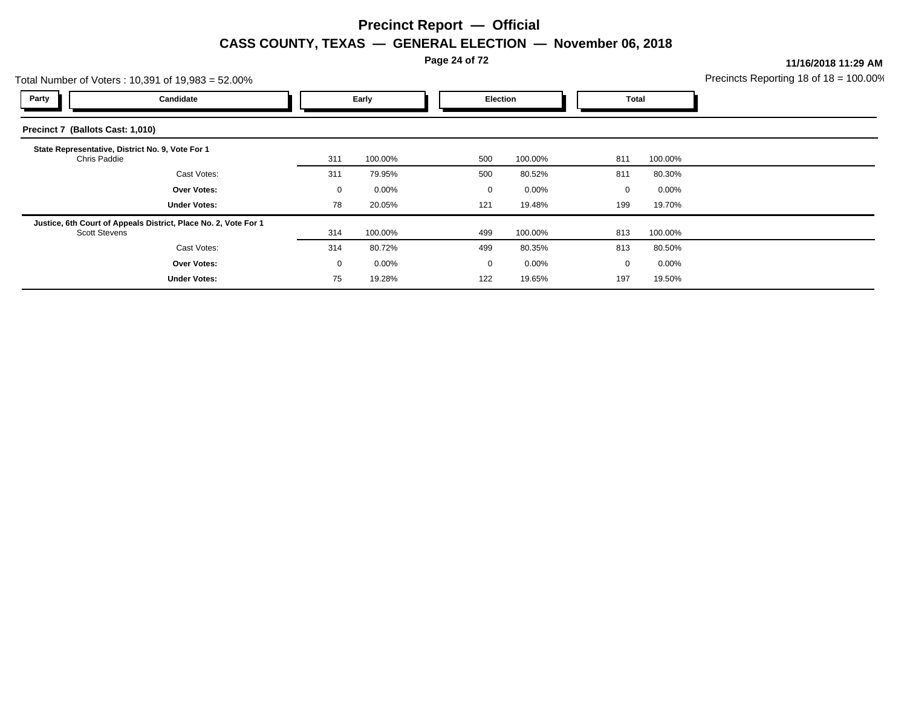**Page 24 of 72**

**11/16/2018 11:29 AM**

| Total Number of Voters: 10,391 of 19,983 = 52.00% | Precincts Reporting 18 of $18 = 100.00$                         |             |          |                 |         |     |          |  |
|---------------------------------------------------|-----------------------------------------------------------------|-------------|----------|-----------------|---------|-----|----------|--|
| Party                                             | Candidate                                                       | Early       |          | <b>Election</b> |         |     | Total    |  |
| Precinct 7 (Ballots Cast: 1,010)                  |                                                                 |             |          |                 |         |     |          |  |
| Chris Paddie                                      | State Representative, District No. 9, Vote For 1                | 311         | 100.00%  | 500             | 100.00% | 811 | 100.00%  |  |
|                                                   | Cast Votes:                                                     | 311         | 79.95%   | 500             | 80.52%  | 811 | 80.30%   |  |
|                                                   | <b>Over Votes:</b>                                              | 0           | $0.00\%$ | 0               | 0.00%   | 0   | $0.00\%$ |  |
|                                                   | <b>Under Votes:</b>                                             | 78          | 20.05%   | 121             | 19.48%  | 199 | 19.70%   |  |
| <b>Scott Stevens</b>                              | Justice, 6th Court of Appeals District, Place No. 2, Vote For 1 | 314         | 100.00%  | 499             | 100.00% | 813 | 100.00%  |  |
|                                                   | Cast Votes:                                                     | 314         | 80.72%   | 499             | 80.35%  | 813 | 80.50%   |  |
|                                                   | <b>Over Votes:</b>                                              | $\mathbf 0$ | $0.00\%$ | 0               | 0.00%   | 0   | $0.00\%$ |  |
|                                                   | <b>Under Votes:</b>                                             | 75          | 19.28%   | 122             | 19.65%  | 197 | 19.50%   |  |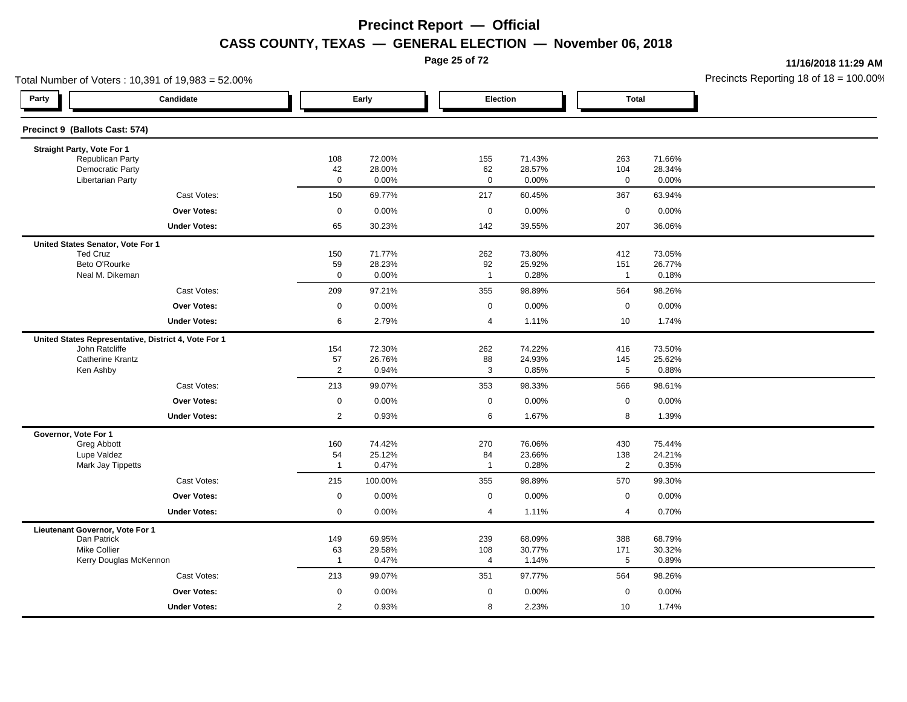**Page 25 of 72**

**11/16/2018 11:29 AM**

|                                                     | Total Number of Voters: 10,391 of 19,983 = 52.00%    |                      |                 |                      |                 |                       |                 | Precincts Reporting 18 of 18 = 100.00 |
|-----------------------------------------------------|------------------------------------------------------|----------------------|-----------------|----------------------|-----------------|-----------------------|-----------------|---------------------------------------|
| Party                                               | Candidate                                            |                      | Early           |                      | Election        | <b>Total</b>          |                 |                                       |
| Precinct 9 (Ballots Cast: 574)                      |                                                      |                      |                 |                      |                 |                       |                 |                                       |
| Straight Party, Vote For 1                          |                                                      |                      |                 |                      |                 |                       |                 |                                       |
| Republican Party                                    |                                                      | 108                  | 72.00%          | 155                  | 71.43%          | 263                   | 71.66%          |                                       |
| <b>Democratic Party</b><br><b>Libertarian Party</b> |                                                      | 42<br>$\mathbf 0$    | 28.00%<br>0.00% | 62<br>$\mathbf 0$    | 28.57%<br>0.00% | 104<br>$\mathbf 0$    | 28.34%<br>0.00% |                                       |
|                                                     | Cast Votes:                                          | 150                  | 69.77%          | 217                  | 60.45%          | 367                   | 63.94%          |                                       |
|                                                     | <b>Over Votes:</b>                                   | $\mathbf 0$          | 0.00%           | $\mathbf 0$          | 0.00%           | $\mathsf 0$           | 0.00%           |                                       |
|                                                     | <b>Under Votes:</b>                                  | 65                   | 30.23%          | 142                  | 39.55%          | 207                   | 36.06%          |                                       |
| United States Senator, Vote For 1                   |                                                      |                      |                 |                      |                 |                       |                 |                                       |
| <b>Ted Cruz</b>                                     |                                                      | 150                  | 71.77%          | 262                  | 73.80%          | 412                   | 73.05%          |                                       |
| Beto O'Rourke<br>Neal M. Dikeman                    |                                                      | 59<br>$\mathbf 0$    | 28.23%<br>0.00% | 92<br>$\overline{1}$ | 25.92%<br>0.28% | 151<br>$\overline{1}$ | 26.77%<br>0.18% |                                       |
|                                                     | Cast Votes:                                          | 209                  | 97.21%          | 355                  | 98.89%          | 564                   | 98.26%          |                                       |
|                                                     |                                                      |                      |                 |                      |                 |                       |                 |                                       |
|                                                     | <b>Over Votes:</b>                                   | $\mathbf 0$          | 0.00%           | 0                    | 0.00%           | $\mathbf 0$           | 0.00%           |                                       |
|                                                     | <b>Under Votes:</b>                                  | 6                    | 2.79%           | 4                    | 1.11%           | 10                    | 1.74%           |                                       |
| John Ratcliffe                                      | United States Representative, District 4, Vote For 1 | 154                  | 72.30%          | 262                  | 74.22%          | 416                   | 73.50%          |                                       |
| <b>Catherine Krantz</b>                             |                                                      | 57                   | 26.76%          | 88                   | 24.93%          | 145                   | 25.62%          |                                       |
| Ken Ashby                                           |                                                      | $\overline{c}$       | 0.94%           | 3                    | 0.85%           | 5                     | 0.88%           |                                       |
|                                                     | Cast Votes:                                          | 213                  | 99.07%          | 353                  | 98.33%          | 566                   | 98.61%          |                                       |
|                                                     | <b>Over Votes:</b>                                   | $\mathbf 0$          | 0.00%           | 0                    | 0.00%           | $\mathbf 0$           | 0.00%           |                                       |
|                                                     | <b>Under Votes:</b>                                  | $\overline{2}$       | 0.93%           | 6                    | 1.67%           | 8                     | 1.39%           |                                       |
| Governor, Vote For 1                                |                                                      |                      |                 |                      |                 |                       |                 |                                       |
| Greg Abbott                                         |                                                      | 160                  | 74.42%          | 270                  | 76.06%          | 430                   | 75.44%          |                                       |
| Lupe Valdez<br>Mark Jay Tippetts                    |                                                      | 54<br>$\overline{1}$ | 25.12%<br>0.47% | 84<br>$\overline{1}$ | 23.66%<br>0.28% | 138<br>$\overline{2}$ | 24.21%<br>0.35% |                                       |
|                                                     | Cast Votes:                                          | 215                  | 100.00%         | 355                  | 98.89%          | 570                   | 99.30%          |                                       |
|                                                     | <b>Over Votes:</b>                                   | $\mathbf 0$          | 0.00%           | $\mathbf 0$          | 0.00%           | $\pmb{0}$             | 0.00%           |                                       |
|                                                     | <b>Under Votes:</b>                                  | 0                    | 0.00%           | 4                    | 1.11%           | $\overline{4}$        | 0.70%           |                                       |
| Lieutenant Governor, Vote For 1                     |                                                      |                      |                 |                      |                 |                       |                 |                                       |
| Dan Patrick                                         |                                                      | 149                  | 69.95%          | 239                  | 68.09%          | 388                   | 68.79%          |                                       |
| Mike Collier                                        |                                                      | 63<br>$\overline{1}$ | 29.58%<br>0.47% | 108<br>4             | 30.77%<br>1.14% | 171<br>5              | 30.32%<br>0.89% |                                       |
|                                                     | Kerry Douglas McKennon                               |                      |                 |                      |                 |                       |                 |                                       |
|                                                     | Cast Votes:                                          | 213                  | 99.07%          | 351                  | 97.77%          | 564                   | 98.26%          |                                       |
|                                                     | Over Votes:                                          | 0                    | 0.00%           | $\mathbf 0$          | 0.00%           | $\mathbf 0$           | 0.00%           |                                       |
|                                                     | <b>Under Votes:</b>                                  | $\overline{c}$       | 0.93%           | 8                    | 2.23%           | 10                    | 1.74%           |                                       |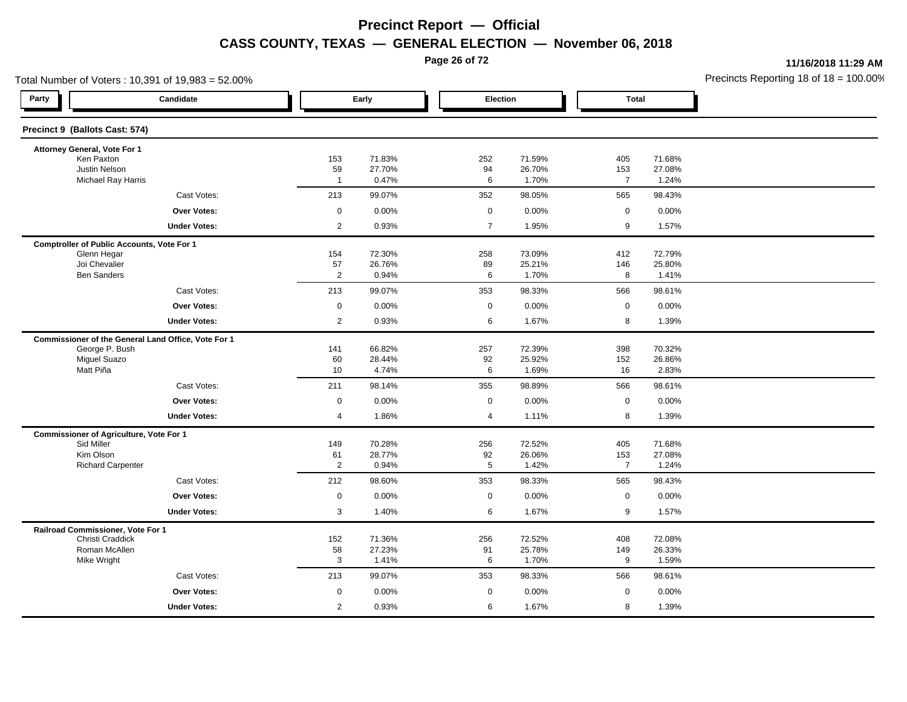**Page 26 of 72**

**11/16/2018 11:29 AM**

|                                                | Total Number of Voters: 10,391 of 19,983 = 52.00%   |                      |                  |                |                  |                       |                  | Precincts Reporting 18 of $18 = 100.00$ |
|------------------------------------------------|-----------------------------------------------------|----------------------|------------------|----------------|------------------|-----------------------|------------------|-----------------------------------------|
| Party                                          | Candidate                                           |                      | Early            | Election       |                  | <b>Total</b>          |                  |                                         |
| Precinct 9 (Ballots Cast: 574)                 |                                                     |                      |                  |                |                  |                       |                  |                                         |
| Attorney General, Vote For 1                   |                                                     |                      |                  |                |                  |                       |                  |                                         |
| Ken Paxton<br>Justin Nelson                    |                                                     | 153                  | 71.83%<br>27.70% | 252            | 71.59%<br>26.70% | 405                   | 71.68%           |                                         |
| Michael Ray Harris                             |                                                     | 59<br>$\overline{1}$ | 0.47%            | 94<br>6        | 1.70%            | 153<br>$\overline{7}$ | 27.08%<br>1.24%  |                                         |
|                                                | Cast Votes:                                         | 213                  | 99.07%           | 352            | 98.05%           | 565                   | 98.43%           |                                         |
|                                                | Over Votes:                                         | $\mathbf 0$          | 0.00%            | $\mathbf 0$    | 0.00%            | $\mathbf 0$           | 0.00%            |                                         |
|                                                | <b>Under Votes:</b>                                 | $\overline{2}$       | 0.93%            | $\overline{7}$ | 1.95%            | 9                     | 1.57%            |                                         |
|                                                | <b>Comptroller of Public Accounts, Vote For 1</b>   |                      |                  |                |                  |                       |                  |                                         |
| Glenn Hegar                                    |                                                     | 154                  | 72.30%           | 258            | 73.09%           | 412                   | 72.79%           |                                         |
| Joi Chevalier<br><b>Ben Sanders</b>            |                                                     | 57<br>$\overline{2}$ | 26.76%<br>0.94%  | 89<br>6        | 25.21%<br>1.70%  | 146<br>8              | 25.80%<br>1.41%  |                                         |
|                                                | Cast Votes:                                         | 213                  | 99.07%           | 353            | 98.33%           | 566                   | 98.61%           |                                         |
|                                                | <b>Over Votes:</b>                                  | $\mathbf 0$          | 0.00%            | $\mathbf 0$    | 0.00%            | $\mathsf 0$           | 0.00%            |                                         |
|                                                | <b>Under Votes:</b>                                 | $\overline{2}$       | 0.93%            | 6              | 1.67%            | 8                     | 1.39%            |                                         |
|                                                | Commissioner of the General Land Office, Vote For 1 |                      |                  |                |                  |                       |                  |                                         |
| George P. Bush                                 |                                                     | 141                  | 66.82%           | 257            | 72.39%           | 398                   | 70.32%           |                                         |
| <b>Miguel Suazo</b>                            |                                                     | 60                   | 28.44%           | 92             | 25.92%           | 152                   | 26.86%           |                                         |
| Matt Piña                                      |                                                     | 10                   | 4.74%            | 6              | 1.69%            | 16                    | 2.83%            |                                         |
|                                                | Cast Votes:                                         | 211                  | 98.14%           | 355            | 98.89%           | 566                   | 98.61%           |                                         |
|                                                | Over Votes:                                         | $\mathbf 0$          | 0.00%            | $\mathbf 0$    | 0.00%            | $\mathbf 0$           | 0.00%            |                                         |
|                                                | <b>Under Votes:</b>                                 | $\overline{4}$       | 1.86%            | $\overline{4}$ | 1.11%            | 8                     | 1.39%            |                                         |
| <b>Commissioner of Agriculture, Vote For 1</b> |                                                     |                      |                  |                |                  |                       |                  |                                         |
| Sid Miller<br>Kim Olson                        |                                                     | 149<br>61            | 70.28%<br>28.77% | 256<br>92      | 72.52%<br>26.06% | 405<br>153            | 71.68%<br>27.08% |                                         |
| <b>Richard Carpenter</b>                       |                                                     | $\overline{2}$       | 0.94%            | 5              | 1.42%            | $\overline{7}$        | 1.24%            |                                         |
|                                                | Cast Votes:                                         | 212                  | 98.60%           | 353            | 98.33%           | 565                   | 98.43%           |                                         |
|                                                | <b>Over Votes:</b>                                  | $\mathsf 0$          | 0.00%            | $\mathbf 0$    | 0.00%            | $\mathsf 0$           | 0.00%            |                                         |
|                                                | <b>Under Votes:</b>                                 | $\mathbf{3}$         | 1.40%            | 6              | 1.67%            | 9                     | 1.57%            |                                         |
| Railroad Commissioner, Vote For 1              |                                                     |                      |                  |                |                  |                       |                  |                                         |
| Christi Craddick                               |                                                     | 152                  | 71.36%           | 256            | 72.52%           | 408                   | 72.08%           |                                         |
| Roman McAllen<br>Mike Wright                   |                                                     | 58<br>3              | 27.23%<br>1.41%  | 91<br>6        | 25.78%<br>1.70%  | 149<br>9              | 26.33%<br>1.59%  |                                         |
|                                                | Cast Votes:                                         | 213                  | 99.07%           | 353            | 98.33%           | 566                   | 98.61%           |                                         |
|                                                | Over Votes:                                         | $\mathsf 0$          | 0.00%            | $\mathbf 0$    | 0.00%            | $\mathbf 0$           | 0.00%            |                                         |
|                                                | <b>Under Votes:</b>                                 | $\overline{2}$       | 0.93%            | 6              | 1.67%            | 8                     | 1.39%            |                                         |
|                                                |                                                     |                      |                  |                |                  |                       |                  |                                         |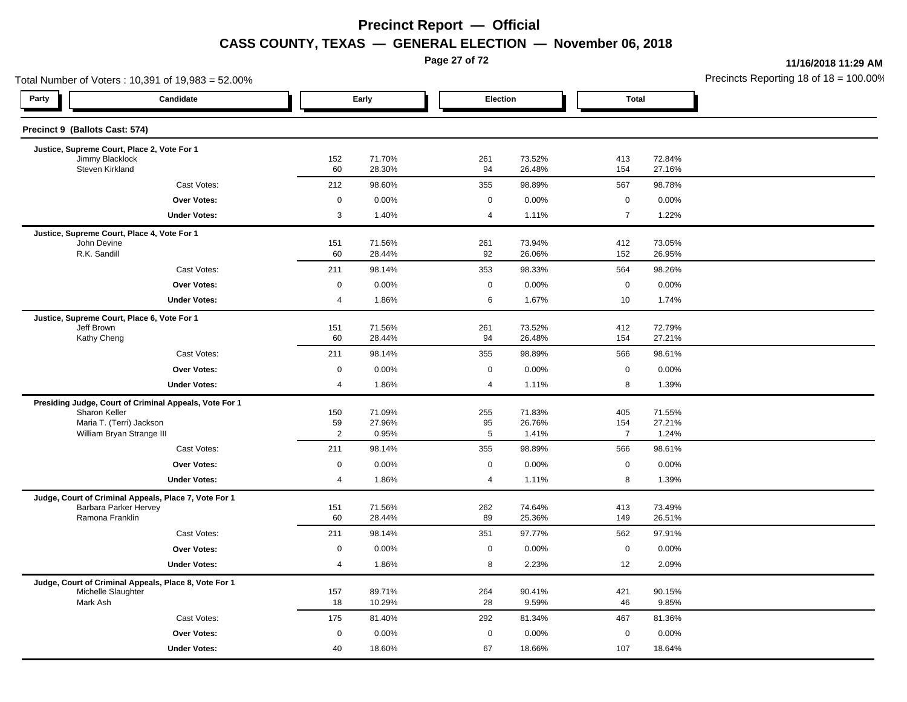**Page 27 of 72**

**11/16/2018 11:29 AM**

|                                    | Total Number of Voters: 10,391 of 19,983 = 52.00%                              |                      |                  |  |             |                  | Precincts Reporting 18 of $18 = 100.00$ |                  |  |
|------------------------------------|--------------------------------------------------------------------------------|----------------------|------------------|--|-------------|------------------|-----------------------------------------|------------------|--|
| Party                              | Candidate                                                                      |                      | Early            |  | Election    |                  | <b>Total</b>                            |                  |  |
| Precinct 9 (Ballots Cast: 574)     |                                                                                |                      |                  |  |             |                  |                                         |                  |  |
|                                    | Justice, Supreme Court, Place 2, Vote For 1                                    |                      |                  |  |             |                  |                                         |                  |  |
| Jimmy Blacklock<br>Steven Kirkland |                                                                                | 152<br>60            | 71.70%<br>28.30% |  | 261<br>94   | 73.52%<br>26.48% | 413<br>154                              | 72.84%<br>27.16% |  |
|                                    | Cast Votes:                                                                    | 212                  | 98.60%           |  | 355         | 98.89%           | 567                                     | 98.78%           |  |
|                                    | Over Votes:                                                                    | $\mathbf 0$          | 0.00%            |  | $\mathbf 0$ | 0.00%            | $\mathbf 0$                             | 0.00%            |  |
|                                    | <b>Under Votes:</b>                                                            | $\mathbf{3}$         | 1.40%            |  | 4           | 1.11%            | $\overline{7}$                          | 1.22%            |  |
|                                    | Justice, Supreme Court, Place 4, Vote For 1                                    |                      |                  |  |             |                  |                                         |                  |  |
| John Devine<br>R.K. Sandill        |                                                                                | 151<br>60            | 71.56%<br>28.44% |  | 261<br>92   | 73.94%<br>26.06% | 412<br>152                              | 73.05%<br>26.95% |  |
|                                    | Cast Votes:                                                                    | 211                  | 98.14%           |  | 353         | 98.33%           | 564                                     | 98.26%           |  |
|                                    | <b>Over Votes:</b>                                                             | $\mathbf 0$          | 0.00%            |  | $\mathsf 0$ | 0.00%            | $\mathsf 0$                             | 0.00%            |  |
|                                    | <b>Under Votes:</b>                                                            | 4                    | 1.86%            |  | 6           | 1.67%            | 10                                      | 1.74%            |  |
|                                    |                                                                                |                      |                  |  |             |                  |                                         |                  |  |
| Jeff Brown                         | Justice, Supreme Court, Place 6, Vote For 1                                    | 151                  | 71.56%           |  | 261         | 73.52%           | 412                                     | 72.79%           |  |
| Kathy Cheng                        |                                                                                | 60                   | 28.44%           |  | 94          | 26.48%           | 154                                     | 27.21%           |  |
|                                    | Cast Votes:                                                                    | 211                  | 98.14%           |  | 355         | 98.89%           | 566                                     | 98.61%           |  |
|                                    | Over Votes:                                                                    | $\mathbf 0$          | 0.00%            |  | $\mathbf 0$ | 0.00%            | $\mathbf 0$                             | 0.00%            |  |
|                                    | <b>Under Votes:</b>                                                            | 4                    | 1.86%            |  | 4           | 1.11%            | 8                                       | 1.39%            |  |
|                                    | Presiding Judge, Court of Criminal Appeals, Vote For 1                         |                      |                  |  |             |                  |                                         |                  |  |
| Sharon Keller                      |                                                                                | 150                  | 71.09%           |  | 255         | 71.83%           | 405                                     | 71.55%           |  |
|                                    | Maria T. (Terri) Jackson<br>William Bryan Strange III                          | 59<br>$\overline{2}$ | 27.96%<br>0.95%  |  | 95<br>5     | 26.76%<br>1.41%  | 154<br>$\overline{7}$                   | 27.21%<br>1.24%  |  |
|                                    | Cast Votes:                                                                    | 211                  | 98.14%           |  | 355         | 98.89%           | 566                                     | 98.61%           |  |
|                                    | Over Votes:                                                                    | $\mathbf 0$          | 0.00%            |  | $\mathbf 0$ | 0.00%            | $\mathbf 0$                             | 0.00%            |  |
|                                    | <b>Under Votes:</b>                                                            | 4                    | 1.86%            |  | 4           | 1.11%            | 8                                       | 1.39%            |  |
|                                    |                                                                                |                      |                  |  |             |                  |                                         |                  |  |
|                                    | Judge, Court of Criminal Appeals, Place 7, Vote For 1<br>Barbara Parker Hervey | 151                  | 71.56%           |  | 262         | 74.64%           | 413                                     | 73.49%           |  |
| Ramona Franklin                    |                                                                                | 60                   | 28.44%           |  | 89          | 25.36%           | 149                                     | 26.51%           |  |
|                                    | Cast Votes:                                                                    | 211                  | 98.14%           |  | 351         | 97.77%           | 562                                     | 97.91%           |  |
|                                    | Over Votes:                                                                    | $\mathbf 0$          | 0.00%            |  | $\mathbf 0$ | 0.00%            | $\mathbf 0$                             | 0.00%            |  |
|                                    | <b>Under Votes:</b>                                                            | 4                    | 1.86%            |  | 8           | 2.23%            | 12                                      | 2.09%            |  |
|                                    | Judge, Court of Criminal Appeals, Place 8, Vote For 1                          |                      |                  |  |             |                  |                                         |                  |  |
| Michelle Slaughter                 |                                                                                | 157                  | 89.71%           |  | 264         | 90.41%           | 421                                     | 90.15%           |  |
| Mark Ash                           |                                                                                | 18                   | 10.29%           |  | 28          | 9.59%            | 46                                      | 9.85%            |  |
|                                    | Cast Votes:                                                                    | 175                  | 81.40%           |  | 292         | 81.34%           | 467                                     | 81.36%           |  |
|                                    | <b>Over Votes:</b>                                                             | $\mathbf 0$          | 0.00%            |  | $\mathbf 0$ | 0.00%            | $\mathbf 0$                             | 0.00%            |  |
|                                    | <b>Under Votes:</b>                                                            | 40                   | 18.60%           |  | 67          | 18.66%           | 107                                     | 18.64%           |  |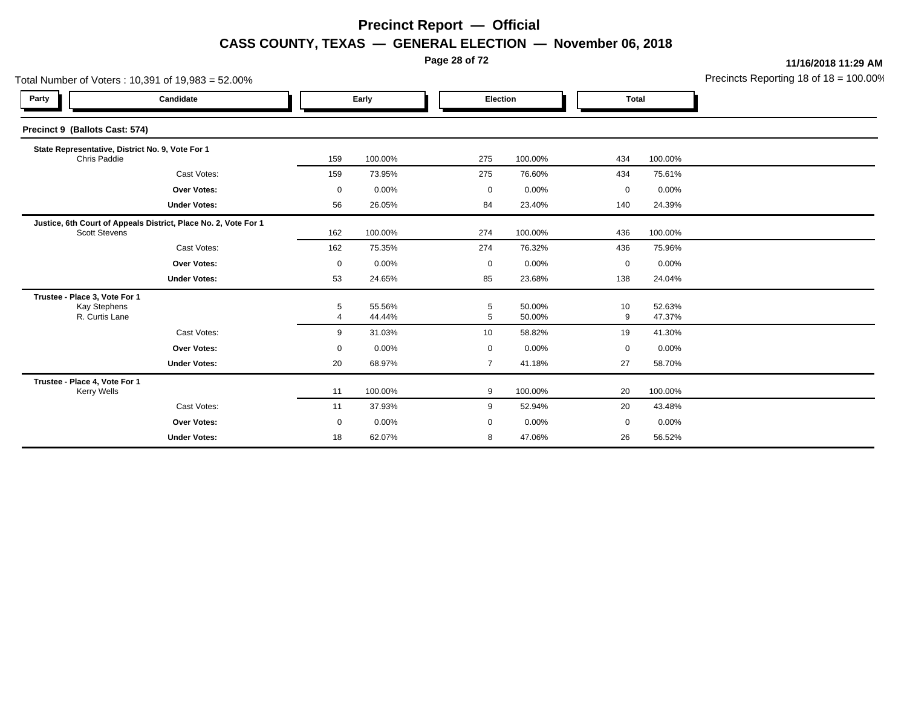**Page 28 of 72**

**11/16/2018 11:29 AM**

| Precincts Reporting 18 of $18 = 100.00\%$ |  |
|-------------------------------------------|--|
|                                           |  |

|                                                                        | Total Number of Voters: 10,391 of 19,983 = 52.00%               |                              |                  |  |                |                  |             |                  | Precincts Reporting 18 of 18 = 100.00 |
|------------------------------------------------------------------------|-----------------------------------------------------------------|------------------------------|------------------|--|----------------|------------------|-------------|------------------|---------------------------------------|
| Party                                                                  | Candidate                                                       |                              | Early            |  | Election       |                  |             | <b>Total</b>     |                                       |
| Precinct 9 (Ballots Cast: 574)                                         |                                                                 |                              |                  |  |                |                  |             |                  |                                       |
| Chris Paddie                                                           | State Representative, District No. 9, Vote For 1                | 159                          | 100.00%          |  | 275            | 100.00%          | 434         | 100.00%          |                                       |
|                                                                        | Cast Votes:                                                     | 159                          | 73.95%           |  | 275            | 76.60%           | 434         | 75.61%           |                                       |
|                                                                        | <b>Over Votes:</b>                                              | $\mathbf 0$                  | 0.00%            |  | $\mathbf 0$    | 0.00%            | 0           | 0.00%            |                                       |
|                                                                        | <b>Under Votes:</b>                                             | 56                           | 26.05%           |  | 84             | 23.40%           | 140         | 24.39%           |                                       |
| <b>Scott Stevens</b>                                                   | Justice, 6th Court of Appeals District, Place No. 2, Vote For 1 | 162                          | 100.00%          |  | 274            | 100.00%          | 436         | 100.00%          |                                       |
|                                                                        | Cast Votes:                                                     | 162                          | 75.35%           |  | 274            | 76.32%           | 436         | 75.96%           |                                       |
|                                                                        | <b>Over Votes:</b>                                              | $\mathbf 0$                  | 0.00%            |  | $\mathbf 0$    | $0.00\%$         | $\mathbf 0$ | 0.00%            |                                       |
|                                                                        | <b>Under Votes:</b>                                             | 53                           | 24.65%           |  | 85             | 23.68%           | 138         | 24.04%           |                                       |
| Trustee - Place 3, Vote For 1<br><b>Kay Stephens</b><br>R. Curtis Lane |                                                                 | 5<br>$\overline{\mathbf{4}}$ | 55.56%<br>44.44% |  | 5<br>5         | 50.00%<br>50.00% | 10<br>9     | 52.63%<br>47.37% |                                       |
|                                                                        | Cast Votes:                                                     | 9                            | 31.03%           |  | 10             | 58.82%           | 19          | 41.30%           |                                       |
|                                                                        | <b>Over Votes:</b>                                              | $\mathbf 0$                  | 0.00%            |  | $\mathbf 0$    | 0.00%            | $\mathbf 0$ | 0.00%            |                                       |
|                                                                        | <b>Under Votes:</b>                                             | 20                           | 68.97%           |  | $\overline{7}$ | 41.18%           | 27          | 58.70%           |                                       |
| Trustee - Place 4, Vote For 1<br><b>Kerry Wells</b>                    |                                                                 | 11                           | 100.00%          |  | 9              | 100.00%          | 20          | 100.00%          |                                       |
|                                                                        | Cast Votes:                                                     | 11                           | 37.93%           |  | 9              | 52.94%           | 20          | 43.48%           |                                       |
|                                                                        | <b>Over Votes:</b>                                              | 0                            | 0.00%            |  | 0              | 0.00%            | 0           | 0.00%            |                                       |
|                                                                        | <b>Under Votes:</b>                                             | 18                           | 62.07%           |  | 8              | 47.06%           | 26          | 56.52%           |                                       |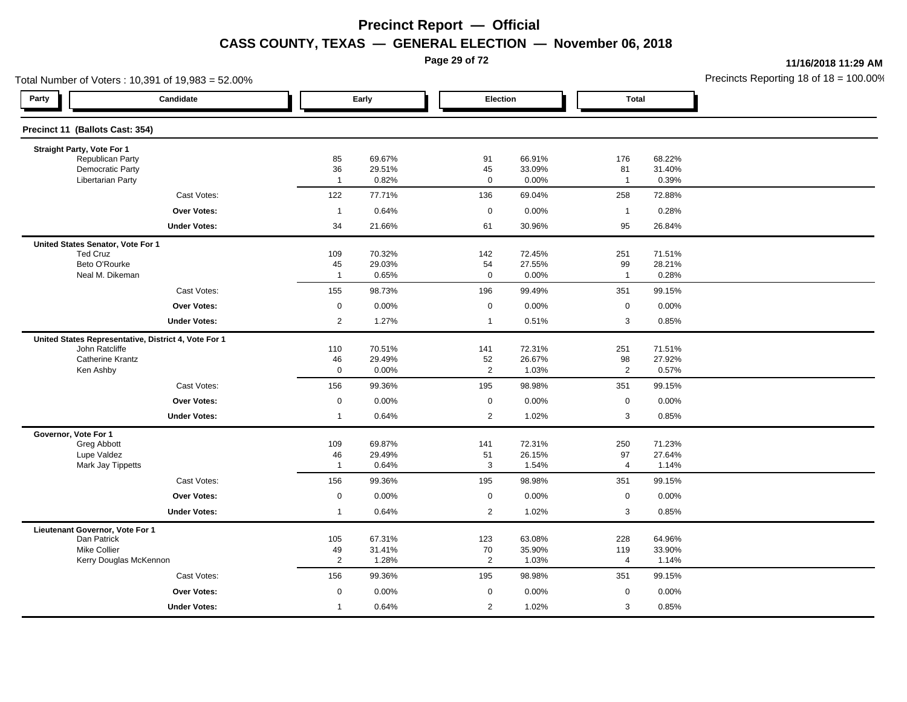**Page 29 of 72**

**11/16/2018 11:29 AM**

|                                                | Total Number of Voters: 10,391 of 19,983 = 52.00%    |                      |                  |                   |                  |                      |                  | Precincts Reporting 18 of $18 = 100.00$ |
|------------------------------------------------|------------------------------------------------------|----------------------|------------------|-------------------|------------------|----------------------|------------------|-----------------------------------------|
| Party                                          | Candidate                                            |                      | Early            | Election          |                  | <b>Total</b>         |                  |                                         |
| Precinct 11 (Ballots Cast: 354)                |                                                      |                      |                  |                   |                  |                      |                  |                                         |
| Straight Party, Vote For 1                     |                                                      |                      |                  |                   |                  |                      |                  |                                         |
| Republican Party<br><b>Democratic Party</b>    |                                                      | 85                   | 69.67%<br>29.51% | 91                | 66.91%<br>33.09% | 176                  | 68.22%           |                                         |
| <b>Libertarian Party</b>                       |                                                      | 36<br>$\overline{1}$ | 0.82%            | 45<br>$\mathbf 0$ | 0.00%            | 81<br>$\mathbf{1}$   | 31.40%<br>0.39%  |                                         |
|                                                | Cast Votes:                                          | 122                  | 77.71%           | 136               | 69.04%           | 258                  | 72.88%           |                                         |
|                                                | Over Votes:                                          | $\overline{1}$       | 0.64%            | $\mathbf 0$       | 0.00%            | $\mathbf{1}$         | 0.28%            |                                         |
|                                                | <b>Under Votes:</b>                                  | 34                   | 21.66%           | 61                | 30.96%           | 95                   | 26.84%           |                                         |
| United States Senator, Vote For 1              |                                                      |                      |                  |                   |                  |                      |                  |                                         |
| <b>Ted Cruz</b>                                |                                                      | 109                  | 70.32%           | 142               | 72.45%           | 251                  | 71.51%           |                                         |
| Beto O'Rourke<br>Neal M. Dikeman               |                                                      | 45<br>$\overline{1}$ | 29.03%<br>0.65%  | 54<br>$\mathbf 0$ | 27.55%<br>0.00%  | 99<br>$\mathbf{1}$   | 28.21%<br>0.28%  |                                         |
|                                                |                                                      |                      |                  |                   |                  |                      |                  |                                         |
|                                                | Cast Votes:                                          | 155                  | 98.73%           | 196               | 99.49%           | 351                  | 99.15%           |                                         |
|                                                | <b>Over Votes:</b>                                   | $\mathbf 0$          | 0.00%            | $\mathbf 0$       | 0.00%            | $\mathsf 0$          | 0.00%            |                                         |
|                                                | <b>Under Votes:</b>                                  | $\overline{2}$       | 1.27%            | $\overline{1}$    | 0.51%            | 3                    | 0.85%            |                                         |
|                                                | United States Representative, District 4, Vote For 1 |                      |                  |                   |                  |                      |                  |                                         |
| John Ratcliffe<br><b>Catherine Krantz</b>      |                                                      | 110<br>46            | 70.51%<br>29.49% | 141<br>$52\,$     | 72.31%<br>26.67% | 251<br>98            | 71.51%<br>27.92% |                                         |
| Ken Ashby                                      |                                                      | $\mathsf 0$          | 0.00%            | $\overline{2}$    | 1.03%            | $\overline{2}$       | 0.57%            |                                         |
|                                                | Cast Votes:                                          | 156                  | 99.36%           | 195               | 98.98%           | 351                  | 99.15%           |                                         |
|                                                | Over Votes:                                          | $\mathbf 0$          | 0.00%            | $\mathbf 0$       | 0.00%            | $\mathbf 0$          | 0.00%            |                                         |
|                                                | <b>Under Votes:</b>                                  | $\overline{1}$       | 0.64%            | $\overline{2}$    | 1.02%            | 3                    | 0.85%            |                                         |
| Governor, Vote For 1                           |                                                      |                      |                  |                   |                  |                      |                  |                                         |
| Greg Abbott                                    |                                                      | 109                  | 69.87%           | 141               | 72.31%           | 250                  | 71.23%           |                                         |
| Lupe Valdez<br>Mark Jay Tippetts               |                                                      | 46<br>$\mathbf{1}$   | 29.49%<br>0.64%  | 51<br>3           | 26.15%<br>1.54%  | 97<br>$\overline{4}$ | 27.64%<br>1.14%  |                                         |
|                                                | Cast Votes:                                          | 156                  | 99.36%           | 195               | 98.98%           | 351                  | 99.15%           |                                         |
|                                                | <b>Over Votes:</b>                                   | $\mathsf 0$          | 0.00%            | $\mathsf 0$       | 0.00%            | $\mathsf 0$          | 0.00%            |                                         |
|                                                | <b>Under Votes:</b>                                  | $\overline{1}$       | 0.64%            | $\overline{2}$    | 1.02%            | 3                    | 0.85%            |                                         |
|                                                |                                                      |                      |                  |                   |                  |                      |                  |                                         |
| Lieutenant Governor, Vote For 1<br>Dan Patrick |                                                      | 105                  | 67.31%           | 123               | 63.08%           | 228                  | 64.96%           |                                         |
| <b>Mike Collier</b>                            |                                                      | 49                   | 31.41%           | 70                | 35.90%           | 119                  | 33.90%           |                                         |
|                                                | Kerry Douglas McKennon                               | $\overline{2}$       | 1.28%            | $\overline{2}$    | 1.03%            | 4                    | 1.14%            |                                         |
|                                                | Cast Votes:                                          | 156                  | 99.36%           | 195               | 98.98%           | 351                  | 99.15%           |                                         |
|                                                | Over Votes:                                          | $\mathbf 0$          | 0.00%            | $\mathbf 0$       | 0.00%            | $\mathbf 0$          | 0.00%            |                                         |
|                                                | <b>Under Votes:</b>                                  | $\mathbf{1}$         | 0.64%            | $\overline{2}$    | 1.02%            | 3                    | 0.85%            |                                         |
|                                                |                                                      |                      |                  |                   |                  |                      |                  |                                         |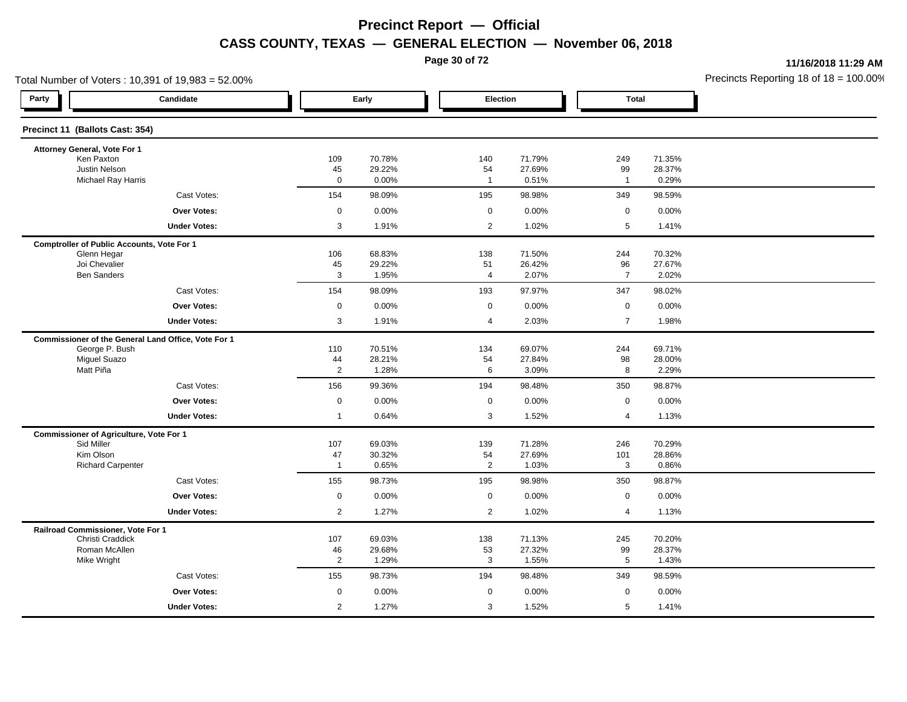**Page 30 of 72**

**11/16/2018 11:29 AM**

| Total Number of Voters: 10,391 of 19,983 = 52.00%   |                                                                                                                                                                                                                                                                                |                                                                                                                                          |                                                                                                                                                        |                                                                                                                                                                                                              |                                                                                                                                                                    |                                                                                                    | Precincts Reporting 18 of 18 = 100.00                                                                                                     |
|-----------------------------------------------------|--------------------------------------------------------------------------------------------------------------------------------------------------------------------------------------------------------------------------------------------------------------------------------|------------------------------------------------------------------------------------------------------------------------------------------|--------------------------------------------------------------------------------------------------------------------------------------------------------|--------------------------------------------------------------------------------------------------------------------------------------------------------------------------------------------------------------|--------------------------------------------------------------------------------------------------------------------------------------------------------------------|----------------------------------------------------------------------------------------------------|-------------------------------------------------------------------------------------------------------------------------------------------|
| Candidate                                           |                                                                                                                                                                                                                                                                                |                                                                                                                                          |                                                                                                                                                        |                                                                                                                                                                                                              |                                                                                                                                                                    |                                                                                                    |                                                                                                                                           |
| Precinct 11 (Ballots Cast: 354)                     |                                                                                                                                                                                                                                                                                |                                                                                                                                          |                                                                                                                                                        |                                                                                                                                                                                                              |                                                                                                                                                                    |                                                                                                    |                                                                                                                                           |
| Attorney General, Vote For 1                        |                                                                                                                                                                                                                                                                                |                                                                                                                                          |                                                                                                                                                        |                                                                                                                                                                                                              |                                                                                                                                                                    |                                                                                                    |                                                                                                                                           |
|                                                     |                                                                                                                                                                                                                                                                                |                                                                                                                                          |                                                                                                                                                        |                                                                                                                                                                                                              |                                                                                                                                                                    |                                                                                                    |                                                                                                                                           |
| Michael Ray Harris                                  | $\mathbf 0$                                                                                                                                                                                                                                                                    | 0.00%                                                                                                                                    | $\overline{1}$                                                                                                                                         | 0.51%                                                                                                                                                                                                        | $\overline{1}$                                                                                                                                                     | 0.29%                                                                                              |                                                                                                                                           |
| Cast Votes:                                         | 154                                                                                                                                                                                                                                                                            | 98.09%                                                                                                                                   |                                                                                                                                                        | 98.98%                                                                                                                                                                                                       | 349                                                                                                                                                                | 98.59%                                                                                             |                                                                                                                                           |
| <b>Over Votes:</b>                                  | $\mathbf 0$                                                                                                                                                                                                                                                                    | 0.00%                                                                                                                                    |                                                                                                                                                        | 0.00%                                                                                                                                                                                                        | $\mathbf 0$                                                                                                                                                        | 0.00%                                                                                              |                                                                                                                                           |
| <b>Under Votes:</b>                                 | 3                                                                                                                                                                                                                                                                              | 1.91%                                                                                                                                    |                                                                                                                                                        | 1.02%                                                                                                                                                                                                        | 5                                                                                                                                                                  | 1.41%                                                                                              |                                                                                                                                           |
| <b>Comptroller of Public Accounts, Vote For 1</b>   |                                                                                                                                                                                                                                                                                |                                                                                                                                          |                                                                                                                                                        |                                                                                                                                                                                                              |                                                                                                                                                                    |                                                                                                    |                                                                                                                                           |
| Glenn Hegar                                         |                                                                                                                                                                                                                                                                                |                                                                                                                                          |                                                                                                                                                        |                                                                                                                                                                                                              |                                                                                                                                                                    |                                                                                                    |                                                                                                                                           |
|                                                     |                                                                                                                                                                                                                                                                                |                                                                                                                                          |                                                                                                                                                        |                                                                                                                                                                                                              |                                                                                                                                                                    |                                                                                                    |                                                                                                                                           |
| Cast Votes:                                         |                                                                                                                                                                                                                                                                                |                                                                                                                                          |                                                                                                                                                        |                                                                                                                                                                                                              | 347                                                                                                                                                                | 98.02%                                                                                             |                                                                                                                                           |
| Over Votes:                                         | $\mathbf 0$                                                                                                                                                                                                                                                                    | 0.00%                                                                                                                                    |                                                                                                                                                        | 0.00%                                                                                                                                                                                                        | $\mathbf 0$                                                                                                                                                        | 0.00%                                                                                              |                                                                                                                                           |
| <b>Under Votes:</b>                                 | 3                                                                                                                                                                                                                                                                              | 1.91%                                                                                                                                    | 4                                                                                                                                                      | 2.03%                                                                                                                                                                                                        | $\overline{7}$                                                                                                                                                     | 1.98%                                                                                              |                                                                                                                                           |
| Commissioner of the General Land Office, Vote For 1 |                                                                                                                                                                                                                                                                                |                                                                                                                                          |                                                                                                                                                        |                                                                                                                                                                                                              |                                                                                                                                                                    |                                                                                                    |                                                                                                                                           |
| George P. Bush                                      | 110                                                                                                                                                                                                                                                                            | 70.51%                                                                                                                                   | 134                                                                                                                                                    | 69.07%                                                                                                                                                                                                       | 244                                                                                                                                                                | 69.71%                                                                                             |                                                                                                                                           |
| Matt Piña                                           |                                                                                                                                                                                                                                                                                |                                                                                                                                          |                                                                                                                                                        |                                                                                                                                                                                                              |                                                                                                                                                                    |                                                                                                    |                                                                                                                                           |
|                                                     |                                                                                                                                                                                                                                                                                |                                                                                                                                          |                                                                                                                                                        |                                                                                                                                                                                                              |                                                                                                                                                                    |                                                                                                    |                                                                                                                                           |
|                                                     |                                                                                                                                                                                                                                                                                |                                                                                                                                          |                                                                                                                                                        |                                                                                                                                                                                                              |                                                                                                                                                                    |                                                                                                    |                                                                                                                                           |
|                                                     | $\overline{1}$                                                                                                                                                                                                                                                                 |                                                                                                                                          |                                                                                                                                                        |                                                                                                                                                                                                              | $\overline{4}$                                                                                                                                                     |                                                                                                    |                                                                                                                                           |
|                                                     |                                                                                                                                                                                                                                                                                |                                                                                                                                          |                                                                                                                                                        |                                                                                                                                                                                                              |                                                                                                                                                                    |                                                                                                    |                                                                                                                                           |
| Sid Miller                                          | 107                                                                                                                                                                                                                                                                            | 69.03%                                                                                                                                   |                                                                                                                                                        | 71.28%                                                                                                                                                                                                       | 246                                                                                                                                                                | 70.29%                                                                                             |                                                                                                                                           |
| Kim Olson                                           | 47                                                                                                                                                                                                                                                                             | 30.32%                                                                                                                                   | 54                                                                                                                                                     | 27.69%                                                                                                                                                                                                       | 101                                                                                                                                                                | 28.86%                                                                                             |                                                                                                                                           |
|                                                     |                                                                                                                                                                                                                                                                                |                                                                                                                                          |                                                                                                                                                        |                                                                                                                                                                                                              |                                                                                                                                                                    |                                                                                                    |                                                                                                                                           |
|                                                     |                                                                                                                                                                                                                                                                                |                                                                                                                                          |                                                                                                                                                        |                                                                                                                                                                                                              |                                                                                                                                                                    |                                                                                                    |                                                                                                                                           |
|                                                     | $\mathbf 0$                                                                                                                                                                                                                                                                    | 0.00%                                                                                                                                    |                                                                                                                                                        |                                                                                                                                                                                                              | $\mathbf 0$                                                                                                                                                        | 0.00%                                                                                              |                                                                                                                                           |
| <b>Under Votes:</b>                                 |                                                                                                                                                                                                                                                                                | 1.27%                                                                                                                                    |                                                                                                                                                        | 1.02%                                                                                                                                                                                                        | $\overline{4}$                                                                                                                                                     | 1.13%                                                                                              |                                                                                                                                           |
| Railroad Commissioner, Vote For 1                   |                                                                                                                                                                                                                                                                                |                                                                                                                                          |                                                                                                                                                        |                                                                                                                                                                                                              |                                                                                                                                                                    |                                                                                                    |                                                                                                                                           |
| Roman McAllen                                       |                                                                                                                                                                                                                                                                                |                                                                                                                                          |                                                                                                                                                        |                                                                                                                                                                                                              |                                                                                                                                                                    | 28.37%                                                                                             |                                                                                                                                           |
| Mike Wright                                         | $\overline{2}$                                                                                                                                                                                                                                                                 | 1.29%                                                                                                                                    |                                                                                                                                                        | 1.55%                                                                                                                                                                                                        | 5                                                                                                                                                                  | 1.43%                                                                                              |                                                                                                                                           |
| Cast Votes:                                         | 155                                                                                                                                                                                                                                                                            | 98.73%                                                                                                                                   | 194                                                                                                                                                    | 98.48%                                                                                                                                                                                                       | 349                                                                                                                                                                | 98.59%                                                                                             |                                                                                                                                           |
| <b>Over Votes:</b>                                  | $\mathbf 0$                                                                                                                                                                                                                                                                    | 0.00%                                                                                                                                    |                                                                                                                                                        | 0.00%                                                                                                                                                                                                        | $\mathbf 0$                                                                                                                                                        | 0.00%                                                                                              |                                                                                                                                           |
| <b>Under Votes:</b>                                 | $\mathbf{2}^{\prime}$                                                                                                                                                                                                                                                          | 1.27%                                                                                                                                    |                                                                                                                                                        | 1.52%                                                                                                                                                                                                        | 5                                                                                                                                                                  | 1.41%                                                                                              |                                                                                                                                           |
|                                                     | Ken Paxton<br>Justin Nelson<br>Joi Chevalier<br><b>Ben Sanders</b><br>Miguel Suazo<br>Cast Votes:<br><b>Over Votes:</b><br><b>Under Votes:</b><br>Commissioner of Agriculture, Vote For 1<br><b>Richard Carpenter</b><br>Cast Votes:<br><b>Over Votes:</b><br>Christi Craddick | 109<br>45<br>106<br>45<br>3<br>154<br>44<br>$\overline{2}$<br>156<br>$\mathbf 0$<br>$\overline{1}$<br>155<br>$\overline{2}$<br>107<br>46 | Early<br>70.78%<br>29.22%<br>68.83%<br>29.22%<br>1.95%<br>98.09%<br>28.21%<br>1.28%<br>99.36%<br>0.00%<br>0.64%<br>0.65%<br>98.73%<br>69.03%<br>29.68% | 140<br>54<br>195<br>$\mathbf 0$<br>2<br>138<br>51<br>4<br>193<br>$\mathbf 0$<br>54<br>6<br>194<br>$\mathbf 0$<br>3<br>139<br>2<br>195<br>$\mathbf 0$<br>$\overline{2}$<br>138<br>53<br>3<br>$\mathbf 0$<br>3 | Election<br>71.79%<br>27.69%<br>71.50%<br>26.42%<br>2.07%<br>97.97%<br>27.84%<br>3.09%<br>98.48%<br>0.00%<br>1.52%<br>1.03%<br>98.98%<br>0.00%<br>71.13%<br>27.32% | 249<br>99<br>244<br>96<br>$\overline{7}$<br>98<br>8<br>350<br>$\mathbf 0$<br>3<br>350<br>245<br>99 | <b>Total</b><br>71.35%<br>28.37%<br>70.32%<br>27.67%<br>2.02%<br>28.00%<br>2.29%<br>98.87%<br>0.00%<br>1.13%<br>0.86%<br>98.87%<br>70.20% |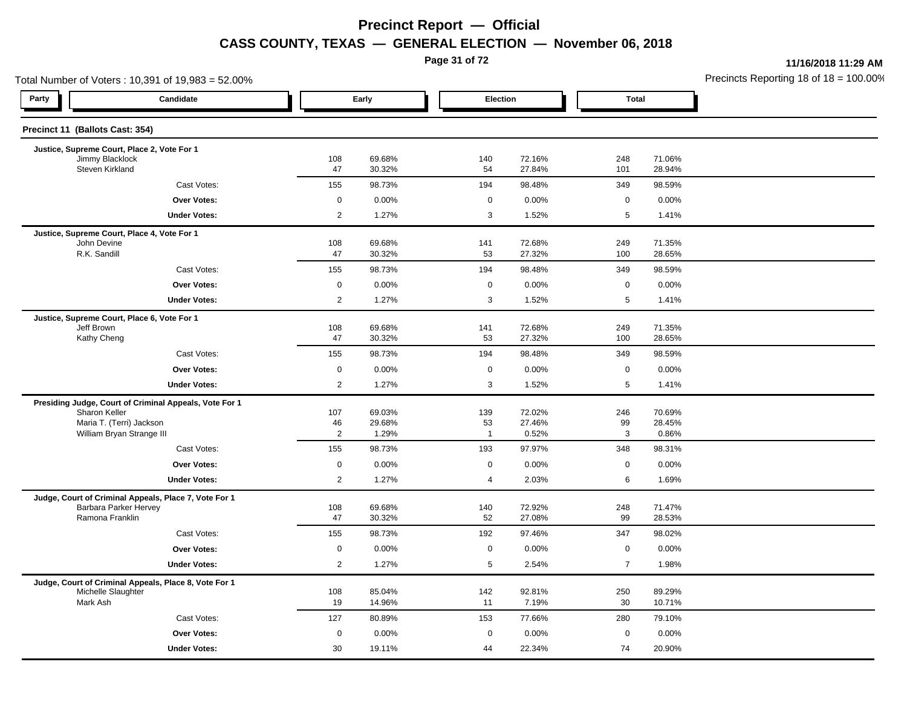**Page 31 of 72**

**11/16/2018 11:29 AM**

|                                    | Total Number of Voters: 10,391 of 19,983 = 52.00%      |                |                  |  |                     |                  | Precincts Reporting 18 of $18 = 100.00$ |                  |  |
|------------------------------------|--------------------------------------------------------|----------------|------------------|--|---------------------|------------------|-----------------------------------------|------------------|--|
| Party                              | Candidate                                              |                | Early            |  | Election            |                  | <b>Total</b>                            |                  |  |
| Precinct 11 (Ballots Cast: 354)    |                                                        |                |                  |  |                     |                  |                                         |                  |  |
|                                    | Justice, Supreme Court, Place 2, Vote For 1            |                |                  |  |                     |                  |                                         |                  |  |
| Jimmy Blacklock<br>Steven Kirkland |                                                        | 108<br>47      | 69.68%<br>30.32% |  | 140<br>54           | 72.16%<br>27.84% | 248<br>101                              | 71.06%<br>28.94% |  |
|                                    | Cast Votes:                                            | 155            | 98.73%           |  | 194                 | 98.48%           | 349                                     | 98.59%           |  |
|                                    | <b>Over Votes:</b>                                     | $\mathbf 0$    | 0.00%            |  | $\mathbf 0$         | 0.00%            | $\mathbf 0$                             | 0.00%            |  |
|                                    | <b>Under Votes:</b>                                    | $\overline{2}$ | 1.27%            |  | 3                   | 1.52%            | 5                                       | 1.41%            |  |
|                                    | Justice, Supreme Court, Place 4, Vote For 1            |                |                  |  |                     |                  |                                         |                  |  |
| John Devine<br>R.K. Sandill        |                                                        | 108<br>47      | 69.68%<br>30.32% |  | 141<br>53           | 72.68%<br>27.32% | 249<br>100                              | 71.35%<br>28.65% |  |
|                                    | Cast Votes:                                            | 155            | 98.73%           |  | 194                 | 98.48%           | 349                                     | 98.59%           |  |
|                                    | <b>Over Votes:</b>                                     | $\mathbf 0$    | 0.00%            |  | $\mathbf 0$         | 0.00%            | $\mathsf 0$                             | 0.00%            |  |
|                                    | <b>Under Votes:</b>                                    | $\mathbf{2}$   | 1.27%            |  | 3                   | 1.52%            | 5                                       | 1.41%            |  |
|                                    | Justice, Supreme Court, Place 6, Vote For 1            |                |                  |  |                     |                  |                                         |                  |  |
| Jeff Brown                         |                                                        | 108            | 69.68%           |  | 141                 | 72.68%           | 249                                     | 71.35%           |  |
| Kathy Cheng                        |                                                        | 47             | 30.32%           |  | 53                  | 27.32%           | 100                                     | 28.65%           |  |
|                                    | Cast Votes:                                            | 155            | 98.73%           |  | 194                 | 98.48%           | 349                                     | 98.59%           |  |
|                                    | <b>Over Votes:</b>                                     | $\mathbf 0$    | 0.00%            |  | $\mathsf{O}\xspace$ | 0.00%            | $\mathbf 0$                             | 0.00%            |  |
|                                    | <b>Under Votes:</b>                                    | $\overline{2}$ | 1.27%            |  | 3                   | 1.52%            | 5                                       | 1.41%            |  |
|                                    | Presiding Judge, Court of Criminal Appeals, Vote For 1 |                |                  |  |                     |                  |                                         |                  |  |
| Sharon Keller                      | Maria T. (Terri) Jackson                               | 107<br>46      | 69.03%<br>29.68% |  | 139<br>53           | 72.02%<br>27.46% | 246<br>99                               | 70.69%<br>28.45% |  |
|                                    | William Bryan Strange III                              | $\mathbf{2}$   | 1.29%            |  | $\overline{1}$      | 0.52%            | $\mathbf{3}$                            | 0.86%            |  |
|                                    | Cast Votes:                                            | 155            | 98.73%           |  | 193                 | 97.97%           | 348                                     | 98.31%           |  |
|                                    | <b>Over Votes:</b>                                     | $\mathsf 0$    | 0.00%            |  | $\mathbf 0$         | 0.00%            | $\mathbf 0$                             | 0.00%            |  |
|                                    | <b>Under Votes:</b>                                    | $\overline{2}$ | 1.27%            |  | 4                   | 2.03%            | 6                                       | 1.69%            |  |
|                                    | Judge, Court of Criminal Appeals, Place 7, Vote For 1  |                |                  |  |                     |                  |                                         |                  |  |
|                                    | Barbara Parker Hervey                                  | 108            | 69.68%           |  | 140                 | 72.92%           | 248                                     | 71.47%           |  |
| Ramona Franklin                    |                                                        | 47             | 30.32%           |  | 52                  | 27.08%           | 99                                      | 28.53%           |  |
|                                    | Cast Votes:                                            | 155            | 98.73%           |  | 192                 | 97.46%           | 347                                     | 98.02%           |  |
|                                    | <b>Over Votes:</b>                                     | $\mathbf 0$    | 0.00%            |  | $\mathbf 0$         | 0.00%            | $\mathbf 0$                             | 0.00%            |  |
|                                    | <b>Under Votes:</b>                                    | $\overline{2}$ | 1.27%            |  | 5                   | 2.54%            | $\overline{7}$                          | 1.98%            |  |
|                                    | Judge, Court of Criminal Appeals, Place 8, Vote For 1  |                |                  |  |                     |                  |                                         |                  |  |
| Michelle Slaughter<br>Mark Ash     |                                                        | 108<br>19      | 85.04%<br>14.96% |  | 142<br>11           | 92.81%<br>7.19%  | 250<br>30                               | 89.29%<br>10.71% |  |
|                                    | Cast Votes:                                            | 127            | 80.89%           |  | 153                 | 77.66%           | 280                                     | 79.10%           |  |
|                                    | <b>Over Votes:</b>                                     | 0              | 0.00%            |  | $\mathbf 0$         | 0.00%            | $\mathbf 0$                             | 0.00%            |  |
|                                    | <b>Under Votes:</b>                                    | 30             | 19.11%           |  | 44                  | 22.34%           | 74                                      | 20.90%           |  |
|                                    |                                                        |                |                  |  |                     |                  |                                         |                  |  |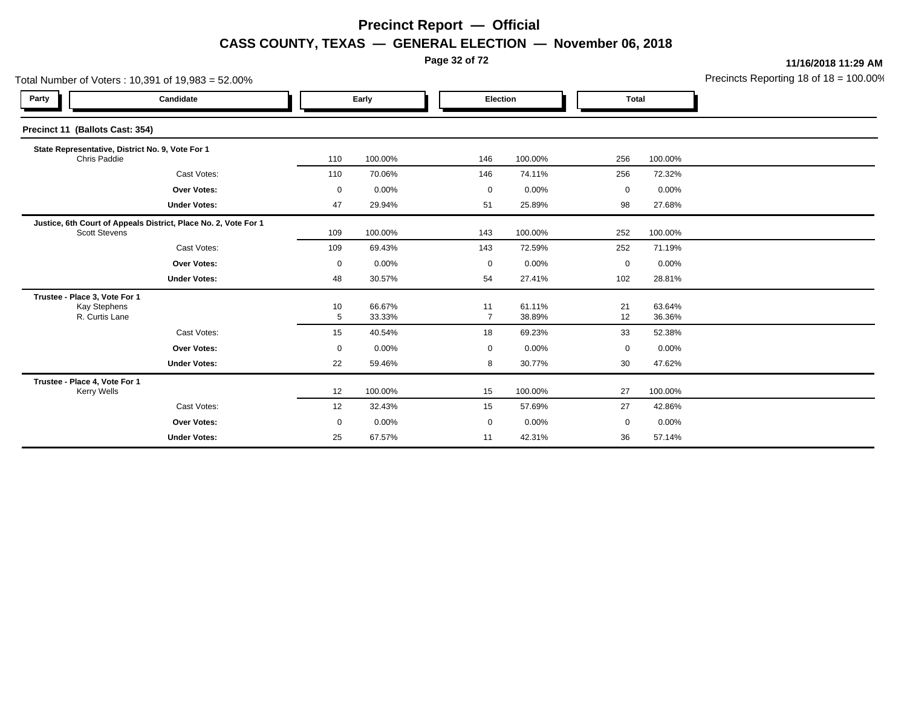**Page 32 of 72**

**11/16/2018 11:29 AM**

|                                                                        | Total Number of Voters: 10,391 of 19,983 = 52.00%               |         |                  |  |                      |                  |             |                  | Precincts Reporting 18 of $18 = 100.00$ |
|------------------------------------------------------------------------|-----------------------------------------------------------------|---------|------------------|--|----------------------|------------------|-------------|------------------|-----------------------------------------|
| Party                                                                  | Candidate                                                       | Early   |                  |  | Election             |                  |             | <b>Total</b>     |                                         |
| Precinct 11 (Ballots Cast: 354)                                        |                                                                 |         |                  |  |                      |                  |             |                  |                                         |
| Chris Paddie                                                           | State Representative, District No. 9, Vote For 1                | 110     | 100.00%          |  | 146                  | 100.00%          | 256         | 100.00%          |                                         |
|                                                                        | Cast Votes:                                                     | 110     | 70.06%           |  | 146                  | 74.11%           | 256         | 72.32%           |                                         |
|                                                                        | <b>Over Votes:</b>                                              | 0       | 0.00%            |  | $\mathbf 0$          | 0.00%            | $\mathbf 0$ | 0.00%            |                                         |
|                                                                        | <b>Under Votes:</b>                                             | 47      | 29.94%           |  | 51                   | 25.89%           | 98          | 27.68%           |                                         |
| <b>Scott Stevens</b>                                                   | Justice, 6th Court of Appeals District, Place No. 2, Vote For 1 | 109     | 100.00%          |  | 143                  | 100.00%          | 252         | 100.00%          |                                         |
|                                                                        | Cast Votes:                                                     | 109     | 69.43%           |  | 143                  | 72.59%           | 252         | 71.19%           |                                         |
|                                                                        | <b>Over Votes:</b>                                              | 0       | 0.00%            |  | 0                    | 0.00%            | 0           | $0.00\%$         |                                         |
|                                                                        | <b>Under Votes:</b>                                             | 48      | 30.57%           |  | 54                   | 27.41%           | 102         | 28.81%           |                                         |
| Trustee - Place 3, Vote For 1<br><b>Kay Stephens</b><br>R. Curtis Lane |                                                                 | 10<br>5 | 66.67%<br>33.33% |  | 11<br>$\overline{7}$ | 61.11%<br>38.89% | 21<br>12    | 63.64%<br>36.36% |                                         |
|                                                                        | Cast Votes:                                                     | 15      | 40.54%           |  | 18                   | 69.23%           | 33          | 52.38%           |                                         |
|                                                                        | Over Votes:                                                     | 0       | 0.00%            |  | 0                    | 0.00%            | $\mathbf 0$ | 0.00%            |                                         |
|                                                                        | <b>Under Votes:</b>                                             | 22      | 59.46%           |  | 8                    | 30.77%           | 30          | 47.62%           |                                         |
| Trustee - Place 4, Vote For 1<br><b>Kerry Wells</b>                    |                                                                 | 12      | 100.00%          |  | 15                   | 100.00%          | 27          | 100.00%          |                                         |
|                                                                        | Cast Votes:                                                     | 12      | 32.43%           |  | 15                   | 57.69%           | 27          | 42.86%           |                                         |
|                                                                        | <b>Over Votes:</b>                                              | 0       | 0.00%            |  | $\mathbf 0$          | 0.00%            | $\mathbf 0$ | 0.00%            |                                         |
|                                                                        | <b>Under Votes:</b>                                             | 25      | 67.57%           |  | 11                   | 42.31%           | 36          | 57.14%           |                                         |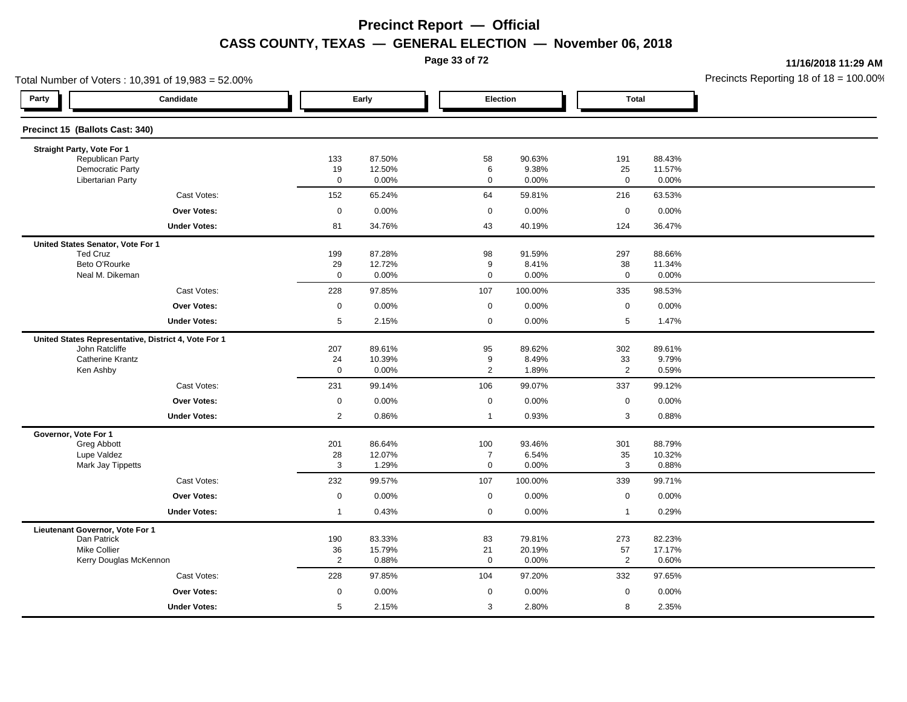**Page 33 of 72**

**11/16/2018 11:29 AM**

|                                             | Total Number of Voters: 10,391 of 19,983 = 52.00%    |                      |                  |                       |                 |                      |                  | Precincts Reporting 18 of $18 = 100.00$ |
|---------------------------------------------|------------------------------------------------------|----------------------|------------------|-----------------------|-----------------|----------------------|------------------|-----------------------------------------|
| Party                                       | Candidate                                            |                      | Early            | Election              |                 | <b>Total</b>         |                  |                                         |
| Precinct 15 (Ballots Cast: 340)             |                                                      |                      |                  |                       |                 |                      |                  |                                         |
| Straight Party, Vote For 1                  |                                                      |                      |                  |                       |                 |                      |                  |                                         |
| Republican Party<br><b>Democratic Party</b> |                                                      | 133                  | 87.50%<br>12.50% | 58                    | 90.63%<br>9.38% | 191                  | 88.43%           |                                         |
| <b>Libertarian Party</b>                    |                                                      | 19<br>$\mathbf 0$    | 0.00%            | 6<br>$\mathbf 0$      | 0.00%           | 25<br>$\mathsf 0$    | 11.57%<br>0.00%  |                                         |
|                                             | Cast Votes:                                          | 152                  | 65.24%           | 64                    | 59.81%          | 216                  | 63.53%           |                                         |
|                                             | Over Votes:                                          | $\mathbf 0$          | 0.00%            | $\mathbf 0$           | 0.00%           | $\mathbf 0$          | 0.00%            |                                         |
|                                             | <b>Under Votes:</b>                                  | 81                   | 34.76%           | 43                    | 40.19%          | 124                  | 36.47%           |                                         |
| United States Senator, Vote For 1           |                                                      |                      |                  |                       |                 |                      |                  |                                         |
| <b>Ted Cruz</b>                             |                                                      | 199                  | 87.28%           | 98                    | 91.59%          | 297                  | 88.66%           |                                         |
| Beto O'Rourke<br>Neal M. Dikeman            |                                                      | 29<br>$\mathsf 0$    | 12.72%<br>0.00%  | 9<br>$\mathbf 0$      | 8.41%<br>0.00%  | 38<br>$\mathsf 0$    | 11.34%<br>0.00%  |                                         |
|                                             | Cast Votes:                                          | 228                  | 97.85%           | 107                   | 100.00%         | 335                  | 98.53%           |                                         |
|                                             | <b>Over Votes:</b>                                   | $\mathsf 0$          | 0.00%            | $\mathbf 0$           | 0.00%           | $\mathsf 0$          | 0.00%            |                                         |
|                                             | <b>Under Votes:</b>                                  | $5\phantom{.0}$      | 2.15%            | 0                     | 0.00%           | 5                    | 1.47%            |                                         |
|                                             | United States Representative, District 4, Vote For 1 |                      |                  |                       |                 |                      |                  |                                         |
| John Ratcliffe                              |                                                      | 207                  | 89.61%           | 95                    | 89.62%          | 302                  | 89.61%           |                                         |
| <b>Catherine Krantz</b>                     |                                                      | 24                   | 10.39%           | 9                     | 8.49%           | 33                   | 9.79%            |                                         |
| Ken Ashby                                   |                                                      | $\mathsf 0$          | 0.00%            | $\overline{2}$        | 1.89%           | $\overline{2}$       | 0.59%            |                                         |
|                                             | Cast Votes:                                          | 231                  | 99.14%           | 106                   | 99.07%          | 337                  | 99.12%           |                                         |
|                                             | Over Votes:                                          | $\boldsymbol{0}$     | 0.00%            | $\mathbf 0$           | 0.00%           | $\mathbf 0$          | 0.00%            |                                         |
|                                             | <b>Under Votes:</b>                                  | 2                    | 0.86%            | $\overline{1}$        | 0.93%           | 3                    | 0.88%            |                                         |
| Governor, Vote For 1                        |                                                      |                      |                  |                       |                 |                      |                  |                                         |
| Greg Abbott<br>Lupe Valdez                  |                                                      | 201<br>28            | 86.64%<br>12.07% | 100<br>$\overline{7}$ | 93.46%<br>6.54% | 301<br>35            | 88.79%<br>10.32% |                                         |
| Mark Jay Tippetts                           |                                                      | 3                    | 1.29%            | $\mathbf{0}$          | 0.00%           | 3                    | 0.88%            |                                         |
|                                             | Cast Votes:                                          | 232                  | 99.57%           | 107                   | 100.00%         | 339                  | 99.71%           |                                         |
|                                             | <b>Over Votes:</b>                                   | $\mathsf 0$          | 0.00%            | $\mathbf 0$           | 0.00%           | $\mathsf 0$          | 0.00%            |                                         |
|                                             | <b>Under Votes:</b>                                  | $\overline{1}$       | 0.43%            | $\mathbf 0$           | 0.00%           | $\mathbf{1}$         | 0.29%            |                                         |
| Lieutenant Governor, Vote For 1             |                                                      |                      |                  |                       |                 |                      |                  |                                         |
| Dan Patrick                                 |                                                      | 190                  | 83.33%           | 83                    | 79.81%          | 273                  | 82.23%           |                                         |
| <b>Mike Collier</b>                         | Kerry Douglas McKennon                               | 36<br>$\overline{2}$ | 15.79%<br>0.88%  | 21<br>$\mathbf 0$     | 20.19%<br>0.00% | 57<br>$\overline{2}$ | 17.17%<br>0.60%  |                                         |
|                                             | Cast Votes:                                          | 228                  | 97.85%           | 104                   | 97.20%          | 332                  | 97.65%           |                                         |
|                                             | Over Votes:                                          | $\mathsf 0$          | 0.00%            | $\mathbf 0$           | 0.00%           | $\mathbf 0$          | 0.00%            |                                         |
|                                             | <b>Under Votes:</b>                                  | 5                    | 2.15%            | 3                     | 2.80%           | 8                    | 2.35%            |                                         |
|                                             |                                                      |                      |                  |                       |                 |                      |                  |                                         |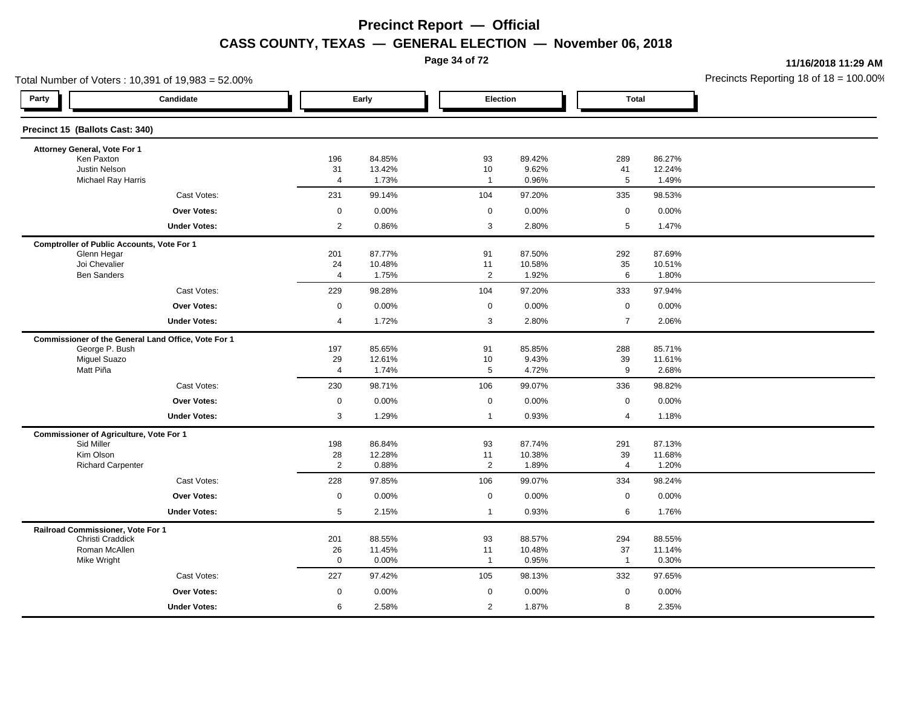**Page 34 of 72**

**11/16/2018 11:29 AM**

| Total Number of Voters: 10,391 of 19,983 = 52.00%            |                   |                 |                        |                 |                      |                 | Precincts Reporting 18 of $18 = 100.00$ |
|--------------------------------------------------------------|-------------------|-----------------|------------------------|-----------------|----------------------|-----------------|-----------------------------------------|
| Party<br>Candidate                                           |                   | Early           | Election               |                 | <b>Total</b>         |                 |                                         |
| Precinct 15 (Ballots Cast: 340)                              |                   |                 |                        |                 |                      |                 |                                         |
| Attorney General, Vote For 1                                 |                   |                 |                        |                 |                      |                 |                                         |
| Ken Paxton                                                   | 196               | 84.85%          | 93                     | 89.42%          | 289                  | 86.27%          |                                         |
| <b>Justin Nelson</b><br>Michael Ray Harris                   | 31<br>4           | 13.42%<br>1.73% | $10$<br>$\overline{1}$ | 9.62%<br>0.96%  | 41<br>$\,$ 5 $\,$    | 12.24%<br>1.49% |                                         |
| Cast Votes:                                                  | 231               | 99.14%          | 104                    | 97.20%          | 335                  | 98.53%          |                                         |
| Over Votes:                                                  | $\mathbf 0$       | 0.00%           | $\mathbf 0$            | 0.00%           | $\mathbf 0$          | 0.00%           |                                         |
| <b>Under Votes:</b>                                          | $\mathbf{2}$      | 0.86%           | 3                      | 2.80%           | $5\phantom{.0}$      | 1.47%           |                                         |
| <b>Comptroller of Public Accounts, Vote For 1</b>            |                   |                 |                        |                 |                      |                 |                                         |
| Glenn Hegar                                                  | 201               | 87.77%          | 91                     | 87.50%          | 292                  | 87.69%          |                                         |
| Joi Chevalier<br><b>Ben Sanders</b>                          | 24                | 10.48%          | 11<br>$\overline{2}$   | 10.58%          | 35<br>6              | 10.51%          |                                         |
|                                                              | $\overline{4}$    | 1.75%           |                        | 1.92%           |                      | 1.80%           |                                         |
| Cast Votes:                                                  | 229               | 98.28%          | 104                    | 97.20%          | 333                  | 97.94%          |                                         |
| <b>Over Votes:</b>                                           | $\mathbf 0$       | 0.00%           | $\mathbf 0$            | 0.00%           | $\mathsf 0$          | 0.00%           |                                         |
| <b>Under Votes:</b>                                          | 4                 | 1.72%           | 3                      | 2.80%           | $\overline{7}$       | 2.06%           |                                         |
| Commissioner of the General Land Office, Vote For 1          |                   |                 |                        |                 |                      |                 |                                         |
| George P. Bush                                               | 197               | 85.65%          | 91                     | 85.85%          | 288                  | 85.71%          |                                         |
| <b>Miguel Suazo</b><br>Matt Piña                             | 29<br>4           | 12.61%<br>1.74% | 10<br>5                | 9.43%<br>4.72%  | 39<br>9              | 11.61%<br>2.68% |                                         |
| Cast Votes:                                                  | 230               | 98.71%          | 106                    | 99.07%          | 336                  | 98.82%          |                                         |
| Over Votes:                                                  | $\mathbf 0$       | 0.00%           | $\mathbf 0$            |                 | $\mathbf 0$          | 0.00%           |                                         |
|                                                              |                   |                 |                        | 0.00%           |                      |                 |                                         |
| <b>Under Votes:</b>                                          | 3                 | 1.29%           | $\mathbf{1}$           | 0.93%           | $\overline{4}$       | 1.18%           |                                         |
| <b>Commissioner of Agriculture, Vote For 1</b><br>Sid Miller | 198               | 86.84%          | 93                     | 87.74%          | 291                  | 87.13%          |                                         |
| Kim Olson                                                    | 28                | 12.28%          | 11                     | 10.38%          | 39                   | 11.68%          |                                         |
| <b>Richard Carpenter</b>                                     | 2                 | 0.88%           | 2                      | 1.89%           | $\overline{4}$       | 1.20%           |                                         |
| Cast Votes:                                                  | 228               | 97.85%          | 106                    | 99.07%          | 334                  | 98.24%          |                                         |
| Over Votes:                                                  | $\mathsf 0$       | 0.00%           | $\mathbf 0$            | 0.00%           | $\mathsf 0$          | 0.00%           |                                         |
| <b>Under Votes:</b>                                          | 5                 | 2.15%           | $\mathbf{1}$           | 0.93%           | 6                    | 1.76%           |                                         |
| Railroad Commissioner, Vote For 1                            |                   |                 |                        |                 |                      |                 |                                         |
| Christi Craddick                                             | 201               | 88.55%          | 93                     | 88.57%          | 294                  | 88.55%          |                                         |
| Roman McAllen<br>Mike Wright                                 | 26<br>$\mathbf 0$ | 11.45%<br>0.00% | 11<br>$\overline{1}$   | 10.48%<br>0.95% | 37<br>$\overline{1}$ | 11.14%<br>0.30% |                                         |
| Cast Votes:                                                  | 227               | 97.42%          | 105                    | 98.13%          | 332                  | 97.65%          |                                         |
|                                                              |                   |                 |                        |                 |                      |                 |                                         |
| Over Votes:                                                  | $\mathbf 0$       | 0.00%           | $\mathbf 0$            | 0.00%           | $\mathbf 0$          | 0.00%           |                                         |
| <b>Under Votes:</b>                                          | 6                 | 2.58%           | 2                      | 1.87%           | 8                    | 2.35%           |                                         |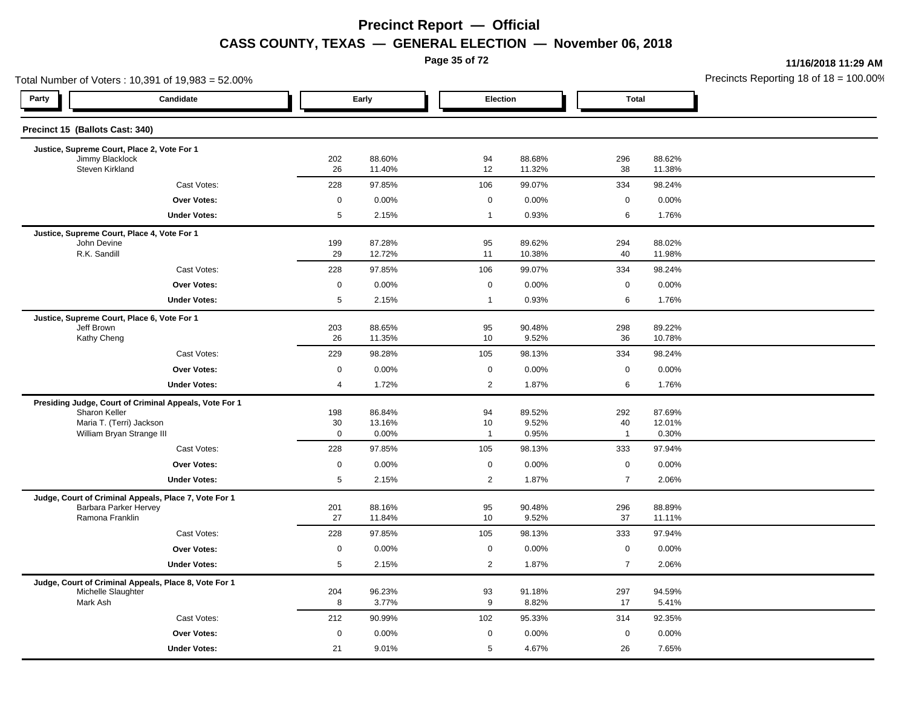**Page 35 of 72**

**11/16/2018 11:29 AM**

| Total Number of Voters: 10,391 of 19,983 = 52.00% |                                                        |                     |                  |  |                |                  |                | Precincts Reporting 18 of $18 = 100.00$ |  |
|---------------------------------------------------|--------------------------------------------------------|---------------------|------------------|--|----------------|------------------|----------------|-----------------------------------------|--|
| Party                                             | Candidate                                              | Early               |                  |  | Election       |                  | <b>Total</b>   |                                         |  |
| Precinct 15 (Ballots Cast: 340)                   |                                                        |                     |                  |  |                |                  |                |                                         |  |
| Justice, Supreme Court, Place 2, Vote For 1       |                                                        |                     |                  |  |                |                  |                |                                         |  |
| Jimmy Blacklock<br>Steven Kirkland                |                                                        | 202<br>26           | 88.60%<br>11.40% |  | 94<br>12       | 88.68%<br>11.32% | 296<br>38      | 88.62%<br>11.38%                        |  |
|                                                   | Cast Votes:                                            | 228                 | 97.85%           |  | 106            | 99.07%           | 334            | 98.24%                                  |  |
|                                                   | <b>Over Votes:</b>                                     | $\mathsf 0$         | 0.00%            |  | $\mathbf 0$    | 0.00%            | $\mathbf 0$    | 0.00%                                   |  |
|                                                   | <b>Under Votes:</b>                                    | 5                   | 2.15%            |  | $\overline{1}$ | 0.93%            | 6              | 1.76%                                   |  |
| Justice, Supreme Court, Place 4, Vote For 1       |                                                        |                     |                  |  |                |                  |                |                                         |  |
| John Devine                                       |                                                        | 199                 | 87.28%           |  | 95             | 89.62%           | 294            | 88.02%                                  |  |
| R.K. Sandill                                      |                                                        | 29                  | 12.72%           |  | 11             | 10.38%           | 40             | 11.98%                                  |  |
|                                                   | Cast Votes:                                            | 228                 | 97.85%           |  | 106            | 99.07%           | 334            | 98.24%                                  |  |
|                                                   | Over Votes:                                            | $\mathsf{O}\xspace$ | 0.00%            |  | $\mathbf 0$    | 0.00%            | $\mathbf 0$    | 0.00%                                   |  |
|                                                   | <b>Under Votes:</b>                                    | $5\phantom{.0}$     | 2.15%            |  | $\overline{1}$ | 0.93%            | 6              | 1.76%                                   |  |
| Jeff Brown                                        | Justice, Supreme Court, Place 6, Vote For 1            |                     | 88.65%           |  | 95             | 90.48%           | 298            | 89.22%                                  |  |
| Kathy Cheng                                       |                                                        | 203<br>26           | 11.35%           |  | 10             | 9.52%            | 36             | 10.78%                                  |  |
|                                                   | Cast Votes:                                            | 229                 | 98.28%           |  | 105            | 98.13%           | 334            | 98.24%                                  |  |
|                                                   | <b>Over Votes:</b>                                     | $\mathbf 0$         | 0.00%            |  | $\mathbf 0$    | 0.00%            | $\mathbf 0$    | 0.00%                                   |  |
|                                                   | <b>Under Votes:</b>                                    | $\overline{4}$      | 1.72%            |  | $\overline{2}$ | 1.87%            | 6              | 1.76%                                   |  |
|                                                   | Presiding Judge, Court of Criminal Appeals, Vote For 1 |                     |                  |  |                |                  |                |                                         |  |
| Sharon Keller                                     | Maria T. (Terri) Jackson                               | 198<br>30           | 86.84%<br>13.16% |  | 94<br>10       | 89.52%<br>9.52%  | 292<br>40      | 87.69%<br>12.01%                        |  |
|                                                   | William Bryan Strange III                              | $\mathbf 0$         | 0.00%            |  | $\overline{1}$ | 0.95%            | $\mathbf{1}$   | 0.30%                                   |  |
|                                                   | Cast Votes:                                            | 228                 | 97.85%           |  | 105            | 98.13%           | 333            | 97.94%                                  |  |
|                                                   | <b>Over Votes:</b>                                     | $\mathbf 0$         | 0.00%            |  | $\mathbf 0$    | 0.00%            | $\mathbf 0$    | 0.00%                                   |  |
|                                                   | <b>Under Votes:</b>                                    | 5                   | 2.15%            |  | $\overline{2}$ | 1.87%            | $\overline{7}$ | 2.06%                                   |  |
|                                                   | Judge, Court of Criminal Appeals, Place 7, Vote For 1  |                     |                  |  |                |                  |                |                                         |  |
|                                                   | Barbara Parker Hervey                                  | 201                 | 88.16%           |  | 95             | 90.48%           | 296            | 88.89%                                  |  |
| Ramona Franklin                                   |                                                        | 27                  | 11.84%           |  | 10             | 9.52%            | 37             | 11.11%                                  |  |
|                                                   | Cast Votes:                                            | 228                 | 97.85%           |  | 105            | 98.13%           | 333            | 97.94%                                  |  |
|                                                   | <b>Over Votes:</b>                                     | $\mathbf 0$         | 0.00%            |  | $\mathbf 0$    | 0.00%            | $\mathsf 0$    | 0.00%                                   |  |
|                                                   | <b>Under Votes:</b>                                    | 5                   | 2.15%            |  | $\overline{2}$ | 1.87%            | $\overline{7}$ | 2.06%                                   |  |
| Michelle Slaughter                                | Judge, Court of Criminal Appeals, Place 8, Vote For 1  | 204                 | 96.23%           |  | 93             | 91.18%           | 297            | 94.59%                                  |  |
| Mark Ash                                          |                                                        | 8                   | 3.77%            |  | 9              | 8.82%            | 17             | 5.41%                                   |  |
|                                                   | Cast Votes:                                            | 212                 | 90.99%           |  | 102            | 95.33%           | 314            | 92.35%                                  |  |
|                                                   | <b>Over Votes:</b>                                     | $\mathbf 0$         | 0.00%            |  | $\mathbf 0$    | 0.00%            | $\mathsf 0$    | 0.00%                                   |  |
|                                                   | <b>Under Votes:</b>                                    | 21                  | 9.01%            |  | 5              | 4.67%            | 26             | 7.65%                                   |  |
|                                                   |                                                        |                     |                  |  |                |                  |                |                                         |  |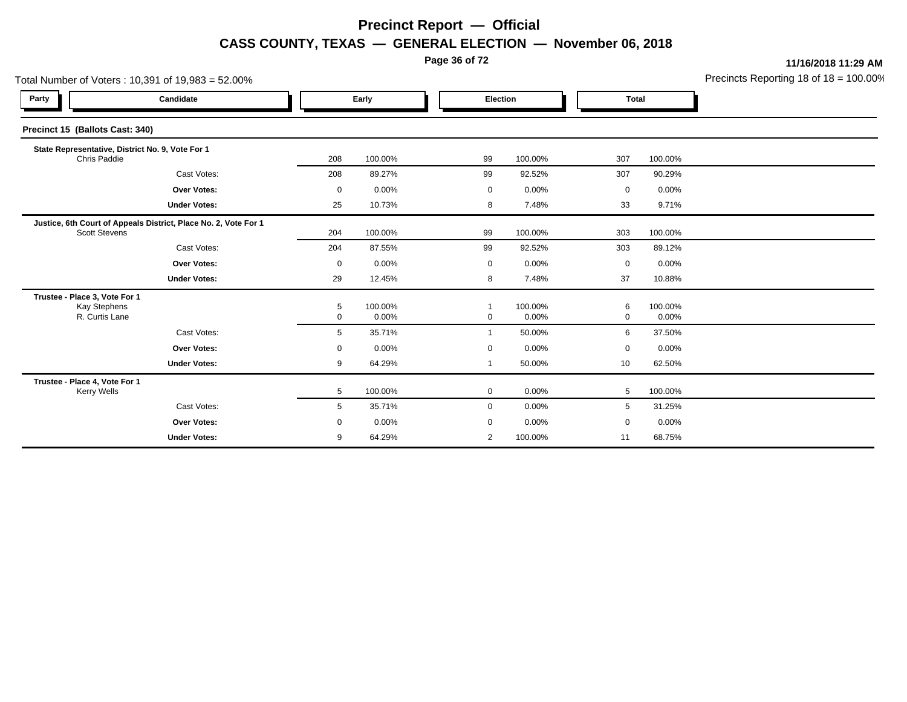**Page 36 of 72**

**11/16/2018 11:29 AM**

| Total Number of Voters: 10,391 of 19,983 = 52.00% |                                                                                         |             |                  |  |                |                     |              | Precincts Reporting 18 of 18 = 100.00 |  |
|---------------------------------------------------|-----------------------------------------------------------------------------------------|-------------|------------------|--|----------------|---------------------|--------------|---------------------------------------|--|
| Party                                             | Candidate                                                                               | Early       |                  |  | Election       |                     | <b>Total</b> |                                       |  |
| Precinct 15 (Ballots Cast: 340)                   |                                                                                         |             |                  |  |                |                     |              |                                       |  |
|                                                   | State Representative, District No. 9, Vote For 1<br>Chris Paddie                        |             | 100.00%          |  | 99             | 100.00%             | 307          | 100.00%                               |  |
|                                                   | Cast Votes:                                                                             | 208         | 89.27%           |  | 99             | 92.52%              | 307          | 90.29%                                |  |
|                                                   | Over Votes:                                                                             | $\mathbf 0$ | 0.00%            |  | 0              | 0.00%               | 0            | 0.00%                                 |  |
|                                                   | <b>Under Votes:</b>                                                                     | 25          | 10.73%           |  | 8              | 7.48%               | 33           | 9.71%                                 |  |
|                                                   | Justice, 6th Court of Appeals District, Place No. 2, Vote For 1<br><b>Scott Stevens</b> |             | 100.00%          |  | 99             | 100.00%             | 303          | 100.00%                               |  |
|                                                   | Cast Votes:                                                                             | 204         | 87.55%           |  | 99             | 92.52%              | 303          | 89.12%                                |  |
|                                                   | <b>Over Votes:</b>                                                                      | 0           | 0.00%            |  | 0              | $0.00\%$            | 0            | 0.00%                                 |  |
|                                                   | <b>Under Votes:</b>                                                                     | 29          | 12.45%           |  | 8              | 7.48%               | 37           | 10.88%                                |  |
|                                                   | Trustee - Place 3, Vote For 1<br><b>Kay Stephens</b><br>R. Curtis Lane                  |             | 100.00%<br>0.00% |  | 0              | 100.00%<br>$0.00\%$ | 6<br>0       | 100.00%<br>0.00%                      |  |
|                                                   | Cast Votes:                                                                             | 5           | 35.71%           |  | $\mathbf{1}$   | 50.00%              | 6            | 37.50%                                |  |
|                                                   | Over Votes:                                                                             | 0           | 0.00%            |  | 0              | 0.00%               | 0            | 0.00%                                 |  |
|                                                   | <b>Under Votes:</b>                                                                     | 9           | 64.29%           |  | $\mathbf 1$    | 50.00%              | 10           | 62.50%                                |  |
|                                                   | Trustee - Place 4, Vote For 1<br>Kerry Wells                                            |             | 100.00%          |  | 0              | $0.00\%$            | 5            | 100.00%                               |  |
|                                                   | Cast Votes:                                                                             | 5           | 35.71%           |  | $\mathbf{0}$   | 0.00%               | 5            | 31.25%                                |  |
|                                                   | <b>Over Votes:</b>                                                                      | 0           | 0.00%            |  | 0              | 0.00%               | $\mathbf 0$  | 0.00%                                 |  |
|                                                   | <b>Under Votes:</b>                                                                     | 9           | 64.29%           |  | $\overline{2}$ | 100.00%             | 11           | 68.75%                                |  |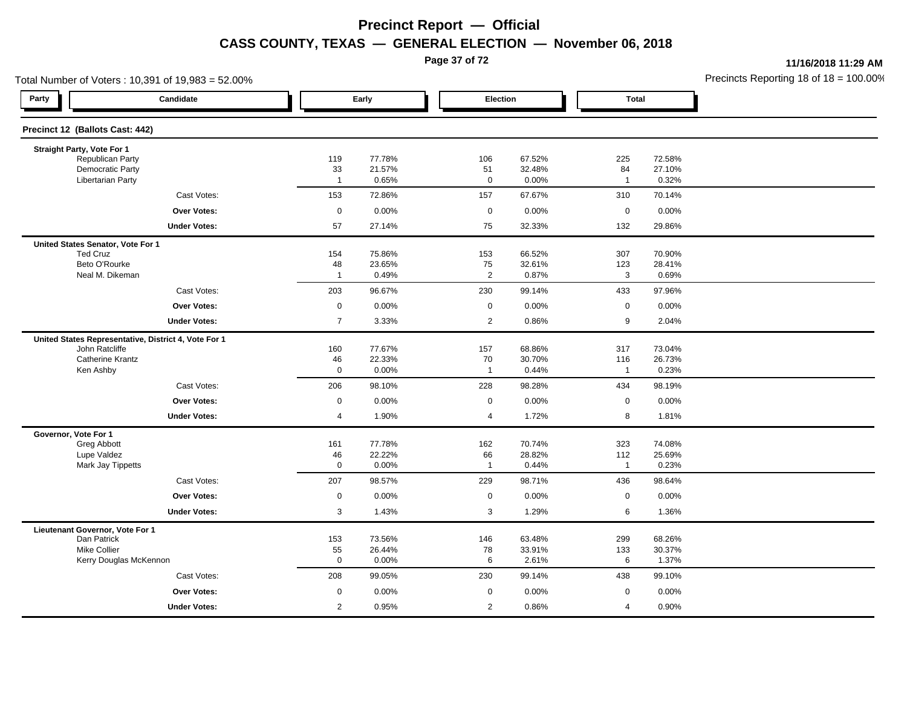**Page 37 of 72**

**11/16/2018 11:29 AM**

| Total Number of Voters: 10,391 of 19,983 = 52.00%   |                                                      |                      |                 |                      |                 |                       | Precincts Reporting 18 of 18 = 100.00 |  |
|-----------------------------------------------------|------------------------------------------------------|----------------------|-----------------|----------------------|-----------------|-----------------------|---------------------------------------|--|
| Party                                               | Candidate                                            |                      | Early           | Election             |                 | <b>Total</b>          |                                       |  |
| Precinct 12 (Ballots Cast: 442)                     |                                                      |                      |                 |                      |                 |                       |                                       |  |
| Straight Party, Vote For 1                          |                                                      |                      |                 |                      |                 |                       |                                       |  |
| Republican Party                                    |                                                      | 119                  | 77.78%          | 106                  | 67.52%          | 225                   | 72.58%                                |  |
| <b>Democratic Party</b><br><b>Libertarian Party</b> |                                                      | 33<br>$\overline{1}$ | 21.57%<br>0.65% | 51<br>$\mathbf 0$    | 32.48%<br>0.00% | 84<br>$\mathbf{1}$    | 27.10%<br>0.32%                       |  |
|                                                     | Cast Votes:                                          | 153                  | 72.86%          | 157                  | 67.67%          | 310                   | 70.14%                                |  |
|                                                     | <b>Over Votes:</b>                                   | $\mathbf 0$          | 0.00%           | $\mathbf 0$          | 0.00%           | $\mathsf 0$           | 0.00%                                 |  |
|                                                     | <b>Under Votes:</b>                                  | 57                   | 27.14%          | 75                   | 32.33%          | 132                   | 29.86%                                |  |
| United States Senator, Vote For 1                   |                                                      |                      |                 |                      |                 |                       |                                       |  |
| <b>Ted Cruz</b>                                     |                                                      | 154                  | 75.86%          | 153                  | 66.52%          | 307                   | 70.90%                                |  |
| Beto O'Rourke                                       |                                                      | 48                   | 23.65%          | 75                   | 32.61%          | 123                   | 28.41%                                |  |
| Neal M. Dikeman                                     |                                                      | $\overline{1}$       | 0.49%           | $\overline{2}$       | 0.87%           | 3                     | 0.69%                                 |  |
|                                                     | Cast Votes:                                          | 203                  | 96.67%          | 230                  | 99.14%          | 433                   | 97.96%                                |  |
|                                                     | <b>Over Votes:</b>                                   | $\mathbf 0$          | 0.00%           | $\mathbf 0$          | 0.00%           | $\mathbf 0$           | 0.00%                                 |  |
|                                                     | <b>Under Votes:</b>                                  | $\overline{7}$       | 3.33%           | $\overline{2}$       | 0.86%           | $\boldsymbol{9}$      | 2.04%                                 |  |
|                                                     | United States Representative, District 4, Vote For 1 |                      |                 |                      |                 |                       |                                       |  |
| John Ratcliffe                                      |                                                      | 160                  | 77.67%          | 157                  | 68.86%          | 317                   | 73.04%                                |  |
| <b>Catherine Krantz</b><br>Ken Ashby                |                                                      | 46<br>$\mathbf 0$    | 22.33%<br>0.00% | 70<br>$\overline{1}$ | 30.70%<br>0.44% | 116<br>$\overline{1}$ | 26.73%<br>0.23%                       |  |
|                                                     | Cast Votes:                                          | 206                  | 98.10%          | 228                  | 98.28%          | 434                   | 98.19%                                |  |
|                                                     | <b>Over Votes:</b>                                   |                      |                 |                      |                 | $\mathbf 0$           |                                       |  |
|                                                     |                                                      | $\mathbf 0$          | 0.00%           | $\mathbf 0$          | 0.00%           |                       | 0.00%                                 |  |
|                                                     | <b>Under Votes:</b>                                  | 4                    | 1.90%           | $\overline{4}$       | 1.72%           | 8                     | 1.81%                                 |  |
| Governor, Vote For 1<br>Greg Abbott                 |                                                      | 161                  | 77.78%          | 162                  | 70.74%          | 323                   | 74.08%                                |  |
| Lupe Valdez                                         |                                                      | 46                   | 22.22%          | 66                   | 28.82%          | 112                   | 25.69%                                |  |
| Mark Jay Tippetts                                   |                                                      | $\mathbf 0$          | 0.00%           | $\overline{1}$       | 0.44%           | $\mathbf{1}$          | 0.23%                                 |  |
|                                                     | Cast Votes:                                          | 207                  | 98.57%          | 229                  | 98.71%          | 436                   | 98.64%                                |  |
|                                                     | <b>Over Votes:</b>                                   | $\pmb{0}$            | 0.00%           | $\mathbf 0$          | 0.00%           | $\pmb{0}$             | 0.00%                                 |  |
|                                                     | <b>Under Votes:</b>                                  | 3                    | 1.43%           | 3                    | 1.29%           | 6                     | 1.36%                                 |  |
| Lieutenant Governor, Vote For 1                     |                                                      |                      |                 |                      |                 |                       |                                       |  |
| Dan Patrick                                         |                                                      | 153                  | 73.56%          | 146                  | 63.48%          | 299                   | 68.26%                                |  |
| <b>Mike Collier</b><br>Kerry Douglas McKennon       |                                                      | 55<br>$\mathbf 0$    | 26.44%<br>0.00% | 78<br>6              | 33.91%<br>2.61% | 133<br>6              | 30.37%<br>1.37%                       |  |
|                                                     | Cast Votes:                                          | 208                  | 99.05%          | 230                  | 99.14%          | 438                   | 99.10%                                |  |
|                                                     |                                                      |                      |                 |                      |                 |                       |                                       |  |
|                                                     | Over Votes:                                          | 0                    | 0.00%           | $\mathbf 0$          | 0.00%           | $\mathbf 0$           | 0.00%                                 |  |
|                                                     | <b>Under Votes:</b>                                  | $\overline{c}$       | 0.95%           | $\overline{2}$       | 0.86%           | $\overline{4}$        | 0.90%                                 |  |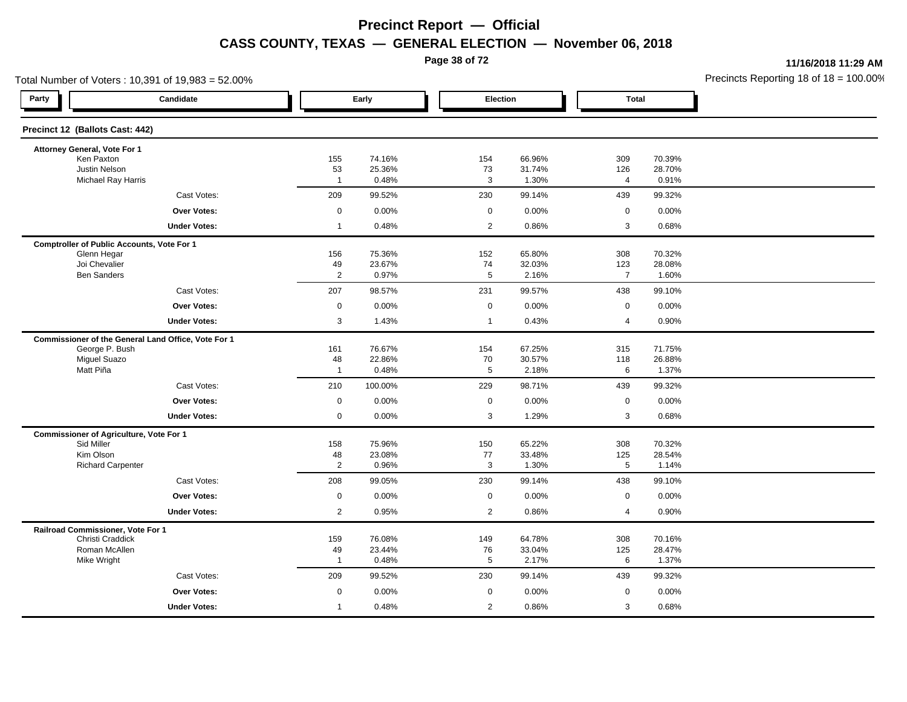**Page 38 of 72**

**11/16/2018 11:29 AM**

| Total Number of Voters: 10,391 of 19,983 = 52.00%   |                      |                  |                      |                  |                |                  | Precincts Reporting 18 of $18 = 100.00$ |
|-----------------------------------------------------|----------------------|------------------|----------------------|------------------|----------------|------------------|-----------------------------------------|
| Party<br>Candidate                                  |                      | Early            | Election             |                  | <b>Total</b>   |                  |                                         |
| Precinct 12 (Ballots Cast: 442)                     |                      |                  |                      |                  |                |                  |                                         |
| Attorney General, Vote For 1                        |                      |                  |                      |                  |                |                  |                                         |
| Ken Paxton                                          | 155                  | 74.16%           | 154                  | 66.96%           | 309            | 70.39%           |                                         |
| Justin Nelson<br>Michael Ray Harris                 | 53<br>$\overline{1}$ | 25.36%<br>0.48%  | 73<br>3              | 31.74%<br>1.30%  | 126<br>4       | 28.70%<br>0.91%  |                                         |
| Cast Votes:                                         | 209                  | 99.52%           | 230                  | 99.14%           | 439            | 99.32%           |                                         |
| Over Votes:                                         | $\mathbf 0$          | 0.00%            | $\mathbf 0$          | 0.00%            | $\mathbf 0$    | 0.00%            |                                         |
| <b>Under Votes:</b>                                 | $\overline{1}$       | 0.48%            | $\overline{2}$       | 0.86%            | 3              | 0.68%            |                                         |
| <b>Comptroller of Public Accounts, Vote For 1</b>   |                      |                  |                      |                  |                |                  |                                         |
| Glenn Hegar                                         | 156                  | 75.36%           | 152                  | 65.80%           | 308            | 70.32%           |                                         |
| Joi Chevalier                                       | 49                   | 23.67%           | 74                   | 32.03%           | 123            | 28.08%           |                                         |
| <b>Ben Sanders</b>                                  | $\overline{2}$       | 0.97%            | $\overline{5}$       | 2.16%            | $\overline{7}$ | 1.60%            |                                         |
| Cast Votes:                                         | 207                  | 98.57%           | 231                  | 99.57%           | 438            | 99.10%           |                                         |
| <b>Over Votes:</b>                                  | $\boldsymbol{0}$     | 0.00%            | $\mathsf{O}\xspace$  | 0.00%            | $\mathsf 0$    | 0.00%            |                                         |
| <b>Under Votes:</b>                                 | $\mathbf{3}$         | 1.43%            | $\overline{1}$       | 0.43%            | 4              | 0.90%            |                                         |
| Commissioner of the General Land Office, Vote For 1 |                      |                  |                      |                  |                |                  |                                         |
| George P. Bush                                      | 161                  | 76.67%           | 154                  | 67.25%           | 315            | 71.75%           |                                         |
| <b>Miguel Suazo</b><br>Matt Piña                    | 48<br>$\overline{1}$ | 22.86%<br>0.48%  | 70<br>$\overline{5}$ | 30.57%<br>2.18%  | 118<br>6       | 26.88%<br>1.37%  |                                         |
| Cast Votes:                                         |                      |                  |                      |                  |                |                  |                                         |
|                                                     | 210                  | 100.00%          | 229                  | 98.71%           | 439            | 99.32%           |                                         |
| Over Votes:                                         | $\mathbf 0$          | 0.00%            | $\mathbf 0$          | 0.00%            | $\mathbf 0$    | 0.00%            |                                         |
| <b>Under Votes:</b>                                 | $\mathbf 0$          | 0.00%            | 3                    | 1.29%            | 3              | 0.68%            |                                         |
| <b>Commissioner of Agriculture, Vote For 1</b>      |                      |                  |                      |                  |                |                  |                                         |
| Sid Miller<br>Kim Olson                             | 158<br>48            | 75.96%<br>23.08% | 150<br>77            | 65.22%<br>33.48% | 308<br>125     | 70.32%<br>28.54% |                                         |
| <b>Richard Carpenter</b>                            | $\overline{2}$       | 0.96%            | 3                    | 1.30%            | 5              | 1.14%            |                                         |
| Cast Votes:                                         | 208                  | 99.05%           | 230                  | 99.14%           | 438            | 99.10%           |                                         |
| <b>Over Votes:</b>                                  | $\boldsymbol{0}$     | 0.00%            | $\mathbf 0$          | 0.00%            | $\mathsf 0$    | 0.00%            |                                         |
| <b>Under Votes:</b>                                 | 2                    | 0.95%            | $\overline{2}$       | 0.86%            | 4              | 0.90%            |                                         |
| Railroad Commissioner, Vote For 1                   |                      |                  |                      |                  |                |                  |                                         |
| Christi Craddick                                    | 159                  | 76.08%           | 149                  | 64.78%           | 308            | 70.16%           |                                         |
| Roman McAllen                                       | 49                   | 23.44%           | 76                   | 33.04%           | 125            | 28.47%           |                                         |
| Mike Wright                                         | $\overline{1}$       | 0.48%            | 5                    | 2.17%            | 6              | 1.37%            |                                         |
| Cast Votes:                                         | 209                  | 99.52%           | 230                  | 99.14%           | 439            | 99.32%           |                                         |
| Over Votes:                                         | $\mathbf 0$          | 0.00%            | $\mathbf 0$          | 0.00%            | $\mathbf 0$    | 0.00%            |                                         |
| <b>Under Votes:</b>                                 | $\mathbf{1}$         | 0.48%            | $\overline{2}$       | 0.86%            | 3              | 0.68%            |                                         |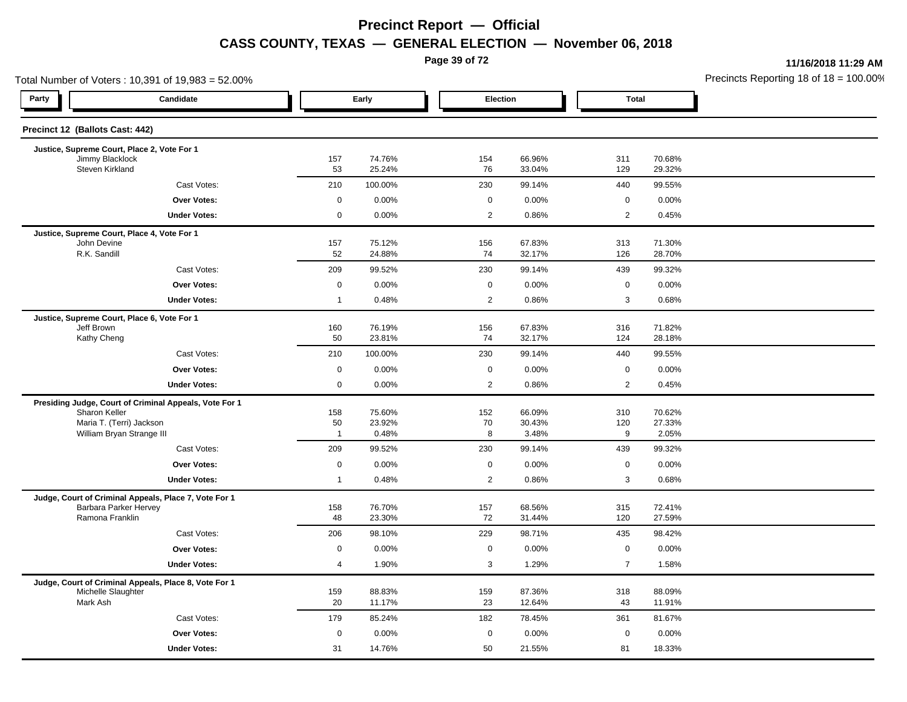**Page 39 of 72**

**11/16/2018 11:29 AM**

|                                    | Total Number of Voters: 10,391 of 19,983 = 52.00%      |                      |                  |                |                  |                    |                  | Precincts Reporting 18 of $18 = 100.00$ |
|------------------------------------|--------------------------------------------------------|----------------------|------------------|----------------|------------------|--------------------|------------------|-----------------------------------------|
| Party                              | Candidate                                              |                      | Early            | Election       |                  | <b>Total</b>       |                  |                                         |
| Precinct 12 (Ballots Cast: 442)    |                                                        |                      |                  |                |                  |                    |                  |                                         |
|                                    | Justice, Supreme Court, Place 2, Vote For 1            |                      |                  |                |                  |                    |                  |                                         |
| Jimmy Blacklock<br>Steven Kirkland |                                                        | 157<br>53            | 74.76%<br>25.24% | 154<br>76      | 66.96%<br>33.04% | 311<br>129         | 70.68%<br>29.32% |                                         |
|                                    | Cast Votes:                                            | 210                  | 100.00%          | 230            | 99.14%           | 440                | 99.55%           |                                         |
|                                    | <b>Over Votes:</b>                                     | $\mathbf 0$          | 0.00%            | $\mathbf 0$    | 0.00%            | $\mathbf 0$        | 0.00%            |                                         |
|                                    | <b>Under Votes:</b>                                    | $\mathsf{O}\xspace$  | 0.00%            | $\overline{2}$ | 0.86%            | $\overline{2}$     | 0.45%            |                                         |
|                                    | Justice, Supreme Court, Place 4, Vote For 1            |                      |                  |                |                  |                    |                  |                                         |
| John Devine<br>R.K. Sandill        |                                                        | 157<br>52            | 75.12%<br>24.88% | 156<br>74      | 67.83%<br>32.17% | 313<br>126         | 71.30%<br>28.70% |                                         |
|                                    |                                                        | 209                  | 99.52%           | 230            | 99.14%           |                    |                  |                                         |
|                                    | Cast Votes:<br>Over Votes:                             | $\mathsf 0$          | 0.00%            | 0              | 0.00%            | 439<br>$\mathbf 0$ | 99.32%<br>0.00%  |                                         |
|                                    | <b>Under Votes:</b>                                    | $\mathbf{1}$         | 0.48%            | $\overline{2}$ | 0.86%            | 3                  | 0.68%            |                                         |
|                                    |                                                        |                      |                  |                |                  |                    |                  |                                         |
| Jeff Brown                         | Justice, Supreme Court, Place 6, Vote For 1            | 160                  | 76.19%           | 156            | 67.83%           | 316                | 71.82%           |                                         |
| Kathy Cheng                        |                                                        | 50                   | 23.81%           | 74             | 32.17%           | 124                | 28.18%           |                                         |
|                                    | Cast Votes:                                            | 210                  | 100.00%          | 230            | 99.14%           | 440                | 99.55%           |                                         |
|                                    | <b>Over Votes:</b>                                     | $\mathsf 0$          | 0.00%            | 0              | 0.00%            | $\mathbf 0$        | 0.00%            |                                         |
|                                    | <b>Under Votes:</b>                                    | $\mathbf 0$          | 0.00%            | 2              | 0.86%            | $\overline{2}$     | 0.45%            |                                         |
|                                    | Presiding Judge, Court of Criminal Appeals, Vote For 1 |                      |                  |                |                  |                    |                  |                                         |
| Sharon Keller                      |                                                        | 158                  | 75.60%           | 152            | 66.09%           | 310                | 70.62%           |                                         |
|                                    | Maria T. (Terri) Jackson<br>William Bryan Strange III  | 50<br>$\overline{1}$ | 23.92%<br>0.48%  | 70<br>8        | 30.43%<br>3.48%  | 120<br>9           | 27.33%<br>2.05%  |                                         |
|                                    | Cast Votes:                                            | 209                  | 99.52%           | 230            | 99.14%           | 439                | 99.32%           |                                         |
|                                    | Over Votes:                                            | $\mathbf 0$          | 0.00%            | $\mathbf 0$    | 0.00%            | $\mathbf 0$        | 0.00%            |                                         |
|                                    | <b>Under Votes:</b>                                    | $\mathbf{1}$         | 0.48%            | $\overline{2}$ | 0.86%            | 3                  | 0.68%            |                                         |
|                                    | Judge, Court of Criminal Appeals, Place 7, Vote For 1  |                      |                  |                |                  |                    |                  |                                         |
|                                    | Barbara Parker Hervey                                  | 158                  | 76.70%           | 157            | 68.56%           | 315                | 72.41%           |                                         |
| Ramona Franklin                    |                                                        | 48                   | 23.30%           | 72             | 31.44%           | 120                | 27.59%           |                                         |
|                                    | Cast Votes:                                            | 206                  | 98.10%           | 229            | 98.71%           | 435                | 98.42%           |                                         |
|                                    | <b>Over Votes:</b>                                     | $\mathbf 0$          | 0.00%            | $\mathbf 0$    | 0.00%            | $\mathbf 0$        | 0.00%            |                                         |
|                                    | <b>Under Votes:</b>                                    | $\overline{4}$       | 1.90%            | 3              | 1.29%            | $\overline{7}$     | 1.58%            |                                         |
|                                    | Judge, Court of Criminal Appeals, Place 8, Vote For 1  |                      |                  |                |                  |                    |                  |                                         |
| Michelle Slaughter<br>Mark Ash     |                                                        | 159<br>20            | 88.83%<br>11.17% | 159<br>23      | 87.36%<br>12.64% | 318<br>43          | 88.09%<br>11.91% |                                         |
|                                    | Cast Votes:                                            | 179                  | 85.24%           | 182            | 78.45%           | 361                | 81.67%           |                                         |
|                                    | <b>Over Votes:</b>                                     | $\mathbf 0$          | 0.00%            | 0              | 0.00%            | $\mathbf 0$        | 0.00%            |                                         |
|                                    | <b>Under Votes:</b>                                    | 31                   | 14.76%           | 50             | 21.55%           | 81                 | 18.33%           |                                         |
|                                    |                                                        |                      |                  |                |                  |                    |                  |                                         |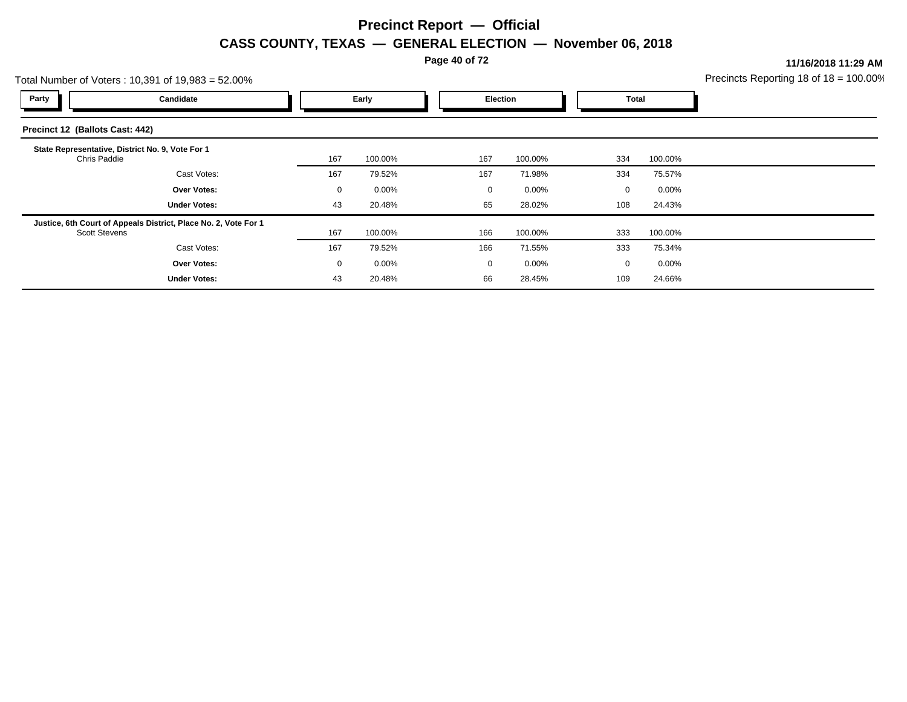**Page 40 of 72**

**11/16/2018 11:29 AM**

|                                 | Total Number of Voters: 10,391 of 19,983 = 52.00%               |             |          |  |             |          |             |          | Precincts Reporting 18 of $18 = 100.00$ |
|---------------------------------|-----------------------------------------------------------------|-------------|----------|--|-------------|----------|-------------|----------|-----------------------------------------|
| Party                           | Candidate                                                       |             | Early    |  | Election    |          | Total       |          |                                         |
| Precinct 12 (Ballots Cast: 442) |                                                                 |             |          |  |             |          |             |          |                                         |
| Chris Paddie                    | State Representative, District No. 9, Vote For 1                | 167         | 100.00%  |  | 167         | 100.00%  | 334         | 100.00%  |                                         |
|                                 | Cast Votes:                                                     | 167         | 79.52%   |  | 167         | 71.98%   | 334         | 75.57%   |                                         |
|                                 | <b>Over Votes:</b>                                              | $\mathbf 0$ | $0.00\%$ |  | 0           | 0.00%    | $\Omega$    | $0.00\%$ |                                         |
|                                 | <b>Under Votes:</b>                                             | 43          | 20.48%   |  | 65          | 28.02%   | 108         | 24.43%   |                                         |
| <b>Scott Stevens</b>            | Justice, 6th Court of Appeals District, Place No. 2, Vote For 1 | 167         | 100.00%  |  | 166         | 100.00%  | 333         | 100.00%  |                                         |
|                                 | Cast Votes:                                                     | 167         | 79.52%   |  | 166         | 71.55%   | 333         | 75.34%   |                                         |
|                                 | <b>Over Votes:</b>                                              | 0           | $0.00\%$ |  | $\mathbf 0$ | $0.00\%$ | $\mathbf 0$ | $0.00\%$ |                                         |
|                                 | <b>Under Votes:</b>                                             | 43          | 20.48%   |  | 66          | 28.45%   | 109         | 24.66%   |                                         |
|                                 |                                                                 |             |          |  |             |          |             |          |                                         |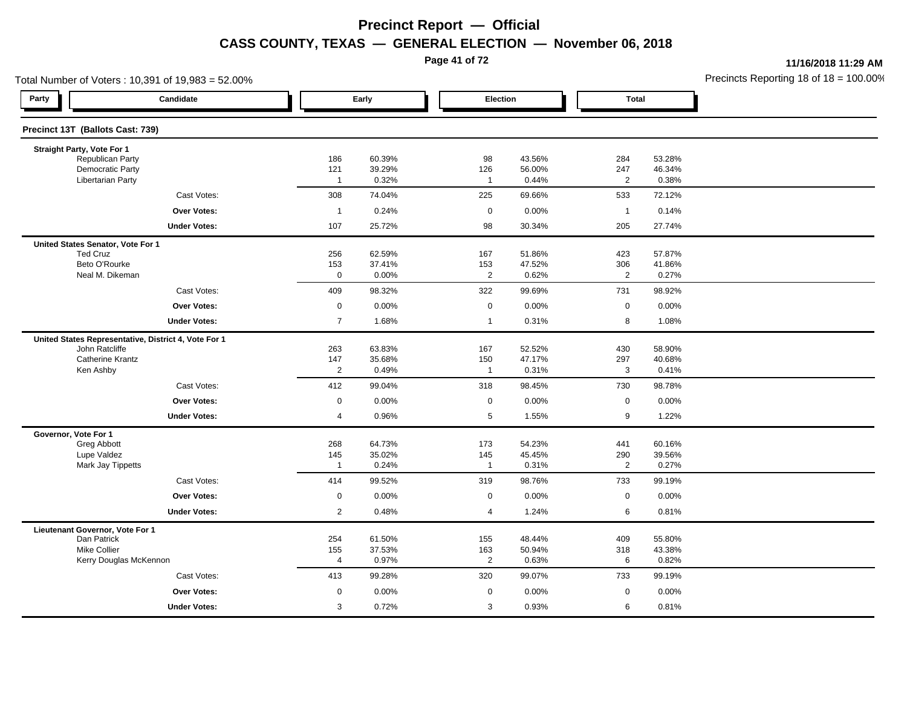**Page 41 of 72**

**11/16/2018 11:29 AM**

| Total Number of Voters: 10,391 of 19,983 = 52.00% |                                                      |                       |                  |                     |                  |                |                  | Precincts Reporting 18 of 18 = 100.00 |
|---------------------------------------------------|------------------------------------------------------|-----------------------|------------------|---------------------|------------------|----------------|------------------|---------------------------------------|
| Party                                             | Candidate                                            |                       | Early            |                     | Election         | <b>Total</b>   |                  |                                       |
| Precinct 13T (Ballots Cast: 739)                  |                                                      |                       |                  |                     |                  |                |                  |                                       |
| Straight Party, Vote For 1                        |                                                      |                       |                  |                     |                  |                |                  |                                       |
| Republican Party<br><b>Democratic Party</b>       |                                                      | 186<br>121            | 60.39%<br>39.29% | 98<br>126           | 43.56%<br>56.00% | 284<br>247     | 53.28%<br>46.34% |                                       |
| <b>Libertarian Party</b>                          |                                                      | $\overline{1}$        | 0.32%            | $\mathbf{1}$        | 0.44%            | $\overline{2}$ | 0.38%            |                                       |
|                                                   | Cast Votes:                                          | 308                   | 74.04%           | 225                 | 69.66%           | 533            | 72.12%           |                                       |
|                                                   | <b>Over Votes:</b>                                   | $\overline{1}$        | 0.24%            | $\mathbf 0$         | 0.00%            | $\overline{1}$ | 0.14%            |                                       |
|                                                   | <b>Under Votes:</b>                                  | 107                   | 25.72%           | 98                  | 30.34%           | 205            | 27.74%           |                                       |
| United States Senator, Vote For 1                 |                                                      |                       |                  |                     |                  |                |                  |                                       |
| <b>Ted Cruz</b>                                   |                                                      | 256                   | 62.59%           | 167                 | 51.86%           | 423            | 57.87%           |                                       |
| Beto O'Rourke                                     |                                                      | 153                   | 37.41%           | 153                 | 47.52%           | 306            | 41.86%           |                                       |
| Neal M. Dikeman                                   |                                                      | $\mathbf 0$           | 0.00%            | $\overline{2}$      | 0.62%            | $\overline{2}$ | 0.27%            |                                       |
|                                                   | Cast Votes:                                          | 409                   | 98.32%           | 322                 | 99.69%           | 731            | 98.92%           |                                       |
|                                                   | <b>Over Votes:</b>                                   | $\mathbf 0$           | 0.00%            | 0                   | 0.00%            | $\mathbf 0$    | 0.00%            |                                       |
|                                                   | <b>Under Votes:</b>                                  | $\overline{7}$        | 1.68%            | $\mathbf{1}$        | 0.31%            | 8              | 1.08%            |                                       |
|                                                   | United States Representative, District 4, Vote For 1 |                       |                  |                     |                  |                |                  |                                       |
| John Ratcliffe                                    |                                                      | 263                   | 63.83%           | 167                 | 52.52%           | 430            | 58.90%           |                                       |
| <b>Catherine Krantz</b><br>Ken Ashby              |                                                      | 147<br>$\overline{2}$ | 35.68%<br>0.49%  | 150<br>$\mathbf{1}$ | 47.17%<br>0.31%  | 297<br>3       | 40.68%<br>0.41%  |                                       |
|                                                   | Cast Votes:                                          | 412                   | 99.04%           | 318                 | 98.45%           | 730            | 98.78%           |                                       |
|                                                   | <b>Over Votes:</b>                                   | $\mathbf 0$           | 0.00%            | $\mathbf 0$         | 0.00%            | $\mathbf 0$    | 0.00%            |                                       |
|                                                   | <b>Under Votes:</b>                                  | 4                     | 0.96%            | 5                   | 1.55%            | 9              | 1.22%            |                                       |
| Governor, Vote For 1                              |                                                      |                       |                  |                     |                  |                |                  |                                       |
| Greg Abbott                                       |                                                      | 268                   | 64.73%           | 173                 | 54.23%           | 441            | 60.16%           |                                       |
| Lupe Valdez                                       |                                                      | 145                   | 35.02%           | 145                 | 45.45%           | 290            | 39.56%           |                                       |
| Mark Jay Tippetts                                 |                                                      | $\overline{1}$        | 0.24%            | $\mathbf{1}$        | 0.31%            | $\overline{2}$ | 0.27%            |                                       |
|                                                   | Cast Votes:                                          | 414                   | 99.52%           | 319                 | 98.76%           | 733            | 99.19%           |                                       |
|                                                   | <b>Over Votes:</b>                                   | 0                     | 0.00%            | $\mathbf 0$         | 0.00%            | $\mathbf 0$    | 0.00%            |                                       |
|                                                   | <b>Under Votes:</b>                                  | $\overline{2}$        | 0.48%            | 4                   | 1.24%            | 6              | 0.81%            |                                       |
| Lieutenant Governor, Vote For 1                   |                                                      |                       |                  |                     |                  |                |                  |                                       |
| Dan Patrick<br><b>Mike Collier</b>                |                                                      | 254<br>155            | 61.50%<br>37.53% | 155<br>163          | 48.44%<br>50.94% | 409<br>318     | 55.80%<br>43.38% |                                       |
|                                                   | Kerry Douglas McKennon                               | 4                     | 0.97%            | $\overline{2}$      | 0.63%            | 6              | 0.82%            |                                       |
|                                                   | Cast Votes:                                          | 413                   | 99.28%           | 320                 | 99.07%           | 733            | 99.19%           |                                       |
|                                                   | Over Votes:                                          | 0                     | 0.00%            | 0                   | 0.00%            | $\mathbf 0$    | 0.00%            |                                       |
|                                                   | <b>Under Votes:</b>                                  | 3                     | 0.72%            | 3                   | 0.93%            | 6              | 0.81%            |                                       |
|                                                   |                                                      |                       |                  |                     |                  |                |                  |                                       |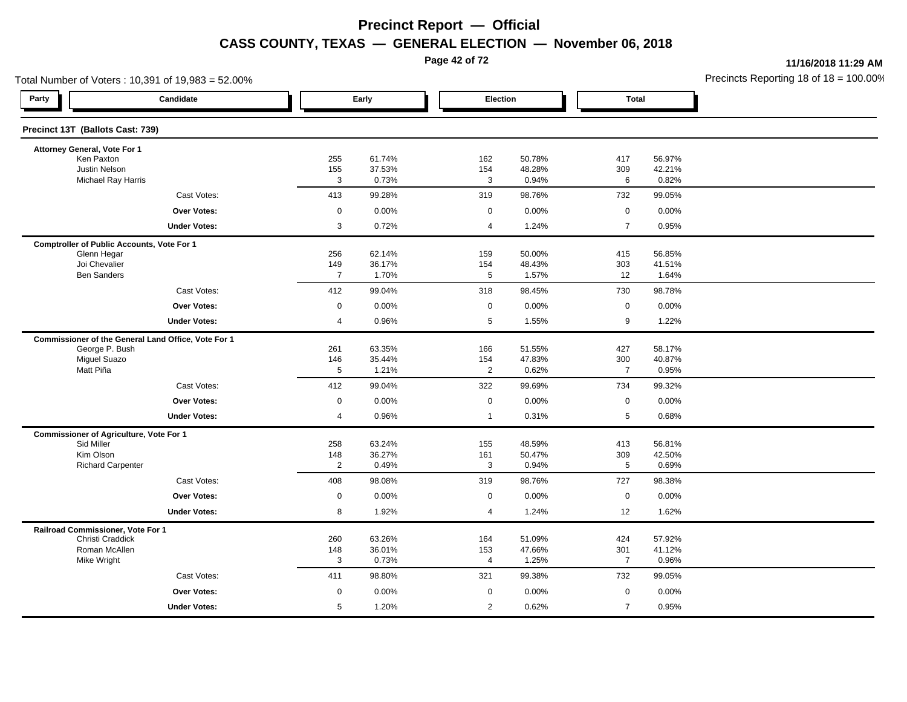**Page 42 of 72**

**11/16/2018 11:29 AM**

|                                                | Total Number of Voters: 10,391 of 19,983 = 52.00%   |                       |                  |                     |                  |                       |                 | Precincts Reporting 18 of 18 = 100.00 |
|------------------------------------------------|-----------------------------------------------------|-----------------------|------------------|---------------------|------------------|-----------------------|-----------------|---------------------------------------|
| Party                                          | Candidate                                           |                       | Early            | Election            |                  | <b>Total</b>          |                 |                                       |
| Precinct 13T (Ballots Cast: 739)               |                                                     |                       |                  |                     |                  |                       |                 |                                       |
| Attorney General, Vote For 1                   |                                                     |                       |                  |                     |                  |                       |                 |                                       |
| Ken Paxton<br><b>Justin Nelson</b>             |                                                     | 255                   | 61.74%           | 162                 | 50.78%           | 417                   | 56.97%          |                                       |
|                                                | Michael Ray Harris                                  | 155<br>3              | 37.53%<br>0.73%  | 154<br>$\mathbf{3}$ | 48.28%<br>0.94%  | 309<br>$\,6\,$        | 42.21%<br>0.82% |                                       |
|                                                | Cast Votes:                                         | 413                   | 99.28%           | 319                 | 98.76%           | 732                   | 99.05%          |                                       |
|                                                | <b>Over Votes:</b>                                  | $\mathbf 0$           | 0.00%            | $\mathbf 0$         | 0.00%            | $\mathbf 0$           | 0.00%           |                                       |
|                                                | <b>Under Votes:</b>                                 | 3                     | 0.72%            | $\overline{4}$      | 1.24%            | $\overline{7}$        | 0.95%           |                                       |
|                                                | <b>Comptroller of Public Accounts, Vote For 1</b>   |                       |                  |                     |                  |                       |                 |                                       |
| Glenn Hegar                                    |                                                     | 256                   | 62.14%           | 159                 | 50.00%           | 415                   | 56.85%          |                                       |
| Joi Chevalier<br><b>Ben Sanders</b>            |                                                     | 149<br>$\overline{7}$ | 36.17%<br>1.70%  | 154<br>5            | 48.43%<br>1.57%  | 303<br>12             | 41.51%<br>1.64% |                                       |
|                                                | Cast Votes:                                         | 412                   | 99.04%           | 318                 | 98.45%           | 730                   | 98.78%          |                                       |
|                                                | <b>Over Votes:</b>                                  | $\mathbf 0$           | 0.00%            | $\mathbf 0$         | 0.00%            | $\mathbf 0$           | 0.00%           |                                       |
|                                                | <b>Under Votes:</b>                                 | 4                     | 0.96%            | 5                   | 1.55%            | 9                     | 1.22%           |                                       |
|                                                |                                                     |                       |                  |                     |                  |                       |                 |                                       |
| George P. Bush                                 | Commissioner of the General Land Office, Vote For 1 | 261                   | 63.35%           | 166                 | 51.55%           | 427                   | 58.17%          |                                       |
| <b>Miguel Suazo</b>                            |                                                     | 146                   | 35.44%           | 154                 | 47.83%           | 300                   | 40.87%          |                                       |
| Matt Piña                                      |                                                     | 5                     | 1.21%            | $\mathbf{2}$        | 0.62%            | $\overline{7}$        | 0.95%           |                                       |
|                                                | Cast Votes:                                         | 412                   | 99.04%           | 322                 | 99.69%           | 734                   | 99.32%          |                                       |
|                                                | <b>Over Votes:</b>                                  | $\mathbf 0$           | 0.00%            | $\mathbf 0$         | 0.00%            | $\mathsf 0$           | 0.00%           |                                       |
|                                                | <b>Under Votes:</b>                                 | 4                     | 0.96%            | $\mathbf{1}$        | 0.31%            | $\sqrt{5}$            | 0.68%           |                                       |
| <b>Commissioner of Agriculture, Vote For 1</b> |                                                     |                       |                  |                     |                  |                       |                 |                                       |
| Sid Miller<br>Kim Olson                        |                                                     | 258                   | 63.24%<br>36.27% | 155                 | 48.59%<br>50.47% | 413                   | 56.81%          |                                       |
| <b>Richard Carpenter</b>                       |                                                     | 148<br>$\overline{2}$ | 0.49%            | 161<br>3            | 0.94%            | 309<br>$\overline{5}$ | 42.50%<br>0.69% |                                       |
|                                                | Cast Votes:                                         | 408                   | 98.08%           | 319                 | 98.76%           | 727                   | 98.38%          |                                       |
|                                                | <b>Over Votes:</b>                                  | $\mathbf 0$           | 0.00%            | $\mathsf 0$         | 0.00%            | $\mathsf 0$           | 0.00%           |                                       |
|                                                | <b>Under Votes:</b>                                 | 8                     | 1.92%            | 4                   | 1.24%            | 12                    | 1.62%           |                                       |
| Railroad Commissioner, Vote For 1              |                                                     |                       |                  |                     |                  |                       |                 |                                       |
| Christi Craddick                               |                                                     | 260                   | 63.26%           | 164                 | 51.09%           | 424                   | 57.92%          |                                       |
| Roman McAllen<br>Mike Wright                   |                                                     | 148<br>3              | 36.01%<br>0.73%  | 153<br>4            | 47.66%<br>1.25%  | 301<br>$\overline{7}$ | 41.12%<br>0.96% |                                       |
|                                                | Cast Votes:                                         | 411                   | 98.80%           | 321                 | 99.38%           | 732                   | 99.05%          |                                       |
|                                                | Over Votes:                                         | 0                     | 0.00%            | $\mathbf 0$         | 0.00%            | $\mathbf 0$           | 0.00%           |                                       |
|                                                | <b>Under Votes:</b>                                 | 5                     | 1.20%            | 2                   | 0.62%            | $\overline{7}$        | 0.95%           |                                       |
|                                                |                                                     |                       |                  |                     |                  |                       |                 |                                       |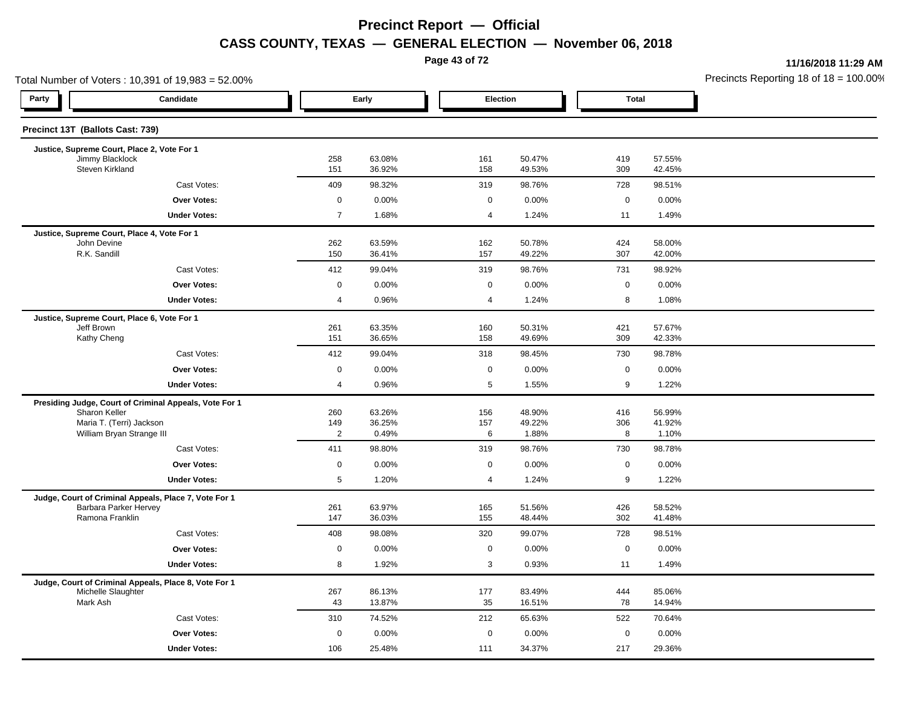**Page 43 of 72**

**11/16/2018 11:29 AM**

|                                    | Total Number of Voters: 10,391 of 19,983 = 52.00%                              |                       |                  |  |                     |                  |              |                  | Precincts Reporting 18 of $18 = 100.00$ |
|------------------------------------|--------------------------------------------------------------------------------|-----------------------|------------------|--|---------------------|------------------|--------------|------------------|-----------------------------------------|
| Party                              | Candidate                                                                      |                       | Early            |  | Election            |                  | <b>Total</b> |                  |                                         |
| Precinct 13T (Ballots Cast: 739)   |                                                                                |                       |                  |  |                     |                  |              |                  |                                         |
|                                    | Justice, Supreme Court, Place 2, Vote For 1                                    |                       |                  |  |                     |                  |              |                  |                                         |
| Jimmy Blacklock<br>Steven Kirkland |                                                                                | 258<br>151            | 63.08%<br>36.92% |  | 161<br>158          | 50.47%<br>49.53% | 419<br>309   | 57.55%<br>42.45% |                                         |
|                                    | Cast Votes:                                                                    | 409                   | 98.32%           |  | 319                 | 98.76%           | 728          | 98.51%           |                                         |
|                                    | <b>Over Votes:</b>                                                             | $\mathbf 0$           | 0.00%            |  | $\mathbf 0$         | 0.00%            | $\mathbf 0$  | 0.00%            |                                         |
|                                    | <b>Under Votes:</b>                                                            | $\overline{7}$        | 1.68%            |  | 4                   | 1.24%            | 11           | 1.49%            |                                         |
|                                    | Justice, Supreme Court, Place 4, Vote For 1                                    |                       |                  |  |                     |                  |              |                  |                                         |
| John Devine<br>R.K. Sandill        |                                                                                | 262<br>150            | 63.59%<br>36.41% |  | 162<br>157          | 50.78%<br>49.22% | 424<br>307   | 58.00%<br>42.00% |                                         |
|                                    | Cast Votes:                                                                    | 412                   | 99.04%           |  | 319                 | 98.76%           | 731          | 98.92%           |                                         |
|                                    | Over Votes:                                                                    | $\mathbf 0$           | 0.00%            |  | $\mathbf 0$         | 0.00%            | $\mathsf 0$  | 0.00%            |                                         |
|                                    | <b>Under Votes:</b>                                                            | $\overline{4}$        | 0.96%            |  | $\overline{4}$      | 1.24%            | 8            | 1.08%            |                                         |
|                                    |                                                                                |                       |                  |  |                     |                  |              |                  |                                         |
| Jeff Brown                         | Justice, Supreme Court, Place 6, Vote For 1                                    | 261                   | 63.35%           |  | 160                 | 50.31%           | 421          | 57.67%           |                                         |
| Kathy Cheng                        |                                                                                | 151                   | 36.65%           |  | 158                 | 49.69%           | 309          | 42.33%           |                                         |
|                                    | Cast Votes:                                                                    | 412                   | 99.04%           |  | 318                 | 98.45%           | 730          | 98.78%           |                                         |
|                                    | <b>Over Votes:</b>                                                             | $\mathbf 0$           | 0.00%            |  | 0                   | 0.00%            | $\mathbf 0$  | 0.00%            |                                         |
|                                    | <b>Under Votes:</b>                                                            | $\overline{4}$        | 0.96%            |  | 5                   | 1.55%            | 9            | 1.22%            |                                         |
|                                    | Presiding Judge, Court of Criminal Appeals, Vote For 1                         |                       |                  |  |                     |                  |              |                  |                                         |
| Sharon Keller                      |                                                                                | 260                   | 63.26%           |  | 156                 | 48.90%           | 416          | 56.99%           |                                         |
|                                    | Maria T. (Terri) Jackson<br>William Bryan Strange III                          | 149<br>$\overline{2}$ | 36.25%<br>0.49%  |  | 157<br>6            | 49.22%<br>1.88%  | 306<br>8     | 41.92%<br>1.10%  |                                         |
|                                    | Cast Votes:                                                                    | 411                   | 98.80%           |  | 319                 | 98.76%           | 730          | 98.78%           |                                         |
|                                    | <b>Over Votes:</b>                                                             | $\mathbf 0$           | 0.00%            |  | $\mathbf 0$         | 0.00%            | $\mathbf 0$  | 0.00%            |                                         |
|                                    | <b>Under Votes:</b>                                                            | 5                     | 1.20%            |  | 4                   | 1.24%            | 9            | 1.22%            |                                         |
|                                    |                                                                                |                       |                  |  |                     |                  |              |                  |                                         |
|                                    | Judge, Court of Criminal Appeals, Place 7, Vote For 1<br>Barbara Parker Hervey | 261                   | 63.97%           |  | 165                 | 51.56%           | 426          | 58.52%           |                                         |
| Ramona Franklin                    |                                                                                | 147                   | 36.03%           |  | 155                 | 48.44%           | 302          | 41.48%           |                                         |
|                                    | Cast Votes:                                                                    | 408                   | 98.08%           |  | 320                 | 99.07%           | 728          | 98.51%           |                                         |
|                                    | Over Votes:                                                                    | $\mathbf 0$           | 0.00%            |  | $\mathbf 0$         | 0.00%            | $\mathbf 0$  | 0.00%            |                                         |
|                                    | <b>Under Votes:</b>                                                            | 8                     | 1.92%            |  | 3                   | 0.93%            | 11           | 1.49%            |                                         |
|                                    | Judge, Court of Criminal Appeals, Place 8, Vote For 1                          |                       |                  |  |                     |                  |              |                  |                                         |
| Michelle Slaughter                 |                                                                                | 267                   | 86.13%           |  | 177                 | 83.49%           | 444          | 85.06%           |                                         |
| Mark Ash                           |                                                                                | 43                    | 13.87%           |  | 35                  | 16.51%           | 78           | 14.94%           |                                         |
|                                    | Cast Votes:                                                                    | 310                   | 74.52%           |  | 212                 | 65.63%           | 522          | 70.64%           |                                         |
|                                    | Over Votes:                                                                    | $\mathbf 0$           | 0.00%            |  | $\mathsf{O}\xspace$ | 0.00%            | $\mathbf 0$  | 0.00%            |                                         |
|                                    | <b>Under Votes:</b>                                                            | 106                   | 25.48%           |  | 111                 | 34.37%           | 217          | 29.36%           |                                         |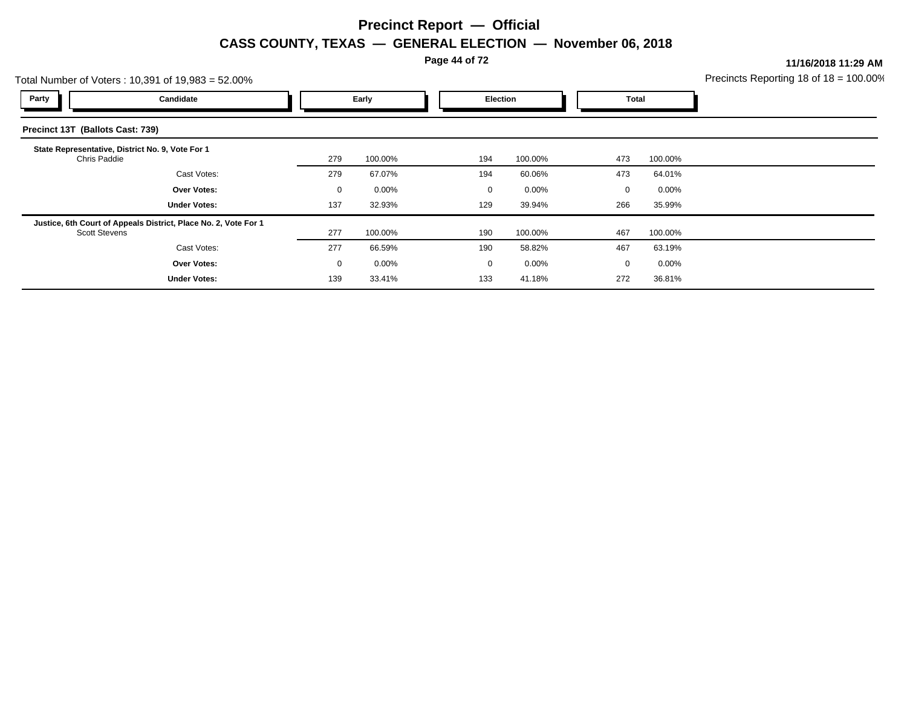**Page 44 of 72**

**11/16/2018 11:29 AM**

| Precincts Reporting 18 of $18 = 100.00\%$ |  |
|-------------------------------------------|--|
|                                           |  |

|                                  | Total Number of Voters: 10,391 of 19,983 = 52.00%               |              |          |          |          |  | Precincts Reporting 18 of $18 = 100.00$ |         |  |
|----------------------------------|-----------------------------------------------------------------|--------------|----------|----------|----------|--|-----------------------------------------|---------|--|
| Party                            | Candidate                                                       | Early        |          | Election |          |  | Total                                   |         |  |
| Precinct 13T (Ballots Cast: 739) |                                                                 |              |          |          |          |  |                                         |         |  |
| Chris Paddie                     | State Representative, District No. 9, Vote For 1                | 279          | 100.00%  | 194      | 100.00%  |  | 473                                     | 100.00% |  |
|                                  | Cast Votes:                                                     | 279          | 67.07%   | 194      | 60.06%   |  | 473                                     | 64.01%  |  |
|                                  | <b>Over Votes:</b>                                              | 0            | $0.00\%$ | $\Omega$ | $0.00\%$ |  | $\Omega$                                | 0.00%   |  |
|                                  | <b>Under Votes:</b>                                             | 137          | 32.93%   | 129      | 39.94%   |  | 266                                     | 35.99%  |  |
| <b>Scott Stevens</b>             | Justice, 6th Court of Appeals District, Place No. 2, Vote For 1 | 277          | 100.00%  | 190      | 100.00%  |  | 467                                     | 100.00% |  |
|                                  | Cast Votes:                                                     | 277          | 66.59%   | 190      | 58.82%   |  | 467                                     | 63.19%  |  |
|                                  | <b>Over Votes:</b>                                              | $\mathbf{0}$ | $0.00\%$ | 0        | $0.00\%$ |  | $\Omega$                                | 0.00%   |  |
|                                  | <b>Under Votes:</b>                                             | 139          | 33.41%   | 133      | 41.18%   |  | 272                                     | 36.81%  |  |
|                                  |                                                                 |              |          |          |          |  |                                         |         |  |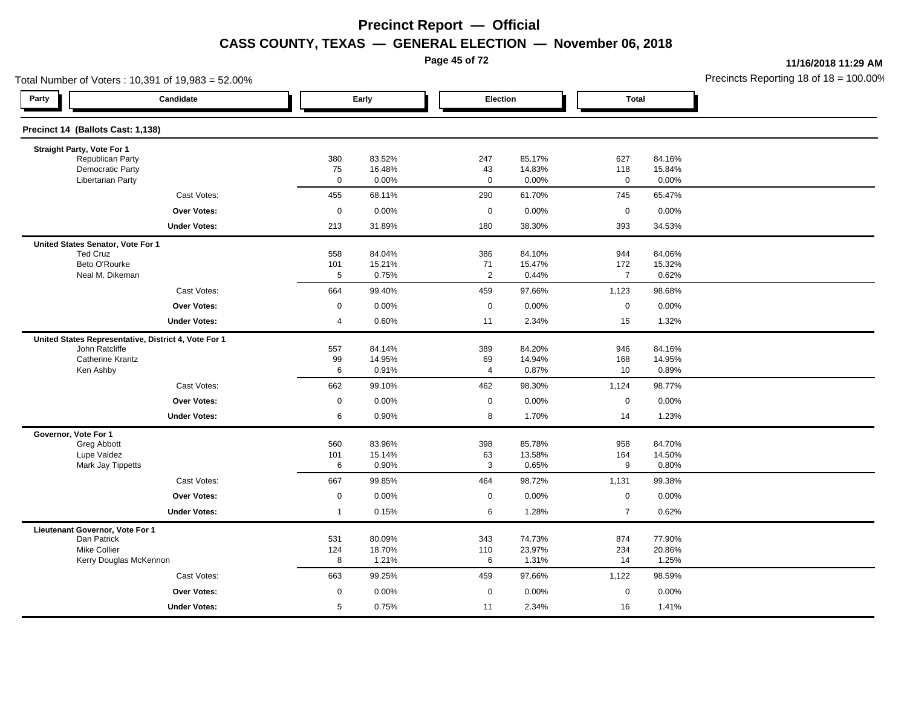**Page 45 of 72**

**11/16/2018 11:29 AM**

| Total Number of Voters: 10,391 of 19,983 = 52.00%    |                   |                 |                   |                 |                         |                 | Precincts Reporting 18 of 18 = 100.00 |
|------------------------------------------------------|-------------------|-----------------|-------------------|-----------------|-------------------------|-----------------|---------------------------------------|
| Party<br>Candidate                                   |                   | Early           | Election          |                 | <b>Total</b>            |                 |                                       |
| Precinct 14 (Ballots Cast: 1,138)                    |                   |                 |                   |                 |                         |                 |                                       |
| Straight Party, Vote For 1                           |                   |                 |                   |                 |                         |                 |                                       |
| Republican Party                                     | 380               | 83.52%          | 247               | 85.17%          | 627                     | 84.16%          |                                       |
| <b>Democratic Party</b><br><b>Libertarian Party</b>  | 75<br>$\mathbf 0$ | 16.48%<br>0.00% | 43<br>$\mathbf 0$ | 14.83%<br>0.00% | 118<br>$\mathbf 0$      | 15.84%<br>0.00% |                                       |
| Cast Votes:                                          | 455               | 68.11%          | 290               | 61.70%          | 745                     | 65.47%          |                                       |
| <b>Over Votes:</b>                                   | $\mathbf 0$       | 0.00%           | $\mathbf 0$       | 0.00%           | $\mathsf 0$             | 0.00%           |                                       |
| <b>Under Votes:</b>                                  | 213               | 31.89%          | 180               | 38.30%          | 393                     | 34.53%          |                                       |
| United States Senator, Vote For 1                    |                   |                 |                   |                 |                         |                 |                                       |
| <b>Ted Cruz</b>                                      | 558               | 84.04%          | 386               | 84.10%          | 944                     | 84.06%          |                                       |
| Beto O'Rourke                                        | 101               | 15.21%          | 71                | 15.47%          | 172<br>$\overline{7}$   | 15.32%          |                                       |
| Neal M. Dikeman                                      | 5                 | 0.75%           | $\overline{2}$    | 0.44%           |                         | 0.62%           |                                       |
| Cast Votes:                                          | 664               | 99.40%          | 459               | 97.66%          | 1,123                   | 98.68%          |                                       |
| <b>Over Votes:</b>                                   | 0                 | 0.00%           | $\mathbf 0$       | 0.00%           | $\mathbf 0$             | 0.00%           |                                       |
| <b>Under Votes:</b>                                  | 4                 | 0.60%           | 11                | 2.34%           | 15                      | 1.32%           |                                       |
| United States Representative, District 4, Vote For 1 |                   |                 |                   |                 |                         |                 |                                       |
| John Ratcliffe<br><b>Catherine Krantz</b>            | 557               | 84.14%          | 389               | 84.20%          | 946                     | 84.16%          |                                       |
| Ken Ashby                                            | 99<br>6           | 14.95%<br>0.91% | 69<br>4           | 14.94%<br>0.87% | 168<br>10               | 14.95%<br>0.89% |                                       |
| Cast Votes:                                          | 662               | 99.10%          | 462               | 98.30%          | 1,124                   | 98.77%          |                                       |
| <b>Over Votes:</b>                                   | $\mathbf 0$       | 0.00%           | 0                 | 0.00%           | $\mathbf 0$             | 0.00%           |                                       |
| <b>Under Votes:</b>                                  | 6                 | 0.90%           | 8                 | 1.70%           | 14                      | 1.23%           |                                       |
| Governor, Vote For 1                                 |                   |                 |                   |                 |                         |                 |                                       |
| Greg Abbott                                          | 560               | 83.96%          | 398               | 85.78%          | 958                     | 84.70%          |                                       |
| Lupe Valdez<br>Mark Jay Tippetts                     | 101<br>6          | 15.14%<br>0.90% | 63<br>3           | 13.58%<br>0.65% | 164<br>$\boldsymbol{9}$ | 14.50%<br>0.80% |                                       |
| Cast Votes:                                          | 667               | 99.85%          | 464               | 98.72%          | 1,131                   | 99.38%          |                                       |
| <b>Over Votes:</b>                                   | $\mathbf 0$       | 0.00%           | $\mathbf 0$       | 0.00%           | $\mathbf 0$             | 0.00%           |                                       |
| <b>Under Votes:</b>                                  | $\overline{1}$    | 0.15%           | 6                 | 1.28%           | $\overline{7}$          | 0.62%           |                                       |
|                                                      |                   |                 |                   |                 |                         |                 |                                       |
| Lieutenant Governor, Vote For 1<br>Dan Patrick       | 531               | 80.09%          | 343               | 74.73%          | 874                     | 77.90%          |                                       |
| <b>Mike Collier</b>                                  | 124               | 18.70%          | 110               | 23.97%          | 234                     | 20.86%          |                                       |
| Kerry Douglas McKennon                               | 8                 | 1.21%           | 6                 | 1.31%           | 14                      | 1.25%           |                                       |
| Cast Votes:                                          | 663               | 99.25%          | 459               | 97.66%          | 1,122                   | 98.59%          |                                       |
| Over Votes:                                          | 0                 | 0.00%           | $\mathbf 0$       | 0.00%           | $\mathbf 0$             | 0.00%           |                                       |
| <b>Under Votes:</b>                                  | 5                 | 0.75%           | 11                | 2.34%           | 16                      | 1.41%           |                                       |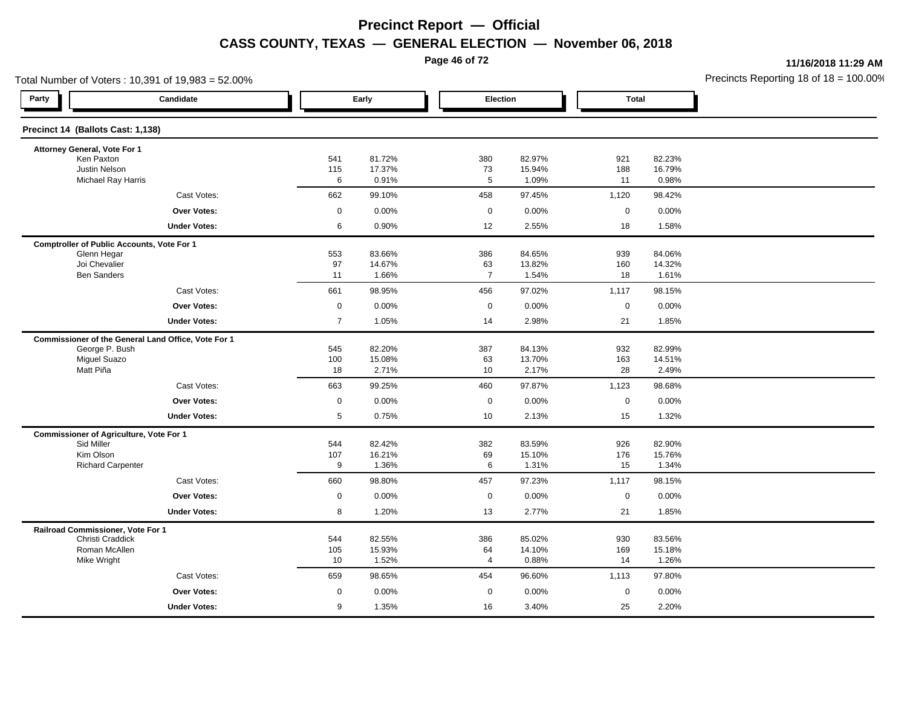**Page 46 of 72**

**11/16/2018 11:29 AM**

| Total Number of Voters: 10,391 of 19,983 = 52.00%     |                                                     |                |                 |  |                      |                 |              | Precincts Reporting 18 of 18 = 100.00 |  |
|-------------------------------------------------------|-----------------------------------------------------|----------------|-----------------|--|----------------------|-----------------|--------------|---------------------------------------|--|
| Party                                                 | Candidate                                           |                | Early           |  | Election             |                 | <b>Total</b> |                                       |  |
| Precinct 14 (Ballots Cast: 1,138)                     |                                                     |                |                 |  |                      |                 |              |                                       |  |
| Attorney General, Vote For 1                          |                                                     |                |                 |  |                      |                 |              |                                       |  |
| Ken Paxton                                            |                                                     | 541            | 81.72%          |  | 380                  | 82.97%          | 921          | 82.23%                                |  |
| Justin Nelson<br>Michael Ray Harris                   |                                                     | 115<br>6       | 17.37%<br>0.91% |  | 73<br>5              | 15.94%<br>1.09% | 188<br>11    | 16.79%<br>0.98%                       |  |
|                                                       | Cast Votes:                                         | 662            | 99.10%          |  | 458                  | 97.45%          | 1,120        | 98.42%                                |  |
|                                                       | <b>Over Votes:</b>                                  | $\mathbf 0$    | 0.00%           |  | $\mathbf 0$          | 0.00%           | $\mathbf 0$  | 0.00%                                 |  |
|                                                       | <b>Under Votes:</b>                                 | 6              | 0.90%           |  | 12                   | 2.55%           | 18           | 1.58%                                 |  |
| <b>Comptroller of Public Accounts, Vote For 1</b>     |                                                     |                |                 |  |                      |                 |              |                                       |  |
| Glenn Hegar                                           |                                                     | 553            | 83.66%          |  | 386                  | 84.65%          | 939          | 84.06%                                |  |
| Joi Chevalier<br><b>Ben Sanders</b>                   |                                                     | 97             | 14.67%          |  | 63<br>$\overline{7}$ | 13.82%          | 160          | 14.32%                                |  |
|                                                       |                                                     | 11             | 1.66%           |  |                      | 1.54%           | 18           | 1.61%                                 |  |
|                                                       | Cast Votes:                                         | 661            | 98.95%          |  | 456                  | 97.02%          | 1,117        | 98.15%                                |  |
|                                                       | <b>Over Votes:</b>                                  | $\mathbf 0$    | 0.00%           |  | $\mathbf 0$          | 0.00%           | $\mathbf 0$  | 0.00%                                 |  |
|                                                       | <b>Under Votes:</b>                                 | $\overline{7}$ | 1.05%           |  | 14                   | 2.98%           | 21           | 1.85%                                 |  |
|                                                       | Commissioner of the General Land Office, Vote For 1 |                |                 |  |                      |                 |              |                                       |  |
| George P. Bush                                        |                                                     | 545            | 82.20%          |  | 387                  | 84.13%          | 932          | 82.99%                                |  |
| <b>Miguel Suazo</b><br>Matt Piña                      |                                                     | 100<br>18      | 15.08%<br>2.71% |  | 63<br>10             | 13.70%<br>2.17% | 163<br>28    | 14.51%<br>2.49%                       |  |
|                                                       | Cast Votes:                                         |                |                 |  |                      |                 |              |                                       |  |
|                                                       |                                                     | 663            | 99.25%          |  | 460                  | 97.87%          | 1,123        | 98.68%                                |  |
|                                                       | <b>Over Votes:</b>                                  | $\mathbf 0$    | 0.00%           |  | $\mathbf 0$          | 0.00%           | $\mathbf 0$  | 0.00%                                 |  |
|                                                       | <b>Under Votes:</b>                                 | 5              | 0.75%           |  | 10                   | 2.13%           | 15           | 1.32%                                 |  |
| <b>Commissioner of Agriculture, Vote For 1</b>        |                                                     |                |                 |  |                      |                 |              |                                       |  |
| Sid Miller                                            |                                                     | 544            | 82.42%          |  | 382                  | 83.59%          | 926          | 82.90%                                |  |
| Kim Olson<br><b>Richard Carpenter</b>                 |                                                     | 107<br>9       | 16.21%<br>1.36% |  | 69<br>6              | 15.10%<br>1.31% | 176<br>15    | 15.76%<br>1.34%                       |  |
|                                                       | Cast Votes:                                         | 660            | 98.80%          |  | 457                  | 97.23%          | 1,117        | 98.15%                                |  |
|                                                       | <b>Over Votes:</b>                                  | $\mathbf 0$    | 0.00%           |  | $\mathbf 0$          | 0.00%           | $\mathbf 0$  | 0.00%                                 |  |
|                                                       | <b>Under Votes:</b>                                 | 8              | 1.20%           |  | 13                   | 2.77%           | 21           | 1.85%                                 |  |
|                                                       |                                                     |                |                 |  |                      |                 |              |                                       |  |
| Railroad Commissioner, Vote For 1<br>Christi Craddick |                                                     | 544            | 82.55%          |  | 386                  | 85.02%          | 930          | 83.56%                                |  |
| Roman McAllen                                         |                                                     | 105            | 15.93%          |  | 64                   | 14.10%          | 169          | 15.18%                                |  |
| Mike Wright                                           |                                                     | 10             | 1.52%           |  | 4                    | 0.88%           | 14           | 1.26%                                 |  |
|                                                       | Cast Votes:                                         | 659            | 98.65%          |  | 454                  | 96.60%          | 1,113        | 97.80%                                |  |
|                                                       | Over Votes:                                         | 0              | 0.00%           |  | $\mathbf 0$          | 0.00%           | $\mathbf 0$  | 0.00%                                 |  |
|                                                       | <b>Under Votes:</b>                                 | 9              | 1.35%           |  | 16                   | 3.40%           | 25           | 2.20%                                 |  |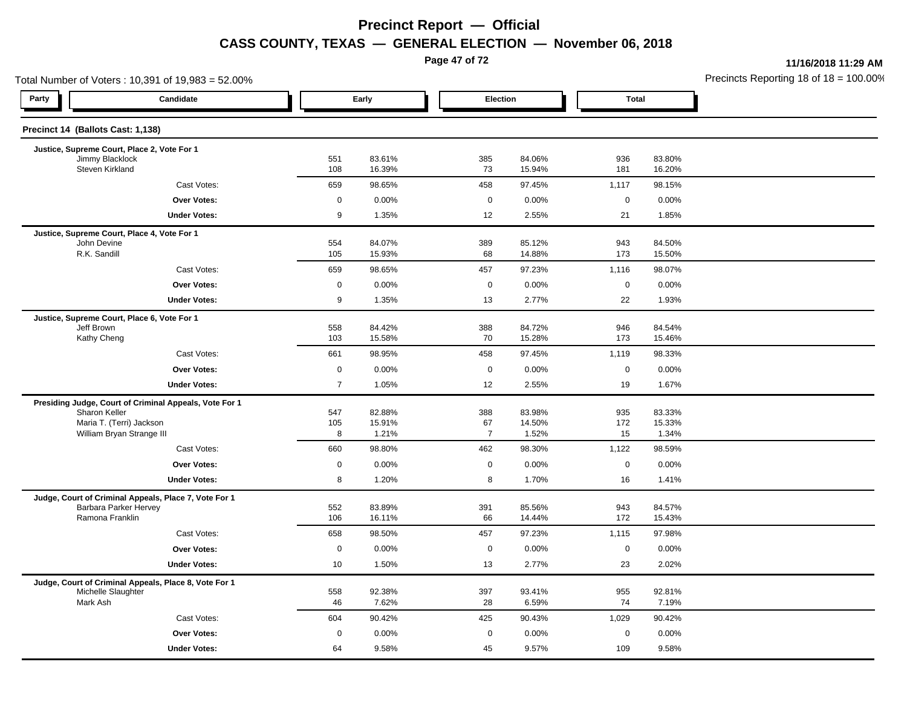**Page 47 of 72**

**11/16/2018 11:29 AM**

|                                    | Total Number of Voters: 10,391 of 19,983 = 52.00%      |                    |                  |                    |                  |                      |                  | Precincts Reporting 18 of 18 = 100.00 |
|------------------------------------|--------------------------------------------------------|--------------------|------------------|--------------------|------------------|----------------------|------------------|---------------------------------------|
| Party                              | Candidate                                              |                    | Early            | Election           |                  | <b>Total</b>         |                  |                                       |
| Precinct 14 (Ballots Cast: 1,138)  |                                                        |                    |                  |                    |                  |                      |                  |                                       |
|                                    | Justice, Supreme Court, Place 2, Vote For 1            |                    |                  |                    |                  |                      |                  |                                       |
| Jimmy Blacklock<br>Steven Kirkland |                                                        | 551<br>108         | 83.61%<br>16.39% | 385<br>73          | 84.06%<br>15.94% | 936<br>181           | 83.80%<br>16.20% |                                       |
|                                    | Cast Votes:                                            | 659                | 98.65%           | 458                | 97.45%           | 1,117                | 98.15%           |                                       |
|                                    | <b>Over Votes:</b>                                     | 0                  | 0.00%            | $\mathbf 0$        | 0.00%            | $\mathbf 0$          | 0.00%            |                                       |
|                                    | <b>Under Votes:</b>                                    | 9                  | 1.35%            | 12                 | 2.55%            | 21                   | 1.85%            |                                       |
|                                    | Justice, Supreme Court, Place 4, Vote For 1            |                    |                  |                    |                  |                      |                  |                                       |
| John Devine<br>R.K. Sandill        |                                                        | 554                | 84.07%           | 389                | 85.12%           | 943                  | 84.50%           |                                       |
|                                    |                                                        | 105                | 15.93%           | 68                 | 14.88%           | 173                  | 15.50%           |                                       |
|                                    | Cast Votes:<br><b>Over Votes:</b>                      | 659<br>$\mathbf 0$ | 98.65%<br>0.00%  | 457<br>$\mathbf 0$ | 97.23%<br>0.00%  | 1,116<br>$\mathbf 0$ | 98.07%<br>0.00%  |                                       |
|                                    | <b>Under Votes:</b>                                    | 9                  | 1.35%            | 13                 | 2.77%            | 22                   | 1.93%            |                                       |
|                                    |                                                        |                    |                  |                    |                  |                      |                  |                                       |
| Jeff Brown                         | Justice, Supreme Court, Place 6, Vote For 1            | 558                | 84.42%           | 388                | 84.72%           | 946                  | 84.54%           |                                       |
| Kathy Cheng                        |                                                        | 103                | 15.58%           | 70                 | 15.28%           | 173                  | 15.46%           |                                       |
|                                    | Cast Votes:                                            | 661                | 98.95%           | 458                | 97.45%           | 1,119                | 98.33%           |                                       |
|                                    | Over Votes:                                            | $\mathbf 0$        | 0.00%            | $\mathbf 0$        | 0.00%            | $\mathbf 0$          | 0.00%            |                                       |
|                                    | <b>Under Votes:</b>                                    | $\overline{7}$     | 1.05%            | 12                 | 2.55%            | 19                   | 1.67%            |                                       |
|                                    | Presiding Judge, Court of Criminal Appeals, Vote For 1 |                    |                  |                    |                  |                      |                  |                                       |
| Sharon Keller                      | Maria T. (Terri) Jackson                               | 547<br>105         | 82.88%<br>15.91% | 388<br>67          | 83.98%<br>14.50% | 935<br>172           | 83.33%<br>15.33% |                                       |
|                                    | William Bryan Strange III                              | 8                  | 1.21%            | $\overline{7}$     | 1.52%            | 15                   | 1.34%            |                                       |
|                                    | Cast Votes:                                            | 660                | 98.80%           | 462                | 98.30%           | 1,122                | 98.59%           |                                       |
|                                    | <b>Over Votes:</b>                                     | 0                  | 0.00%            | $\mathbf 0$        | 0.00%            | $\mathbf 0$          | 0.00%            |                                       |
|                                    | <b>Under Votes:</b>                                    | 8                  | 1.20%            | 8                  | 1.70%            | 16                   | 1.41%            |                                       |
|                                    | Judge, Court of Criminal Appeals, Place 7, Vote For 1  |                    |                  |                    |                  |                      |                  |                                       |
| Ramona Franklin                    | Barbara Parker Hervey                                  | 552<br>106         | 83.89%<br>16.11% | 391<br>66          | 85.56%<br>14.44% | 943<br>172           | 84.57%<br>15.43% |                                       |
|                                    | Cast Votes:                                            | 658                | 98.50%           | 457                | 97.23%           | 1,115                | 97.98%           |                                       |
|                                    |                                                        | $\mathbf 0$        |                  |                    |                  |                      |                  |                                       |
|                                    | Over Votes:<br><b>Under Votes:</b>                     | 10                 | 0.00%<br>1.50%   | $\mathbf 0$<br>13  | 0.00%<br>2.77%   | $\mathbf 0$<br>23    | 0.00%<br>2.02%   |                                       |
|                                    |                                                        |                    |                  |                    |                  |                      |                  |                                       |
| Michelle Slaughter                 | Judge, Court of Criminal Appeals, Place 8, Vote For 1  | 558                | 92.38%           | 397                | 93.41%           | 955                  | 92.81%           |                                       |
| Mark Ash                           |                                                        | 46                 | 7.62%            | 28                 | 6.59%            | 74                   | 7.19%            |                                       |
|                                    | Cast Votes:                                            | 604                | 90.42%           | 425                | 90.43%           | 1,029                | 90.42%           |                                       |
|                                    | <b>Over Votes:</b>                                     | 0                  | 0.00%            | $\mathbf 0$        | 0.00%            | $\mathbf 0$          | 0.00%            |                                       |
|                                    | <b>Under Votes:</b>                                    | 64                 | 9.58%            | 45                 | 9.57%            | 109                  | 9.58%            |                                       |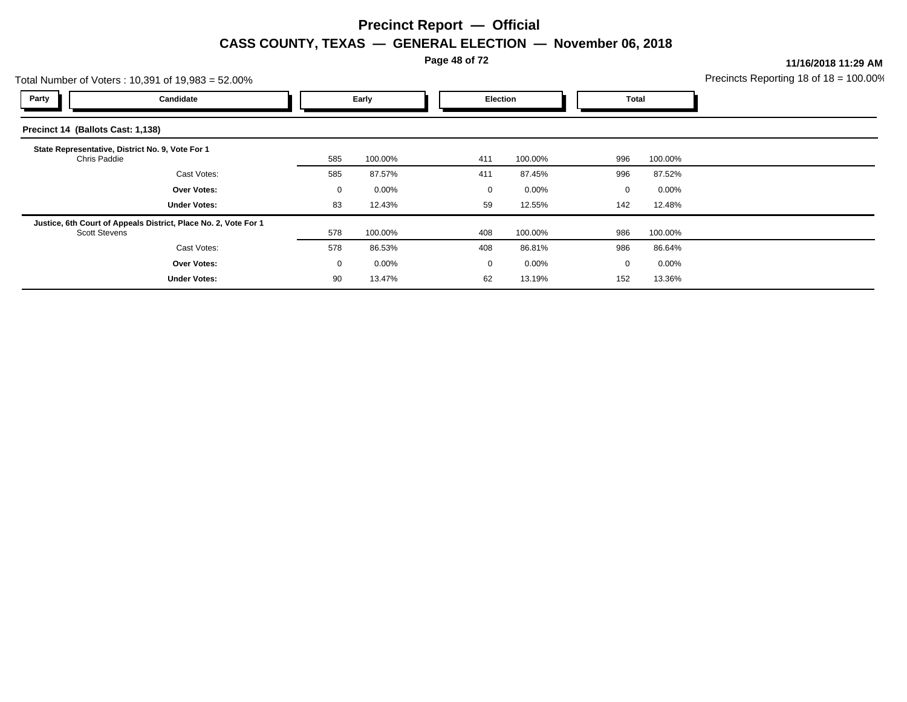**Page 48 of 72**

**11/16/2018 11:29 AM**

| Total Number of Voters: 10,391 of 19,983 = 52.00%                |                                                                 |             |                   |  |     | Precincts Reporting 18 of $18 = 100.00$ |             |          |  |
|------------------------------------------------------------------|-----------------------------------------------------------------|-------------|-------------------|--|-----|-----------------------------------------|-------------|----------|--|
| Party                                                            | Candidate                                                       |             | Early<br>Election |  |     | Total                                   |             |          |  |
| Precinct 14 (Ballots Cast: 1,138)                                |                                                                 |             |                   |  |     |                                         |             |          |  |
| State Representative, District No. 9, Vote For 1<br>Chris Paddie |                                                                 | 585         | 100.00%           |  | 411 | 100.00%                                 | 996         | 100.00%  |  |
|                                                                  | Cast Votes:                                                     | 585         | 87.57%            |  | 411 | 87.45%                                  | 996         | 87.52%   |  |
|                                                                  | <b>Over Votes:</b>                                              | 0           | $0.00\%$          |  | 0   | $0.00\%$                                | $\mathbf 0$ | $0.00\%$ |  |
|                                                                  | <b>Under Votes:</b>                                             | 83          | 12.43%            |  | 59  | 12.55%                                  | 142         | 12.48%   |  |
| <b>Scott Stevens</b>                                             | Justice, 6th Court of Appeals District, Place No. 2, Vote For 1 | 578         | 100.00%           |  | 408 | 100.00%                                 | 986         | 100.00%  |  |
|                                                                  | Cast Votes:                                                     | 578         | 86.53%            |  | 408 | 86.81%                                  | 986         | 86.64%   |  |
|                                                                  | <b>Over Votes:</b>                                              | $\mathbf 0$ | $0.00\%$          |  | 0   | 0.00%                                   | $\Omega$    | $0.00\%$ |  |
|                                                                  | <b>Under Votes:</b>                                             | 90          | 13.47%            |  | 62  | 13.19%                                  | 152         | 13.36%   |  |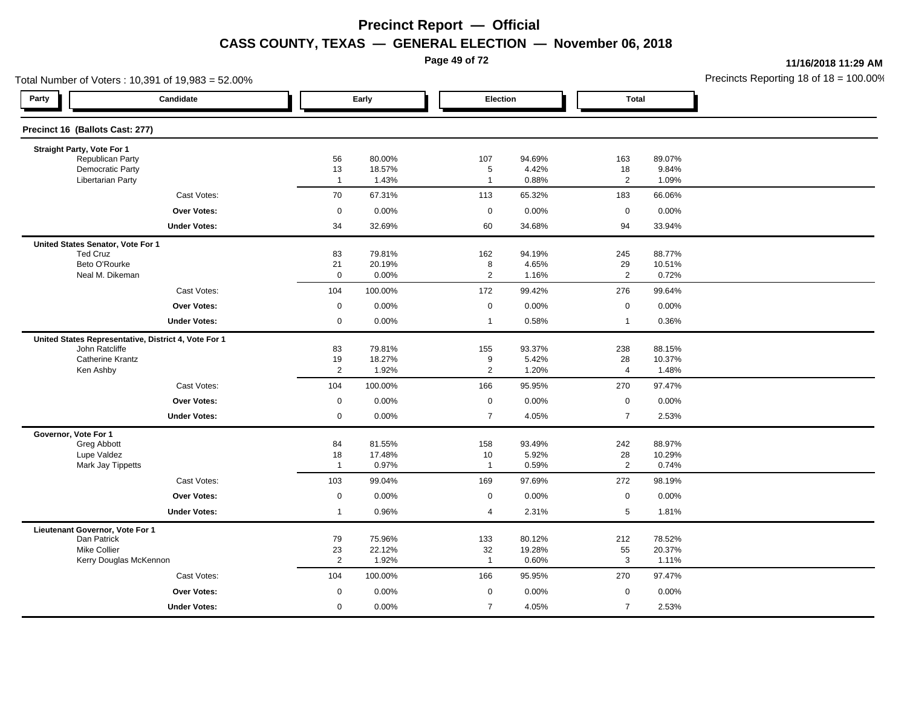**Page 49 of 72**

**11/16/2018 11:29 AM**

| Total Number of Voters: 10,391 of 19,983 = 52.00%   |                                                      |                         |                  |                     |                  |                      |                  | Precincts Reporting 18 of 18 = 100.00 |
|-----------------------------------------------------|------------------------------------------------------|-------------------------|------------------|---------------------|------------------|----------------------|------------------|---------------------------------------|
| Party                                               | Candidate                                            |                         | Early            |                     | Election         | <b>Total</b>         |                  |                                       |
| Precinct 16 (Ballots Cast: 277)                     |                                                      |                         |                  |                     |                  |                      |                  |                                       |
| Straight Party, Vote For 1                          |                                                      |                         |                  |                     |                  |                      |                  |                                       |
| Republican Party                                    |                                                      | 56                      | 80.00%           | 107                 | 94.69%           | 163                  | 89.07%           |                                       |
| <b>Democratic Party</b><br><b>Libertarian Party</b> |                                                      | 13<br>$\overline{1}$    | 18.57%<br>1.43%  | 5<br>$\overline{1}$ | 4.42%<br>0.88%   | 18<br>$\overline{2}$ | 9.84%<br>1.09%   |                                       |
|                                                     | Cast Votes:                                          | 70                      | 67.31%           | 113                 | 65.32%           | 183                  | 66.06%           |                                       |
|                                                     | <b>Over Votes:</b>                                   | 0                       | 0.00%            | $\mathbf 0$         | 0.00%            | $\mathbf 0$          | 0.00%            |                                       |
|                                                     | <b>Under Votes:</b>                                  | 34                      | 32.69%           | 60                  | 34.68%           | 94                   | 33.94%           |                                       |
| United States Senator, Vote For 1                   |                                                      |                         |                  |                     |                  |                      |                  |                                       |
| <b>Ted Cruz</b>                                     |                                                      | 83                      | 79.81%           | 162                 | 94.19%           | 245                  | 88.77%           |                                       |
| Beto O'Rourke<br>Neal M. Dikeman                    |                                                      | 21<br>$\mathbf 0$       | 20.19%<br>0.00%  | 8<br>$\mathbf{2}$   | 4.65%<br>1.16%   | 29<br>2              | 10.51%<br>0.72%  |                                       |
|                                                     | Cast Votes:                                          | 104                     | 100.00%          | 172                 | 99.42%           | 276                  | 99.64%           |                                       |
|                                                     | <b>Over Votes:</b>                                   | $\mathbf 0$             | 0.00%            | $\mathbf 0$         | 0.00%            | $\mathbf 0$          | 0.00%            |                                       |
|                                                     | <b>Under Votes:</b>                                  | 0                       | 0.00%            | $\mathbf{1}$        | 0.58%            | $\overline{1}$       | 0.36%            |                                       |
|                                                     | United States Representative, District 4, Vote For 1 |                         |                  |                     |                  |                      |                  |                                       |
| John Ratcliffe                                      |                                                      | 83                      | 79.81%           | 155                 | 93.37%           | 238                  | 88.15%           |                                       |
| <b>Catherine Krantz</b>                             |                                                      | 19                      | 18.27%           | 9                   | 5.42%            | 28                   | 10.37%           |                                       |
| Ken Ashby                                           |                                                      | $\overline{2}$          | 1.92%            | $\overline{2}$      | 1.20%            | $\overline{4}$       | 1.48%            |                                       |
|                                                     | Cast Votes:                                          | 104                     | 100.00%          | 166                 | 95.95%           | 270                  | 97.47%           |                                       |
|                                                     | Over Votes:                                          | $\mathbf 0$             | 0.00%            | $\mathbf 0$         | 0.00%            | $\mathbf 0$          | 0.00%            |                                       |
|                                                     | <b>Under Votes:</b>                                  | 0                       | 0.00%            | $\overline{7}$      | 4.05%            | $\overline{7}$       | 2.53%            |                                       |
| Governor, Vote For 1                                |                                                      |                         |                  |                     |                  |                      |                  |                                       |
| <b>Greg Abbott</b><br>Lupe Valdez                   |                                                      | 84<br>18                | 81.55%<br>17.48% | 158<br>10           | 93.49%<br>5.92%  | 242<br>28            | 88.97%<br>10.29% |                                       |
| Mark Jay Tippetts                                   |                                                      | $\overline{\mathbf{1}}$ | 0.97%            | $\mathbf{1}$        | 0.59%            | $\overline{2}$       | 0.74%            |                                       |
|                                                     | Cast Votes:                                          | 103                     | 99.04%           | 169                 | 97.69%           | 272                  | 98.19%           |                                       |
|                                                     | Over Votes:                                          | 0                       | 0.00%            | $\mathbf 0$         | 0.00%            | $\mathbf 0$          | 0.00%            |                                       |
|                                                     | <b>Under Votes:</b>                                  | $\mathbf{1}$            | 0.96%            | 4                   | 2.31%            | $\overline{5}$       | 1.81%            |                                       |
| Lieutenant Governor, Vote For 1                     |                                                      |                         |                  |                     |                  |                      |                  |                                       |
| Dan Patrick<br><b>Mike Collier</b>                  |                                                      | 79<br>23                | 75.96%<br>22.12% | 133<br>32           | 80.12%<br>19.28% | 212<br>55            | 78.52%<br>20.37% |                                       |
|                                                     | Kerry Douglas McKennon                               | $\overline{2}$          | 1.92%            | $\overline{1}$      | 0.60%            | $\mathbf{3}$         | 1.11%            |                                       |
|                                                     | Cast Votes:                                          | 104                     | 100.00%          | 166                 | 95.95%           | 270                  | 97.47%           |                                       |
|                                                     | <b>Over Votes:</b>                                   | $\mathbf 0$             | 0.00%            | $\mathbf 0$         | 0.00%            | $\mathbf 0$          | 0.00%            |                                       |
|                                                     | <b>Under Votes:</b>                                  | 0                       | 0.00%            | $\overline{7}$      | 4.05%            | $\overline{7}$       | 2.53%            |                                       |
|                                                     |                                                      |                         |                  |                     |                  |                      |                  |                                       |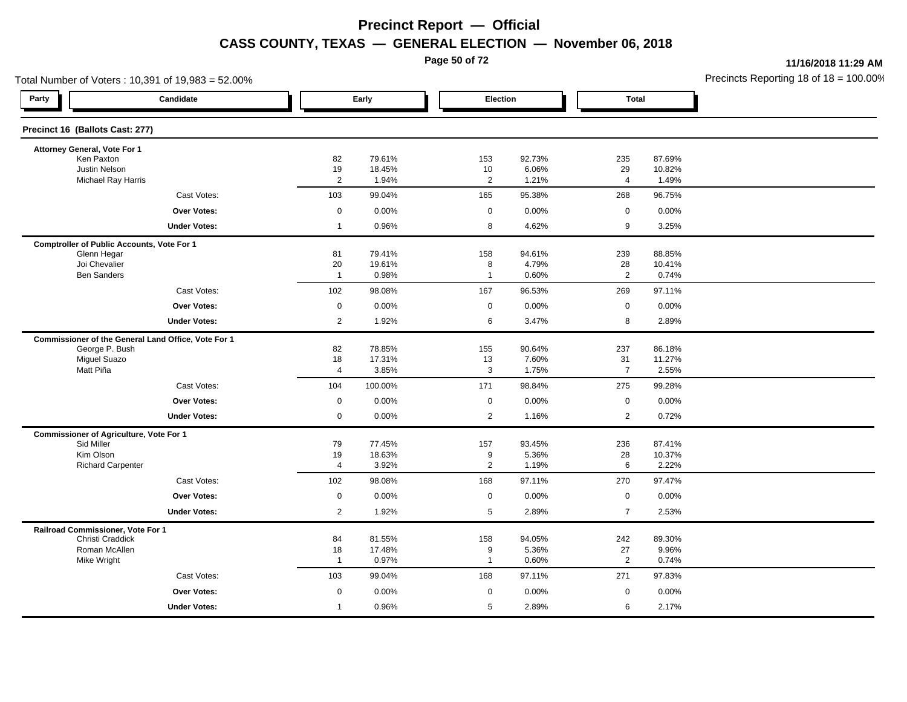**Page 50 of 72**

**11/16/2018 11:29 AM**

| Total Number of Voters: 10,391 of 19,983 = 52.00%   |                      |                  |                      |                 |                      |                  | Precincts Reporting 18 of 18 = 100.00 |
|-----------------------------------------------------|----------------------|------------------|----------------------|-----------------|----------------------|------------------|---------------------------------------|
| Party<br>Candidate                                  |                      | Early            | Election             |                 | <b>Total</b>         |                  |                                       |
| Precinct 16 (Ballots Cast: 277)                     |                      |                  |                      |                 |                      |                  |                                       |
| Attorney General, Vote For 1                        |                      |                  |                      |                 |                      |                  |                                       |
| Ken Paxton<br>Justin Nelson                         | 82                   | 79.61%<br>18.45% | 153                  | 92.73%<br>6.06% | 235                  | 87.69%<br>10.82% |                                       |
| <b>Michael Ray Harris</b>                           | 19<br>$\overline{2}$ | 1.94%            | 10<br>$\overline{2}$ | 1.21%           | 29<br>4              | 1.49%            |                                       |
| Cast Votes:                                         | 103                  | 99.04%           | 165                  | 95.38%          | 268                  | 96.75%           |                                       |
| <b>Over Votes:</b>                                  | $\mathsf 0$          | 0.00%            | $\mathbf 0$          | 0.00%           | $\mathbf 0$          | 0.00%            |                                       |
| <b>Under Votes:</b>                                 | $\mathbf{1}$         | 0.96%            | 8                    | 4.62%           | 9                    | 3.25%            |                                       |
| <b>Comptroller of Public Accounts, Vote For 1</b>   |                      |                  |                      |                 |                      |                  |                                       |
| Glenn Hegar                                         | 81                   | 79.41%           | 158                  | 94.61%          | 239                  | 88.85%           |                                       |
| Joi Chevalier<br><b>Ben Sanders</b>                 | 20<br>$\overline{1}$ | 19.61%<br>0.98%  | 8<br>$\overline{1}$  | 4.79%<br>0.60%  | 28<br>$\overline{2}$ | 10.41%<br>0.74%  |                                       |
|                                                     |                      |                  |                      |                 |                      |                  |                                       |
| Cast Votes:                                         | 102                  | 98.08%           | 167                  | 96.53%          | 269                  | 97.11%           |                                       |
| <b>Over Votes:</b>                                  | $\mathsf 0$          | 0.00%            | $\mathbf 0$          | 0.00%           | $\mathbf 0$          | 0.00%            |                                       |
| <b>Under Votes:</b>                                 | $\overline{2}$       | 1.92%            | 6                    | 3.47%           | 8                    | 2.89%            |                                       |
| Commissioner of the General Land Office, Vote For 1 |                      |                  |                      |                 |                      |                  |                                       |
| George P. Bush<br><b>Miguel Suazo</b>               | 82<br>18             | 78.85%<br>17.31% | 155<br>13            | 90.64%<br>7.60% | 237<br>31            | 86.18%<br>11.27% |                                       |
| Matt Piña                                           | $\overline{4}$       | 3.85%            | 3                    | 1.75%           | $\overline{7}$       | 2.55%            |                                       |
| Cast Votes:                                         | 104                  | 100.00%          | 171                  | 98.84%          | 275                  | 99.28%           |                                       |
| <b>Over Votes:</b>                                  | $\mathsf 0$          | 0.00%            | $\mathbf 0$          | 0.00%           | $\mathbf 0$          | $0.00\%$         |                                       |
| <b>Under Votes:</b>                                 | $\mathbf 0$          | 0.00%            | 2                    | 1.16%           | 2                    | 0.72%            |                                       |
| <b>Commissioner of Agriculture, Vote For 1</b>      |                      |                  |                      |                 |                      |                  |                                       |
| Sid Miller                                          | 79                   | 77.45%           | 157                  | 93.45%          | 236                  | 87.41%           |                                       |
| Kim Olson<br><b>Richard Carpenter</b>               | 19<br>$\overline{4}$ | 18.63%<br>3.92%  | 9<br>2               | 5.36%<br>1.19%  | 28<br>6              | 10.37%<br>2.22%  |                                       |
| Cast Votes:                                         | 102                  | 98.08%           | 168                  | 97.11%          | 270                  | 97.47%           |                                       |
| <b>Over Votes:</b>                                  | $\mathbf 0$          | 0.00%            | $\mathbf 0$          | 0.00%           | $\mathbf 0$          | 0.00%            |                                       |
| <b>Under Votes:</b>                                 | $\overline{2}$       | 1.92%            | $\sqrt{5}$           | 2.89%           | $\overline{7}$       | 2.53%            |                                       |
| Railroad Commissioner, Vote For 1                   |                      |                  |                      |                 |                      |                  |                                       |
| Christi Craddick                                    | 84                   | 81.55%           | 158                  | 94.05%          | 242                  | 89.30%           |                                       |
| Roman McAllen                                       | 18                   | 17.48%           | 9                    | 5.36%           | 27                   | 9.96%            |                                       |
| Mike Wright                                         | $\overline{1}$       | 0.97%            | $\overline{1}$       | 0.60%           | $\overline{2}$       | 0.74%            |                                       |
| Cast Votes:                                         | 103                  | 99.04%           | 168                  | 97.11%          | 271                  | 97.83%           |                                       |
| Over Votes:                                         | $\mathbf 0$          | 0.00%            | $\mathbf 0$          | 0.00%           | $\mathbf 0$          | 0.00%            |                                       |
| <b>Under Votes:</b>                                 | $\overline{1}$       | 0.96%            | 5                    | 2.89%           | 6                    | 2.17%            |                                       |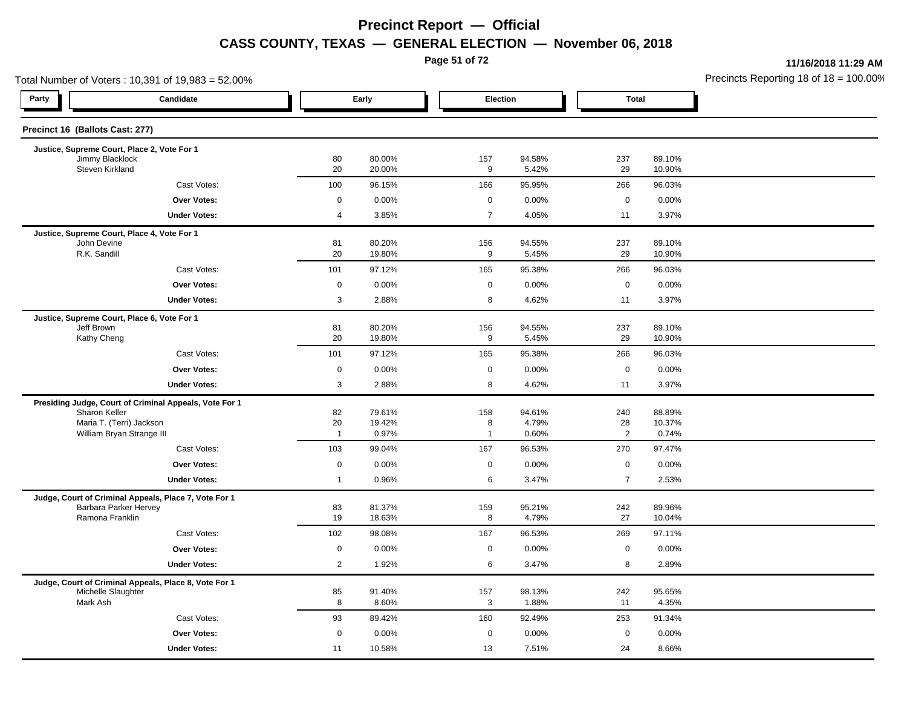**Page 51 of 72**

**11/16/2018 11:29 AM**

| Total Number of Voters: 10,391 of 19,983 = 52.00%                           |                |                  |     |                         |                |                  | Precincts Reporting 18 of $18 = 100.00$ |
|-----------------------------------------------------------------------------|----------------|------------------|-----|-------------------------|----------------|------------------|-----------------------------------------|
| Party<br>Candidate                                                          |                | Early            |     | Election                | <b>Total</b>   |                  |                                         |
| Precinct 16 (Ballots Cast: 277)                                             |                |                  |     |                         |                |                  |                                         |
| Justice, Supreme Court, Place 2, Vote For 1                                 |                |                  |     |                         |                |                  |                                         |
| Jimmy Blacklock<br>Steven Kirkland                                          | 80<br>20       | 80.00%<br>20.00% | 157 | 94.58%<br>9<br>5.42%    | 237<br>29      | 89.10%<br>10.90% |                                         |
| Cast Votes:                                                                 | 100            | 96.15%           | 166 | 95.95%                  | 266            | 96.03%           |                                         |
| <b>Over Votes:</b>                                                          | $\mathbf 0$    | 0.00%            |     | $\mathbf 0$<br>0.00%    | $\mathbf 0$    | 0.00%            |                                         |
| <b>Under Votes:</b>                                                         | $\overline{4}$ | 3.85%            |     | $\overline{7}$<br>4.05% | 11             | 3.97%            |                                         |
| Justice, Supreme Court, Place 4, Vote For 1                                 |                |                  |     |                         |                |                  |                                         |
| John Devine<br>R.K. Sandill                                                 | 81             | 80.20%           | 156 | 94.55%<br>9             | 237<br>29      | 89.10%           |                                         |
| Cast Votes:                                                                 | 20<br>101      | 19.80%<br>97.12% | 165 | 5.45%<br>95.38%         | 266            | 10.90%<br>96.03% |                                         |
| Over Votes:                                                                 | $\mathsf 0$    | 0.00%            |     | 0.00%<br>$\mathbf 0$    | $\mathsf 0$    | 0.00%            |                                         |
| <b>Under Votes:</b>                                                         | 3              | 2.88%            |     | 8<br>4.62%              | 11             | 3.97%            |                                         |
|                                                                             |                |                  |     |                         |                |                  |                                         |
| Justice, Supreme Court, Place 6, Vote For 1<br>Jeff Brown                   | 81             | 80.20%           | 156 | 94.55%                  | 237            | 89.10%           |                                         |
| Kathy Cheng                                                                 | 20             | 19.80%           |     | 9<br>5.45%              | 29             | 10.90%           |                                         |
| Cast Votes:                                                                 | 101            | 97.12%           | 165 | 95.38%                  | 266            | 96.03%           |                                         |
| <b>Over Votes:</b>                                                          | $\mathbf 0$    | 0.00%            |     | 0<br>0.00%              | $\mathsf 0$    | 0.00%            |                                         |
| <b>Under Votes:</b>                                                         | 3              | 2.88%            |     | 4.62%<br>8              | 11             | 3.97%            |                                         |
| Presiding Judge, Court of Criminal Appeals, Vote For 1                      |                |                  |     |                         |                |                  |                                         |
| Sharon Keller<br>Maria T. (Terri) Jackson                                   | 82<br>20       | 79.61%<br>19.42% | 158 | 94.61%<br>8<br>4.79%    | 240<br>28      | 88.89%<br>10.37% |                                         |
| William Bryan Strange III                                                   | $\overline{1}$ | 0.97%            |     | 0.60%<br>$\overline{1}$ | $\overline{2}$ | 0.74%            |                                         |
| Cast Votes:                                                                 | 103            | 99.04%           | 167 | 96.53%                  | 270            | 97.47%           |                                         |
| Over Votes:                                                                 | $\mathbf 0$    | 0.00%            |     | 0.00%<br>$\mathbf 0$    | $\mathbf 0$    | 0.00%            |                                         |
| <b>Under Votes:</b>                                                         | $\mathbf{1}$   | 0.96%            |     | 6<br>3.47%              | $\overline{7}$ | 2.53%            |                                         |
| Judge, Court of Criminal Appeals, Place 7, Vote For 1                       |                |                  |     |                         |                |                  |                                         |
| Barbara Parker Hervey<br>Ramona Franklin                                    | 83<br>19       | 81.37%           | 159 | 95.21%<br>8<br>4.79%    | 242<br>27      | 89.96%           |                                         |
|                                                                             |                | 18.63%           |     |                         |                | 10.04%           |                                         |
| Cast Votes:                                                                 | 102            | 98.08%           | 167 | 96.53%                  | 269            | 97.11%           |                                         |
| Over Votes:                                                                 | $\mathbf 0$    | 0.00%            |     | $\mathbf 0$<br>0.00%    | $\mathbf 0$    | 0.00%            |                                         |
| <b>Under Votes:</b>                                                         | $\overline{2}$ | 1.92%            |     | 6<br>3.47%              | 8              | 2.89%            |                                         |
| Judge, Court of Criminal Appeals, Place 8, Vote For 1<br>Michelle Slaughter | 85             | 91.40%           | 157 | 98.13%                  | 242            | 95.65%           |                                         |
| Mark Ash                                                                    | 8              | 8.60%            |     | 3<br>1.88%              | 11             | 4.35%            |                                         |
| Cast Votes:                                                                 | 93             | 89.42%           | 160 | 92.49%                  | 253            | 91.34%           |                                         |
| <b>Over Votes:</b>                                                          | $\mathbf 0$    | 0.00%            |     | $\mathbf 0$<br>0.00%    | $\mathbf 0$    | 0.00%            |                                         |
| <b>Under Votes:</b>                                                         | 11             | 10.58%           | 13  | 7.51%                   | 24             | 8.66%            |                                         |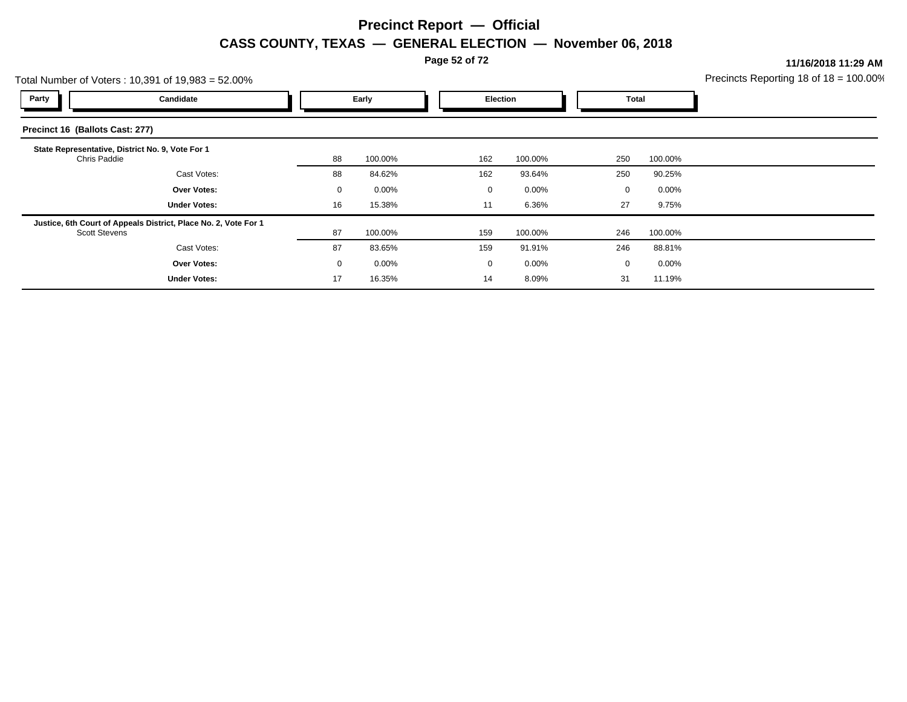**Page 52 of 72**

**11/16/2018 11:29 AM**

|                                 | Precincts Reporting 18 of $18 = 100.00$<br>Total Number of Voters: 10,391 of 19,983 = 52.00% |             |          |  |             |          |     |                      |  |
|---------------------------------|----------------------------------------------------------------------------------------------|-------------|----------|--|-------------|----------|-----|----------------------|--|
| Party                           | Candidate                                                                                    |             | Early    |  | Election    |          |     | Total                |  |
| Precinct 16 (Ballots Cast: 277) |                                                                                              |             |          |  |             |          |     |                      |  |
| Chris Paddie                    | State Representative, District No. 9, Vote For 1                                             | 88          | 100.00%  |  | 162         | 100.00%  | 250 | 100.00%              |  |
|                                 | Cast Votes:                                                                                  | 88          | 84.62%   |  | 162         | 93.64%   | 250 | 90.25%               |  |
|                                 | <b>Over Votes:</b>                                                                           | $\mathbf 0$ | $0.00\%$ |  | 0           | 0.00%    |     | $0.00\%$<br>$\Omega$ |  |
|                                 | <b>Under Votes:</b>                                                                          | 16          | 15.38%   |  | 11          | 6.36%    | 27  | 9.75%                |  |
| <b>Scott Stevens</b>            | Justice, 6th Court of Appeals District, Place No. 2, Vote For 1                              | 87          | 100.00%  |  | 159         | 100.00%  | 246 | 100.00%              |  |
|                                 | Cast Votes:                                                                                  | 87          | 83.65%   |  | 159         | 91.91%   | 246 | 88.81%               |  |
|                                 | <b>Over Votes:</b>                                                                           | $\mathbf 0$ | $0.00\%$ |  | $\mathbf 0$ | $0.00\%$ |     | 0.00%<br>$\mathbf 0$ |  |
|                                 | <b>Under Votes:</b>                                                                          | 17          | 16.35%   |  | 14          | 8.09%    | 31  | 11.19%               |  |
|                                 |                                                                                              |             |          |  |             |          |     |                      |  |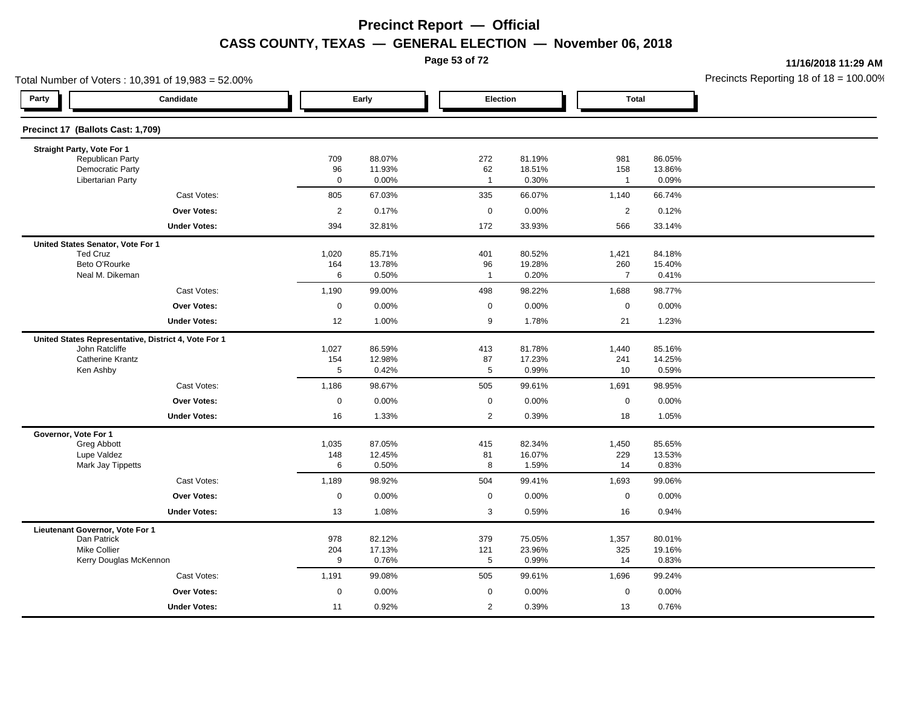**Page 53 of 72**

**11/16/2018 11:29 AM**

| Total Number of Voters: 10,391 of 19,983 = 52.00%   |                                                      |                   |                  |                      |                  |                     |                  | Precincts Reporting 18 of 18 = 100.00 |
|-----------------------------------------------------|------------------------------------------------------|-------------------|------------------|----------------------|------------------|---------------------|------------------|---------------------------------------|
| Party                                               | Candidate                                            |                   | Early            |                      | Election         | Total               |                  |                                       |
| Precinct 17 (Ballots Cast: 1,709)                   |                                                      |                   |                  |                      |                  |                     |                  |                                       |
| Straight Party, Vote For 1                          |                                                      |                   |                  |                      |                  |                     |                  |                                       |
| Republican Party                                    |                                                      | 709               | 88.07%           | 272                  | 81.19%           | 981                 | 86.05%           |                                       |
| <b>Democratic Party</b><br><b>Libertarian Party</b> |                                                      | 96<br>$\mathbf 0$ | 11.93%<br>0.00%  | 62<br>$\overline{1}$ | 18.51%<br>0.30%  | 158<br>$\mathbf{1}$ | 13.86%<br>0.09%  |                                       |
|                                                     | Cast Votes:                                          | 805               | 67.03%           | 335                  | 66.07%           | 1,140               | 66.74%           |                                       |
|                                                     | <b>Over Votes:</b>                                   | $\overline{c}$    | 0.17%            | $\mathbf 0$          | 0.00%            | $\overline{2}$      | 0.12%            |                                       |
|                                                     | <b>Under Votes:</b>                                  | 394               | 32.81%           | 172                  | 33.93%           | 566                 | 33.14%           |                                       |
| United States Senator, Vote For 1                   |                                                      |                   |                  |                      |                  |                     |                  |                                       |
| <b>Ted Cruz</b>                                     |                                                      | 1,020             | 85.71%           | 401                  | 80.52%           | 1,421               | 84.18%           |                                       |
| Beto O'Rourke                                       |                                                      | 164               | 13.78%           | 96                   | 19.28%           | 260                 | 15.40%           |                                       |
| Neal M. Dikeman                                     |                                                      | 6                 | 0.50%            | $\overline{1}$       | 0.20%            | $\overline{7}$      | 0.41%            |                                       |
|                                                     | Cast Votes:                                          | 1,190             | 99.00%           | 498                  | 98.22%           | 1,688               | 98.77%           |                                       |
|                                                     | Over Votes:                                          | 0                 | 0.00%            | 0                    | 0.00%            | $\mathbf 0$         | 0.00%            |                                       |
|                                                     | <b>Under Votes:</b>                                  | 12                | 1.00%            | 9                    | 1.78%            | 21                  | 1.23%            |                                       |
|                                                     | United States Representative, District 4, Vote For 1 |                   |                  |                      |                  |                     |                  |                                       |
| John Ratcliffe                                      |                                                      | 1,027             | 86.59%           | 413                  | 81.78%           | 1,440               | 85.16%           |                                       |
| <b>Catherine Krantz</b><br>Ken Ashby                |                                                      | 154<br>5          | 12.98%<br>0.42%  | 87<br>5              | 17.23%<br>0.99%  | 241<br>10           | 14.25%<br>0.59%  |                                       |
|                                                     | Cast Votes:                                          | 1,186             | 98.67%           | 505                  | 99.61%           | 1,691               | 98.95%           |                                       |
|                                                     | <b>Over Votes:</b>                                   | $\mathsf 0$       | 0.00%            | $\mathbf 0$          | 0.00%            | $\mathbf 0$         | 0.00%            |                                       |
|                                                     | <b>Under Votes:</b>                                  | 16                | 1.33%            | $\overline{2}$       | 0.39%            | 18                  | 1.05%            |                                       |
| Governor, Vote For 1                                |                                                      |                   |                  |                      |                  |                     |                  |                                       |
| Greg Abbott                                         |                                                      | 1,035             | 87.05%           | 415                  | 82.34%           | 1,450               | 85.65%           |                                       |
| Lupe Valdez                                         |                                                      | 148               | 12.45%           | 81                   | 16.07%           | 229                 | 13.53%           |                                       |
| Mark Jay Tippetts                                   |                                                      | 6                 | 0.50%            | 8                    | 1.59%            | 14                  | 0.83%            |                                       |
|                                                     | Cast Votes:                                          | 1,189             | 98.92%           | 504                  | 99.41%           | 1,693               | 99.06%           |                                       |
|                                                     | <b>Over Votes:</b>                                   | $\mathbf 0$       | 0.00%            | $\mathbf 0$          | 0.00%            | $\pmb{0}$           | 0.00%            |                                       |
|                                                     | <b>Under Votes:</b>                                  | 13                | 1.08%            | 3                    | 0.59%            | 16                  | 0.94%            |                                       |
| Lieutenant Governor, Vote For 1                     |                                                      |                   |                  |                      |                  |                     |                  |                                       |
| Dan Patrick<br><b>Mike Collier</b>                  |                                                      | 978<br>204        | 82.12%<br>17.13% | 379<br>121           | 75.05%<br>23.96% | 1,357<br>325        | 80.01%<br>19.16% |                                       |
|                                                     | Kerry Douglas McKennon                               | 9                 | 0.76%            | 5                    | 0.99%            | 14                  | 0.83%            |                                       |
|                                                     | Cast Votes:                                          | 1,191             | 99.08%           | 505                  | 99.61%           | 1,696               | 99.24%           |                                       |
|                                                     | <b>Over Votes:</b>                                   | $\mathbf 0$       | 0.00%            | $\mathbf 0$          | 0.00%            | $\mathbf 0$         | 0.00%            |                                       |
|                                                     | <b>Under Votes:</b>                                  | 11                | 0.92%            | $\overline{2}$       | 0.39%            | 13                  | 0.76%            |                                       |
|                                                     |                                                      |                   |                  |                      |                  |                     |                  |                                       |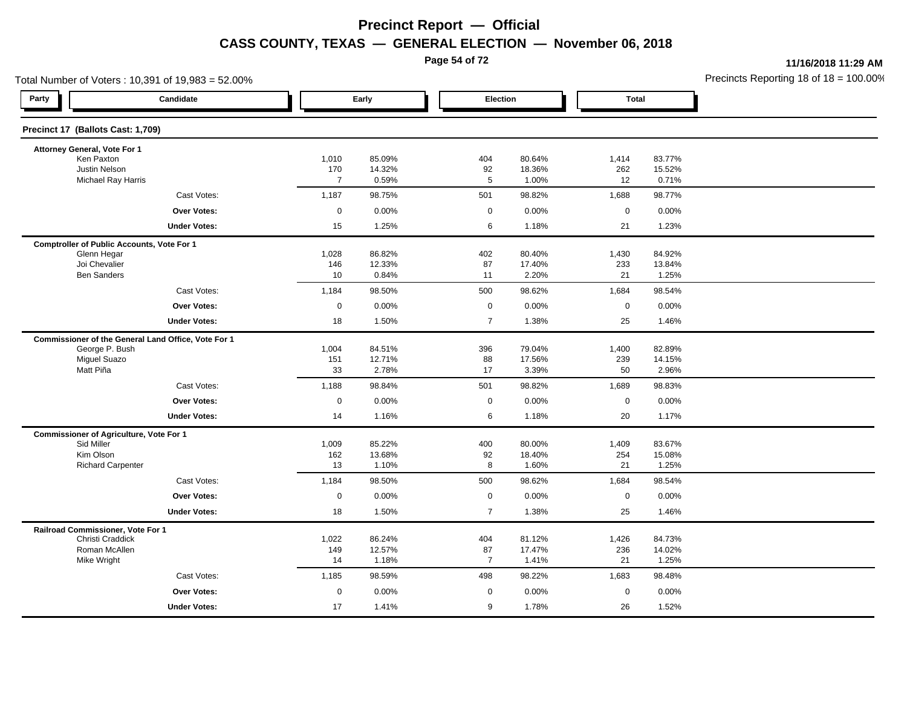**Page 54 of 72**

**11/16/2018 11:29 AM**

| Total Number of Voters: 10,391 of 19,983 = 52.00%   |                       |                  |                      |                  | Precincts Reporting 18 of $18 = 100.00$ |                  |  |
|-----------------------------------------------------|-----------------------|------------------|----------------------|------------------|-----------------------------------------|------------------|--|
| Party<br>Candidate                                  |                       | Early            | Election             |                  | <b>Total</b>                            |                  |  |
| Precinct 17 (Ballots Cast: 1,709)                   |                       |                  |                      |                  |                                         |                  |  |
| Attorney General, Vote For 1                        |                       |                  |                      |                  |                                         |                  |  |
| Ken Paxton                                          | 1,010                 | 85.09%           | 404                  | 80.64%           | 1,414                                   | 83.77%           |  |
| Justin Nelson<br><b>Michael Ray Harris</b>          | 170<br>$\overline{7}$ | 14.32%<br>0.59%  | 92<br>$\overline{5}$ | 18.36%<br>1.00%  | 262<br>12                               | 15.52%<br>0.71%  |  |
| Cast Votes:                                         | 1,187                 | 98.75%           | 501                  | 98.82%           | 1,688                                   | 98.77%           |  |
| Over Votes:                                         | $\mathsf 0$           | 0.00%            | $\mathbf 0$          | 0.00%            | $\mathsf 0$                             | 0.00%            |  |
| <b>Under Votes:</b>                                 | 15                    | 1.25%            | 6                    | 1.18%            | 21                                      | 1.23%            |  |
| <b>Comptroller of Public Accounts, Vote For 1</b>   |                       |                  |                      |                  |                                         |                  |  |
| Glenn Hegar                                         | 1,028                 | 86.82%           | 402                  | 80.40%           | 1,430                                   | 84.92%           |  |
| Joi Chevalier<br><b>Ben Sanders</b>                 | 146<br>10             | 12.33%<br>0.84%  | 87<br>11             | 17.40%<br>2.20%  | 233<br>21                               | 13.84%<br>1.25%  |  |
| Cast Votes:                                         | 1,184                 | 98.50%           | 500                  | 98.62%           | 1,684                                   | 98.54%           |  |
| Over Votes:                                         | $\mathsf 0$           | 0.00%            | $\mathsf 0$          | 0.00%            | $\mathsf 0$                             | 0.00%            |  |
| <b>Under Votes:</b>                                 | 18                    | 1.50%            | $\overline{7}$       | 1.38%            | 25                                      | 1.46%            |  |
| Commissioner of the General Land Office, Vote For 1 |                       |                  |                      |                  |                                         |                  |  |
| George P. Bush                                      | 1,004                 | 84.51%           | 396                  | 79.04%           | 1,400                                   | 82.89%           |  |
| <b>Miguel Suazo</b>                                 | 151                   | 12.71%           | 88                   | 17.56%           | 239                                     | 14.15%           |  |
| Matt Piña                                           | 33                    | 2.78%            | 17                   | 3.39%            | 50                                      | 2.96%            |  |
| Cast Votes:                                         | 1,188                 | 98.84%           | 501                  | 98.82%           | 1,689                                   | 98.83%           |  |
| Over Votes:                                         | $\mathbf 0$           | 0.00%            | $\mathbf 0$          | 0.00%            | $\mathbf 0$                             | 0.00%            |  |
| <b>Under Votes:</b>                                 | 14                    | 1.16%            | 6                    | 1.18%            | 20                                      | 1.17%            |  |
| <b>Commissioner of Agriculture, Vote For 1</b>      |                       |                  |                      |                  |                                         |                  |  |
| Sid Miller<br>Kim Olson                             | 1,009<br>162          | 85.22%<br>13.68% | 400<br>92            | 80.00%<br>18.40% | 1,409<br>254                            | 83.67%<br>15.08% |  |
| <b>Richard Carpenter</b>                            | 13                    | 1.10%            | 8                    | 1.60%            | 21                                      | 1.25%            |  |
| Cast Votes:                                         | 1,184                 | 98.50%           | 500                  | 98.62%           | 1,684                                   | 98.54%           |  |
| Over Votes:                                         | $\mathsf 0$           | 0.00%            | $\mathsf 0$          | 0.00%            | $\mathbf 0$                             | 0.00%            |  |
| <b>Under Votes:</b>                                 | 18                    | 1.50%            | $\overline{7}$       | 1.38%            | 25                                      | 1.46%            |  |
| Railroad Commissioner, Vote For 1                   |                       |                  |                      |                  |                                         |                  |  |
| Christi Craddick                                    | 1,022                 | 86.24%           | 404                  | 81.12%           | 1,426                                   | 84.73%           |  |
| Roman McAllen<br>Mike Wright                        | 149<br>14             | 12.57%<br>1.18%  | 87<br>$\overline{7}$ | 17.47%<br>1.41%  | 236<br>21                               | 14.02%<br>1.25%  |  |
| Cast Votes:                                         | 1,185                 | 98.59%           | 498                  | 98.22%           | 1,683                                   | 98.48%           |  |
| Over Votes:                                         | $\mathsf 0$           | 0.00%            | $\mathbf 0$          | 0.00%            | $\mathbf 0$                             | 0.00%            |  |
| <b>Under Votes:</b>                                 | 17                    | 1.41%            | 9                    | 1.78%            | 26                                      | 1.52%            |  |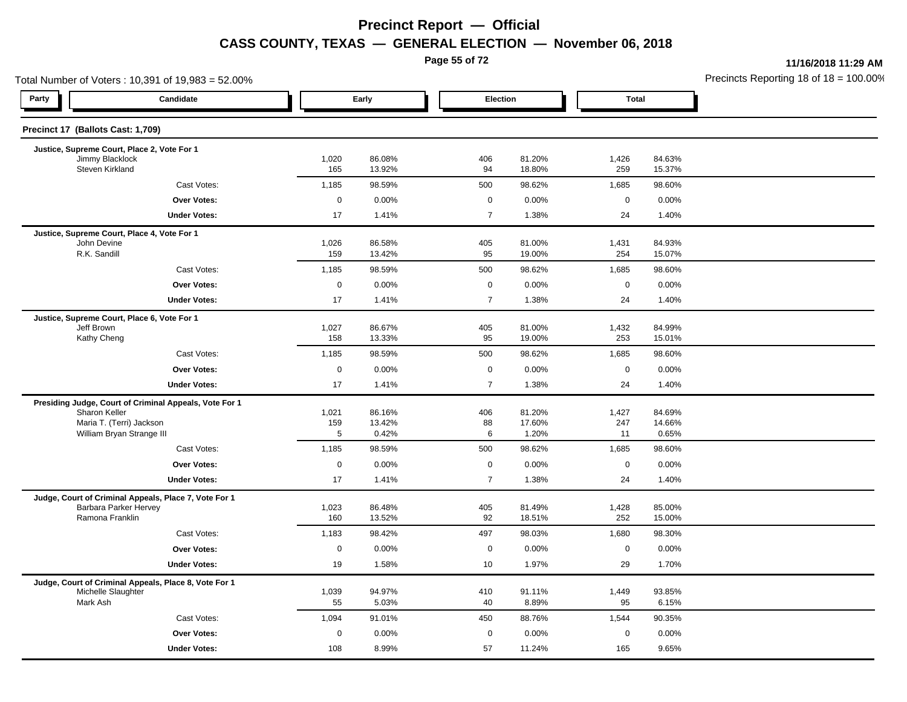**Page 55 of 72**

**11/16/2018 11:29 AM**

| Total Number of Voters: 10,391 of 19,983 = 52.00% |                                                        |              |                  |                |                  |              |                  | Precincts Reporting 18 of $18 = 100.00$ |
|---------------------------------------------------|--------------------------------------------------------|--------------|------------------|----------------|------------------|--------------|------------------|-----------------------------------------|
| Party                                             | Candidate                                              |              | Early            | Election       |                  | <b>Total</b> |                  |                                         |
| Precinct 17 (Ballots Cast: 1,709)                 |                                                        |              |                  |                |                  |              |                  |                                         |
|                                                   | Justice, Supreme Court, Place 2, Vote For 1            |              |                  |                |                  |              |                  |                                         |
| Jimmy Blacklock<br>Steven Kirkland                |                                                        | 1,020<br>165 | 86.08%<br>13.92% | 406<br>94      | 81.20%<br>18.80% | 1,426<br>259 | 84.63%<br>15.37% |                                         |
|                                                   | Cast Votes:                                            | 1,185        | 98.59%           | 500            | 98.62%           | 1,685        | 98.60%           |                                         |
|                                                   | Over Votes:                                            | $\mathbf 0$  | 0.00%            | $\mathbf 0$    | 0.00%            | $\mathbf 0$  | 0.00%            |                                         |
|                                                   | <b>Under Votes:</b>                                    | 17           | 1.41%            | $\overline{7}$ | 1.38%            | 24           | 1.40%            |                                         |
|                                                   | Justice, Supreme Court, Place 4, Vote For 1            |              |                  |                |                  |              |                  |                                         |
| John Devine<br>R.K. Sandill                       |                                                        | 1,026<br>159 | 86.58%<br>13.42% | 405<br>95      | 81.00%<br>19.00% | 1,431<br>254 | 84.93%<br>15.07% |                                         |
|                                                   | Cast Votes:                                            | 1,185        | 98.59%           | 500            | 98.62%           | 1,685        | 98.60%           |                                         |
|                                                   | Over Votes:                                            | $\mathbf 0$  | 0.00%            | $\mathbf 0$    | 0.00%            | $\mathbf 0$  | 0.00%            |                                         |
|                                                   | <b>Under Votes:</b>                                    | 17           | 1.41%            | $\overline{7}$ | 1.38%            | 24           | 1.40%            |                                         |
|                                                   | Justice, Supreme Court, Place 6, Vote For 1            |              |                  |                |                  |              |                  |                                         |
| Jeff Brown                                        |                                                        | 1,027        | 86.67%           | 405            | 81.00%           | 1,432        | 84.99%           |                                         |
| Kathy Cheng                                       |                                                        | 158          | 13.33%           | 95             | 19.00%           | 253          | 15.01%           |                                         |
|                                                   | Cast Votes:                                            | 1,185        | 98.59%           | 500            | 98.62%           | 1,685        | 98.60%           |                                         |
|                                                   | <b>Over Votes:</b>                                     | 0            | 0.00%            | $\mathbf 0$    | 0.00%            | $\mathbf 0$  | 0.00%            |                                         |
|                                                   | <b>Under Votes:</b>                                    | 17           | 1.41%            | $\overline{7}$ | 1.38%            | 24           | 1.40%            |                                         |
|                                                   | Presiding Judge, Court of Criminal Appeals, Vote For 1 |              |                  |                |                  |              |                  |                                         |
| Sharon Keller                                     | Maria T. (Terri) Jackson                               | 1,021<br>159 | 86.16%<br>13.42% | 406<br>88      | 81.20%<br>17.60% | 1,427<br>247 | 84.69%<br>14.66% |                                         |
|                                                   | William Bryan Strange III                              | 5            | 0.42%            | 6              | 1.20%            | 11           | 0.65%            |                                         |
|                                                   | Cast Votes:                                            | 1,185        | 98.59%           | 500            | 98.62%           | 1,685        | 98.60%           |                                         |
|                                                   | Over Votes:                                            | $\mathbf 0$  | 0.00%            | $\mathbf 0$    | 0.00%            | $\mathbf 0$  | 0.00%            |                                         |
|                                                   | <b>Under Votes:</b>                                    | 17           | 1.41%            | $\overline{7}$ | 1.38%            | 24           | 1.40%            |                                         |
|                                                   | Judge, Court of Criminal Appeals, Place 7, Vote For 1  |              |                  |                |                  |              |                  |                                         |
|                                                   | Barbara Parker Hervey                                  | 1,023        | 86.48%           | 405            | 81.49%           | 1,428        | 85.00%           |                                         |
| Ramona Franklin                                   |                                                        | 160          | 13.52%           | 92             | 18.51%           | 252          | 15.00%           |                                         |
|                                                   | Cast Votes:                                            | 1,183        | 98.42%           | 497            | 98.03%           | 1,680        | 98.30%           |                                         |
|                                                   | Over Votes:                                            | $\mathbf 0$  | 0.00%            | $\mathbf 0$    | 0.00%            | $\mathbf 0$  | 0.00%            |                                         |
|                                                   | <b>Under Votes:</b>                                    | 19           | 1.58%            | 10             | 1.97%            | 29           | 1.70%            |                                         |
|                                                   | Judge, Court of Criminal Appeals, Place 8, Vote For 1  |              |                  |                |                  |              |                  |                                         |
| Michelle Slaughter<br>Mark Ash                    |                                                        | 1,039<br>55  | 94.97%<br>5.03%  | 410<br>40      | 91.11%<br>8.89%  | 1,449<br>95  | 93.85%<br>6.15%  |                                         |
|                                                   | Cast Votes:                                            | 1,094        | 91.01%           | 450            | 88.76%           | 1,544        | 90.35%           |                                         |
|                                                   | <b>Over Votes:</b>                                     | 0            | 0.00%            | $\mathbf 0$    | 0.00%            | $\mathbf 0$  | 0.00%            |                                         |
|                                                   | <b>Under Votes:</b>                                    | 108          | 8.99%            | 57             | 11.24%           | 165          | 9.65%            |                                         |
|                                                   |                                                        |              |                  |                |                  |              |                  |                                         |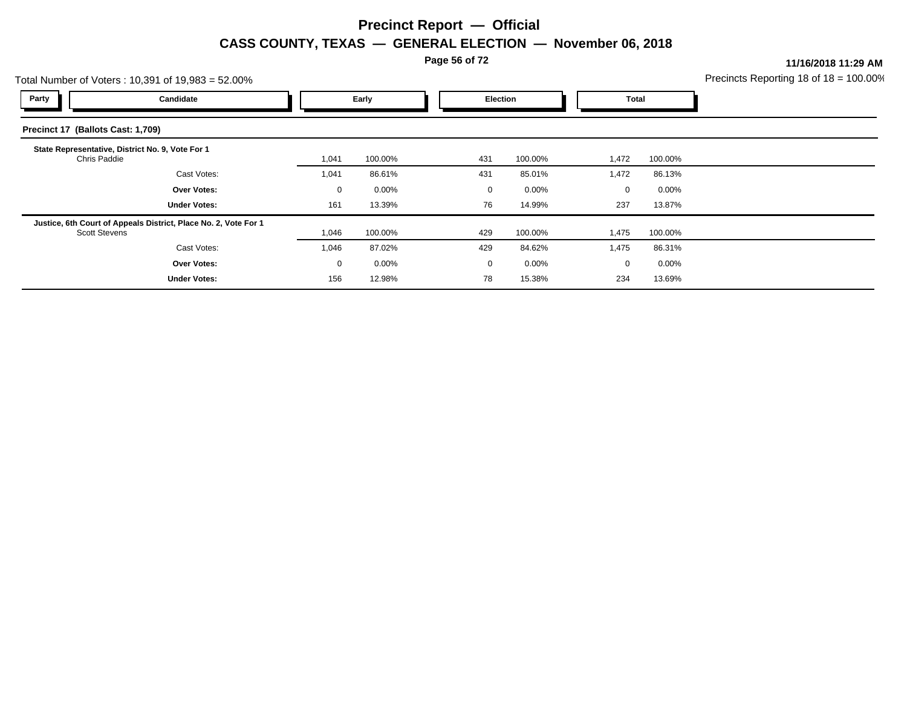**Page 56 of 72**

**11/16/2018 11:29 AM**

| Total Number of Voters: 10,391 of 19,983 = 52.00% |                                                                 |       |          |  |                 | Precincts Reporting 18 of $18 = 100.00$ |       |          |  |
|---------------------------------------------------|-----------------------------------------------------------------|-------|----------|--|-----------------|-----------------------------------------|-------|----------|--|
| Party                                             | Candidate                                                       |       | Early    |  | <b>Election</b> |                                         |       | Total    |  |
| Precinct 17 (Ballots Cast: 1,709)                 |                                                                 |       |          |  |                 |                                         |       |          |  |
| Chris Paddie                                      | State Representative, District No. 9, Vote For 1                | 1,041 | 100.00%  |  | 431             | 100.00%                                 | 1,472 | 100.00%  |  |
|                                                   | Cast Votes:                                                     | 1,041 | 86.61%   |  | 431             | 85.01%                                  | 1,472 | 86.13%   |  |
|                                                   | <b>Over Votes:</b>                                              | 0     | $0.00\%$ |  | 0               | 0.00%                                   | 0     | $0.00\%$ |  |
|                                                   | <b>Under Votes:</b>                                             | 161   | 13.39%   |  | 76              | 14.99%                                  | 237   | 13.87%   |  |
| <b>Scott Stevens</b>                              | Justice, 6th Court of Appeals District, Place No. 2, Vote For 1 | 1,046 | 100.00%  |  | 429             | 100.00%                                 | 1,475 | 100.00%  |  |
|                                                   | Cast Votes:                                                     | 1,046 | 87.02%   |  | 429             | 84.62%                                  | 1,475 | 86.31%   |  |
|                                                   | <b>Over Votes:</b>                                              | 0     | $0.00\%$ |  | 0               | 0.00%                                   | 0     | $0.00\%$ |  |
|                                                   | <b>Under Votes:</b>                                             | 156   | 12.98%   |  | 78              | 15.38%                                  | 234   | 13.69%   |  |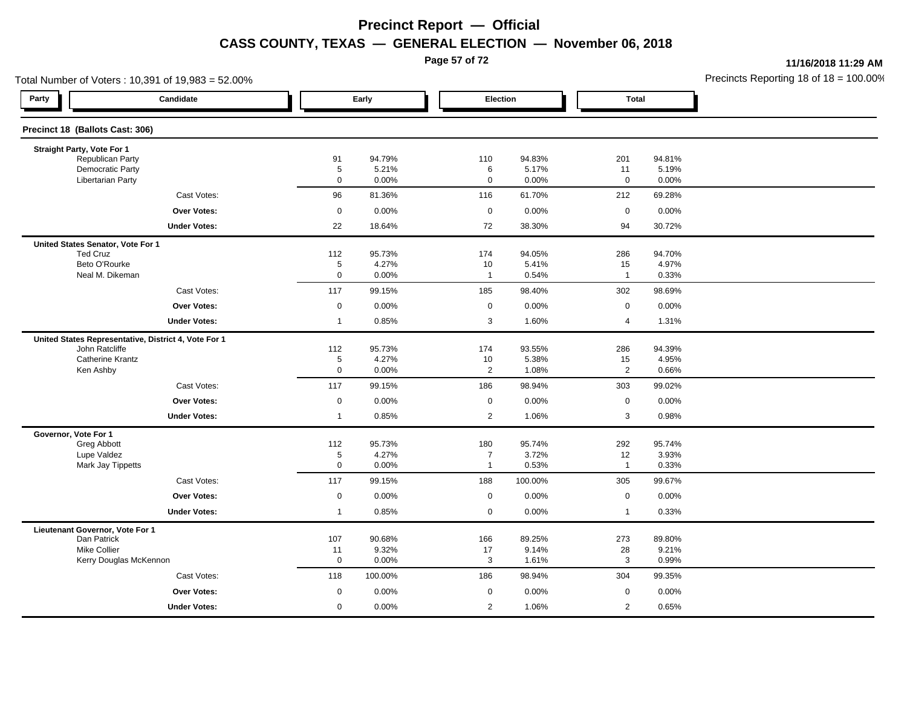**Page 57 of 72**

**11/16/2018 11:29 AM**

| Total Number of Voters: 10,391 of 19,983 = 52.00%    |                    |                 |                                |                  |                      |                 | Precincts Reporting 18 of $18 = 100.00$ |
|------------------------------------------------------|--------------------|-----------------|--------------------------------|------------------|----------------------|-----------------|-----------------------------------------|
| Party<br>Candidate                                   |                    | Early           | Election                       |                  | <b>Total</b>         |                 |                                         |
| Precinct 18 (Ballots Cast: 306)                      |                    |                 |                                |                  |                      |                 |                                         |
| Straight Party, Vote For 1                           |                    |                 |                                |                  |                      |                 |                                         |
| Republican Party<br><b>Democratic Party</b>          | 91<br>5            | 94.79%<br>5.21% | 110                            | 94.83%<br>5.17%  | 201                  | 94.81%          |                                         |
| <b>Libertarian Party</b>                             | 0                  | 0.00%           | 6<br>$\mathbf 0$               | 0.00%            | 11<br>$\mathbf 0$    | 5.19%<br>0.00%  |                                         |
| Cast Votes:                                          | 96                 | 81.36%          | 116                            | 61.70%           | 212                  | 69.28%          |                                         |
| Over Votes:                                          | $\mathsf 0$        | 0.00%           | $\mathbf 0$                    | 0.00%            | $\mathsf 0$          | 0.00%           |                                         |
| <b>Under Votes:</b>                                  | 22                 | 18.64%          | 72                             | 38.30%           | 94                   | 30.72%          |                                         |
| United States Senator, Vote For 1                    |                    |                 |                                |                  |                      |                 |                                         |
| <b>Ted Cruz</b>                                      | 112                | 95.73%          | 174                            | 94.05%           | 286                  | 94.70%          |                                         |
| Beto O'Rourke<br>Neal M. Dikeman                     | $\overline{5}$     | 4.27%           | 10<br>$\overline{1}$           | 5.41%            | 15<br>$\overline{1}$ | 4.97%           |                                         |
|                                                      | 0                  | 0.00%           |                                | 0.54%            |                      | 0.33%           |                                         |
| Cast Votes:                                          | 117                | 99.15%          | 185                            | 98.40%           | 302                  | 98.69%          |                                         |
| <b>Over Votes:</b>                                   | 0                  | 0.00%           | $\mathbf 0$                    | 0.00%            | $\mathbf 0$          | 0.00%           |                                         |
| <b>Under Votes:</b>                                  | $\overline{1}$     | 0.85%           | 3                              | 1.60%            | $\overline{4}$       | 1.31%           |                                         |
| United States Representative, District 4, Vote For 1 |                    |                 |                                |                  |                      |                 |                                         |
| John Ratcliffe<br><b>Catherine Krantz</b>            | 112<br>5           | 95.73%<br>4.27% | 174<br>10                      | 93.55%<br>5.38%  | 286<br>15            | 94.39%<br>4.95% |                                         |
| Ken Ashby                                            | $\mathbf 0$        | 0.00%           | $\overline{2}$                 | 1.08%            | $\overline{2}$       | 0.66%           |                                         |
| Cast Votes:                                          | 117                | 99.15%          | 186                            | 98.94%           | 303                  | 99.02%          |                                         |
| Over Votes:                                          | $\mathsf 0$        | 0.00%           | $\mathsf 0$                    | 0.00%            | $\mathsf 0$          | 0.00%           |                                         |
| <b>Under Votes:</b>                                  | $\overline{1}$     | 0.85%           | $\overline{2}$                 | 1.06%            | 3                    | 0.98%           |                                         |
| Governor, Vote For 1                                 |                    |                 |                                |                  |                      |                 |                                         |
| Greg Abbott                                          | 112                | 95.73%          | 180                            | 95.74%           | 292                  | 95.74%          |                                         |
| Lupe Valdez<br>Mark Jay Tippetts                     | 5<br>$\mathbf 0$   | 4.27%<br>0.00%  | $\overline{7}$<br>$\mathbf{1}$ | 3.72%<br>0.53%   | 12<br>$\mathbf{1}$   | 3.93%<br>0.33%  |                                         |
| Cast Votes:                                          |                    |                 |                                |                  |                      |                 |                                         |
| Over Votes:                                          | 117<br>$\mathsf 0$ | 99.15%<br>0.00% | 188                            | 100.00%<br>0.00% | 305<br>$\mathsf 0$   | 99.67%<br>0.00% |                                         |
|                                                      |                    |                 | $\mathbf 0$                    |                  |                      | 0.33%           |                                         |
| <b>Under Votes:</b>                                  | $\mathbf{1}$       | 0.85%           | $\mathbf 0$                    | 0.00%            | $\mathbf{1}$         |                 |                                         |
| Lieutenant Governor, Vote For 1<br>Dan Patrick       | 107                | 90.68%          | 166                            | 89.25%           | 273                  | 89.80%          |                                         |
| <b>Mike Collier</b>                                  | 11                 | 9.32%           | 17                             | 9.14%            | 28                   | 9.21%           |                                         |
| Kerry Douglas McKennon                               | $\mathbf 0$        | 0.00%           | 3                              | 1.61%            | 3                    | 0.99%           |                                         |
| Cast Votes:                                          | 118                | 100.00%         | 186                            | 98.94%           | 304                  | 99.35%          |                                         |
| Over Votes:                                          | $\mathbf 0$        | 0.00%           | $\mathbf 0$                    | $0.00\%$         | $\mathbf 0$          | 0.00%           |                                         |
| <b>Under Votes:</b>                                  | $\mathbf 0$        | 0.00%           | 2                              | 1.06%            | $\overline{2}$       | 0.65%           |                                         |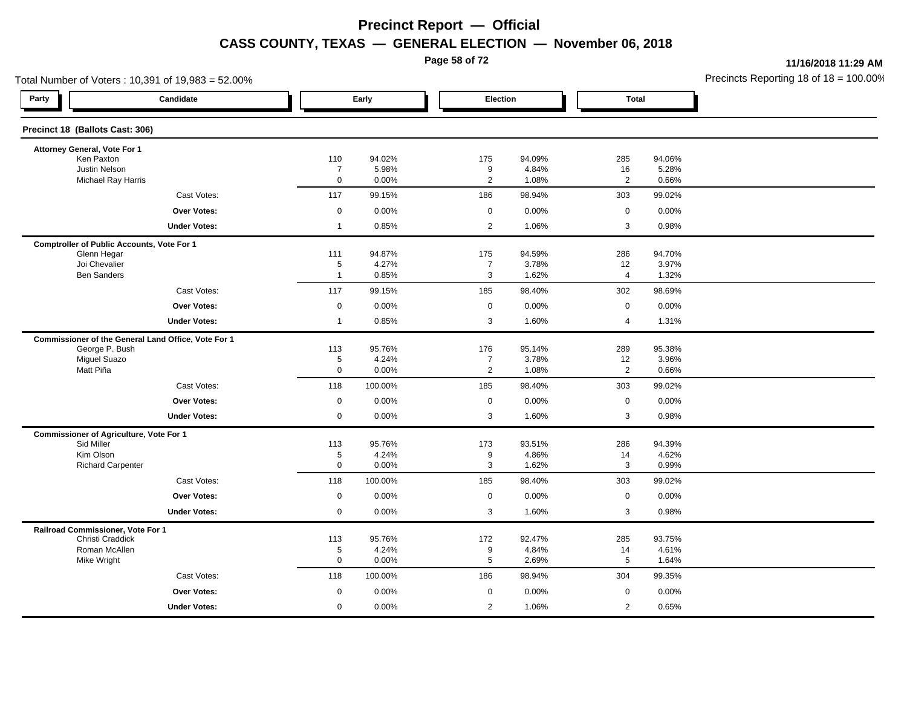**Page 58 of 72**

**11/16/2018 11:29 AM**

|                                                              | Total Number of Voters: 10,391 of 19,983 = 52.00%   |                               |                |                                  |                |                      |                | Precincts Reporting 18 of $18 = 100.00$ |
|--------------------------------------------------------------|-----------------------------------------------------|-------------------------------|----------------|----------------------------------|----------------|----------------------|----------------|-----------------------------------------|
| Party                                                        | Candidate                                           |                               | Early          |                                  | Election       | <b>Total</b>         |                |                                         |
| Precinct 18 (Ballots Cast: 306)                              |                                                     |                               |                |                                  |                |                      |                |                                         |
| Attorney General, Vote For 1                                 |                                                     |                               |                |                                  |                |                      |                |                                         |
| Ken Paxton                                                   |                                                     | 110                           | 94.02%         | 175                              | 94.09%         | 285                  | 94.06%         |                                         |
| Justin Nelson<br>Michael Ray Harris                          |                                                     | $\overline{7}$<br>$\mathbf 0$ | 5.98%<br>0.00% | 9<br>$\overline{2}$              | 4.84%<br>1.08% | 16<br>$\overline{2}$ | 5.28%<br>0.66% |                                         |
|                                                              | Cast Votes:                                         | 117                           | 99.15%         | 186                              | 98.94%         | 303                  | 99.02%         |                                         |
|                                                              | Over Votes:                                         | $\mathbf 0$                   | 0.00%          | $\mathbf 0$                      | 0.00%          | $\mathbf 0$          | 0.00%          |                                         |
|                                                              | <b>Under Votes:</b>                                 | $\overline{1}$                | 0.85%          | $\overline{2}$                   | 1.06%          | 3                    | 0.98%          |                                         |
|                                                              | <b>Comptroller of Public Accounts, Vote For 1</b>   |                               |                |                                  |                |                      |                |                                         |
| Glenn Hegar                                                  |                                                     | 111                           | 94.87%         | 175                              | 94.59%         | 286                  | 94.70%         |                                         |
| Joi Chevalier                                                |                                                     | $\sqrt{5}$                    | 4.27%          | $\overline{7}$                   | 3.78%          | 12                   | 3.97%          |                                         |
| <b>Ben Sanders</b>                                           |                                                     | $\overline{1}$                | 0.85%          | 3                                | 1.62%          | $\overline{4}$       | 1.32%          |                                         |
|                                                              | Cast Votes:                                         | 117                           | 99.15%         | 185                              | 98.40%         | 302                  | 98.69%         |                                         |
|                                                              | <b>Over Votes:</b>                                  | $\mathsf 0$                   | 0.00%          | $\mathbf 0$                      | 0.00%          | $\mathsf 0$          | 0.00%          |                                         |
|                                                              | <b>Under Votes:</b>                                 | $\overline{1}$                | 0.85%          | 3                                | 1.60%          | 4                    | 1.31%          |                                         |
|                                                              | Commissioner of the General Land Office, Vote For 1 |                               |                |                                  |                |                      |                |                                         |
| George P. Bush                                               |                                                     | 113                           | 95.76%         | 176                              | 95.14%         | 289                  | 95.38%         |                                         |
| <b>Miguel Suazo</b><br>Matt Piña                             |                                                     | 5<br>$\mathsf 0$              | 4.24%<br>0.00% | $\overline{7}$<br>$\overline{2}$ | 3.78%<br>1.08% | 12<br>$\overline{2}$ | 3.96%<br>0.66% |                                         |
|                                                              | Cast Votes:                                         | 118                           | 100.00%        | 185                              | 98.40%         | 303                  | 99.02%         |                                         |
|                                                              | Over Votes:                                         | $\boldsymbol{0}$              | 0.00%          | $\mathbf 0$                      | 0.00%          | $\mathsf 0$          | 0.00%          |                                         |
|                                                              |                                                     | $\mathbf 0$                   | 0.00%          | 3                                | 1.60%          | 3                    | 0.98%          |                                         |
|                                                              | <b>Under Votes:</b>                                 |                               |                |                                  |                |                      |                |                                         |
| <b>Commissioner of Agriculture, Vote For 1</b><br>Sid Miller |                                                     | 113                           | 95.76%         | 173                              | 93.51%         | 286                  | 94.39%         |                                         |
| Kim Olson                                                    |                                                     | 5                             | 4.24%          | 9                                | 4.86%          | 14                   | 4.62%          |                                         |
| <b>Richard Carpenter</b>                                     |                                                     | $\mathbf 0$                   | 0.00%          | 3                                | 1.62%          | 3                    | 0.99%          |                                         |
|                                                              | Cast Votes:                                         | 118                           | 100.00%        | 185                              | 98.40%         | 303                  | 99.02%         |                                         |
|                                                              | <b>Over Votes:</b>                                  | $\mathsf 0$                   | 0.00%          | $\mathbf 0$                      | 0.00%          | $\mathsf 0$          | 0.00%          |                                         |
|                                                              | <b>Under Votes:</b>                                 | $\mathbf 0$                   | 0.00%          | 3                                | 1.60%          | 3                    | 0.98%          |                                         |
| Railroad Commissioner, Vote For 1                            |                                                     |                               |                |                                  |                |                      |                |                                         |
| Christi Craddick                                             |                                                     | 113                           | 95.76%         | 172                              | 92.47%         | 285                  | 93.75%         |                                         |
| Roman McAllen<br>Mike Wright                                 |                                                     | 5<br>$\mathbf 0$              | 4.24%<br>0.00% | 9<br>5                           | 4.84%<br>2.69% | 14<br>5              | 4.61%<br>1.64% |                                         |
|                                                              | Cast Votes:                                         | 118                           | 100.00%        | 186                              | 98.94%         | 304                  | 99.35%         |                                         |
|                                                              | Over Votes:                                         | $\mathbf 0$                   | 0.00%          | $\mathbf 0$                      | 0.00%          | $\mathbf 0$          | 0.00%          |                                         |
|                                                              |                                                     |                               |                |                                  |                |                      |                |                                         |
|                                                              | <b>Under Votes:</b>                                 | $\mathbf 0$                   | 0.00%          | $\overline{2}$                   | 1.06%          | $\overline{2}$       | 0.65%          |                                         |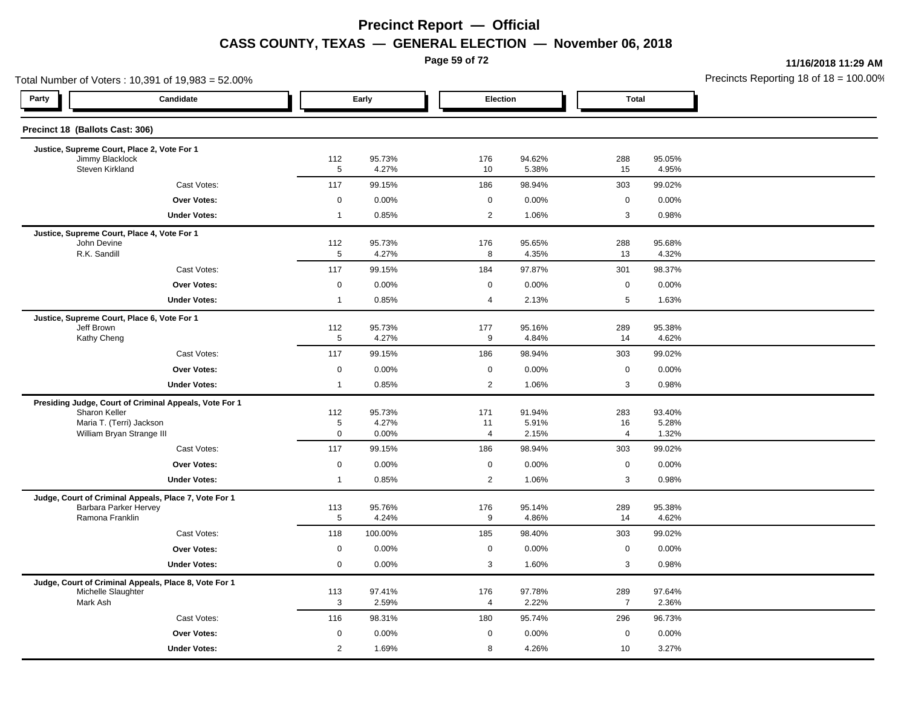**Page 59 of 72**

**11/16/2018 11:29 AM**

|                                             | Total Number of Voters: 10,391 of 19,983 = 52.00%      |                    |                 |  |                       |                 |                      |                 | Precincts Reporting 18 of $18 = 100.00$ |
|---------------------------------------------|--------------------------------------------------------|--------------------|-----------------|--|-----------------------|-----------------|----------------------|-----------------|-----------------------------------------|
| Party                                       | Candidate                                              |                    | Early           |  | Election              |                 | <b>Total</b>         |                 |                                         |
| Precinct 18 (Ballots Cast: 306)             |                                                        |                    |                 |  |                       |                 |                      |                 |                                         |
| Justice, Supreme Court, Place 2, Vote For 1 |                                                        |                    |                 |  |                       |                 |                      |                 |                                         |
| Jimmy Blacklock<br>Steven Kirkland          |                                                        | 112<br>$\,$ 5 $\,$ | 95.73%<br>4.27% |  | 176<br>10             | 94.62%<br>5.38% | 288<br>15            | 95.05%<br>4.95% |                                         |
|                                             | Cast Votes:                                            | 117                | 99.15%          |  | 186                   | 98.94%          | 303                  | 99.02%          |                                         |
|                                             | <b>Over Votes:</b>                                     | $\mathbf 0$        | 0.00%           |  | $\mathbf 0$           | 0.00%           | $\pmb{0}$            | 0.00%           |                                         |
|                                             | <b>Under Votes:</b>                                    | $\overline{1}$     | 0.85%           |  | $\overline{2}$        | 1.06%           | 3                    | 0.98%           |                                         |
|                                             | Justice, Supreme Court, Place 4, Vote For 1            |                    |                 |  |                       |                 |                      |                 |                                         |
| John Devine<br>R.K. Sandill                 |                                                        | 112<br>5           | 95.73%<br>4.27% |  | 176<br>8              | 95.65%<br>4.35% | 288<br>13            | 95.68%<br>4.32% |                                         |
|                                             | Cast Votes:                                            | 117                | 99.15%          |  | 184                   | 97.87%          | 301                  | 98.37%          |                                         |
|                                             | <b>Over Votes:</b>                                     | $\mathbf 0$        | 0.00%           |  | 0                     | 0.00%           | $\mathbf 0$          | 0.00%           |                                         |
|                                             | <b>Under Votes:</b>                                    | $\mathbf{1}$       | 0.85%           |  | 4                     | 2.13%           | 5                    | 1.63%           |                                         |
|                                             | Justice, Supreme Court, Place 6, Vote For 1            |                    |                 |  |                       |                 |                      |                 |                                         |
| Jeff Brown                                  |                                                        | 112                | 95.73%          |  | 177                   | 95.16%          | 289                  | 95.38%          |                                         |
| Kathy Cheng                                 |                                                        | $\overline{5}$     | 4.27%           |  | $\boldsymbol{9}$      | 4.84%           | 14                   | 4.62%           |                                         |
|                                             | Cast Votes:                                            | 117                | 99.15%          |  | 186                   | 98.94%          | 303                  | 99.02%          |                                         |
|                                             | Over Votes:                                            | $\mathbf 0$        | 0.00%           |  | 0                     | 0.00%           | $\pmb{0}$            | 0.00%           |                                         |
|                                             | <b>Under Votes:</b>                                    | $\mathbf{1}$       | 0.85%           |  | $\mathbf{2}^{\prime}$ | 1.06%           | 3                    | 0.98%           |                                         |
|                                             | Presiding Judge, Court of Criminal Appeals, Vote For 1 |                    |                 |  |                       |                 |                      |                 |                                         |
| Sharon Keller                               |                                                        | 112                | 95.73%          |  | 171                   | 91.94%          | 283                  | 93.40%          |                                         |
|                                             | Maria T. (Terri) Jackson<br>William Bryan Strange III  | 5<br>$\mathbf 0$   | 4.27%<br>0.00%  |  | 11<br>$\overline{4}$  | 5.91%<br>2.15%  | 16<br>$\overline{4}$ | 5.28%<br>1.32%  |                                         |
|                                             | Cast Votes:                                            | 117                | 99.15%          |  | 186                   | 98.94%          | 303                  | 99.02%          |                                         |
|                                             | Over Votes:                                            | $\mathbf 0$        | 0.00%           |  | $\mathbf 0$           | 0.00%           | $\mathbf 0$          | 0.00%           |                                         |
|                                             | <b>Under Votes:</b>                                    | $\mathbf{1}$       | 0.85%           |  | $\overline{2}$        | 1.06%           | $\sqrt{3}$           | 0.98%           |                                         |
|                                             | Judge, Court of Criminal Appeals, Place 7, Vote For 1  |                    |                 |  |                       |                 |                      |                 |                                         |
|                                             | <b>Barbara Parker Hervey</b>                           | 113                | 95.76%          |  | 176                   | 95.14%          | 289                  | 95.38%          |                                         |
| Ramona Franklin                             |                                                        | 5                  | 4.24%           |  | 9                     | 4.86%           | 14                   | 4.62%           |                                         |
|                                             | Cast Votes:                                            | 118                | 100.00%         |  | 185                   | 98.40%          | 303                  | 99.02%          |                                         |
|                                             | <b>Over Votes:</b>                                     | $\mathbf 0$        | 0.00%           |  | $\mathbf 0$           | 0.00%           | $\mathbf 0$          | 0.00%           |                                         |
|                                             | <b>Under Votes:</b>                                    | $\mathbf 0$        | 0.00%           |  | 3                     | 1.60%           | 3                    | 0.98%           |                                         |
| Michelle Slaughter                          | Judge, Court of Criminal Appeals, Place 8, Vote For 1  | 113                | 97.41%          |  | 176                   | 97.78%          | 289                  | 97.64%          |                                         |
| Mark Ash                                    |                                                        | 3                  | 2.59%           |  | $\overline{4}$        | 2.22%           | $\overline{7}$       | 2.36%           |                                         |
|                                             | Cast Votes:                                            | 116                | 98.31%          |  | 180                   | 95.74%          | 296                  | 96.73%          |                                         |
|                                             | Over Votes:                                            | $\mathbf 0$        | 0.00%           |  | 0                     | 0.00%           | $\pmb{0}$            | 0.00%           |                                         |
|                                             | <b>Under Votes:</b>                                    | 2                  | 1.69%           |  | 8                     | 4.26%           | 10                   | 3.27%           |                                         |
|                                             |                                                        |                    |                 |  |                       |                 |                      |                 |                                         |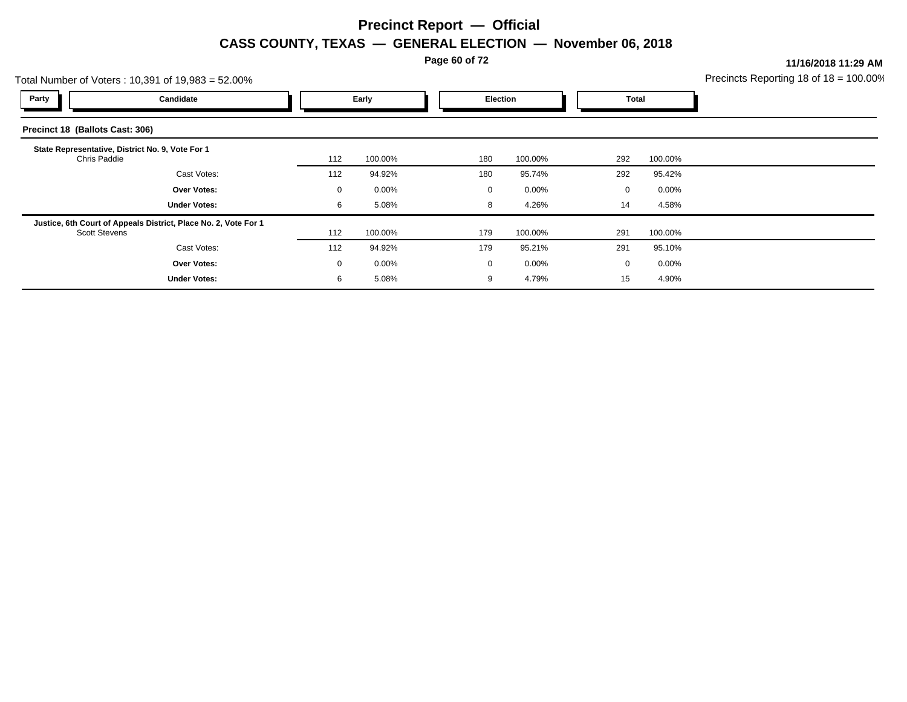**Page 60 of 72**

**11/16/2018 11:29 AM**

|                                 | Total Number of Voters: 10,391 of 19,983 = 52.00%               |             |          |  |          |         |     |                         | Precincts Reporting 18 of $18 = 100.00$ |
|---------------------------------|-----------------------------------------------------------------|-------------|----------|--|----------|---------|-----|-------------------------|-----------------------------------------|
| Party                           | Candidate                                                       |             | Early    |  | Election |         |     | Total                   |                                         |
| Precinct 18 (Ballots Cast: 306) |                                                                 |             |          |  |          |         |     |                         |                                         |
| Chris Paddie                    | State Representative, District No. 9, Vote For 1                | 112         | 100.00%  |  | 180      | 100.00% | 292 | 100.00%                 |                                         |
|                                 | Cast Votes:                                                     | 112         | 94.92%   |  | 180      | 95.74%  | 292 | 95.42%                  |                                         |
|                                 | <b>Over Votes:</b>                                              | $\mathbf 0$ | $0.00\%$ |  | 0        | 0.00%   |     | $0.00\%$<br>$\mathbf 0$ |                                         |
|                                 | <b>Under Votes:</b>                                             | 6           | 5.08%    |  | 8        | 4.26%   | 14  | 4.58%                   |                                         |
| <b>Scott Stevens</b>            | Justice, 6th Court of Appeals District, Place No. 2, Vote For 1 | 112         | 100.00%  |  | 179      | 100.00% | 291 | 100.00%                 |                                         |
|                                 | Cast Votes:                                                     | 112         | 94.92%   |  | 179      | 95.21%  | 291 | 95.10%                  |                                         |
|                                 | <b>Over Votes:</b>                                              | $\mathbf 0$ | $0.00\%$ |  | 0        | 0.00%   |     | $0.00\%$<br>$\Omega$    |                                         |
|                                 | <b>Under Votes:</b>                                             | 6           | 5.08%    |  | 9        | 4.79%   | 15  | 4.90%                   |                                         |
|                                 |                                                                 |             |          |  |          |         |     |                         |                                         |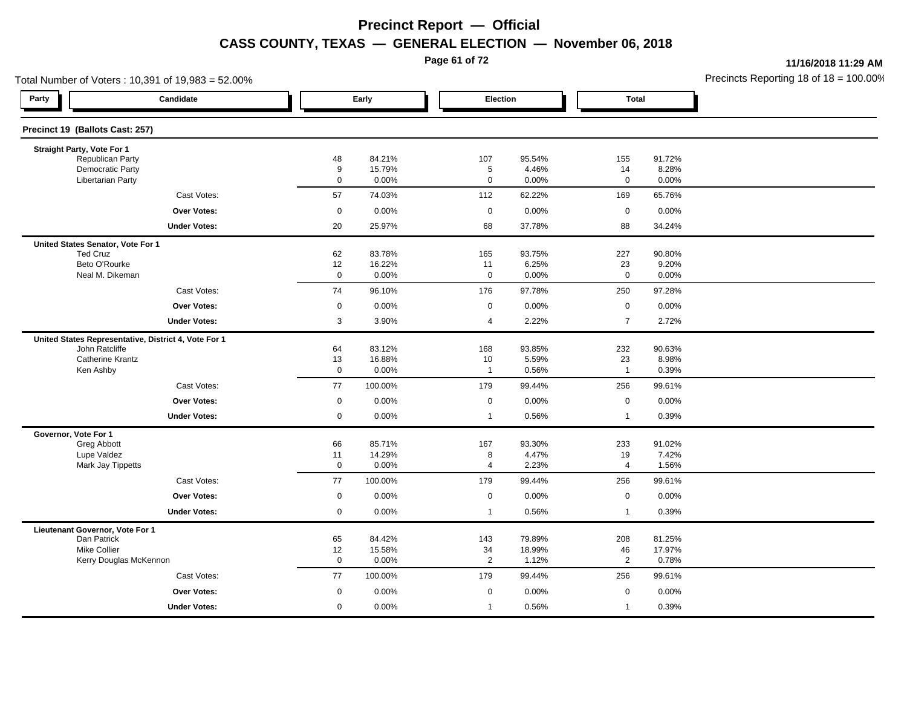**Page 61 of 72**

**11/16/2018 11:29 AM**

| Total Number of Voters: 10,391 of 19,983 = 52.00%    |                           |                  |                   |                 |                      |                 | Precincts Reporting 18 of $18 = 100.00$ |
|------------------------------------------------------|---------------------------|------------------|-------------------|-----------------|----------------------|-----------------|-----------------------------------------|
| Party<br>Candidate                                   |                           | Early            | Election          |                 | <b>Total</b>         |                 |                                         |
| Precinct 19 (Ballots Cast: 257)                      |                           |                  |                   |                 |                      |                 |                                         |
| Straight Party, Vote For 1                           |                           |                  |                   |                 |                      |                 |                                         |
| Republican Party                                     | 48                        | 84.21%           | 107               | 95.54%          | 155                  | 91.72%          |                                         |
| <b>Democratic Party</b><br><b>Libertarian Party</b>  | 9<br>$\mathbf 0$          | 15.79%<br>0.00%  | 5<br>$\mathbf 0$  | 4.46%<br>0.00%  | 14<br>$\mathsf 0$    | 8.28%<br>0.00%  |                                         |
| Cast Votes:                                          | 57                        | 74.03%           | 112               | 62.22%          | 169                  | 65.76%          |                                         |
| Over Votes:                                          | $\boldsymbol{0}$          | 0.00%            | $\mathbf 0$       | 0.00%           | $\mathbf 0$          | 0.00%           |                                         |
| <b>Under Votes:</b>                                  | 20                        | 25.97%           | 68                | 37.78%          | 88                   | 34.24%          |                                         |
| United States Senator, Vote For 1                    |                           |                  |                   |                 |                      |                 |                                         |
| <b>Ted Cruz</b>                                      | 62                        | 83.78%           | 165               | 93.75%          | 227                  | 90.80%          |                                         |
| Beto O'Rourke<br>Neal M. Dikeman                     | 12<br>$\mathsf{O}\xspace$ | 16.22%<br>0.00%  | 11<br>$\mathbf 0$ | 6.25%<br>0.00%  | 23<br>$\mathsf 0$    | 9.20%<br>0.00%  |                                         |
|                                                      |                           |                  |                   |                 |                      |                 |                                         |
| Cast Votes:                                          | 74                        | 96.10%           | 176               | 97.78%          | 250                  | 97.28%          |                                         |
| <b>Over Votes:</b>                                   | $\mathbf 0$               | 0.00%            | $\mathbf 0$       | 0.00%           | $\mathsf 0$          | 0.00%           |                                         |
| <b>Under Votes:</b>                                  | $\mathbf{3}$              | 3.90%            | 4                 | 2.22%           | $\overline{7}$       | 2.72%           |                                         |
| United States Representative, District 4, Vote For 1 |                           |                  |                   |                 |                      |                 |                                         |
| John Ratcliffe<br><b>Catherine Krantz</b>            | 64<br>13                  | 83.12%<br>16.88% | 168<br>10         | 93.85%<br>5.59% | 232<br>23            | 90.63%<br>8.98% |                                         |
| Ken Ashby                                            | $\mathbf 0$               | 0.00%            | $\overline{1}$    | 0.56%           | $\mathbf{1}$         | 0.39%           |                                         |
| Cast Votes:                                          | 77                        | 100.00%          | 179               | 99.44%          | 256                  | 99.61%          |                                         |
| Over Votes:                                          | $\boldsymbol{0}$          | 0.00%            | $\mathbf 0$       | 0.00%           | $\mathbf 0$          | 0.00%           |                                         |
| <b>Under Votes:</b>                                  | $\mathbf 0$               | 0.00%            | $\overline{1}$    | 0.56%           | $\mathbf{1}$         | 0.39%           |                                         |
| Governor, Vote For 1                                 |                           |                  |                   |                 |                      |                 |                                         |
| Greg Abbott                                          | 66                        | 85.71%           | 167               | 93.30%          | 233                  | 91.02%          |                                         |
| Lupe Valdez<br>Mark Jay Tippetts                     | 11<br>$\mathbf 0$         | 14.29%<br>0.00%  | 8<br>4            | 4.47%<br>2.23%  | 19<br>$\overline{4}$ | 7.42%<br>1.56%  |                                         |
| Cast Votes:                                          | 77                        | 100.00%          | 179               | 99.44%          | 256                  | 99.61%          |                                         |
| <b>Over Votes:</b>                                   | $\mathbf 0$               | 0.00%            | $\mathbf 0$       | 0.00%           | $\mathsf 0$          | 0.00%           |                                         |
| <b>Under Votes:</b>                                  | $\mathbf 0$               | 0.00%            | $\mathbf{1}$      | 0.56%           | $\mathbf{1}$         | 0.39%           |                                         |
|                                                      |                           |                  |                   |                 |                      |                 |                                         |
| Lieutenant Governor, Vote For 1<br>Dan Patrick       | 65                        | 84.42%           | 143               | 79.89%          | 208                  | 81.25%          |                                         |
| <b>Mike Collier</b>                                  | 12                        | 15.58%           | 34                | 18.99%          | 46                   | 17.97%          |                                         |
| Kerry Douglas McKennon                               | $\mathbf 0$               | 0.00%            | $\overline{2}$    | 1.12%           | $\overline{2}$       | 0.78%           |                                         |
| Cast Votes:                                          | 77                        | 100.00%          | 179               | 99.44%          | 256                  | 99.61%          |                                         |
| Over Votes:                                          | $\mathbf 0$               | 0.00%            | $\mathbf 0$       | 0.00%           | $\mathbf 0$          | 0.00%           |                                         |
| <b>Under Votes:</b>                                  | 0                         | 0.00%            | $\overline{1}$    | 0.56%           | $\mathbf{1}$         | 0.39%           |                                         |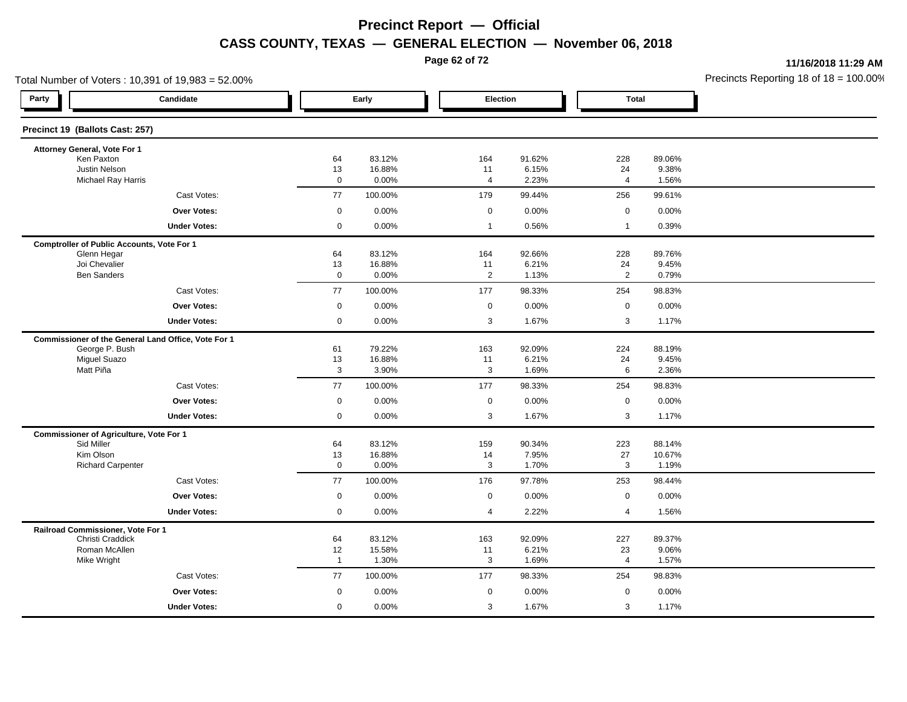**Page 62 of 72**

**11/16/2018 11:29 AM**

| Total Number of Voters: 10,391 of 19,983 = 52.00%   |                      |                  |                |                 |                |                  | Precincts Reporting 18 of $18 = 100.00$ |
|-----------------------------------------------------|----------------------|------------------|----------------|-----------------|----------------|------------------|-----------------------------------------|
| Party<br>Candidate                                  | Early                |                  | Election       |                 | <b>Total</b>   |                  |                                         |
| Precinct 19 (Ballots Cast: 257)                     |                      |                  |                |                 |                |                  |                                         |
| Attorney General, Vote For 1                        |                      |                  |                |                 |                |                  |                                         |
| Ken Paxton                                          | 64                   | 83.12%           | 164            | 91.62%          | 228            | 89.06%           |                                         |
| Justin Nelson<br><b>Michael Ray Harris</b>          | 13<br>$\mathbf 0$    | 16.88%<br>0.00%  | 11<br>4        | 6.15%<br>2.23%  | 24<br>4        | 9.38%<br>1.56%   |                                         |
| Cast Votes:                                         | 77                   | 100.00%          | 179            | 99.44%          | 256            | 99.61%           |                                         |
| Over Votes:                                         | $\mathbf 0$          | 0.00%            | $\mathbf 0$    | 0.00%           | $\mathbf 0$    | 0.00%            |                                         |
| <b>Under Votes:</b>                                 | $\mathbf 0$          | 0.00%            | $\mathbf{1}$   | 0.56%           | $\mathbf{1}$   | 0.39%            |                                         |
| <b>Comptroller of Public Accounts, Vote For 1</b>   |                      |                  |                |                 |                |                  |                                         |
| Glenn Hegar                                         | 64                   | 83.12%           | 164            | 92.66%          | 228            | 89.76%           |                                         |
| Joi Chevalier                                       | 13                   | 16.88%           | 11             | 6.21%           | 24             | 9.45%            |                                         |
| <b>Ben Sanders</b>                                  | $\mathbf 0$          | 0.00%            | $\overline{2}$ | 1.13%           | $\overline{2}$ | 0.79%            |                                         |
| Cast Votes:                                         | 77                   | 100.00%          | 177            | 98.33%          | 254            | 98.83%           |                                         |
| <b>Over Votes:</b>                                  | $\mathbf 0$          | 0.00%            | $\mathsf 0$    | 0.00%           | $\mathsf 0$    | 0.00%            |                                         |
| <b>Under Votes:</b>                                 | $\mathbf 0$          | 0.00%            | 3              | 1.67%           | 3              | 1.17%            |                                         |
| Commissioner of the General Land Office, Vote For 1 |                      |                  |                |                 |                |                  |                                         |
| George P. Bush                                      | 61                   | 79.22%           | 163            | 92.09%          | 224            | 88.19%           |                                         |
| <b>Miguel Suazo</b><br>Matt Piña                    | 13<br>$\mathbf{3}$   | 16.88%<br>3.90%  | 11<br>3        | 6.21%<br>1.69%  | 24<br>6        | 9.45%<br>2.36%   |                                         |
| Cast Votes:                                         | 77                   | 100.00%          | 177            | 98.33%          | 254            | 98.83%           |                                         |
|                                                     |                      |                  |                |                 |                |                  |                                         |
| Over Votes:                                         | $\boldsymbol{0}$     | 0.00%            | $\mathbf 0$    | 0.00%           | $\mathsf 0$    | 0.00%            |                                         |
| <b>Under Votes:</b>                                 | $\mathbf 0$          | 0.00%            | 3              | 1.67%           | 3              | 1.17%            |                                         |
| <b>Commissioner of Agriculture, Vote For 1</b>      |                      |                  |                |                 |                |                  |                                         |
| Sid Miller<br>Kim Olson                             | 64<br>13             | 83.12%<br>16.88% | 159<br>14      | 90.34%<br>7.95% | 223<br>27      | 88.14%<br>10.67% |                                         |
| <b>Richard Carpenter</b>                            | $\mathbf 0$          | 0.00%            | 3              | 1.70%           | 3              | 1.19%            |                                         |
| Cast Votes:                                         | 77                   | 100.00%          | 176            | 97.78%          | 253            | 98.44%           |                                         |
| <b>Over Votes:</b>                                  | $\mathbf 0$          | 0.00%            | $\mathbf 0$    | 0.00%           | $\mathsf 0$    | 0.00%            |                                         |
| <b>Under Votes:</b>                                 | $\mathbf 0$          | 0.00%            | 4              | 2.22%           | 4              | 1.56%            |                                         |
| Railroad Commissioner, Vote For 1                   |                      |                  |                |                 |                |                  |                                         |
| Christi Craddick                                    | 64                   | 83.12%           | 163            | 92.09%          | 227            | 89.37%           |                                         |
| Roman McAllen                                       | 12<br>$\overline{1}$ | 15.58%<br>1.30%  | 11<br>3        | 6.21%<br>1.69%  | 23<br>4        | 9.06%            |                                         |
| Mike Wright                                         |                      |                  |                |                 |                | 1.57%            |                                         |
| Cast Votes:                                         | 77                   | 100.00%          | 177            | 98.33%          | 254            | 98.83%           |                                         |
| Over Votes:                                         | $\mathbf 0$          | 0.00%            | $\mathbf 0$    | 0.00%           | $\mathbf 0$    | 0.00%            |                                         |
| <b>Under Votes:</b>                                 | $\mathbf 0$          | 0.00%            | 3              | 1.67%           | 3              | 1.17%            |                                         |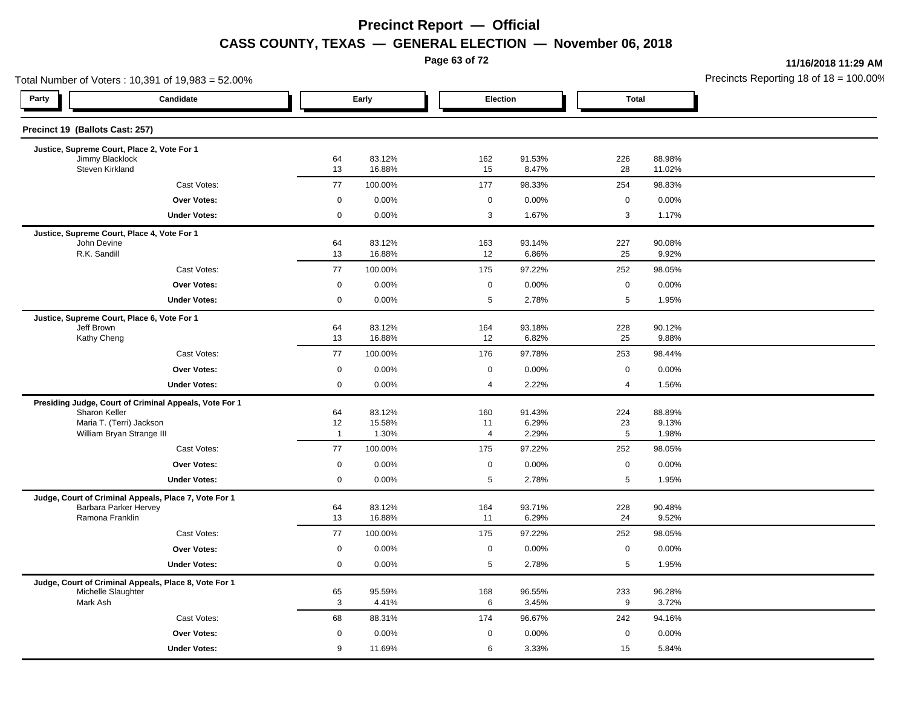**Page 63 of 72**

**11/16/2018 11:29 AM**

|                                    | Total Number of Voters: 10,391 of 19,983 = 52.00%      |                     |                  |                |                 |                 |                  | Precincts Reporting 18 of 18 = 100.00 |
|------------------------------------|--------------------------------------------------------|---------------------|------------------|----------------|-----------------|-----------------|------------------|---------------------------------------|
| Party                              | Candidate                                              |                     | Early            | Election       |                 | <b>Total</b>    |                  |                                       |
| Precinct 19 (Ballots Cast: 257)    |                                                        |                     |                  |                |                 |                 |                  |                                       |
|                                    | Justice, Supreme Court, Place 2, Vote For 1            |                     |                  |                |                 |                 |                  |                                       |
| Jimmy Blacklock<br>Steven Kirkland |                                                        | 64<br>13            | 83.12%<br>16.88% | 162<br>15      | 91.53%<br>8.47% | 226<br>28       | 88.98%<br>11.02% |                                       |
|                                    | Cast Votes:                                            | 77                  | 100.00%          | 177            | 98.33%          | 254             | 98.83%           |                                       |
|                                    | Over Votes:                                            | 0                   | 0.00%            | $\mathbf 0$    | 0.00%           | $\mathbf 0$     | 0.00%            |                                       |
|                                    | <b>Under Votes:</b>                                    | 0                   | 0.00%            | 3              | 1.67%           | $\mathbf{3}$    | 1.17%            |                                       |
|                                    | Justice, Supreme Court, Place 4, Vote For 1            |                     |                  |                |                 |                 |                  |                                       |
| John Devine<br>R.K. Sandill        |                                                        | 64<br>13            | 83.12%<br>16.88% | 163<br>12      | 93.14%<br>6.86% | 227<br>25       | 90.08%<br>9.92%  |                                       |
|                                    | Cast Votes:                                            | 77                  | 100.00%          | 175            | 97.22%          | 252             | 98.05%           |                                       |
|                                    | Over Votes:                                            | 0                   | 0.00%            | $\mathbf 0$    | 0.00%           | $\mathbf 0$     | 0.00%            |                                       |
|                                    | <b>Under Votes:</b>                                    | 0                   | 0.00%            | 5              | 2.78%           | 5               | 1.95%            |                                       |
|                                    | Justice, Supreme Court, Place 6, Vote For 1            |                     |                  |                |                 |                 |                  |                                       |
| Jeff Brown                         |                                                        | 64                  | 83.12%           | 164            | 93.18%          | 228             | 90.12%           |                                       |
| Kathy Cheng                        |                                                        | 13                  | 16.88%           | 12             | 6.82%           | 25              | 9.88%            |                                       |
|                                    | Cast Votes:                                            | 77                  | 100.00%          | 176            | 97.78%          | 253             | 98.44%           |                                       |
|                                    | <b>Over Votes:</b>                                     | $\mathbf 0$         | 0.00%            | $\mathbf 0$    | 0.00%           | $\mathbf 0$     | 0.00%            |                                       |
|                                    | <b>Under Votes:</b>                                    | $\mathsf{O}\xspace$ | 0.00%            | $\overline{4}$ | 2.22%           | $\overline{4}$  | 1.56%            |                                       |
|                                    | Presiding Judge, Court of Criminal Appeals, Vote For 1 |                     |                  |                |                 |                 |                  |                                       |
| Sharon Keller                      | Maria T. (Terri) Jackson                               | 64<br>12            | 83.12%<br>15.58% | 160<br>11      | 91.43%<br>6.29% | 224<br>23       | 88.89%<br>9.13%  |                                       |
|                                    | William Bryan Strange III                              | $\overline{1}$      | 1.30%            | 4              | 2.29%           | $5\phantom{.0}$ | 1.98%            |                                       |
|                                    | Cast Votes:                                            | 77                  | 100.00%          | 175            | 97.22%          | 252             | 98.05%           |                                       |
|                                    | Over Votes:                                            | $\mathbf 0$         | 0.00%            | $\mathbf 0$    | 0.00%           | $\mathbf 0$     | 0.00%            |                                       |
|                                    | <b>Under Votes:</b>                                    | 0                   | 0.00%            | 5              | 2.78%           | 5               | 1.95%            |                                       |
|                                    | Judge, Court of Criminal Appeals, Place 7, Vote For 1  |                     |                  |                |                 |                 |                  |                                       |
| Ramona Franklin                    | Barbara Parker Hervey                                  | 64<br>13            | 83.12%<br>16.88% | 164<br>11      | 93.71%<br>6.29% | 228<br>24       | 90.48%<br>9.52%  |                                       |
|                                    | Cast Votes:                                            | 77                  | 100.00%          | 175            | 97.22%          | 252             | 98.05%           |                                       |
|                                    |                                                        |                     |                  |                |                 |                 |                  |                                       |
|                                    | <b>Over Votes:</b>                                     | $\mathbf 0$         | 0.00%            | $\mathbf 0$    | 0.00%           | $\mathbf 0$     | 0.00%            |                                       |
|                                    | <b>Under Votes:</b>                                    | 0                   | 0.00%            | 5              | 2.78%           | 5               | 1.95%            |                                       |
| Michelle Slaughter                 | Judge, Court of Criminal Appeals, Place 8, Vote For 1  | 65                  | 95.59%           | 168            | 96.55%          | 233             | 96.28%           |                                       |
| Mark Ash                           |                                                        | 3                   | 4.41%            | 6              | 3.45%           | 9               | 3.72%            |                                       |
|                                    | Cast Votes:                                            | 68                  | 88.31%           | 174            | 96.67%          | 242             | 94.16%           |                                       |
|                                    | Over Votes:                                            | $\mathbf 0$         | 0.00%            | $\mathbf 0$    | 0.00%           | $\mathbf 0$     | 0.00%            |                                       |
|                                    | <b>Under Votes:</b>                                    | 9                   | 11.69%           | 6              | 3.33%           | 15              | 5.84%            |                                       |
|                                    |                                                        |                     |                  |                |                 |                 |                  |                                       |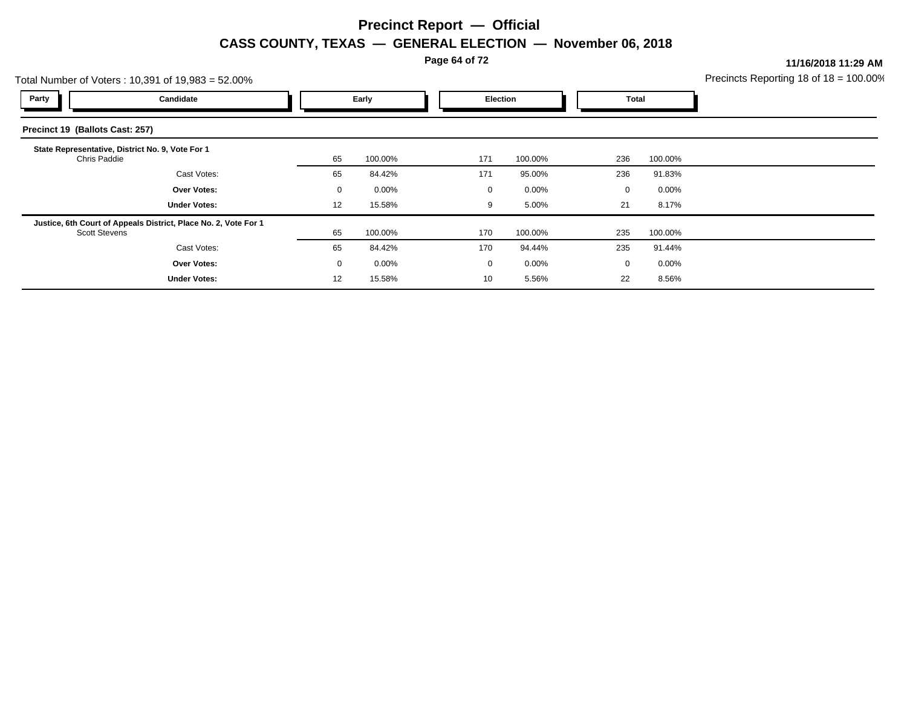**Page 64 of 72**

**11/16/2018 11:29 AM**

| Fotal Number of Voters: 10,391 of 19,983 = 52.00%                                       | Precincts Reporting 18 of 18 = 100.00 |         |          |          |              |         |  |
|-----------------------------------------------------------------------------------------|---------------------------------------|---------|----------|----------|--------------|---------|--|
| Party<br>Candidate                                                                      | Early                                 |         | Election |          | <b>Total</b> |         |  |
| Precinct 19 (Ballots Cast: 257)                                                         |                                       |         |          |          |              |         |  |
| State Representative, District No. 9, Vote For 1<br>Chris Paddie                        | 65                                    | 100.00% | 171      | 100.00%  | 236          | 100.00% |  |
| Cast Votes:                                                                             | 65                                    | 84.42%  | 171      | 95.00%   | 236          | 91.83%  |  |
| <b>Over Votes:</b>                                                                      | $\mathbf 0$                           | 0.00%   | 0        | $0.00\%$ | $\mathbf 0$  | 0.00%   |  |
| <b>Under Votes:</b>                                                                     | 12                                    | 15.58%  | 9        | 5.00%    | 21           | 8.17%   |  |
| Justice, 6th Court of Appeals District, Place No. 2, Vote For 1<br><b>Scott Stevens</b> | 65                                    | 100.00% | 170      | 100.00%  | 235          | 100.00% |  |
| Cast Votes:                                                                             | 65                                    | 84.42%  | 170      | 94.44%   | 235          | 91.44%  |  |
| <b>Over Votes:</b>                                                                      | $\mathbf 0$                           | 0.00%   | 0        | $0.00\%$ | $\mathbf 0$  | 0.00%   |  |
| <b>Under Votes:</b>                                                                     | 12                                    | 15.58%  | 10       | 5.56%    | 22           | 8.56%   |  |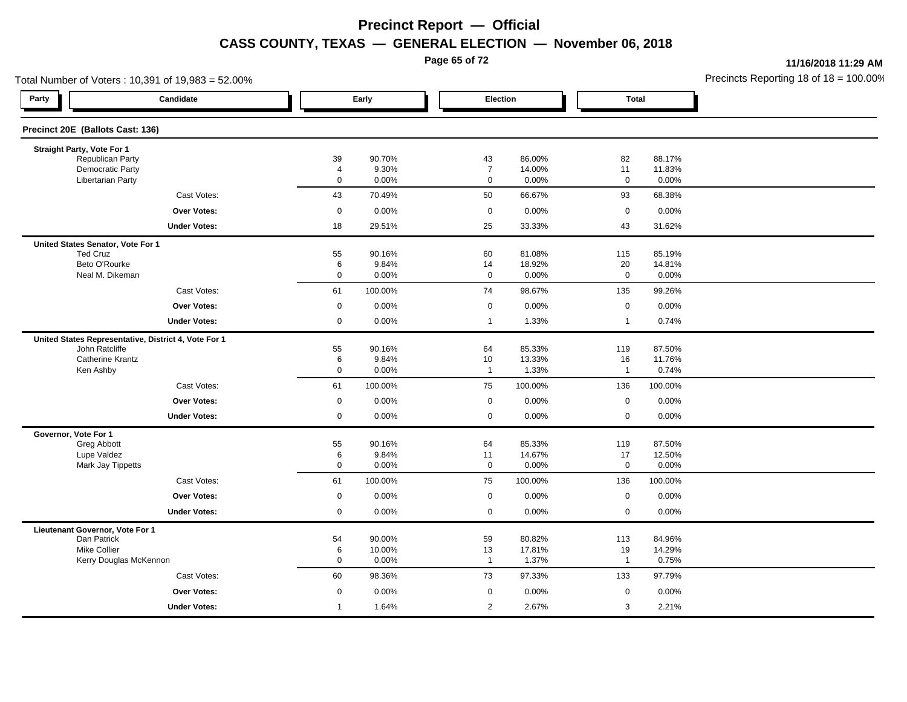**Page 65 of 72**

**11/16/2018 11:29 AM**

| Total Number of Voters: 10,391 of 19,983 = 52.00%    |                     |                  |                |    |                               |                 |                    |                 | Precincts Reporting 18 of 18 = 100.00 |
|------------------------------------------------------|---------------------|------------------|----------------|----|-------------------------------|-----------------|--------------------|-----------------|---------------------------------------|
| Party                                                | Candidate           |                  | Early          |    | Election                      |                 | <b>Total</b>       |                 |                                       |
| Precinct 20E (Ballots Cast: 136)                     |                     |                  |                |    |                               |                 |                    |                 |                                       |
| Straight Party, Vote For 1                           |                     |                  |                |    |                               |                 |                    |                 |                                       |
| Republican Party                                     |                     | 39               | 90.70%         | 43 |                               | 86.00%          | 82                 | 88.17%          |                                       |
| <b>Democratic Party</b><br><b>Libertarian Party</b>  |                     | 4<br>$\mathbf 0$ | 9.30%<br>0.00% |    | $\overline{7}$<br>$\mathbf 0$ | 14.00%<br>0.00% | 11<br>$\mathbf 0$  | 11.83%<br>0.00% |                                       |
|                                                      | Cast Votes:         | 43               | 70.49%         | 50 |                               | 66.67%          | 93                 | 68.38%          |                                       |
|                                                      | <b>Over Votes:</b>  | $\mathbf 0$      | 0.00%          |    | $\mathbf 0$                   | 0.00%           | $\mathbf 0$        | 0.00%           |                                       |
|                                                      | <b>Under Votes:</b> | 18               | 29.51%         | 25 |                               | 33.33%          | 43                 | 31.62%          |                                       |
| United States Senator, Vote For 1                    |                     |                  |                |    |                               |                 |                    |                 |                                       |
| <b>Ted Cruz</b>                                      |                     | 55               | 90.16%         | 60 |                               | 81.08%          | 115                | 85.19%          |                                       |
| Beto O'Rourke                                        |                     | 6                | 9.84%          | 14 |                               | 18.92%          | 20                 | 14.81%          |                                       |
| Neal M. Dikeman                                      |                     | $\mathbf 0$      | 0.00%          |    | $\mathbf 0$                   | 0.00%           | $\mathbf 0$        | 0.00%           |                                       |
|                                                      | Cast Votes:         | 61               | 100.00%        | 74 |                               | 98.67%          | 135                | 99.26%          |                                       |
|                                                      | <b>Over Votes:</b>  | $\mathbf 0$      | 0.00%          |    | $\mathbf 0$                   | 0.00%           | $\mathbf 0$        | 0.00%           |                                       |
|                                                      | <b>Under Votes:</b> | $\mathbf 0$      | 0.00%          |    | $\overline{1}$                | 1.33%           | $\mathbf{1}$       | 0.74%           |                                       |
| United States Representative, District 4, Vote For 1 |                     |                  |                |    |                               |                 |                    |                 |                                       |
| John Ratcliffe                                       |                     | 55               | 90.16%         | 64 |                               | 85.33%          | 119                | 87.50%          |                                       |
| <b>Catherine Krantz</b><br>Ken Ashby                 |                     | 6<br>$\mathbf 0$ | 9.84%<br>0.00% | 10 | $\overline{1}$                | 13.33%<br>1.33% | 16<br>$\mathbf{1}$ | 11.76%<br>0.74% |                                       |
|                                                      |                     |                  |                |    |                               |                 |                    |                 |                                       |
|                                                      | Cast Votes:         | 61               | 100.00%        | 75 | 100.00%                       |                 | 136                | 100.00%         |                                       |
|                                                      | <b>Over Votes:</b>  | $\mathbf 0$      | 0.00%          |    | $\mathbf 0$                   | 0.00%           | $\mathbf 0$        | 0.00%           |                                       |
|                                                      | <b>Under Votes:</b> | $\mathbf 0$      | 0.00%          |    | $\mathbf 0$                   | 0.00%           | $\mathbf 0$        | 0.00%           |                                       |
| Governor, Vote For 1                                 |                     | 55               | 90.16%         | 64 |                               | 85.33%          | 119                | 87.50%          |                                       |
| Greg Abbott<br>Lupe Valdez                           |                     | 6                | 9.84%          | 11 |                               | 14.67%          | 17                 | 12.50%          |                                       |
| Mark Jay Tippetts                                    |                     | 0                | 0.00%          |    | $\mathbf 0$                   | 0.00%           | $\mathbf 0$        | 0.00%           |                                       |
|                                                      | Cast Votes:         | 61               | 100.00%        | 75 | 100.00%                       |                 | 136                | 100.00%         |                                       |
|                                                      | <b>Over Votes:</b>  | 0                | 0.00%          |    | $\mathbf 0$                   | 0.00%           | $\mathbf 0$        | 0.00%           |                                       |
|                                                      | <b>Under Votes:</b> | $\mathbf 0$      | 0.00%          |    | $\mathbf 0$                   | $0.00\%$        | $\mathbf 0$        | 0.00%           |                                       |
| Lieutenant Governor, Vote For 1                      |                     |                  |                |    |                               |                 |                    |                 |                                       |
| Dan Patrick                                          |                     | 54               | 90.00%         | 59 |                               | 80.82%          | 113                | 84.96%          |                                       |
| <b>Mike Collier</b>                                  |                     | 6                | 10.00%         | 13 |                               | 17.81%          | 19                 | 14.29%          |                                       |
| Kerry Douglas McKennon                               |                     | 0                | 0.00%          |    | $\overline{1}$                | 1.37%           | $\mathbf{1}$       | 0.75%           |                                       |
|                                                      | Cast Votes:         | 60               | 98.36%         | 73 |                               | 97.33%          | 133                | 97.79%          |                                       |
|                                                      | Over Votes:         | 0                | 0.00%          |    | 0                             | 0.00%           | $\mathbf 0$        | 0.00%           |                                       |
|                                                      | <b>Under Votes:</b> | $\mathbf{1}$     | 1.64%          |    | 2                             | 2.67%           | 3                  | 2.21%           |                                       |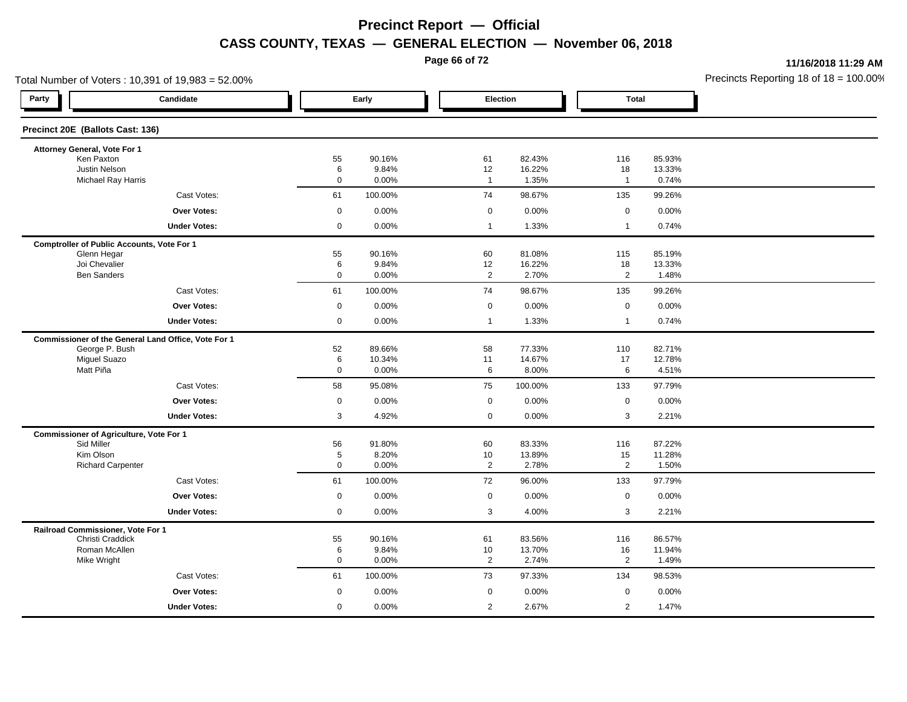**Page 66 of 72**

**11/16/2018 11:29 AM**

| Total Number of Voters: 10,391 of 19,983 = 52.00%   |                   |                 |                      |                  |                    |                  | Precincts Reporting 18 of $18 = 100.00$ |
|-----------------------------------------------------|-------------------|-----------------|----------------------|------------------|--------------------|------------------|-----------------------------------------|
| Party<br>Candidate                                  |                   | Early           | Election             |                  | <b>Total</b>       |                  |                                         |
| Precinct 20E (Ballots Cast: 136)                    |                   |                 |                      |                  |                    |                  |                                         |
| Attorney General, Vote For 1                        |                   |                 |                      |                  |                    |                  |                                         |
| Ken Paxton                                          | 55                | 90.16%          | 61                   | 82.43%           | 116                | 85.93%           |                                         |
| Justin Nelson<br>Michael Ray Harris                 | 6<br>$\mathsf{O}$ | 9.84%<br>0.00%  | 12<br>$\overline{1}$ | 16.22%<br>1.35%  | 18<br>$\mathbf{1}$ | 13.33%<br>0.74%  |                                         |
| Cast Votes:                                         | 61                | 100.00%         | 74                   | 98.67%           | 135                | 99.26%           |                                         |
| Over Votes:                                         | $\mathbf 0$       | 0.00%           | $\mathbf 0$          | 0.00%            | $\mathbf 0$        | 0.00%            |                                         |
| <b>Under Votes:</b>                                 | $\mathbf 0$       | 0.00%           | $\mathbf{1}$         | 1.33%            | $\mathbf{1}$       | 0.74%            |                                         |
| <b>Comptroller of Public Accounts, Vote For 1</b>   |                   |                 |                      |                  |                    |                  |                                         |
| Glenn Hegar                                         | 55                | 90.16%          | 60                   | 81.08%           | 115                | 85.19%           |                                         |
| Joi Chevalier                                       | 6                 | 9.84%           | 12                   | 16.22%           | 18                 | 13.33%           |                                         |
| <b>Ben Sanders</b>                                  | $\mathbf 0$       | 0.00%           | $\overline{2}$       | 2.70%            | $\overline{2}$     | 1.48%            |                                         |
| Cast Votes:                                         | 61                | 100.00%         | 74                   | 98.67%           | 135                | 99.26%           |                                         |
| <b>Over Votes:</b>                                  | $\mathbf 0$       | 0.00%           | $\mathbf 0$          | 0.00%            | $\mathsf 0$        | 0.00%            |                                         |
| <b>Under Votes:</b>                                 | $\mathbf 0$       | 0.00%           | $\overline{1}$       | 1.33%            | $\mathbf{1}$       | 0.74%            |                                         |
| Commissioner of the General Land Office, Vote For 1 |                   |                 |                      |                  |                    |                  |                                         |
| George P. Bush                                      | 52                | 89.66%          | 58                   | 77.33%           | 110                | 82.71%           |                                         |
| <b>Miguel Suazo</b><br>Matt Piña                    | 6<br>$\mathsf 0$  | 10.34%<br>0.00% | 11<br>6              | 14.67%<br>8.00%  | 17<br>6            | 12.78%<br>4.51%  |                                         |
| Cast Votes:                                         |                   |                 |                      |                  |                    |                  |                                         |
|                                                     | 58                | 95.08%          | 75                   | 100.00%          | 133                | 97.79%           |                                         |
| Over Votes:                                         | $\boldsymbol{0}$  | 0.00%           | $\mathbf 0$          | 0.00%            | $\mathbf 0$        | 0.00%            |                                         |
| <b>Under Votes:</b>                                 | 3                 | 4.92%           | $\mathbf{0}$         | 0.00%            | 3                  | 2.21%            |                                         |
| <b>Commissioner of Agriculture, Vote For 1</b>      |                   |                 |                      |                  |                    |                  |                                         |
| Sid Miller<br>Kim Olson                             | 56<br>5           | 91.80%<br>8.20% | 60<br>10             | 83.33%<br>13.89% | 116<br>15          | 87.22%<br>11.28% |                                         |
| <b>Richard Carpenter</b>                            | $\mathbf 0$       | 0.00%           | $\overline{2}$       | 2.78%            | $\overline{2}$     | 1.50%            |                                         |
| Cast Votes:                                         | 61                | 100.00%         | 72                   | 96.00%           | 133                | 97.79%           |                                         |
| <b>Over Votes:</b>                                  | $\mathbf 0$       | 0.00%           | $\mathbf 0$          | 0.00%            | $\mathsf 0$        | 0.00%            |                                         |
| <b>Under Votes:</b>                                 | $\mathbf 0$       | 0.00%           | 3                    | 4.00%            | 3                  | 2.21%            |                                         |
| Railroad Commissioner, Vote For 1                   |                   |                 |                      |                  |                    |                  |                                         |
| Christi Craddick                                    | 55                | 90.16%          | 61                   | 83.56%           | 116                | 86.57%           |                                         |
| Roman McAllen                                       | 6                 | 9.84%           | 10                   | 13.70%           | 16                 | 11.94%           |                                         |
| Mike Wright                                         | $\mathbf 0$       | 0.00%           | 2                    | 2.74%            | $\overline{2}$     | 1.49%            |                                         |
| Cast Votes:                                         | 61                | 100.00%         | 73                   | 97.33%           | 134                | 98.53%           |                                         |
| Over Votes:                                         | $\mathbf 0$       | 0.00%           | $\mathbf 0$          | 0.00%            | $\mathbf 0$        | 0.00%            |                                         |
| <b>Under Votes:</b>                                 | $\mathbf 0$       | 0.00%           | $\overline{2}$       | 2.67%            | 2                  | 1.47%            |                                         |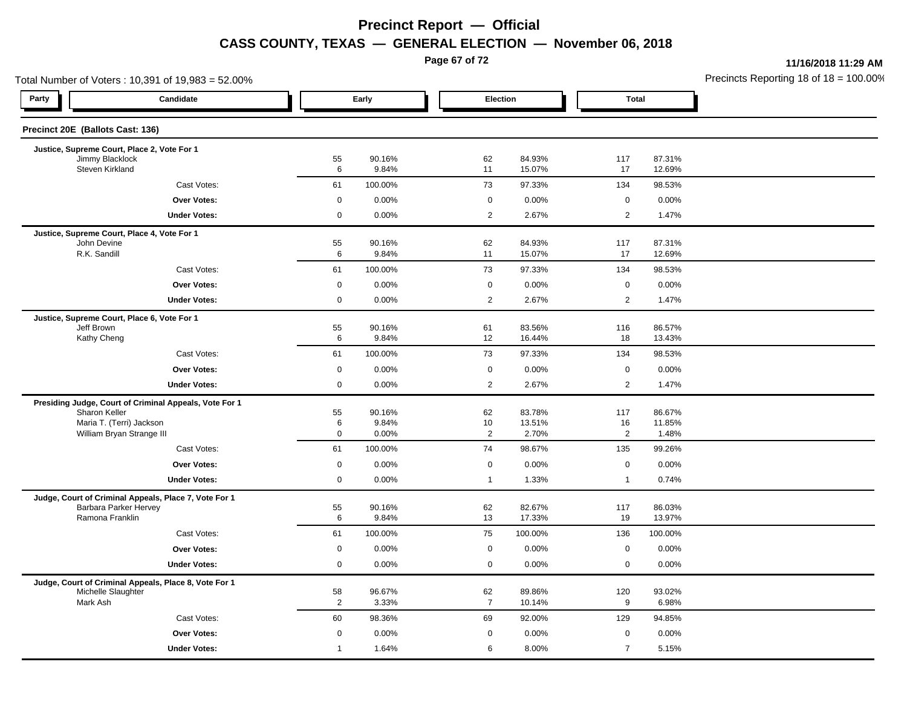**Page 67 of 72**

**11/16/2018 11:29 AM**

|                                    | Total Number of Voters: 10,391 of 19,983 = 52.00%                              |                |                 |                      |                  |                      |                  | Precincts Reporting 18 of 18 = 100.00 |
|------------------------------------|--------------------------------------------------------------------------------|----------------|-----------------|----------------------|------------------|----------------------|------------------|---------------------------------------|
| Party                              | Candidate                                                                      |                | Early           |                      | Election         | <b>Total</b>         |                  |                                       |
| Precinct 20E (Ballots Cast: 136)   |                                                                                |                |                 |                      |                  |                      |                  |                                       |
|                                    | Justice, Supreme Court, Place 2, Vote For 1                                    |                |                 |                      |                  |                      |                  |                                       |
| Jimmy Blacklock<br>Steven Kirkland |                                                                                | 55<br>6        | 90.16%<br>9.84% | 62<br>11             | 84.93%<br>15.07% | 117<br>17            | 87.31%<br>12.69% |                                       |
|                                    | Cast Votes:                                                                    | 61             | 100.00%         | 73                   | 97.33%           | 134                  | 98.53%           |                                       |
|                                    | Over Votes:                                                                    | $\mathbf 0$    | 0.00%           | 0                    | 0.00%            | $\mathbf 0$          | 0.00%            |                                       |
|                                    | <b>Under Votes:</b>                                                            | $\mathsf{O}$   | 0.00%           | $\overline{2}$       | 2.67%            | $\overline{2}$       | 1.47%            |                                       |
|                                    | Justice, Supreme Court, Place 4, Vote For 1                                    |                |                 |                      |                  |                      |                  |                                       |
| John Devine<br>R.K. Sandill        |                                                                                | 55<br>6        | 90.16%<br>9.84% | 62<br>11             | 84.93%<br>15.07% | 117<br>17            | 87.31%<br>12.69% |                                       |
|                                    | Cast Votes:                                                                    | 61             | 100.00%         | 73                   | 97.33%           | 134                  | 98.53%           |                                       |
|                                    | <b>Over Votes:</b>                                                             | $\mathbf 0$    | 0.00%           | $\mathbf 0$          | 0.00%            | $\mathbf 0$          | 0.00%            |                                       |
|                                    | <b>Under Votes:</b>                                                            | 0              | 0.00%           | 2                    | 2.67%            | $\overline{2}$       | 1.47%            |                                       |
|                                    |                                                                                |                |                 |                      |                  |                      |                  |                                       |
| Jeff Brown                         | Justice, Supreme Court, Place 6, Vote For 1                                    | 55             | 90.16%          | 61                   | 83.56%           | 116                  | 86.57%           |                                       |
| Kathy Cheng                        |                                                                                | 6              | 9.84%           | 12                   | 16.44%           | 18                   | 13.43%           |                                       |
|                                    | Cast Votes:                                                                    | 61             | 100.00%         | 73                   | 97.33%           | 134                  | 98.53%           |                                       |
|                                    | <b>Over Votes:</b>                                                             | 0              | 0.00%           | $\mathbf 0$          | 0.00%            | $\mathbf 0$          | 0.00%            |                                       |
|                                    | <b>Under Votes:</b>                                                            | $\mathbf 0$    | 0.00%           | 2                    | 2.67%            | $\overline{2}$       | 1.47%            |                                       |
|                                    | Presiding Judge, Court of Criminal Appeals, Vote For 1                         |                |                 |                      |                  |                      |                  |                                       |
| Sharon Keller                      |                                                                                | 55             | 90.16%          | 62                   | 83.78%           | 117                  | 86.67%           |                                       |
|                                    | Maria T. (Terri) Jackson<br>William Bryan Strange III                          | 6<br>0         | 9.84%<br>0.00%  | 10<br>$\overline{2}$ | 13.51%<br>2.70%  | 16<br>$\overline{2}$ | 11.85%<br>1.48%  |                                       |
|                                    | Cast Votes:                                                                    | 61             | 100.00%         | 74                   | 98.67%           | 135                  | 99.26%           |                                       |
|                                    | Over Votes:                                                                    | $\mathbf 0$    | 0.00%           | $\mathbf 0$          | 0.00%            | $\mathbf 0$          | 0.00%            |                                       |
|                                    | <b>Under Votes:</b>                                                            | $\mathsf{O}$   | 0.00%           | $\mathbf{1}$         | 1.33%            | $\overline{1}$       | 0.74%            |                                       |
|                                    |                                                                                |                |                 |                      |                  |                      |                  |                                       |
|                                    | Judge, Court of Criminal Appeals, Place 7, Vote For 1<br>Barbara Parker Hervey | 55             | 90.16%          | 62                   | 82.67%           | 117                  | 86.03%           |                                       |
| Ramona Franklin                    |                                                                                | 6              | 9.84%           | 13                   | 17.33%           | 19                   | 13.97%           |                                       |
|                                    | Cast Votes:                                                                    | 61             | 100.00%         | 75                   | 100.00%          | 136                  | 100.00%          |                                       |
|                                    | Over Votes:                                                                    | 0              | 0.00%           | $\mathbf 0$          | 0.00%            | $\mathbf 0$          | 0.00%            |                                       |
|                                    | <b>Under Votes:</b>                                                            | 0              | 0.00%           | $\mathbf 0$          | 0.00%            | $\mathbf 0$          | 0.00%            |                                       |
|                                    | Judge, Court of Criminal Appeals, Place 8, Vote For 1                          |                |                 |                      |                  |                      |                  |                                       |
| Michelle Slaughter                 |                                                                                | 58             | 96.67%          | 62                   | 89.86%           | 120                  | 93.02%           |                                       |
| Mark Ash                           |                                                                                | $\overline{2}$ | 3.33%           | $\overline{7}$       | 10.14%           | 9                    | 6.98%            |                                       |
|                                    | Cast Votes:                                                                    | 60             | 98.36%          | 69                   | 92.00%           | 129                  | 94.85%           |                                       |
|                                    | <b>Over Votes:</b>                                                             | 0              | 0.00%           | $\mathbf 0$          | 0.00%            | $\mathbf 0$          | 0.00%            |                                       |
|                                    | <b>Under Votes:</b>                                                            | $\mathbf{1}$   | 1.64%           | 6                    | 8.00%            | $\overline{7}$       | 5.15%            |                                       |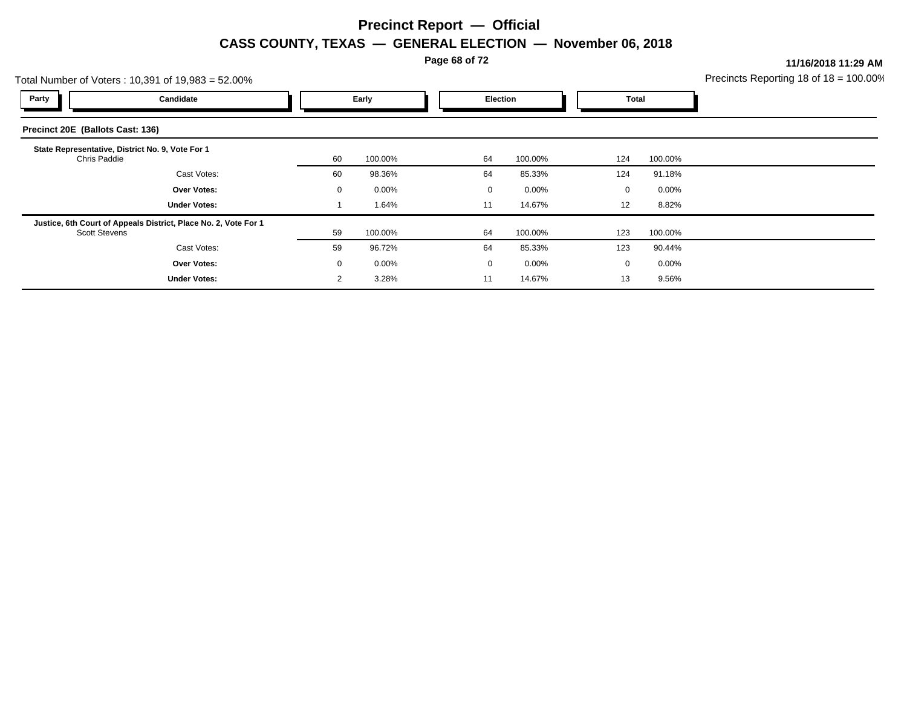**Page 68 of 72**

**11/16/2018 11:29 AM**

| Precincts Reporting 18 of $18 = 100.00\%$ |  |
|-------------------------------------------|--|
|                                           |  |

|                                  | Total Number of Voters: 10,391 of 19,983 = 52.00%               |       |          |             |          |             |          | Precincts Reporting 18 of $18 = 100.00$ |
|----------------------------------|-----------------------------------------------------------------|-------|----------|-------------|----------|-------------|----------|-----------------------------------------|
| Party                            | Candidate                                                       | Early |          | Election    |          |             | Total    |                                         |
| Precinct 20E (Ballots Cast: 136) |                                                                 |       |          |             |          |             |          |                                         |
| Chris Paddie                     | State Representative, District No. 9, Vote For 1                | 60    | 100.00%  | 64          | 100.00%  | 124         | 100.00%  |                                         |
|                                  | Cast Votes:                                                     | 60    | 98.36%   | 64          | 85.33%   | 124         | 91.18%   |                                         |
|                                  | <b>Over Votes:</b>                                              | 0     | $0.00\%$ | $\mathbf 0$ | $0.00\%$ | $\mathbf 0$ | $0.00\%$ |                                         |
|                                  | <b>Under Votes:</b>                                             |       | 1.64%    | 11          | 14.67%   | 12          | 8.82%    |                                         |
| <b>Scott Stevens</b>             | Justice, 6th Court of Appeals District, Place No. 2, Vote For 1 | 59    | 100.00%  | 64          | 100.00%  | 123         | 100.00%  |                                         |
|                                  | Cast Votes:                                                     | 59    | 96.72%   | 64          | 85.33%   | 123         | 90.44%   |                                         |
|                                  | <b>Over Votes:</b>                                              | 0     | $0.00\%$ | $\mathbf 0$ | $0.00\%$ | 0           | $0.00\%$ |                                         |
|                                  | <b>Under Votes:</b>                                             | 2     | 3.28%    | 11          | 14.67%   | 13          | 9.56%    |                                         |
|                                  |                                                                 |       |          |             |          |             |          |                                         |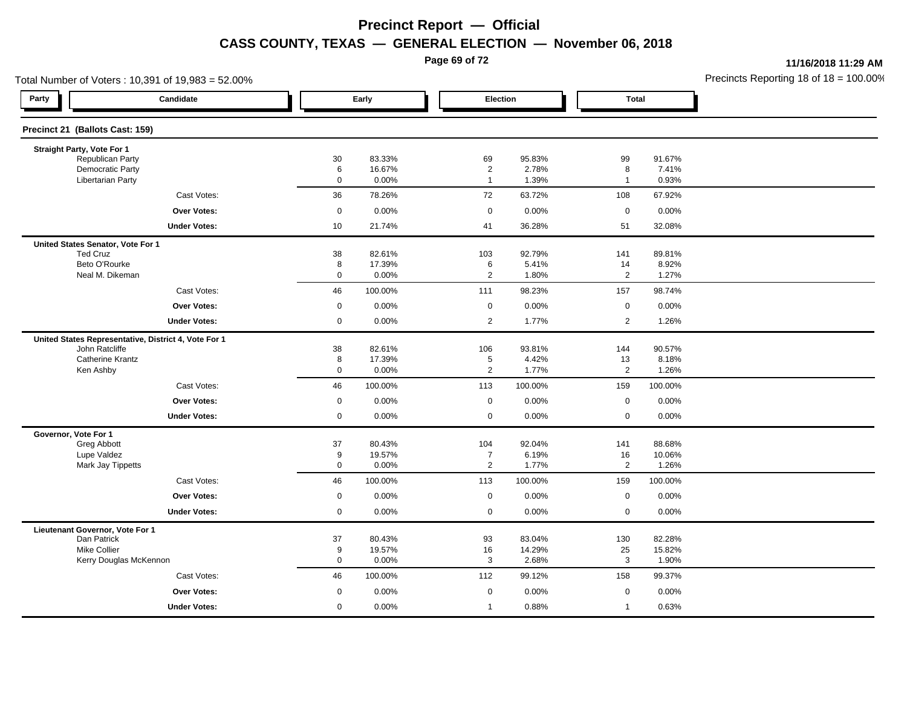**Page 69 of 72**

**11/16/2018 11:29 AM**

| Total Number of Voters: 10,391 of 19,983 = 52.00%    |                  |                  |                                  |                 |                      |                 | Precincts Reporting 18 of $18 = 100.00$ |
|------------------------------------------------------|------------------|------------------|----------------------------------|-----------------|----------------------|-----------------|-----------------------------------------|
| Party<br>Candidate                                   |                  | Early            | Election                         |                 | <b>Total</b>         |                 |                                         |
| Precinct 21 (Ballots Cast: 159)                      |                  |                  |                                  |                 |                      |                 |                                         |
| Straight Party, Vote For 1                           |                  |                  |                                  |                 |                      |                 |                                         |
| Republican Party<br><b>Democratic Party</b>          | 30               | 83.33%<br>16.67% | 69                               | 95.83%<br>2.78% | 99                   | 91.67%<br>7.41% |                                         |
| <b>Libertarian Party</b>                             | 6<br>$\mathbf 0$ | 0.00%            | $\overline{2}$<br>$\overline{1}$ | 1.39%           | 8<br>$\mathbf{1}$    | 0.93%           |                                         |
| Cast Votes:                                          | 36               | 78.26%           | 72                               | 63.72%          | 108                  | 67.92%          |                                         |
| <b>Over Votes:</b>                                   | $\mathbf 0$      | 0.00%            | $\mathbf 0$                      | 0.00%           | $\mathbf 0$          | 0.00%           |                                         |
| <b>Under Votes:</b>                                  | 10               | 21.74%           | 41                               | 36.28%          | 51                   | 32.08%          |                                         |
| United States Senator, Vote For 1                    |                  |                  |                                  |                 |                      |                 |                                         |
| <b>Ted Cruz</b>                                      | 38               | 82.61%           | 103                              | 92.79%          | 141                  | 89.81%          |                                         |
| Beto O'Rourke<br>Neal M. Dikeman                     | 8                | 17.39%           | 6                                | 5.41%           | 14                   | 8.92%           |                                         |
|                                                      | $\mathsf 0$      | 0.00%            | $\overline{2}$                   | 1.80%           | $\overline{2}$       | 1.27%           |                                         |
| Cast Votes:                                          | 46               | 100.00%          | 111                              | 98.23%          | 157                  | 98.74%          |                                         |
| <b>Over Votes:</b>                                   | $\mathbf 0$      | 0.00%            | $\mathbf 0$                      | 0.00%           | $\mathbf 0$          | 0.00%           |                                         |
| <b>Under Votes:</b>                                  | $\mathbf 0$      | 0.00%            | $\overline{2}$                   | 1.77%           | $\overline{2}$       | 1.26%           |                                         |
| United States Representative, District 4, Vote For 1 |                  |                  |                                  |                 |                      |                 |                                         |
| John Ratcliffe                                       | 38               | 82.61%           | 106                              | 93.81%          | 144                  | 90.57%          |                                         |
| <b>Catherine Krantz</b><br>Ken Ashby                 | 8<br>$\mathsf 0$ | 17.39%<br>0.00%  | 5<br>$\overline{2}$              | 4.42%<br>1.77%  | 13<br>$\overline{2}$ | 8.18%<br>1.26%  |                                         |
| Cast Votes:                                          | 46               | 100.00%          | 113                              | 100.00%         | 159                  | 100.00%         |                                         |
| <b>Over Votes:</b>                                   | $\mathbf 0$      | 0.00%            | $\mathsf 0$                      | 0.00%           | $\mathsf 0$          | 0.00%           |                                         |
| <b>Under Votes:</b>                                  | $\mathbf 0$      | 0.00%            | $\mathbf 0$                      | 0.00%           | $\mathsf 0$          | 0.00%           |                                         |
| Governor, Vote For 1                                 |                  |                  |                                  |                 |                      |                 |                                         |
| Greg Abbott                                          | 37               | 80.43%           | 104                              | 92.04%          | 141                  | 88.68%          |                                         |
| Lupe Valdez                                          | 9                | 19.57%           | $\overline{7}$                   | 6.19%           | 16                   | 10.06%          |                                         |
| Mark Jay Tippetts                                    | $\mathbf 0$      | 0.00%            | $\overline{2}$                   | 1.77%           | 2                    | 1.26%           |                                         |
| Cast Votes:                                          | 46               | 100.00%          | 113                              | 100.00%         | 159                  | 100.00%         |                                         |
| <b>Over Votes:</b>                                   | $\mathbf 0$      | 0.00%            | $\mathbf 0$                      | 0.00%           | $\mathbf 0$          | 0.00%           |                                         |
| <b>Under Votes:</b>                                  | $\mathbf 0$      | 0.00%            | $\mathbf 0$                      | 0.00%           | $\mathbf 0$          | 0.00%           |                                         |
| Lieutenant Governor, Vote For 1                      |                  |                  |                                  |                 |                      |                 |                                         |
| Dan Patrick                                          | 37               | 80.43%           | 93                               | 83.04%          | 130                  | 82.28%          |                                         |
| <b>Mike Collier</b><br>Kerry Douglas McKennon        | 9<br>$\mathbf 0$ | 19.57%<br>0.00%  | 16<br>3                          | 14.29%<br>2.68% | 25<br>3              | 15.82%<br>1.90% |                                         |
| Cast Votes:                                          | 46               | 100.00%          | 112                              | 99.12%          | 158                  | 99.37%          |                                         |
| Over Votes:                                          | $\mathbf 0$      | 0.00%            | $\mathbf 0$                      | 0.00%           | $\mathbf 0$          | 0.00%           |                                         |
|                                                      | $\mathbf 0$      |                  | $\mathbf{1}$                     |                 |                      |                 |                                         |
| <b>Under Votes:</b>                                  |                  | 0.00%            |                                  | 0.88%           | $\mathbf{1}$         | 0.63%           |                                         |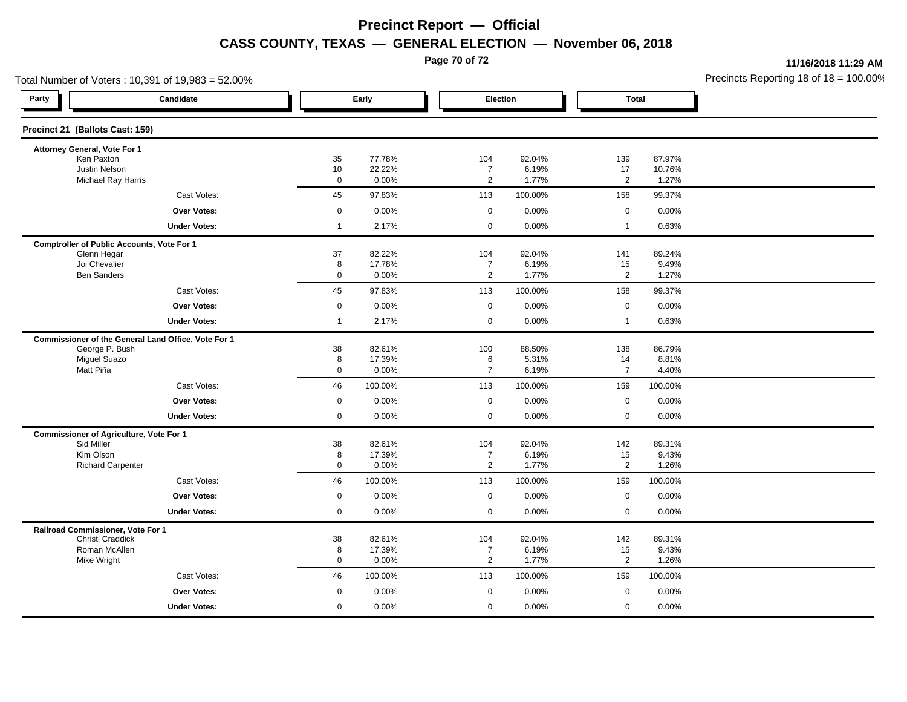**Page 70 of 72**

**11/16/2018 11:29 AM**

| Total Number of Voters: 10,391 of 19,983 = 52.00%     |                   |                  |                                  |                 |                      |                 | Precincts Reporting 18 of $18 = 100.00$ |
|-------------------------------------------------------|-------------------|------------------|----------------------------------|-----------------|----------------------|-----------------|-----------------------------------------|
| Party<br>Candidate                                    | Early             |                  | Election                         |                 | <b>Total</b>         |                 |                                         |
| Precinct 21 (Ballots Cast: 159)                       |                   |                  |                                  |                 |                      |                 |                                         |
| Attorney General, Vote For 1                          |                   |                  |                                  |                 |                      |                 |                                         |
| Ken Paxton<br>Justin Nelson                           | 35                | 77.78%<br>22.22% | 104                              | 92.04%<br>6.19% | 139                  | 87.97%          |                                         |
| <b>Michael Ray Harris</b>                             | 10<br>$\mathbf 0$ | 0.00%            | $\overline{7}$<br>$\mathbf{2}$   | 1.77%           | 17<br>$\overline{2}$ | 10.76%<br>1.27% |                                         |
| Cast Votes:                                           | 45                | 97.83%           | 113                              | 100.00%         | 158                  | 99.37%          |                                         |
| <b>Over Votes:</b>                                    | $\mathsf 0$       | 0.00%            | $\mathbf 0$                      | 0.00%           | $\mathsf 0$          | 0.00%           |                                         |
| <b>Under Votes:</b>                                   | $\mathbf{1}$      | 2.17%            | $\mathbf 0$                      | 0.00%           | $\mathbf{1}$         | 0.63%           |                                         |
| <b>Comptroller of Public Accounts, Vote For 1</b>     |                   |                  |                                  |                 |                      |                 |                                         |
| Glenn Hegar                                           | 37                | 82.22%           | 104                              | 92.04%          | 141                  | 89.24%          |                                         |
| Joi Chevalier<br><b>Ben Sanders</b>                   | 8<br>$\mathsf 0$  | 17.78%<br>0.00%  | $\overline{7}$<br>$\overline{2}$ | 6.19%<br>1.77%  | 15<br>$\overline{2}$ | 9.49%<br>1.27%  |                                         |
| Cast Votes:                                           | 45                | 97.83%           | 113                              | 100.00%         | 158                  | 99.37%          |                                         |
| <b>Over Votes:</b>                                    | $\mathsf 0$       | 0.00%            | $\mathbf 0$                      | 0.00%           | $\mathsf 0$          | 0.00%           |                                         |
| <b>Under Votes:</b>                                   | $\mathbf{1}$      | 2.17%            | $\mathbf 0$                      | 0.00%           | $\mathbf{1}$         | 0.63%           |                                         |
| Commissioner of the General Land Office, Vote For 1   |                   |                  |                                  |                 |                      |                 |                                         |
| George P. Bush                                        | 38                | 82.61%           | 100                              | 88.50%          | 138                  | 86.79%          |                                         |
| <b>Miguel Suazo</b><br>Matt Piña                      | 8<br>$\mathbf 0$  | 17.39%<br>0.00%  | 6<br>$\overline{7}$              | 5.31%<br>6.19%  | 14<br>$\overline{7}$ | 8.81%<br>4.40%  |                                         |
| Cast Votes:                                           | 46                | 100.00%          | 113                              | 100.00%         | 159                  | 100.00%         |                                         |
| Over Votes:                                           | $\mathbf 0$       | 0.00%            | $\mathsf 0$                      | 0.00%           | $\mathsf 0$          | 0.00%           |                                         |
| <b>Under Votes:</b>                                   | $\mathbf 0$       | 0.00%            | $\mathbf 0$                      | 0.00%           | $\mathbf 0$          | 0.00%           |                                         |
| <b>Commissioner of Agriculture, Vote For 1</b>        |                   |                  |                                  |                 |                      |                 |                                         |
| Sid Miller                                            | 38                | 82.61%           | 104                              | 92.04%          | 142                  | 89.31%          |                                         |
| Kim Olson                                             | 8                 | 17.39%           | $\overline{7}$                   | 6.19%           | 15                   | 9.43%           |                                         |
| <b>Richard Carpenter</b>                              | $\mathbf 0$       | 0.00%            | $\overline{2}$                   | 1.77%           | 2                    | 1.26%           |                                         |
| Cast Votes:                                           | 46                | 100.00%          | 113                              | 100.00%         | 159                  | 100.00%         |                                         |
| Over Votes:                                           | $\mathbf 0$       | 0.00%            | $\mathbf 0$                      | 0.00%           | $\mathbf 0$          | 0.00%           |                                         |
| <b>Under Votes:</b>                                   | $\mathsf 0$       | 0.00%            | $\mathbf 0$                      | 0.00%           | $\mathbf 0$          | 0.00%           |                                         |
| Railroad Commissioner, Vote For 1<br>Christi Craddick | 38                | 82.61%           | 104                              | 92.04%          | 142                  | 89.31%          |                                         |
| Roman McAllen                                         | 8                 | 17.39%           | $\overline{7}$                   | 6.19%           | 15                   | 9.43%           |                                         |
| Mike Wright                                           | $\mathbf 0$       | 0.00%            | $\overline{2}$                   | 1.77%           | $\overline{2}$       | 1.26%           |                                         |
| Cast Votes:                                           | 46                | 100.00%          | 113                              | 100.00%         | 159                  | 100.00%         |                                         |
| Over Votes:                                           | $\mathbf 0$       | 0.00%            | $\mathbf 0$                      | 0.00%           | $\mathbf 0$          | 0.00%           |                                         |
| <b>Under Votes:</b>                                   | $\mathbf 0$       | 0.00%            | $\mathbf 0$                      | 0.00%           | $\mathbf 0$          | 0.00%           |                                         |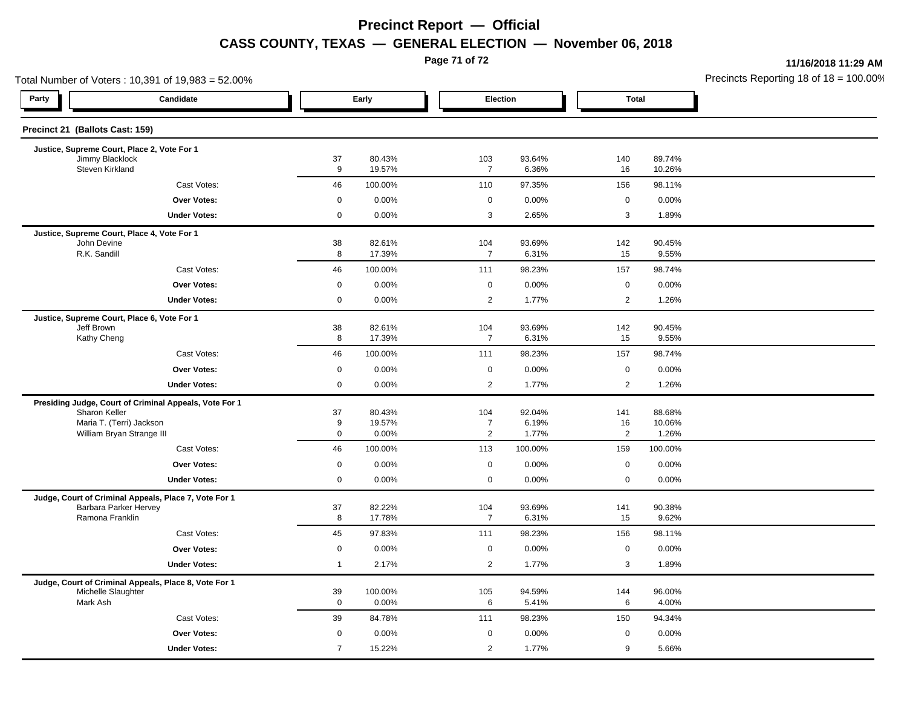**Page 71 of 72**

**11/16/2018 11:29 AM**

| Total Number of Voters: 10,391 of 19,983 = 52.00%         |                                                        |                |                  |                       |                 |                      |                  | Precincts Reporting 18 of 18 = 100.00 |
|-----------------------------------------------------------|--------------------------------------------------------|----------------|------------------|-----------------------|-----------------|----------------------|------------------|---------------------------------------|
| Party                                                     | Candidate                                              | Early          |                  |                       | Election        |                      | <b>Total</b>     |                                       |
| Precinct 21 (Ballots Cast: 159)                           |                                                        |                |                  |                       |                 |                      |                  |                                       |
| Justice, Supreme Court, Place 2, Vote For 1               |                                                        | 37             |                  |                       |                 |                      |                  |                                       |
|                                                           | Jimmy Blacklock<br>Steven Kirkland                     |                | 80.43%<br>19.57% | 103<br>$\overline{7}$ | 93.64%<br>6.36% | 140<br>16            | 89.74%<br>10.26% |                                       |
|                                                           | Cast Votes:                                            | 46             | 100.00%          | 110                   | 97.35%          | 156                  | 98.11%           |                                       |
|                                                           | Over Votes:                                            | $\mathbf 0$    | 0.00%            | 0                     | 0.00%           | $\mathbf 0$          | 0.00%            |                                       |
|                                                           | <b>Under Votes:</b>                                    | $\mathsf{O}$   | 0.00%            | 3                     | 2.65%           | $\mathbf{3}$         | 1.89%            |                                       |
| Justice, Supreme Court, Place 4, Vote For 1               |                                                        |                |                  |                       |                 |                      |                  |                                       |
| John Devine                                               |                                                        | 38             | 82.61%           | 104                   | 93.69%          | 142                  | 90.45%           |                                       |
| R.K. Sandill                                              |                                                        | 8              | 17.39%           | $\overline{7}$        | 6.31%           | 15                   | 9.55%            |                                       |
|                                                           | Cast Votes:                                            | 46             | 100.00%          | 111                   | 98.23%          | 157                  | 98.74%           |                                       |
|                                                           | <b>Over Votes:</b>                                     | $\mathbf 0$    | 0.00%            | $\mathbf 0$           | 0.00%           | $\mathbf 0$          | 0.00%            |                                       |
|                                                           | <b>Under Votes:</b>                                    | 0              | 0.00%            | 2                     | 1.77%           | $\overline{2}$       | 1.26%            |                                       |
| Justice, Supreme Court, Place 6, Vote For 1<br>Jeff Brown |                                                        | 38             | 82.61%           | 104                   | 93.69%          | 142                  | 90.45%           |                                       |
|                                                           | Kathy Cheng                                            |                | 17.39%           | $\overline{7}$        | 6.31%           | 15                   | 9.55%            |                                       |
|                                                           | Cast Votes:                                            | 46             | 100.00%          | 111                   | 98.23%          | 157                  | 98.74%           |                                       |
|                                                           | <b>Over Votes:</b>                                     | 0              | 0.00%            | $\mathbf 0$           | 0.00%           | $\mathbf 0$          | 0.00%            |                                       |
|                                                           | <b>Under Votes:</b>                                    | $\mathbf 0$    | 0.00%            | 2                     | 1.77%           | $\overline{2}$       | 1.26%            |                                       |
|                                                           | Presiding Judge, Court of Criminal Appeals, Vote For 1 |                |                  |                       |                 |                      |                  |                                       |
| Sharon Keller                                             |                                                        | 37             | 80.43%           | 104                   | 92.04%          | 141                  | 88.68%           |                                       |
| Maria T. (Terri) Jackson<br>William Bryan Strange III     |                                                        | 9<br>0         | 19.57%           | $\overline{7}$<br>2   | 6.19%           | 16<br>$\overline{2}$ | 10.06%           |                                       |
|                                                           |                                                        |                | 0.00%            |                       | 1.77%           |                      | 1.26%            |                                       |
|                                                           | Cast Votes:                                            | 46             | 100.00%          | 113                   | 100.00%         | 159                  | 100.00%          |                                       |
|                                                           | Over Votes:                                            | $\mathbf 0$    | 0.00%            | $\mathbf 0$           | 0.00%           | $\mathbf 0$          | 0.00%            |                                       |
|                                                           | <b>Under Votes:</b>                                    | $\mathsf{O}$   | 0.00%            | $\mathbf 0$           | 0.00%           | $\mathbf 0$          | 0.00%            |                                       |
|                                                           | Judge, Court of Criminal Appeals, Place 7, Vote For 1  |                |                  |                       |                 |                      |                  |                                       |
| Ramona Franklin                                           | Barbara Parker Hervey                                  | 37<br>8        | 82.22%<br>17.78% | 104<br>$\overline{7}$ | 93.69%<br>6.31% | 141<br>15            | 90.38%<br>9.62%  |                                       |
|                                                           | Cast Votes:                                            | 45             | 97.83%           | 111                   | 98.23%          | 156                  | 98.11%           |                                       |
|                                                           | Over Votes:                                            | 0              | 0.00%            | $\mathbf 0$           | 0.00%           | $\mathbf 0$          | 0.00%            |                                       |
|                                                           | <b>Under Votes:</b>                                    | $\overline{1}$ | 2.17%            | $\overline{2}$        | 1.77%           | 3                    | 1.89%            |                                       |
|                                                           | Judge, Court of Criminal Appeals, Place 8, Vote For 1  |                |                  |                       |                 |                      |                  |                                       |
| Michelle Slaughter                                        |                                                        | 39             | 100.00%          | 105                   | 94.59%          | 144                  | 96.00%           |                                       |
| Mark Ash                                                  |                                                        | $\mathbf 0$    | 0.00%            | 6                     | 5.41%           | 6                    | 4.00%            |                                       |
|                                                           | Cast Votes:                                            | 39             | 84.78%           | 111                   | 98.23%          | 150                  | 94.34%           |                                       |
|                                                           | <b>Over Votes:</b>                                     | 0              | 0.00%            | $\mathbf 0$           | 0.00%           | $\mathbf 0$          | 0.00%            |                                       |
|                                                           | <b>Under Votes:</b>                                    | $\overline{7}$ | 15.22%           | 2                     | 1.77%           | 9                    | 5.66%            |                                       |